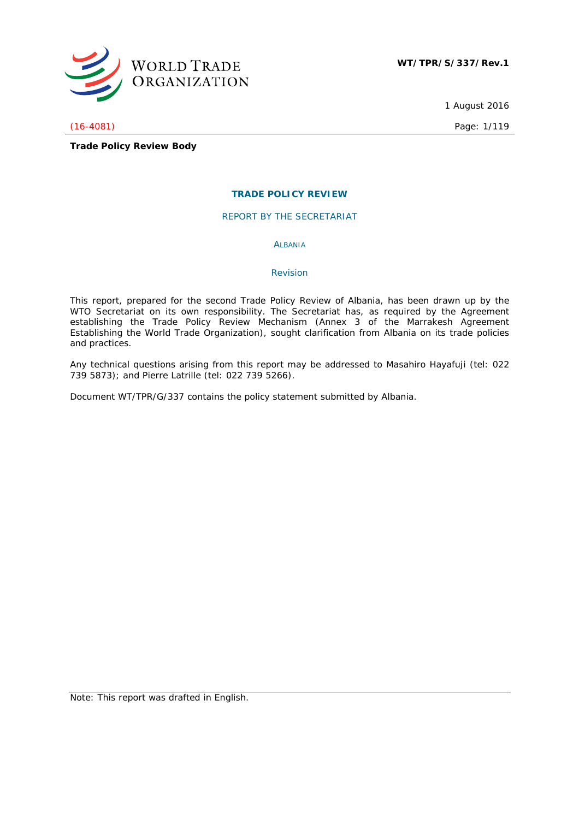

1 August 2016

(16-4081) Page: 1/119

**Trade Policy Review Body**

# **TRADE POLICY REVIEW**

REPORT BY THE SECRETARIAT

ALBANIA

# *Revision*

This report, prepared for the second Trade Policy Review of Albania, has been drawn up by the WTO Secretariat on its own responsibility. The Secretariat has, as required by the Agreement establishing the Trade Policy Review Mechanism (Annex 3 of the Marrakesh Agreement Establishing the World Trade Organization), sought clarification from Albania on its trade policies and practices.

Any technical questions arising from this report may be addressed to Masahiro Hayafuji (tel: 022 739 5873); and Pierre Latrille (tel: 022 739 5266).

Document WT/TPR/G/337 contains the policy statement submitted by Albania.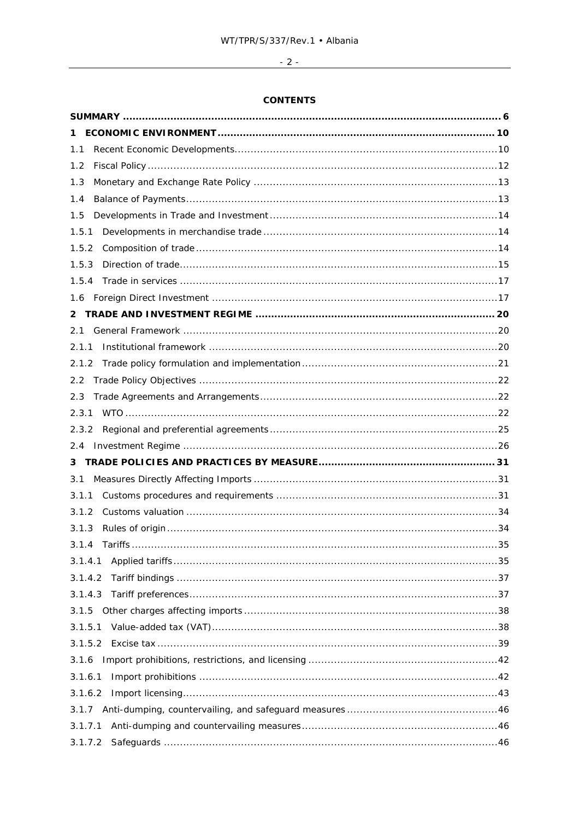# $\overline{\phantom{a}2}$  .

# **CONTENTS**

| 1.1     |  |
|---------|--|
| 1.2     |  |
| 1.3     |  |
| 1.4     |  |
| 1.5     |  |
| 1.5.1   |  |
| 1.5.2   |  |
| 1.5.3   |  |
| 1.5.4   |  |
|         |  |
| 2       |  |
| 2.1     |  |
| 2.1.1   |  |
| 2.1.2   |  |
| 2.2     |  |
| 2.3     |  |
| 2.3.1   |  |
| 2.3.2   |  |
| 2.4     |  |
| 3       |  |
| 3.1     |  |
| 3.1.1   |  |
| 3.1.2   |  |
| 3.1.3   |  |
| 3.1.4   |  |
| 3.1.4.1 |  |
| 3.1.4.2 |  |
| 3.1.4.3 |  |
| 3.1.5   |  |
| 3.1.5.1 |  |
| 3.1.5.2 |  |
| 3.1.6   |  |
| 3.1.6.1 |  |
| 3.1.6.2 |  |
|         |  |
| 3.1.7.1 |  |
| 3.1.7.2 |  |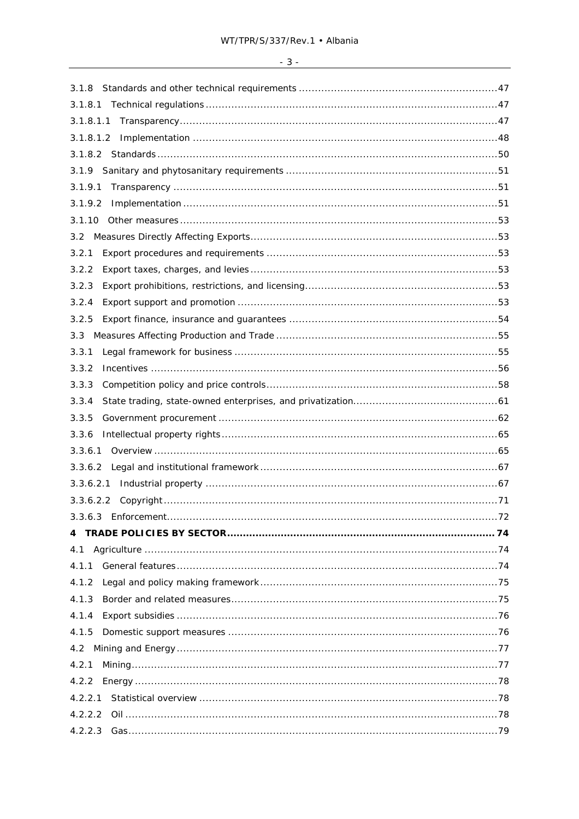| 3.1.8     |  |
|-----------|--|
| 3.1.8.1   |  |
| 3.1.8.1.1 |  |
|           |  |
|           |  |
| 3.1.9     |  |
| 3.1.9.1   |  |
| 3.1.9.2   |  |
| 3.1.10    |  |
|           |  |
| 3.2.1     |  |
| 3.2.2     |  |
| 3.2.3     |  |
| 3.2.4     |  |
| 3.2.5     |  |
| 3.3       |  |
| 3.3.1     |  |
| 3.3.2     |  |
| 3.3.3     |  |
| 3.3.4     |  |
| 3.3.5     |  |
| 3.3.6     |  |
| 3.3.6.1   |  |
|           |  |
| 3.3.6.2.1 |  |
|           |  |
|           |  |
|           |  |
| 4.1       |  |
|           |  |
| 4.1.2     |  |
| 4.1.3     |  |
| 4.1.4     |  |
| 4.1.5     |  |
|           |  |
| 4.2.1     |  |
| 4.2.2     |  |
| 4.2.2.1   |  |
| 4.2.2.2   |  |
|           |  |

# $-3-$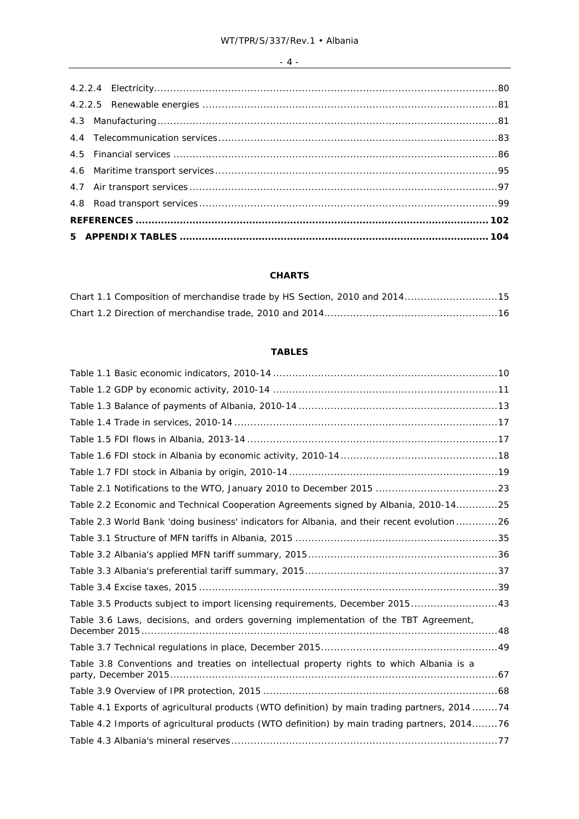# **CHARTS**

| Chart 1.1 Composition of merchandise trade by HS Section, 2010 and 201415 |  |
|---------------------------------------------------------------------------|--|
|                                                                           |  |

# **TABLES**

| Table 2.2 Economic and Technical Cooperation Agreements signed by Albania, 2010-1425          |  |
|-----------------------------------------------------------------------------------------------|--|
| Table 2.3 World Bank 'doing business' indicators for Albania, and their recent evolution 26   |  |
|                                                                                               |  |
|                                                                                               |  |
|                                                                                               |  |
|                                                                                               |  |
| Table 3.5 Products subject to import licensing requirements, December 201543                  |  |
| Table 3.6 Laws, decisions, and orders governing implementation of the TBT Agreement,          |  |
|                                                                                               |  |
| Table 3.8 Conventions and treaties on intellectual property rights to which Albania is a      |  |
|                                                                                               |  |
| Table 4.1 Exports of agricultural products (WTO definition) by main trading partners, 2014 74 |  |
| Table 4.2 Imports of agricultural products (WTO definition) by main trading partners, 201476  |  |
|                                                                                               |  |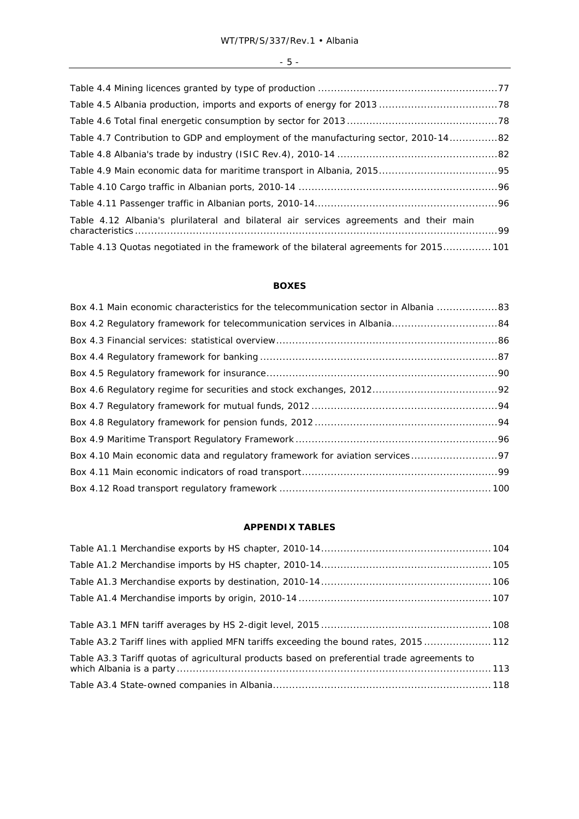| Table 4.7 Contribution to GDP and employment of the manufacturing sector, 2010-1482    |  |
|----------------------------------------------------------------------------------------|--|
|                                                                                        |  |
|                                                                                        |  |
|                                                                                        |  |
|                                                                                        |  |
| Table 4.12 Albania's plurilateral and bilateral air services agreements and their main |  |
| Table 4.13 Quotas negotiated in the framework of the bilateral agreements for 2015 101 |  |

# **BOXES**

| Box 4.1 Main economic characteristics for the telecommunication sector in Albania  83 |  |
|---------------------------------------------------------------------------------------|--|
|                                                                                       |  |
|                                                                                       |  |
|                                                                                       |  |
|                                                                                       |  |
|                                                                                       |  |
|                                                                                       |  |
|                                                                                       |  |
|                                                                                       |  |
|                                                                                       |  |
|                                                                                       |  |
|                                                                                       |  |

# **APPENDIX TABLES**

| Table A3.2 Tariff lines with applied MFN tariffs exceeding the bound rates, 2015 112        |  |
|---------------------------------------------------------------------------------------------|--|
| Table A3.3 Tariff quotas of agricultural products based on preferential trade agreements to |  |
|                                                                                             |  |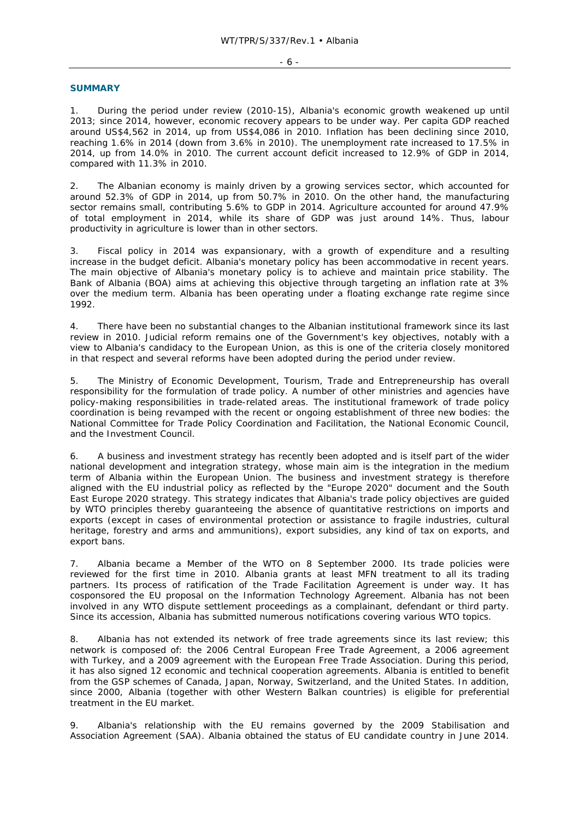#### - 6 -

### **SUMMARY**

1. During the period under review (2010-15), Albania's economic growth weakened up until 2013; since 2014, however, economic recovery appears to be under way. Per capita GDP reached around US\$4,562 in 2014, up from US\$4,086 in 2010. Inflation has been declining since 2010, reaching 1.6% in 2014 (down from 3.6% in 2010). The unemployment rate increased to 17.5% in 2014, up from 14.0% in 2010. The current account deficit increased to 12.9% of GDP in 2014, compared with 11.3% in 2010.

2. The Albanian economy is mainly driven by a growing services sector, which accounted for around 52.3% of GDP in 2014, up from 50.7% in 2010. On the other hand, the manufacturing sector remains small, contributing 5.6% to GDP in 2014. Agriculture accounted for around 47.9% of total employment in 2014, while its share of GDP was just around 14%. Thus, labour productivity in agriculture is lower than in other sectors.

3. Fiscal policy in 2014 was expansionary, with a growth of expenditure and a resulting increase in the budget deficit. Albania's monetary policy has been accommodative in recent years. The main objective of Albania's monetary policy is to achieve and maintain price stability. The Bank of Albania (BOA) aims at achieving this objective through targeting an inflation rate at 3% over the medium term. Albania has been operating under a floating exchange rate regime since 1992.

4. There have been no substantial changes to the Albanian institutional framework since its last review in 2010. Judicial reform remains one of the Government's key objectives, notably with a view to Albania's candidacy to the European Union, as this is one of the criteria closely monitored in that respect and several reforms have been adopted during the period under review.

5. The Ministry of Economic Development, Tourism, Trade and Entrepreneurship has overall responsibility for the formulation of trade policy. A number of other ministries and agencies have policy-making responsibilities in trade-related areas. The institutional framework of trade policy coordination is being revamped with the recent or ongoing establishment of three new bodies: the National Committee for Trade Policy Coordination and Facilitation, the National Economic Council, and the Investment Council.

6. A business and investment strategy has recently been adopted and is itself part of the wider national development and integration strategy, whose main aim is the integration in the medium term of Albania within the European Union. The business and investment strategy is therefore aligned with the EU industrial policy as reflected by the "Europe 2020" document and the South East Europe 2020 strategy. This strategy indicates that Albania's trade policy objectives are guided by WTO principles thereby guaranteeing the absence of quantitative restrictions on imports and exports (except in cases of environmental protection or assistance to fragile industries, cultural heritage, forestry and arms and ammunitions), export subsidies, any kind of tax on exports, and export bans.

7. Albania became a Member of the WTO on 8 September 2000. Its trade policies were reviewed for the first time in 2010. Albania grants at least MFN treatment to all its trading partners. Its process of ratification of the Trade Facilitation Agreement is under way. It has cosponsored the EU proposal on the Information Technology Agreement. Albania has not been involved in any WTO dispute settlement proceedings as a complainant, defendant or third party. Since its accession, Albania has submitted numerous notifications covering various WTO topics.

8. Albania has not extended its network of free trade agreements since its last review; this network is composed of: the 2006 Central European Free Trade Agreement, a 2006 agreement with Turkey, and a 2009 agreement with the European Free Trade Association. During this period, it has also signed 12 economic and technical cooperation agreements. Albania is entitled to benefit from the GSP schemes of Canada, Japan, Norway, Switzerland, and the United States. In addition, since 2000, Albania (together with other Western Balkan countries) is eligible for preferential treatment in the EU market.

9. Albania's relationship with the EU remains governed by the 2009 Stabilisation and Association Agreement (SAA). Albania obtained the status of EU candidate country in June 2014.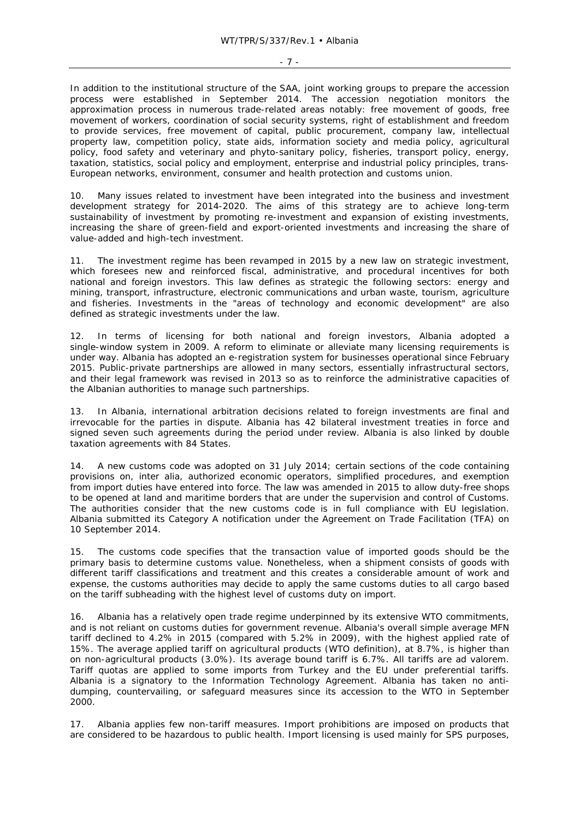- 7 -

In addition to the institutional structure of the SAA, joint working groups to prepare the accession process were established in September 2014. The accession negotiation monitors the approximation process in numerous trade-related areas notably: free movement of goods, free movement of workers, coordination of social security systems, right of establishment and freedom to provide services, free movement of capital, public procurement, company law, intellectual property law, competition policy, state aids, information society and media policy, agricultural policy, food safety and veterinary and phyto-sanitary policy, fisheries, transport policy, energy, taxation, statistics, social policy and employment, enterprise and industrial policy principles, trans-European networks, environment, consumer and health protection and customs union.

10. Many issues related to investment have been integrated into the business and investment development strategy for 2014-2020. The aims of this strategy are to achieve long-term sustainability of investment by promoting re-investment and expansion of existing investments, increasing the share of green-field and export-oriented investments and increasing the share of value-added and high-tech investment.

11. The investment regime has been revamped in 2015 by a new law on strategic investment, which foresees new and reinforced fiscal, administrative, and procedural incentives for both national and foreign investors. This law defines as strategic the following sectors: energy and mining, transport, infrastructure, electronic communications and urban waste, tourism, agriculture and fisheries. Investments in the "areas of technology and economic development" are also defined as strategic investments under the law.

12. In terms of licensing for both national and foreign investors, Albania adopted a single-window system in 2009. A reform to eliminate or alleviate many licensing requirements is under way. Albania has adopted an e-registration system for businesses operational since February 2015. Public-private partnerships are allowed in many sectors, essentially infrastructural sectors, and their legal framework was revised in 2013 so as to reinforce the administrative capacities of the Albanian authorities to manage such partnerships.

13. In Albania, international arbitration decisions related to foreign investments are final and irrevocable for the parties in dispute. Albania has 42 bilateral investment treaties in force and signed seven such agreements during the period under review. Albania is also linked by double taxation agreements with 84 States.

14. A new customs code was adopted on 31 July 2014; certain sections of the code containing provisions on, *inter alia*, authorized economic operators, simplified procedures, and exemption from import duties have entered into force. The law was amended in 2015 to allow duty-free shops to be opened at land and maritime borders that are under the supervision and control of Customs. The authorities consider that the new customs code is in full compliance with EU legislation. Albania submitted its Category A notification under the Agreement on Trade Facilitation (TFA) on 10 September 2014.

15. The customs code specifies that the transaction value of imported goods should be the primary basis to determine customs value. Nonetheless, when a shipment consists of goods with different tariff classifications and treatment and this creates a considerable amount of work and expense, the customs authorities may decide to apply the same customs duties to all cargo based on the tariff subheading with the highest level of customs duty on import.

16. Albania has a relatively open trade regime underpinned by its extensive WTO commitments, and is not reliant on customs duties for government revenue. Albania's overall simple average MFN tariff declined to 4.2% in 2015 (compared with 5.2% in 2009), with the highest applied rate of 15%. The average applied tariff on agricultural products (WTO definition), at 8.7%, is higher than on non-agricultural products (3.0%). Its average bound tariff is 6.7%. All tariffs are *ad valorem*. Tariff quotas are applied to some imports from Turkey and the EU under preferential tariffs. Albania is a signatory to the Information Technology Agreement. Albania has taken no antidumping, countervailing, or safeguard measures since its accession to the WTO in September 2000.

17. Albania applies few non-tariff measures. Import prohibitions are imposed on products that are considered to be hazardous to public health. Import licensing is used mainly for SPS purposes,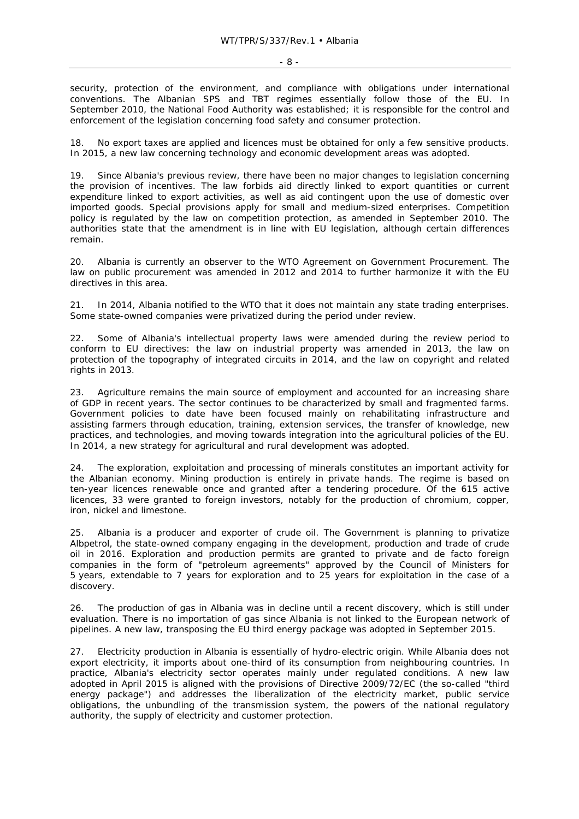security, protection of the environment, and compliance with obligations under international conventions. The Albanian SPS and TBT regimes essentially follow those of the EU. In September 2010, the National Food Authority was established; it is responsible for the control and enforcement of the legislation concerning food safety and consumer protection.

18. No export taxes are applied and licences must be obtained for only a few sensitive products. In 2015, a new law concerning technology and economic development areas was adopted.

19. Since Albania's previous review, there have been no major changes to legislation concerning the provision of incentives. The law forbids aid directly linked to export quantities or current expenditure linked to export activities, as well as aid contingent upon the use of domestic over imported goods. Special provisions apply for small and medium-sized enterprises. Competition policy is regulated by the law on competition protection, as amended in September 2010. The authorities state that the amendment is in line with EU legislation, although certain differences remain.

20. Albania is currently an observer to the WTO Agreement on Government Procurement. The law on public procurement was amended in 2012 and 2014 to further harmonize it with the EU directives in this area.

21. In 2014, Albania notified to the WTO that it does not maintain any state trading enterprises. Some state-owned companies were privatized during the period under review.

22. Some of Albania's intellectual property laws were amended during the review period to conform to EU directives: the law on industrial property was amended in 2013, the law on protection of the topography of integrated circuits in 2014, and the law on copyright and related rights in 2013.

23. Agriculture remains the main source of employment and accounted for an increasing share of GDP in recent years. The sector continues to be characterized by small and fragmented farms. Government policies to date have been focused mainly on rehabilitating infrastructure and assisting farmers through education, training, extension services, the transfer of knowledge, new practices, and technologies, and moving towards integration into the agricultural policies of the EU. In 2014, a new strategy for agricultural and rural development was adopted.

24. The exploration, exploitation and processing of minerals constitutes an important activity for the Albanian economy. Mining production is entirely in private hands. The regime is based on ten-year licences renewable once and granted after a tendering procedure. Of the 615 active licences, 33 were granted to foreign investors, notably for the production of chromium, copper, iron, nickel and limestone.

25. Albania is a producer and exporter of crude oil. The Government is planning to privatize Albpetrol, the state-owned company engaging in the development, production and trade of crude oil in 2016. Exploration and production permits are granted to private and *de facto* foreign companies in the form of "petroleum agreements" approved by the Council of Ministers for 5 years, extendable to 7 years for exploration and to 25 years for exploitation in the case of a discovery.

26. The production of gas in Albania was in decline until a recent discovery, which is still under evaluation. There is no importation of gas since Albania is not linked to the European network of pipelines. A new law, transposing the EU third energy package was adopted in September 2015.

27. Electricity production in Albania is essentially of hydro-electric origin. While Albania does not export electricity, it imports about one-third of its consumption from neighbouring countries. In practice, Albania's electricity sector operates mainly under regulated conditions. A new law adopted in April 2015 is aligned with the provisions of Directive 2009/72/EC (the so-called "third energy package") and addresses the liberalization of the electricity market, public service obligations, the unbundling of the transmission system, the powers of the national regulatory authority, the supply of electricity and customer protection.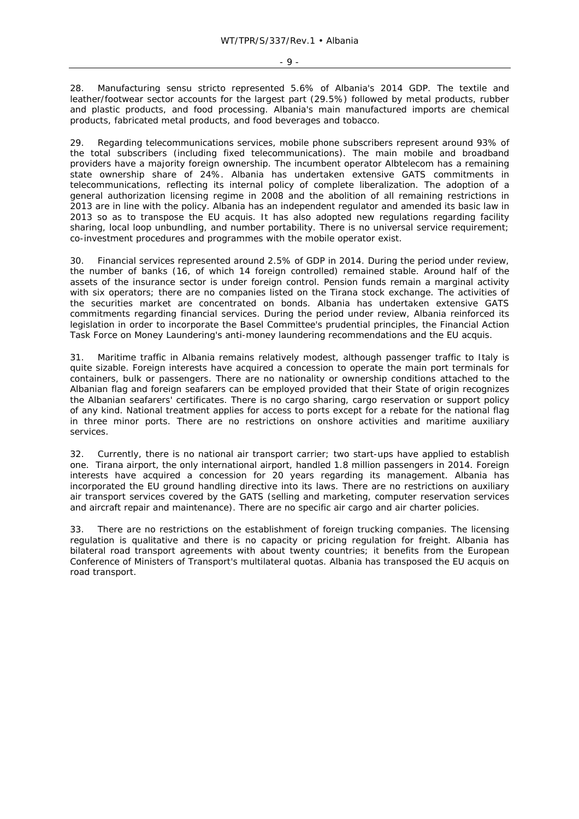28. Manufacturing *sensu stricto* represented 5.6% of Albania's 2014 GDP. The textile and leather/footwear sector accounts for the largest part (29.5%) followed by metal products, rubber and plastic products, and food processing. Albania's main manufactured imports are chemical products, fabricated metal products, and food beverages and tobacco.

29. Regarding telecommunications services, mobile phone subscribers represent around 93% of the total subscribers (including fixed telecommunications). The main mobile and broadband providers have a majority foreign ownership. The incumbent operator Albtelecom has a remaining state ownership share of 24%. Albania has undertaken extensive GATS commitments in telecommunications, reflecting its internal policy of complete liberalization. The adoption of a general authorization licensing regime in 2008 and the abolition of all remaining restrictions in 2013 are in line with the policy. Albania has an independent regulator and amended its basic law in 2013 so as to transpose the EU *acquis*. It has also adopted new regulations regarding facility sharing, local loop unbundling, and number portability. There is no universal service requirement; co-investment procedures and programmes with the mobile operator exist.

30. Financial services represented around 2.5% of GDP in 2014. During the period under review, the number of banks (16, of which 14 foreign controlled) remained stable. Around half of the assets of the insurance sector is under foreign control. Pension funds remain a marginal activity with six operators; there are no companies listed on the Tirana stock exchange. The activities of the securities market are concentrated on bonds. Albania has undertaken extensive GATS commitments regarding financial services. During the period under review, Albania reinforced its legislation in order to incorporate the Basel Committee's prudential principles, the Financial Action Task Force on Money Laundering's anti-money laundering recommendations and the EU *acquis*.

31. Maritime traffic in Albania remains relatively modest, although passenger traffic to Italy is quite sizable. Foreign interests have acquired a concession to operate the main port terminals for containers, bulk or passengers. There are no nationality or ownership conditions attached to the Albanian flag and foreign seafarers can be employed provided that their State of origin recognizes the Albanian seafarers' certificates. There is no cargo sharing, cargo reservation or support policy of any kind. National treatment applies for access to ports except for a rebate for the national flag in three minor ports. There are no restrictions on onshore activities and maritime auxiliary services.

32. Currently, there is no national air transport carrier; two start-ups have applied to establish one. Tirana airport, the only international airport, handled 1.8 million passengers in 2014. Foreign interests have acquired a concession for 20 years regarding its management. Albania has incorporated the EU ground handling directive into its laws. There are no restrictions on auxiliary air transport services covered by the GATS (selling and marketing, computer reservation services and aircraft repair and maintenance). There are no specific air cargo and air charter policies.

33. There are no restrictions on the establishment of foreign trucking companies. The licensing regulation is qualitative and there is no capacity or pricing regulation for freight. Albania has bilateral road transport agreements with about twenty countries; it benefits from the European Conference of Ministers of Transport's multilateral quotas. Albania has transposed the EU *acquis* on road transport.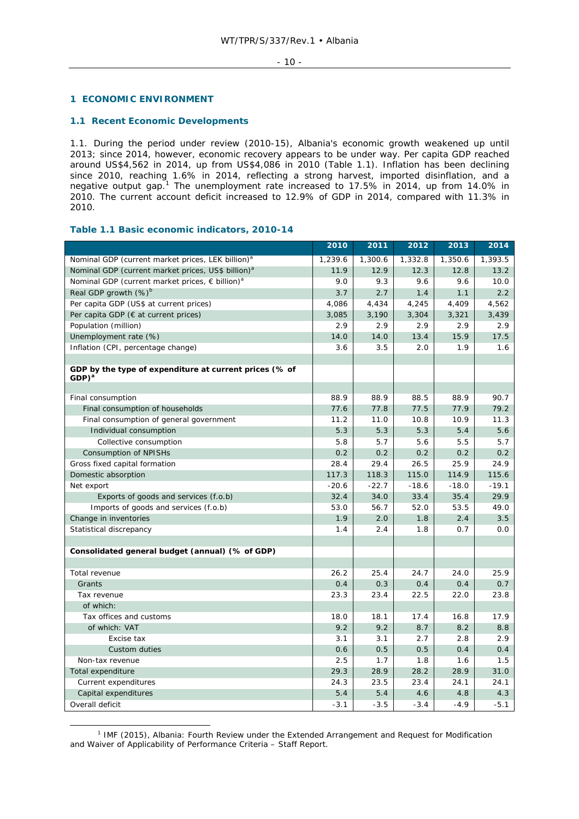### **1 ECONOMIC ENVIRONMENT**

### **1.1 Recent Economic Developments**

1.1. During the period under review (2010-15), Albania's economic growth weakened up until 2013; since 2014, however, economic recovery appears to be under way. Per capita GDP reached around US\$4,562 in 2014, up from US\$4,086 in 2010 (Table 1.1). Inflation has been declining since 2010, reaching 1.6% in 2014, reflecting a strong harvest, imported disinflation, and a negative output gap.<sup>1</sup> The unemployment rate increased to 17.5% in 2014, up from 14.0% in 2010. The current account deficit increased to 12.9% of GDP in 2014, compared with 11.3% in 2010.

### **Table 1.1 Basic economic indicators, 2010-14**

|                                                                      | 2010        | 2011    | 2012        | 2013        | 2014    |
|----------------------------------------------------------------------|-------------|---------|-------------|-------------|---------|
| Nominal GDP (current market prices, LEK billion) <sup>a</sup>        | 1,239.6     | 1,300.6 | 1,332.8     | 1,350.6     | 1,393.5 |
| Nominal GDP (current market prices, US\$ billion) <sup>a</sup>       | 11.9        | 12.9    | 12.3        | 12.8        | 13.2    |
| Nominal GDP (current market prices, $\epsilon$ billion) <sup>a</sup> | 9.0         | 9.3     | 9.6         | 9.6         | 10.0    |
| Real GDP growth $(\%)^b$                                             | 3.7         | 2.7     | 1.4         | 1.1         | 2.2     |
| Per capita GDP (US\$ at current prices)                              | 4,086       | 4,434   | 4,245       | 4,409       | 4,562   |
| Per capita GDP ( $\epsilon$ at current prices)                       | 3,085       | 3,190   | 3,304       | 3,321       | 3,439   |
| Population (million)                                                 | 2.9         | 2.9     | 2.9         | 2.9         | 2.9     |
| Unemployment rate (%)                                                | 14.0        | 14.0    | 13.4        | 15.9        | 17.5    |
| Inflation (CPI, percentage change)                                   | 3.6         | 3.5     | 2.0         | 1.9         | 1.6     |
|                                                                      |             |         |             |             |         |
| GDP by the type of expenditure at current prices (% of<br>$GDP)^a$   |             |         |             |             |         |
|                                                                      |             |         |             |             |         |
| Final consumption                                                    | 88.9        | 88.9    | 88.5        | 88.9        | 90.7    |
| Final consumption of households                                      | 77.6        | 77.8    | 77.5        | 77.9        | 79.2    |
| Final consumption of general government                              | 11.2        | 11.0    | 10.8        | 10.9        | 11.3    |
| Individual consumption                                               | 5.3         | 5.3     | 5.3         | 5.4         | 5.6     |
| Collective consumption                                               | 5.8         | 5.7     | 5.6         | 5.5         | 5.7     |
| Consumption of NPISHs                                                | 0.2         | 0.2     | 0.2         | 0.2         | 0.2     |
| Gross fixed capital formation                                        | 28.4        | 29.4    | 26.5        | 25.9        | 24.9    |
| Domestic absorption                                                  | 117.3       | 118.3   | 115.0       | 114.9       | 115.6   |
| Net export                                                           | $-20.6$     | $-22.7$ | $-18.6$     | $-18.0$     | $-19.1$ |
| Exports of goods and services (f.o.b)                                | 32.4        | 34.0    | 33.4        | 35.4        | 29.9    |
| Imports of goods and services (f.o.b)                                | 53.0        | 56.7    | 52.0        | 53.5        | 49.0    |
| Change in inventories                                                | 1.9         | 2.0     | 1.8         | 2.4         | 3.5     |
| Statistical discrepancy                                              | 1.4         | 2.4     | 1.8         | 0.7         | 0.0     |
|                                                                      |             |         |             |             |         |
| Consolidated general budget (annual) (% of GDP)                      |             |         |             |             |         |
|                                                                      |             |         |             |             |         |
| Total revenue                                                        | 26.2        | 25.4    | 24.7        | 24.0        | 25.9    |
| Grants<br>Tax revenue                                                | 0.4<br>23.3 | 0.3     | 0.4<br>22.5 | 0.4<br>22.0 | 0.7     |
| of which:                                                            |             | 23.4    |             |             | 23.8    |
| Tax offices and customs                                              | 18.0        | 18.1    | 17.4        | 16.8        | 17.9    |
| of which: VAT                                                        | 9.2         | 9.2     | 8.7         | 8.2         | 8.8     |
|                                                                      |             |         | 2.7         |             |         |
| Excise tax                                                           | 3.1         | 3.1     |             | 2.8         | 2.9     |
| Custom duties                                                        | 0.6         | 0.5     | 0.5         | 0.4         | 0.4     |
| Non-tax revenue                                                      | 2.5         | 1.7     | 1.8         | 1.6         | 1.5     |
| Total expenditure                                                    | 29.3        | 28.9    | 28.2        | 28.9        | 31.0    |
| Current expenditures                                                 | 24.3        | 23.5    | 23.4        | 24.1        | 24.1    |
| Capital expenditures                                                 | 5.4         | 5.4     | 4.6         | 4.8         | 4.3     |
| Overall deficit                                                      | $-3.1$      | $-3.5$  | $-3.4$      | $-4.9$      | $-5.1$  |

 $\frac{1}{1}$ <sup>1</sup> IMF (2015), *Albania: Fourth Review under the Extended Arrangement and Request for Modification and Waiver of Applicability of Performance Criteria – Staff Report*.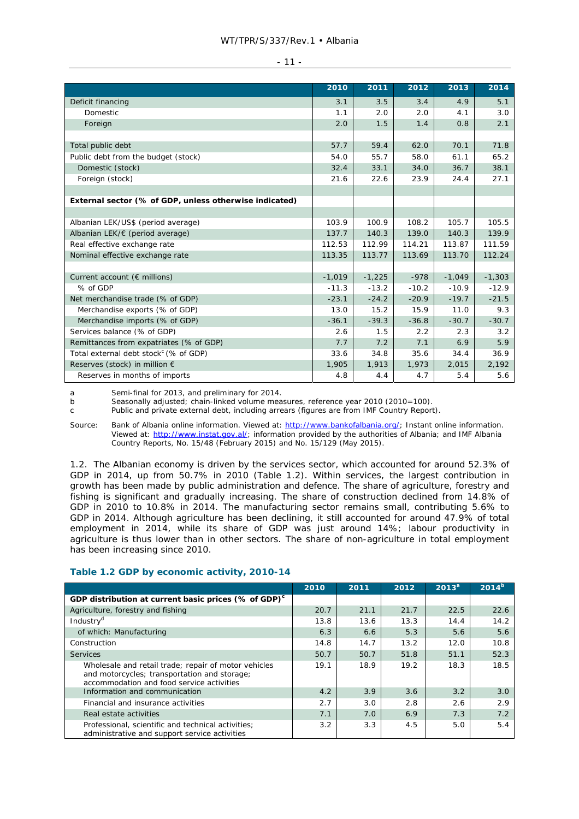### WT/TPR/S/337/Rev.1 • Albania

|                                                        | 2010     | 2011     | 2012    | 2013     | 2014     |
|--------------------------------------------------------|----------|----------|---------|----------|----------|
| Deficit financing                                      | 3.1      | 3.5      | 3.4     | 4.9      | 5.1      |
| <b>Domestic</b>                                        | 1.1      | 2.0      | 2.0     | 4.1      | 3.0      |
| Foreign                                                | 2.0      | 1.5      | 1.4     | 0.8      | 2.1      |
|                                                        |          |          |         |          |          |
| Total public debt                                      | 57.7     | 59.4     | 62.0    | 70.1     | 71.8     |
| Public debt from the budget (stock)                    | 54.0     | 55.7     | 58.0    | 61.1     | 65.2     |
| Domestic (stock)                                       | 32.4     | 33.1     | 34.0    | 36.7     | 38.1     |
| Foreign (stock)                                        | 21.6     | 22.6     | 23.9    | 24.4     | 27.1     |
|                                                        |          |          |         |          |          |
| External sector (% of GDP, unless otherwise indicated) |          |          |         |          |          |
|                                                        |          |          |         |          |          |
| Albanian LEK/US\$ (period average)                     | 103.9    | 100.9    | 108.2   | 105.7    | 105.5    |
| Albanian LEK/€ (period average)                        | 137.7    | 140.3    | 139.0   | 140.3    | 139.9    |
| Real effective exchange rate                           | 112.53   | 112.99   | 114.21  | 113.87   | 111.59   |
| Nominal effective exchange rate                        | 113.35   | 113.77   | 113.69  | 113.70   | 112.24   |
|                                                        |          |          |         |          |          |
| Current account ( $\epsilon$ millions)                 | $-1,019$ | $-1,225$ | $-978$  | $-1,049$ | $-1,303$ |
| % of GDP                                               | $-11.3$  | $-13.2$  | $-10.2$ | $-10.9$  | $-12.9$  |
| Net merchandise trade (% of GDP)                       | $-23.1$  | $-24.2$  | $-20.9$ | $-19.7$  | $-21.5$  |
| Merchandise exports (% of GDP)                         | 13.0     | 15.2     | 15.9    | 11.0     | 9.3      |
| Merchandise imports (% of GDP)                         | $-36.1$  | $-39.3$  | $-36.8$ | $-30.7$  | $-30.7$  |
| Services balance (% of GDP)                            | 2.6      | 1.5      | 2.2     | 2.3      | 3.2      |
| Remittances from expatriates (% of GDP)                | 7.7      | 7.2      | 7.1     | 6.9      | 5.9      |
| Total external debt stock <sup>c</sup> (% of GDP)      | 33.6     | 34.8     | 35.6    | 34.4     | 36.9     |
| Reserves (stock) in million €                          | 1,905    | 1,913    | 1,973   | 2,015    | 2,192    |
| Reserves in months of imports                          | 4.8      | 4.4      | 4.7     | 5.4      | 5.6      |

a Semi-final for 2013, and preliminary for 2014.<br>b Seasonally adjusted; chain-linked volume mea

b Seasonally adjusted; chain-linked volume measures, reference year 2010 (2010=100).

c Public and private external debt, including arrears (figures are from IMF Country Report).

Source: Bank of Albania online information. Viewed at: http://www.bankofalbania.org/; Instant online information. Viewed at: http://www.instat.gov.al/; information provided by the authorities of Albania; and IMF Albania Country Reports, No. 15/48 (February 2015) and No. 15/129 (May 2015).

1.2. The Albanian economy is driven by the services sector, which accounted for around 52.3% of GDP in 2014, up from 50.7% in 2010 (Table 1.2). Within services, the largest contribution in growth has been made by public administration and defence. The share of agriculture, forestry and fishing is significant and gradually increasing. The share of construction declined from 14.8% of GDP in 2010 to 10.8% in 2014. The manufacturing sector remains small, contributing 5.6% to GDP in 2014. Although agriculture has been declining, it still accounted for around 47.9% of total employment in 2014, while its share of GDP was just around 14%; labour productivity in agriculture is thus lower than in other sectors. The share of non-agriculture in total employment has been increasing since 2010.

# **Table 1.2 GDP by economic activity, 2010-14**

|                                                                                                                                                   | 2010 | 2011 | 2012 | $2013^a$ | $2014^{b}$ |
|---------------------------------------------------------------------------------------------------------------------------------------------------|------|------|------|----------|------------|
| GDP distribution at current basic prices (% of GDP) <sup>c</sup>                                                                                  |      |      |      |          |            |
| Agriculture, forestry and fishing                                                                                                                 | 20.7 | 21.1 | 21.7 | 22.5     | 22.6       |
| Industry <sup>d</sup>                                                                                                                             | 13.8 | 13.6 | 13.3 | 14.4     | 14.2       |
| of which: Manufacturing                                                                                                                           | 6.3  | 6.6  | 5.3  | 5.6      | 5.6        |
| Construction                                                                                                                                      | 14.8 | 14.7 | 13.2 | 12.0     | 10.8       |
| <b>Services</b>                                                                                                                                   | 50.7 | 50.7 | 51.8 | 51.1     | 52.3       |
| Wholesale and retail trade; repair of motor vehicles<br>and motorcycles; transportation and storage;<br>accommodation and food service activities | 19.1 | 18.9 | 19.2 | 18.3     | 18.5       |
| Information and communication                                                                                                                     | 4.2  | 3.9  | 3.6  | 3.2      | 3.0        |
| Financial and insurance activities                                                                                                                | 2.7  | 3.0  | 2.8  | 2.6      | 2.9        |
| Real estate activities                                                                                                                            | 7.1  | 7.0  | 6.9  | 7.3      | 7.2        |
| Professional, scientific and technical activities;<br>administrative and support service activities                                               | 3.2  | 3.3  | 4.5  | 5.0      | 5.4        |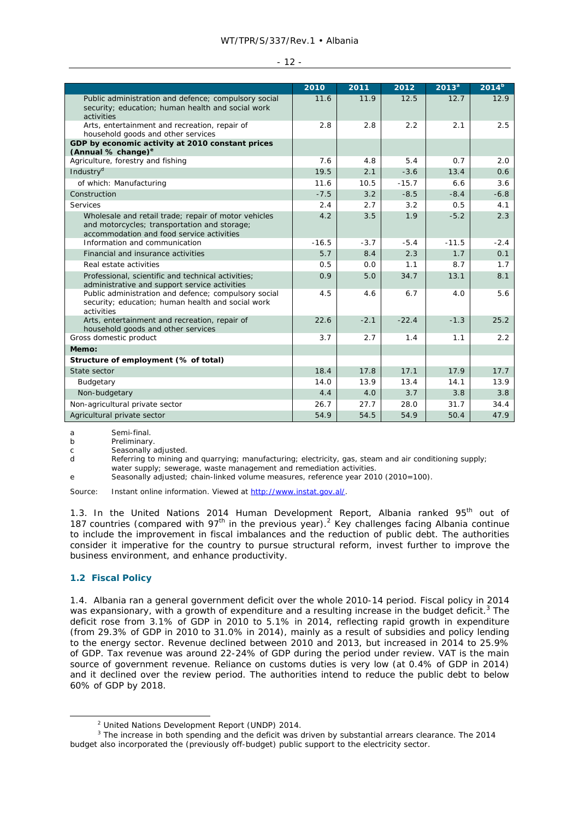|                                                                                                                                                   | 2010    | 2011   | 2012    | 2013 <sup>a</sup> | 2014 <sup>b</sup> |
|---------------------------------------------------------------------------------------------------------------------------------------------------|---------|--------|---------|-------------------|-------------------|
|                                                                                                                                                   | 11.6    | 11.9   | 12.5    | 12.7              | 12.9              |
| Public administration and defence; compulsory social<br>security; education; human health and social work<br>activities                           |         |        |         |                   |                   |
| Arts, entertainment and recreation, repair of                                                                                                     | 2.8     | 2.8    | 2.2     | 2.1               | 2.5               |
| household goods and other services                                                                                                                |         |        |         |                   |                   |
| GDP by economic activity at 2010 constant prices<br>(Annual % change) <sup>e</sup>                                                                |         |        |         |                   |                   |
| Agriculture, forestry and fishing                                                                                                                 | 7.6     | 4.8    | 5.4     | 0.7               | 2.0               |
| Industry <sup>d</sup>                                                                                                                             | 19.5    | 2.1    | $-3.6$  | 13.4              | 0.6               |
| of which: Manufacturing                                                                                                                           | 11.6    | 10.5   | $-15.7$ | 6.6               | 3.6               |
| Construction                                                                                                                                      | $-7.5$  | 3.2    | $-8.5$  | $-8.4$            | $-6.8$            |
| Services                                                                                                                                          | 2.4     | 2.7    | 3.2     | 0.5               | 4.1               |
| Wholesale and retail trade; repair of motor vehicles<br>and motorcycles; transportation and storage;<br>accommodation and food service activities | 4.2     | 3.5    | 1.9     | $-5.2$            | 2.3               |
| Information and communication                                                                                                                     | $-16.5$ | $-3.7$ | $-5.4$  | $-11.5$           | $-2.4$            |
| Financial and insurance activities                                                                                                                | 5.7     | 8.4    | 2.3     | 1.7               | 0.1               |
| Real estate activities                                                                                                                            | 0.5     | 0.0    | 1.1     | 8.7               | 1.7               |
| Professional, scientific and technical activities;<br>administrative and support service activities                                               | 0.9     | 5.0    | 34.7    | 13.1              | 8.1               |
| Public administration and defence; compulsory social<br>security; education; human health and social work<br>activities                           | 4.5     | 4.6    | 6.7     | 4.0               | 5.6               |
| Arts, entertainment and recreation, repair of<br>household goods and other services                                                               | 22.6    | $-2.1$ | $-22.4$ | $-1.3$            | 25.2              |
| Gross domestic product                                                                                                                            | 3.7     | 2.7    | 1.4     | 1.1               | 2.2               |
| Memo:                                                                                                                                             |         |        |         |                   |                   |
| Structure of employment (% of total)                                                                                                              |         |        |         |                   |                   |
| State sector                                                                                                                                      | 18.4    | 17.8   | 17.1    | 17.9              | 17.7              |
| Budgetary                                                                                                                                         | 14.0    | 13.9   | 13.4    | 14.1              | 13.9              |
| Non-budgetary                                                                                                                                     | 4.4     | 4.0    | 3.7     | 3.8               | 3.8               |
| Non-agricultural private sector                                                                                                                   | 26.7    | 27.7   | 28.0    | 31.7              | 34.4              |
| Agricultural private sector                                                                                                                       | 54.9    | 54.5   | 54.9    | 50.4              | 47.9              |

a Semi-final.

b Preliminary.

c Seasonally adjusted.

d Referring to mining and quarrying; manufacturing; electricity, gas, steam and air conditioning supply; water supply; sewerage, waste management and remediation activities.

e Seasonally adjusted; chain-linked volume measures, reference year 2010 (2010=100).

Source: Instant online information. Viewed at http://www.instat.gov.al/.

1.3. In the United Nations 2014 Human Development Report, Albania ranked 95<sup>th</sup> out of 187 countries (compared with  $97<sup>th</sup>$  in the previous year).<sup>2</sup> Key challenges facing Albania continue to include the improvement in fiscal imbalances and the reduction of public debt. The authorities consider it imperative for the country to pursue structural reform, invest further to improve the business environment, and enhance productivity.

### **1.2 Fiscal Policy**

 $\frac{1}{2}$ 

1.4. Albania ran a general government deficit over the whole 2010-14 period. Fiscal policy in 2014 was expansionary, with a growth of expenditure and a resulting increase in the budget deficit.<sup>3</sup> The deficit rose from 3.1% of GDP in 2010 to 5.1% in 2014, reflecting rapid growth in expenditure (from 29.3% of GDP in 2010 to 31.0% in 2014), mainly as a result of subsidies and policy lending to the energy sector. Revenue declined between 2010 and 2013, but increased in 2014 to 25.9% of GDP. Tax revenue was around 22-24% of GDP during the period under review. VAT is the main source of government revenue. Reliance on customs duties is very low (at 0.4% of GDP in 2014) and it declined over the review period. The authorities intend to reduce the public debt to below 60% of GDP by 2018.

<sup>&</sup>lt;sup>2</sup> United Nations Development Report (UNDP) 2014.

<sup>&</sup>lt;sup>3</sup> The increase in both spending and the deficit was driven by substantial arrears clearance. The 2014 budget also incorporated the (previously off-budget) public support to the electricity sector.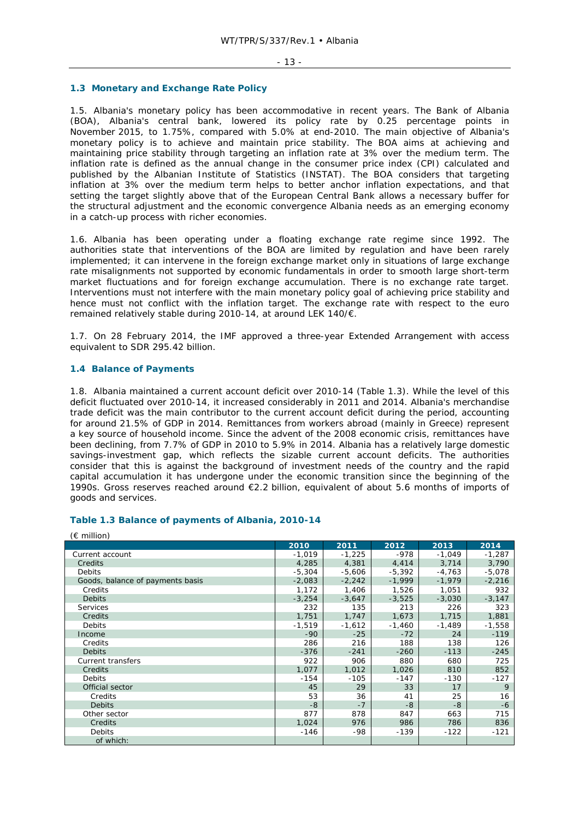### **1.3 Monetary and Exchange Rate Policy**

1.5. Albania's monetary policy has been accommodative in recent years. The Bank of Albania (BOA), Albania's central bank, lowered its policy rate by 0.25 percentage points in November 2015, to 1.75%, compared with 5.0% at end-2010. The main objective of Albania's monetary policy is to achieve and maintain price stability. The BOA aims at achieving and maintaining price stability through targeting an inflation rate at 3% over the medium term. The inflation rate is defined as the annual change in the consumer price index (CPI) calculated and published by the Albanian Institute of Statistics (INSTAT). The BOA considers that targeting inflation at 3% over the medium term helps to better anchor inflation expectations, and that setting the target slightly above that of the European Central Bank allows a necessary buffer for the structural adjustment and the economic convergence Albania needs as an emerging economy in a catch-up process with richer economies.

1.6. Albania has been operating under a floating exchange rate regime since 1992. The authorities state that interventions of the BOA are limited by regulation and have been rarely implemented; it can intervene in the foreign exchange market only in situations of large exchange rate misalignments not supported by economic fundamentals in order to smooth large short-term market fluctuations and for foreign exchange accumulation. There is no exchange rate target. Interventions must not interfere with the main monetary policy goal of achieving price stability and hence must not conflict with the inflation target. The exchange rate with respect to the euro remained relatively stable during 2010-14, at around LEK 140/€.

1.7. On 28 February 2014, the IMF approved a three-year Extended Arrangement with access equivalent to SDR 295.42 billion.

# **1.4 Balance of Payments**

 $(6.10)$ 

1.8. Albania maintained a current account deficit over 2010-14 (Table 1.3). While the level of this deficit fluctuated over 2010-14, it increased considerably in 2011 and 2014. Albania's merchandise trade deficit was the main contributor to the current account deficit during the period, accounting for around 21.5% of GDP in 2014. Remittances from workers abroad (mainly in Greece) represent a key source of household income. Since the advent of the 2008 economic crisis, remittances have been declining, from 7.7% of GDP in 2010 to 5.9% in 2014. Albania has a relatively large domestic savings-investment gap, which reflects the sizable current account deficits. The authorities consider that this is against the background of investment needs of the country and the rapid capital accumulation it has undergone under the economic transition since the beginning of the 1990s. Gross reserves reached around €2.2 billion, equivalent of about 5.6 months of imports of goods and services.

| (€ miiiion)                      |          |          |          |          |          |
|----------------------------------|----------|----------|----------|----------|----------|
|                                  | 2010     | 2011     | 2012     | 2013     | 2014     |
| Current account                  | $-1,019$ | $-1,225$ | $-978$   | $-1.049$ | $-1,287$ |
| Credits                          | 4,285    | 4,381    | 4,414    | 3,714    | 3,790    |
| Debits                           | $-5,304$ | $-5,606$ | $-5,392$ | $-4,763$ | $-5,078$ |
| Goods, balance of payments basis | $-2,083$ | $-2,242$ | $-1,999$ | $-1,979$ | $-2,216$ |
| Credits                          | 1,172    | 1,406    | 1,526    | 1,051    | 932      |
| <b>Debits</b>                    | $-3,254$ | $-3,647$ | $-3,525$ | $-3,030$ | $-3,147$ |
| <b>Services</b>                  | 232      | 135      | 213      | 226      | 323      |
| Credits                          | 1,751    | 1.747    | 1,673    | 1,715    | 1,881    |
| <b>Debits</b>                    | $-1,519$ | $-1,612$ | $-1,460$ | $-1,489$ | $-1,558$ |
| Income                           | $-90$    | $-25$    | $-72$    | 24       | $-119$   |
| Credits                          | 286      | 216      | 188      | 138      | 126      |
| <b>Debits</b>                    | $-376$   | $-241$   | $-260$   | $-113$   | $-245$   |
| Current transfers                | 922      | 906      | 880      | 680      | 725      |
| Credits                          | 1,077    | 1,012    | 1,026    | 810      | 852      |
| Debits                           | $-154$   | $-105$   | $-147$   | $-130$   | $-127$   |
| Official sector                  | 45       | 29       | 33       | 17       | 9        |
| Credits                          | 53       | 36       | 41       | 25       | 16       |
| <b>Debits</b>                    | $-8$     | $-7$     | -8       | -8       | $-6$     |
| Other sector                     | 877      | 878      | 847      | 663      | 715      |
| Credits                          | 1,024    | 976      | 986      | 786      | 836      |
| <b>Debits</b>                    | $-146$   | -98      | $-139$   | $-122$   | $-121$   |
| of which:                        |          |          |          |          |          |

### **Table 1.3 Balance of payments of Albania, 2010-14**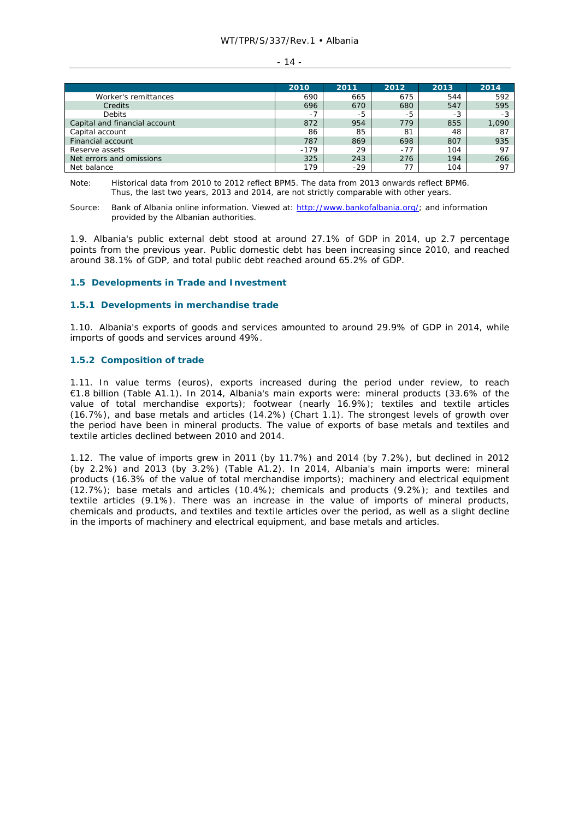### - 14 -

|                               | 2010   | 2011  | 2012 | 2013 | 2014  |
|-------------------------------|--------|-------|------|------|-------|
| Worker's remittances          | 690    | 665   | 675  | 544  | 592   |
| Credits                       | 696    | 670   | 680  | 547  | 595   |
| <b>Debits</b>                 | $-1$   | -5    | -5   | -3   | -3    |
| Capital and financial account | 872    | 954   | 779  | 855  | 1,090 |
| Capital account               | 86     | 85    | 81   | 48   | 87    |
| Financial account             | 787    | 869   | 698  | 807  | 935   |
| Reserve assets                | $-179$ | 29    | -77  | 104  | 97    |
| Net errors and omissions      | 325    | 243   | 276  | 194  | 266   |
| Net balance                   | 179    | $-29$ |      | 104  | 97    |

Note: Historical data from 2010 to 2012 reflect BPM5. The data from 2013 onwards reflect BPM6. Thus, the last two years, 2013 and 2014, are not strictly comparable with other years.

1.9. Albania's public external debt stood at around 27.1% of GDP in 2014, up 2.7 percentage points from the previous year. Public domestic debt has been increasing since 2010, and reached around 38.1% of GDP, and total public debt reached around 65.2% of GDP.

### **1.5 Developments in Trade and Investment**

### **1.5.1 Developments in merchandise trade**

1.10. Albania's exports of goods and services amounted to around 29.9% of GDP in 2014, while imports of goods and services around 49%.

### **1.5.2 Composition of trade**

1.11. In value terms (euros), exports increased during the period under review, to reach €1.8 billion (Table A1.1). In 2014, Albania's main exports were: mineral products (33.6% of the value of total merchandise exports); footwear (nearly 16.9%); textiles and textile articles (16.7%), and base metals and articles (14.2%) (Chart 1.1). The strongest levels of growth over the period have been in mineral products. The value of exports of base metals and textiles and textile articles declined between 2010 and 2014.

1.12. The value of imports grew in 2011 (by 11.7%) and 2014 (by 7.2%), but declined in 2012 (by 2.2%) and 2013 (by 3.2%) (Table A1.2). In 2014, Albania's main imports were: mineral products (16.3% of the value of total merchandise imports); machinery and electrical equipment (12.7%); base metals and articles (10.4%); chemicals and products (9.2%); and textiles and textile articles (9.1%). There was an increase in the value of imports of mineral products, chemicals and products, and textiles and textile articles over the period, as well as a slight decline in the imports of machinery and electrical equipment, and base metals and articles.

Source: Bank of Albania online information. Viewed at: http://www.bankofalbania.org/; and information provided by the Albanian authorities.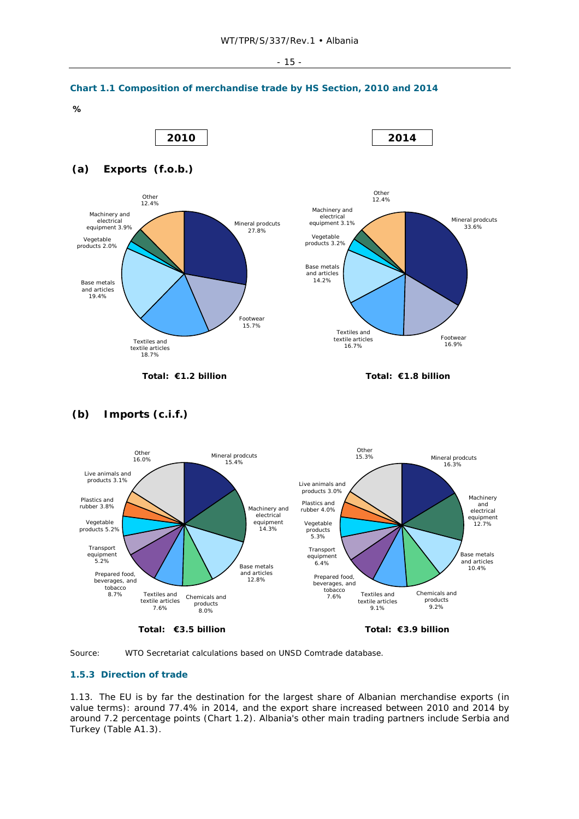



**Total: €3.5 billion Total: €3.9 billion** 

products 8.0%

7.6%

9.2%

9.1%



# **1.5.3 Direction of trade**

1.13. The EU is by far the destination for the largest share of Albanian merchandise exports (in value terms): around 77.4% in 2014, and the export share increased between 2010 and 2014 by around 7.2 percentage points (Chart 1.2). Albania's other main trading partners include Serbia and Turkey (Table A1.3).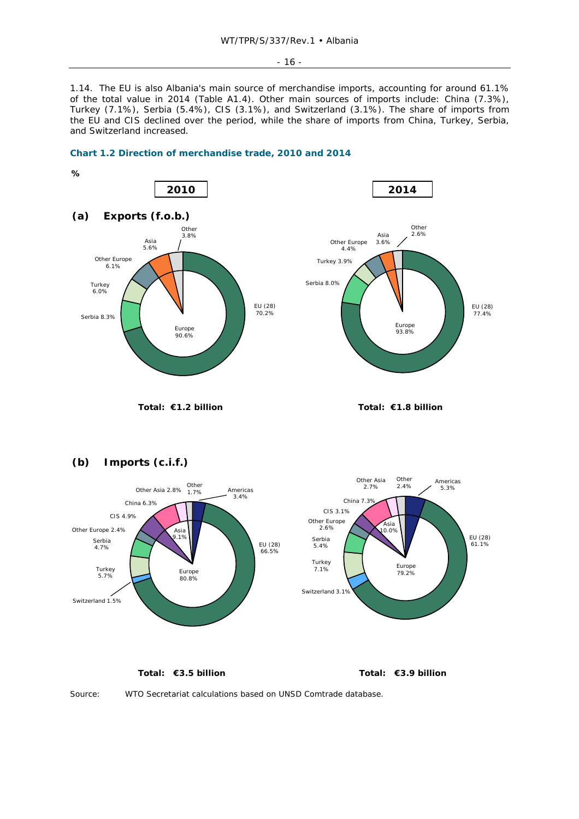- 16 -

1.14. The EU is also Albania's main source of merchandise imports, accounting for around 61.1% of the total value in 2014 (Table A1.4). Other main sources of imports include: China (7.3%), Turkey (7.1%), Serbia (5.4%), CIS (3.1%), and Switzerland (3.1%). The share of imports from the EU and CIS declined over the period, while the share of imports from China, Turkey, Serbia, and Switzerland increased.











**Total: €3.5 billion Total: €3.9 billion**



Source: WTO Secretariat calculations based on UNSD Comtrade database.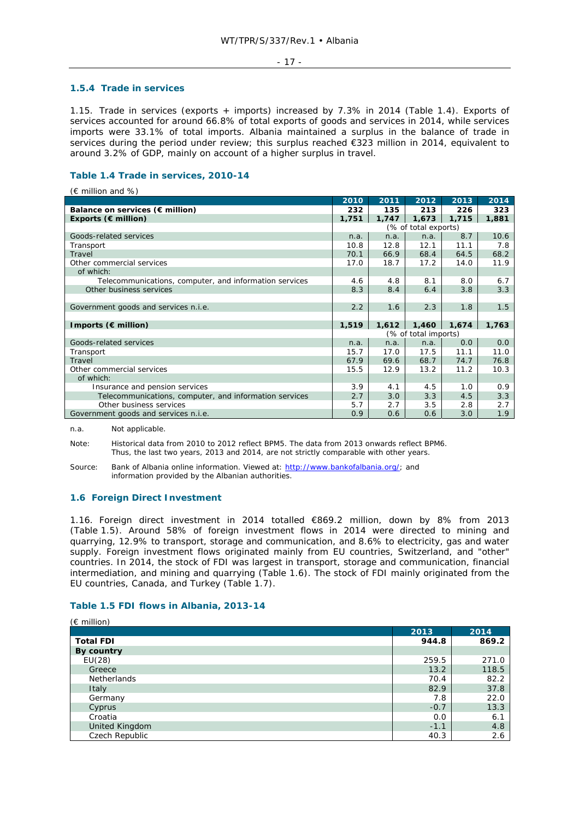### - 17 -

### **1.5.4 Trade in services**

1.15. Trade in services (exports + imports) increased by 7.3% in 2014 (Table 1.4). Exports of services accounted for around 66.8% of total exports of goods and services in 2014, while services imports were 33.1% of total imports. Albania maintained a surplus in the balance of trade in services during the period under review; this surplus reached €323 million in 2014, equivalent to around 3.2% of GDP, mainly on account of a higher surplus in travel.

# **Table 1.4 Trade in services, 2010-14**

 $(E \text{ million and } %)$ 

|                                                        | 2010                 | 2011  | 2012                 | 2013  | 2014  |
|--------------------------------------------------------|----------------------|-------|----------------------|-------|-------|
| Balance on services ( $\epsilon$ million)              | 232                  | 135   | 213                  | 226   | 323   |
| Exports ( $\epsilon$ million)                          | 1,751                | 1,747 | 1.673                | 1.715 | 1,881 |
|                                                        |                      |       | (% of total exports) |       |       |
| Goods-related services                                 | n.a.                 | n.a.  | n.a.                 | 8.7   | 10.6  |
| Transport                                              | 10.8                 | 12.8  | 12.1                 | 11.1  | 7.8   |
| Travel                                                 | 70.1                 | 66.9  | 68.4                 | 64.5  | 68.2  |
| Other commercial services                              | 17.0                 | 18.7  | 17.2                 | 14.0  | 11.9  |
| of which:                                              |                      |       |                      |       |       |
| Telecommunications, computer, and information services | 4.6                  | 4.8   | 8.1                  | 8.0   | 6.7   |
| Other business services                                | 8.3                  | 8.4   | 6.4                  | 3.8   | 3.3   |
|                                                        |                      |       |                      |       |       |
| Government goods and services n.i.e.                   | 2.2                  | 1.6   | 2.3                  | 1.8   | 1.5   |
|                                                        |                      |       |                      |       |       |
| Imports ( $\notin$ million)                            | 1,519                | 1,612 | 1,460                | 1,674 | 1,763 |
|                                                        | (% of total imports) |       |                      |       |       |
| Goods-related services                                 | n.a.                 | n.a.  | n.a.                 | 0.0   | 0.0   |
| Transport                                              | 15.7                 | 17.0  | 17.5                 | 11.1  | 11.0  |
| Travel                                                 | 67.9                 | 69.6  | 68.7                 | 74.7  | 76.8  |
| Other commercial services                              | 15.5                 | 12.9  | 13.2                 | 11.2  | 10.3  |
| of which:                                              |                      |       |                      |       |       |
| Insurance and pension services                         | 3.9                  | 4.1   | 4.5                  | 1.0   | 0.9   |
| Telecommunications, computer, and information services | 2.7                  | 3.0   | 3.3                  | 4.5   | 3.3   |
| Other business services                                | 5.7                  | 2.7   | 3.5                  | 2.8   | 2.7   |
| Government goods and services n.i.e.                   | 0.9                  | 0.6   | 0.6                  | 3.0   | 1.9   |

n.a. Not applicable.

 $(F \text{ million})$ 

Note: Historical data from 2010 to 2012 reflect BPM5. The data from 2013 onwards reflect BPM6. Thus, the last two years, 2013 and 2014, are not strictly comparable with other years.

Source: Bank of Albania online information. Viewed at: http://www.bankofalbania.org/; and information provided by the Albanian authorities.

# **1.6 Foreign Direct Investment**

1.16. Foreign direct investment in 2014 totalled €869.2 million, down by 8% from 2013 (Table 1.5). Around 58% of foreign investment flows in 2014 were directed to mining and quarrying, 12.9% to transport, storage and communication, and 8.6% to electricity, gas and water supply. Foreign investment flows originated mainly from EU countries, Switzerland, and "other" countries. In 2014, the stock of FDI was largest in transport, storage and communication, financial intermediation, and mining and quarrying (Table 1.6). The stock of FDI mainly originated from the EU countries, Canada, and Turkey (Table 1.7).

### **Table 1.5 FDI flows in Albania, 2013-14**

| ູ ບັນທີ່ທັບ ເມ <i>ັ</i> | 2013   | 2014  |
|-------------------------|--------|-------|
| <b>Total FDI</b>        | 944.8  | 869.2 |
| By country              |        |       |
| EU(28)                  | 259.5  | 271.0 |
| Greece                  | 13.2   | 118.5 |
| <b>Netherlands</b>      | 70.4   | 82.2  |
| Italy                   | 82.9   | 37.8  |
| Germany                 | 7.8    | 22.0  |
| Cyprus                  | $-0.7$ | 13.3  |
| Croatia                 | 0.0    | 6.1   |
| United Kingdom          | $-1.1$ | 4.8   |
| Czech Republic          | 40.3   | 2.6   |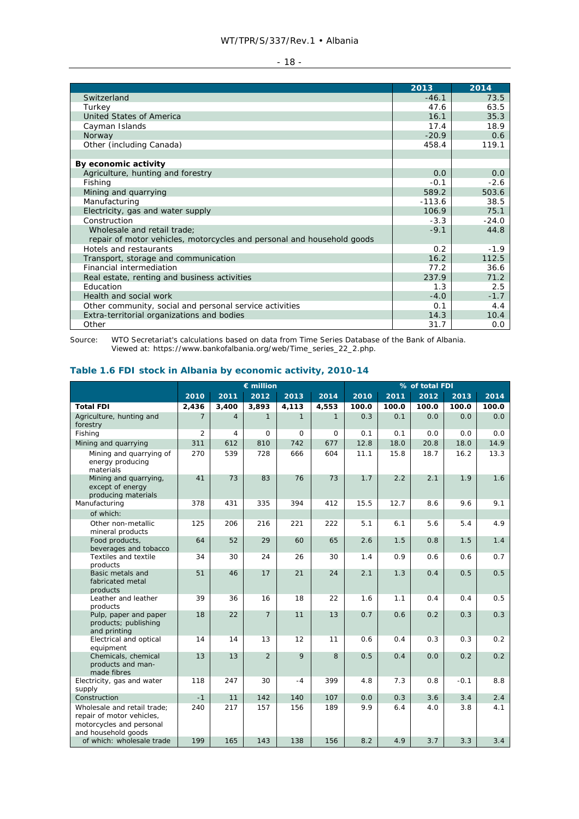| ۰. |
|----|
|----|

|                                                                        | 2013     | 2014    |
|------------------------------------------------------------------------|----------|---------|
| Switzerland                                                            | $-46.1$  | 73.5    |
| Turkey                                                                 | 47.6     | 63.5    |
| United States of America                                               | 16.1     | 35.3    |
| Cayman Islands                                                         | 17.4     | 18.9    |
| Norway                                                                 | $-20.9$  | 0.6     |
| Other (including Canada)                                               | 458.4    | 119.1   |
|                                                                        |          |         |
| By economic activity                                                   |          |         |
| Agriculture, hunting and forestry                                      | 0.0      | 0.0     |
| Fishing                                                                | $-0.1$   | $-2.6$  |
| Mining and quarrying                                                   | 589.2    | 503.6   |
| Manufacturing                                                          | $-113.6$ | 38.5    |
| Electricity, gas and water supply                                      | 106.9    | 75.1    |
| Construction                                                           | $-3.3$   | $-24.0$ |
| Wholesale and retail trade:                                            | $-9.1$   | 44.8    |
| repair of motor vehicles, motorcycles and personal and household goods |          |         |
| Hotels and restaurants                                                 | 0.2      | $-1.9$  |
| Transport, storage and communication                                   | 16.2     | 112.5   |
| Financial intermediation                                               | 77.2     | 36.6    |
| Real estate, renting and business activities                           | 237.9    | 71.2    |
| Education                                                              | 1.3      | 2.5     |
| Health and social work                                                 | $-4.0$   | $-1.7$  |
| Other community, social and personal service activities                | 0.1      | 4.4     |
| Extra-territorial organizations and bodies                             | 14.3     | 10.4    |
| Other                                                                  | 31.7     | 0.0     |

Source: WTO Secretariat's calculations based on data from Time Series Database of the Bank of Albania. Viewed at: https://www.bankofalbania.org/web/Time\_series\_22\_2.php.

# **Table 1.6 FDI stock in Albania by economic activity, 2010-14**

|                                                                                                             |                |                | $\epsilon$ million |              |              | % of total FDI |       |       |        |       |
|-------------------------------------------------------------------------------------------------------------|----------------|----------------|--------------------|--------------|--------------|----------------|-------|-------|--------|-------|
|                                                                                                             | 2010           | 2011           | 2012               | 2013         | 2014         | 2010           | 2011  | 2012  | 2013   | 2014  |
| <b>Total FDI</b>                                                                                            | 2,436          | 3,400          | 3,893              | 4,113        | 4,553        | 100.0          | 100.0 | 100.0 | 100.0  | 100.0 |
| Agriculture, hunting and<br>forestry                                                                        | $\overline{7}$ | $\overline{4}$ | $\mathbf{1}$       | $\mathbf{1}$ | $\mathbf{1}$ | 0.3            | 0.1   | 0.0   | 0.0    | 0.0   |
| Fishing                                                                                                     | 2              | 4              | $\mathbf 0$        | 0            | 0            | 0.1            | 0.1   | 0.0   | 0.0    | 0.0   |
| Mining and quarrying                                                                                        | 311            | 612            | 810                | 742          | 677          | 12.8           | 18.0  | 20.8  | 18.0   | 14.9  |
| Mining and guarrying of<br>energy producing<br>materials                                                    | 270            | 539            | 728                | 666          | 604          | 11.1           | 15.8  | 18.7  | 16.2   | 13.3  |
| Mining and quarrying,<br>except of energy<br>producing materials                                            | 41             | 73             | 83                 | 76           | 73           | 1.7            | 2.2   | 2.1   | 1.9    | 1.6   |
| Manufacturing                                                                                               | 378            | 431            | 335                | 394          | 412          | 15.5           | 12.7  | 8.6   | 9.6    | 9.1   |
| of which:                                                                                                   |                |                |                    |              |              |                |       |       |        |       |
| Other non-metallic<br>mineral products                                                                      | 125            | 206            | 216                | 221          | 222          | 5.1            | 6.1   | 5.6   | 5.4    | 4.9   |
| Food products,                                                                                              | 64             | 52             | 29                 | 60           | 65           | 2.6            | 1.5   | 0.8   | 1.5    | 1.4   |
| beverages and tobacco<br>Textiles and textile                                                               | 34             | 30             | 24                 | 26           | 30           | 1.4            | 0.9   | 0.6   | 0.6    | 0.7   |
| products                                                                                                    |                |                |                    |              |              |                |       |       |        |       |
| Basic metals and<br>fabricated metal<br>products                                                            | 51             | 46             | 17                 | 21           | 24           | 2.1            | 1.3   | 0.4   | 0.5    | 0.5   |
| Leather and leather<br>products                                                                             | 39             | 36             | 16                 | 18           | 22           | 1.6            | 1.1   | 0.4   | 0.4    | 0.5   |
| Pulp, paper and paper<br>products; publishing<br>and printing                                               | 18             | 22             | $\overline{7}$     | 11           | 13           | 0.7            | 0.6   | 0.2   | 0.3    | 0.3   |
| Electrical and optical<br>equipment                                                                         | 14             | 14             | 13                 | 12           | 11           | 0.6            | 0.4   | 0.3   | 0.3    | 0.2   |
| Chemicals, chemical<br>products and man-<br>made fibres                                                     | 13             | 13             | $\overline{2}$     | 9            | 8            | 0.5            | 0.4   | 0.0   | 0.2    | 0.2   |
| Electricity, gas and water<br>supply                                                                        | 118            | 247            | 30                 | $-4$         | 399          | 4.8            | 7.3   | 0.8   | $-0.1$ | 8.8   |
| Construction                                                                                                | $-1$           | 11             | 142                | 140          | 107          | 0.0            | 0.3   | 3.6   | 3.4    | 2.4   |
| Wholesale and retail trade:<br>repair of motor vehicles,<br>motorcycles and personal<br>and household goods | 240            | 217            | 157                | 156          | 189          | 9.9            | 6.4   | 4.0   | 3.8    | 4.1   |
| of which: wholesale trade                                                                                   | 199            | 165            | 143                | 138          | 156          | 8.2            | 4.9   | 3.7   | 3.3    | 3.4   |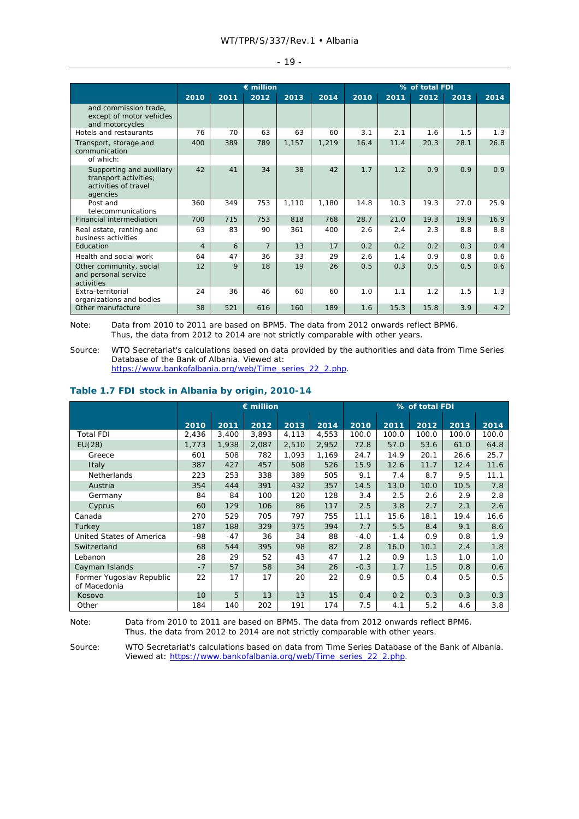|                                                                                       |                |              | $\epsilon$ million |       |       | % of total FDI |      |      |      |      |  |
|---------------------------------------------------------------------------------------|----------------|--------------|--------------------|-------|-------|----------------|------|------|------|------|--|
|                                                                                       | 2010           | 2011         | 2012               | 2013  | 2014  | 2010           | 2011 | 2012 | 2013 | 2014 |  |
| and commission trade,<br>except of motor vehicles<br>and motorcycles                  |                |              |                    |       |       |                |      |      |      |      |  |
| Hotels and restaurants                                                                | 76             | 70           | 63                 | 63    | 60    | 3.1            | 2.1  | 1.6  | 1.5  | 1.3  |  |
| Transport, storage and<br>communication                                               | 400            | 389          | 789                | 1,157 | 1,219 | 16.4           | 11.4 | 20.3 | 28.1 | 26.8 |  |
| of which:                                                                             |                |              |                    |       |       |                |      |      |      |      |  |
| Supporting and auxiliary<br>transport activities;<br>activities of travel<br>agencies | 42             | 41           | 34                 | 38    | 42    | 1.7            | 1.2  | 0.9  | 0.9  | 0.9  |  |
| Post and<br>telecommunications                                                        | 360            | 349          | 753                | 1.110 | 1.180 | 14.8           | 10.3 | 19.3 | 27.0 | 25.9 |  |
| Financial intermediation                                                              | 700            | 715          | 753                | 818   | 768   | 28.7           | 21.0 | 19.3 | 19.9 | 16.9 |  |
| Real estate, renting and<br>business activities                                       | 63             | 83           | 90                 | 361   | 400   | 2.6            | 2.4  | 2.3  | 8.8  | 8.8  |  |
| Education                                                                             | $\overline{4}$ | 6            | $\overline{7}$     | 13    | 17    | 0.2            | 0.2  | 0.2  | 0.3  | 0.4  |  |
| Health and social work                                                                | 64             | 47           | 36                 | 33    | 29    | 2.6            | 1.4  | 0.9  | 0.8  | 0.6  |  |
| Other community, social<br>and personal service<br>activities                         | 12             | $\mathsf{Q}$ | 18                 | 19    | 26    | 0.5            | 0.3  | 0.5  | 0.5  | 0.6  |  |
| Extra-territorial<br>organizations and bodies                                         | 24             | 36           | 46                 | 60    | 60    | 1.0            | 1.1  | 1.2  | 1.5  | 1.3  |  |
| Other manufacture                                                                     | 38             | 521          | 616                | 160   | 189   | 1.6            | 15.3 | 15.8 | 3.9  | 4.2  |  |

Note: Data from 2010 to 2011 are based on BPM5. The data from 2012 onwards reflect BPM6. Thus, the data from 2012 to 2014 are not strictly comparable with other years.

Source: WTO Secretariat's calculations based on data provided by the authorities and data from Time Series Database of the Bank of Albania. Viewed at: https://www.bankofalbania.org/web/Time\_series\_22\_2.php.

# **Table 1.7 FDI stock in Albania by origin, 2010-14**

|                                          | $\epsilon$ million |       |       |       | % of total FDI |        |        |       |       |       |
|------------------------------------------|--------------------|-------|-------|-------|----------------|--------|--------|-------|-------|-------|
|                                          | 2010               | 2011  | 2012  | 2013  | 2014           | 2010   | 2011   | 2012  | 2013  | 2014  |
| <b>Total FDI</b>                         | 2,436              | 3,400 | 3,893 | 4,113 | 4,553          | 100.0  | 100.0  | 100.0 | 100.0 | 100.0 |
| EU(28)                                   | 1,773              | 1,938 | 2,087 | 2,510 | 2,952          | 72.8   | 57.0   | 53.6  | 61.0  | 64.8  |
| Greece                                   | 601                | 508   | 782   | 1,093 | 1,169          | 24.7   | 14.9   | 20.1  | 26.6  | 25.7  |
| Italy                                    | 387                | 427   | 457   | 508   | 526            | 15.9   | 12.6   | 11.7  | 12.4  | 11.6  |
| Netherlands                              | 223                | 253   | 338   | 389   | 505            | 9.1    | 7.4    | 8.7   | 9.5   | 11.1  |
| Austria                                  | 354                | 444   | 391   | 432   | 357            | 14.5   | 13.0   | 10.0  | 10.5  | 7.8   |
| Germany                                  | 84                 | 84    | 100   | 120   | 128            | 3.4    | 2.5    | 2.6   | 2.9   | 2.8   |
| Cyprus                                   | 60                 | 129   | 106   | 86    | 117            | 2.5    | 3.8    | 2.7   | 2.1   | 2.6   |
| Canada                                   | 270                | 529   | 705   | 797   | 755            | 11.1   | 15.6   | 18.1  | 19.4  | 16.6  |
| Turkey                                   | 187                | 188   | 329   | 375   | 394            | 7.7    | 5.5    | 8.4   | 9.1   | 8.6   |
| United States of America                 | -98                | $-47$ | 36    | 34    | 88             | $-4.0$ | $-1.4$ | 0.9   | 0.8   | 1.9   |
| Switzerland                              | 68                 | 544   | 395   | 98    | 82             | 2.8    | 16.0   | 10.1  | 2.4   | 1.8   |
| Lebanon                                  | 28                 | 29    | 52    | 43    | 47             | 1.2    | 0.9    | 1.3   | 1.0   | 1.0   |
| Cayman Islands                           | $-7$               | 57    | 58    | 34    | 26             | $-0.3$ | 1.7    | 1.5   | 0.8   | 0.6   |
| Former Yugoslav Republic<br>of Macedonia | 22                 | 17    | 17    | 20    | 22             | 0.9    | 0.5    | 0.4   | 0.5   | 0.5   |
| Kosovo                                   | 10                 | 5     | 13    | 13    | 15             | 0.4    | 0.2    | 0.3   | 0.3   | 0.3   |
| Other                                    | 184                | 140   | 202   | 191   | 174            | 7.5    | 4.1    | 5.2   | 4.6   | 3.8   |

Note: Data from 2010 to 2011 are based on BPM5. The data from 2012 onwards reflect BPM6. Thus, the data from 2012 to 2014 are not strictly comparable with other years.

Source: WTO Secretariat's calculations based on data from Time Series Database of the Bank of Albania. Viewed at: https://www.bankofalbania.org/web/Time\_series\_22\_2.php.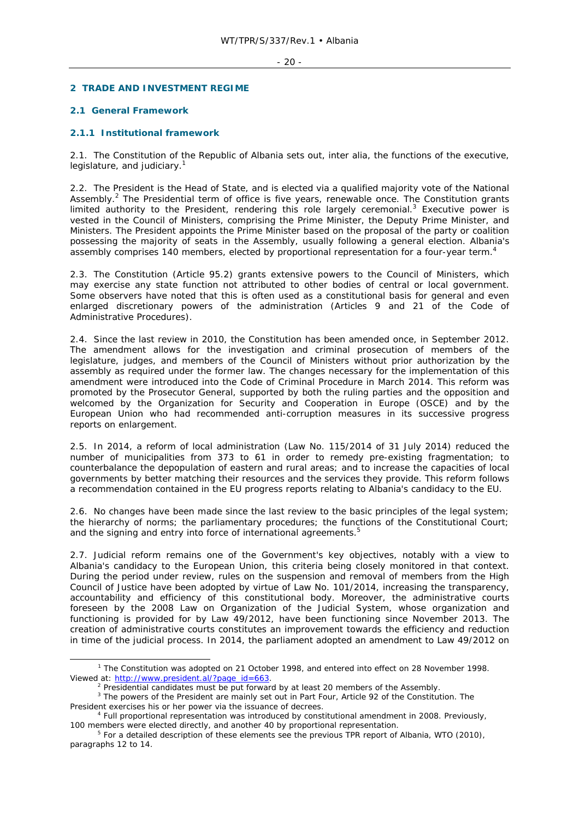### - 20 -

### **2 TRADE AND INVESTMENT REGIME**

# **2.1 General Framework**

# **2.1.1 Institutional framework**

2.1. The Constitution of the Republic of Albania sets out, *inter alia*, the functions of the executive, legislature, and judiciary. $1$ 

2.2. The President is the Head of State, and is elected via a qualified majority vote of the National Assembly.<sup>2</sup> The Presidential term of office is five years, renewable once. The Constitution grants limited authority to the President, rendering this role largely ceremonial. $3$  Executive power is vested in the Council of Ministers, comprising the Prime Minister, the Deputy Prime Minister, and Ministers. The President appoints the Prime Minister based on the proposal of the party or coalition possessing the majority of seats in the Assembly, usually following a general election. Albania's assembly comprises 140 members, elected by proportional representation for a four-year term.4

2.3. The Constitution (Article 95.2) grants extensive powers to the Council of Ministers, which may exercise any state function not attributed to other bodies of central or local government. Some observers have noted that this is often used as a constitutional basis for general and even enlarged discretionary powers of the administration (Articles 9 and 21 of the Code of Administrative Procedures).

2.4. Since the last review in 2010, the Constitution has been amended once, in September 2012. The amendment allows for the investigation and criminal prosecution of members of the legislature, judges, and members of the Council of Ministers without prior authorization by the assembly as required under the former law. The changes necessary for the implementation of this amendment were introduced into the Code of Criminal Procedure in March 2014. This reform was promoted by the Prosecutor General, supported by both the ruling parties and the opposition and welcomed by the Organization for Security and Cooperation in Europe (OSCE) and by the European Union who had recommended anti-corruption measures in its successive progress reports on enlargement.

2.5. In 2014, a reform of local administration (Law No. 115/2014 of 31 July 2014) reduced the number of municipalities from 373 to 61 in order to remedy pre-existing fragmentation; to counterbalance the depopulation of eastern and rural areas; and to increase the capacities of local governments by better matching their resources and the services they provide. This reform follows a recommendation contained in the EU progress reports relating to Albania's candidacy to the EU.

2.6. No changes have been made since the last review to the basic principles of the legal system; the hierarchy of norms; the parliamentary procedures; the functions of the Constitutional Court; and the signing and entry into force of international agreements.<sup>5</sup>

2.7. Judicial reform remains one of the Government's key objectives, notably with a view to Albania's candidacy to the European Union, this criteria being closely monitored in that context. During the period under review, rules on the suspension and removal of members from the High Council of Justice have been adopted by virtue of Law No. 101/2014, increasing the transparency, accountability and efficiency of this constitutional body. Moreover, the administrative courts foreseen by the 2008 Law on Organization of the Judicial System, whose organization and functioning is provided for by Law 49/2012, have been functioning since November 2013. The creation of administrative courts constitutes an improvement towards the efficiency and reduction in time of the judicial process. In 2014, the parliament adopted an amendment to Law 49/2012 on

 $\frac{1}{1}$ <sup>1</sup> The Constitution was adopted on 21 October 1998, and entered into effect on 28 November 1998. Viewed at: http://www.president.al/?page\_id=663.<br><sup>2</sup> Presidential candidates must be put forward by at least 20 members of the Assembly.

<sup>&</sup>lt;sup>2</sup> Presidential candidates must be put forward by at least 20 members of the Assembly.<br><sup>3</sup> The powers of the President are mainly set out in Part Four, Article 92 of the Constitution. The President exercises his or her power via the issuance of decrees.

Full proportional representation was introduced by constitutional amendment in 2008. Previously, 100 members were elected directly, and another 40 by proportional representation.

<sup>&</sup>lt;sup>5</sup> For a detailed description of these elements see the previous TPR report of Albania, WTO (2010), paragraphs 12 to 14.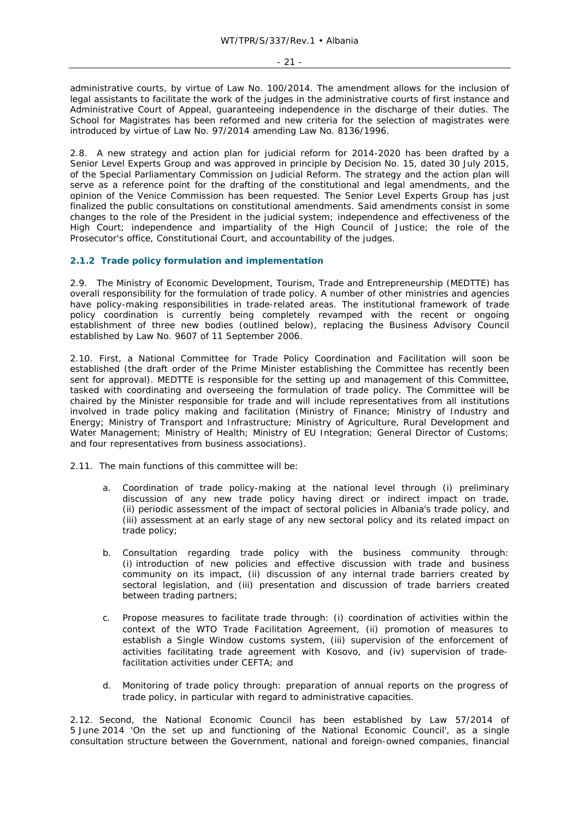administrative courts, by virtue of Law No. 100/2014. The amendment allows for the inclusion of legal assistants to facilitate the work of the judges in the administrative courts of first instance and Administrative Court of Appeal, guaranteeing independence in the discharge of their duties. The School for Magistrates has been reformed and new criteria for the selection of magistrates were introduced by virtue of Law No. 97/2014 amending Law No. 8136/1996.

2.8. A new strategy and action plan for judicial reform for 2014-2020 has been drafted by a Senior Level Experts Group and was approved in principle by Decision No. 15, dated 30 July 2015, of the Special Parliamentary Commission on Judicial Reform. The strategy and the action plan will serve as a reference point for the drafting of the constitutional and legal amendments, and the opinion of the Venice Commission has been requested. The Senior Level Experts Group has just finalized the public consultations on constitutional amendments. Said amendments consist in some changes to the role of the President in the judicial system; independence and effectiveness of the High Court; independence and impartiality of the High Council of Justice; the role of the Prosecutor's office, Constitutional Court, and accountability of the judges.

# **2.1.2 Trade policy formulation and implementation**

2.9. The Ministry of Economic Development, Tourism, Trade and Entrepreneurship (MEDTTE) has overall responsibility for the formulation of trade policy. A number of other ministries and agencies have policy-making responsibilities in trade-related areas. The institutional framework of trade policy coordination is currently being completely revamped with the recent or ongoing establishment of three new bodies (outlined below), replacing the Business Advisory Council established by Law No. 9607 of 11 September 2006.

2.10. First, a National Committee for Trade Policy Coordination and Facilitation will soon be established (the draft order of the Prime Minister establishing the Committee has recently been sent for approval). MEDTTE is responsible for the setting up and management of this Committee, tasked with coordinating and overseeing the formulation of trade policy. The Committee will be chaired by the Minister responsible for trade and will include representatives from all institutions involved in trade policy making and facilitation (Ministry of Finance; Ministry of Industry and Energy; Ministry of Transport and Infrastructure; Ministry of Agriculture, Rural Development and Water Management; Ministry of Health; Ministry of EU Integration; General Director of Customs; and four representatives from business associations).

2.11. The main functions of this committee will be:

- a. Coordination of trade policy-making at the national level through (i) preliminary discussion of any new trade policy having direct or indirect impact on trade, (ii) periodic assessment of the impact of sectoral policies in Albania's trade policy, and (iii) assessment at an early stage of any new sectoral policy and its related impact on trade policy;
- b. Consultation regarding trade policy with the business community through: (i) introduction of new policies and effective discussion with trade and business community on its impact, (ii) discussion of any internal trade barriers created by sectoral legislation, and (iii) presentation and discussion of trade barriers created between trading partners;
- c. Propose measures to facilitate trade through: (i) coordination of activities within the context of the WTO Trade Facilitation Agreement, (ii) promotion of measures to establish a Single Window customs system, (iii) supervision of the enforcement of activities facilitating trade agreement with Kosovo, and (iv) supervision of tradefacilitation activities under CEFTA; and
- d. Monitoring of trade policy through: preparation of annual reports on the progress of trade policy, in particular with regard to administrative capacities.

2.12. Second, the National Economic Council has been established by Law 57/2014 of 5 June 2014 'On the set up and functioning of the National Economic Council', as a single consultation structure between the Government, national and foreign-owned companies, financial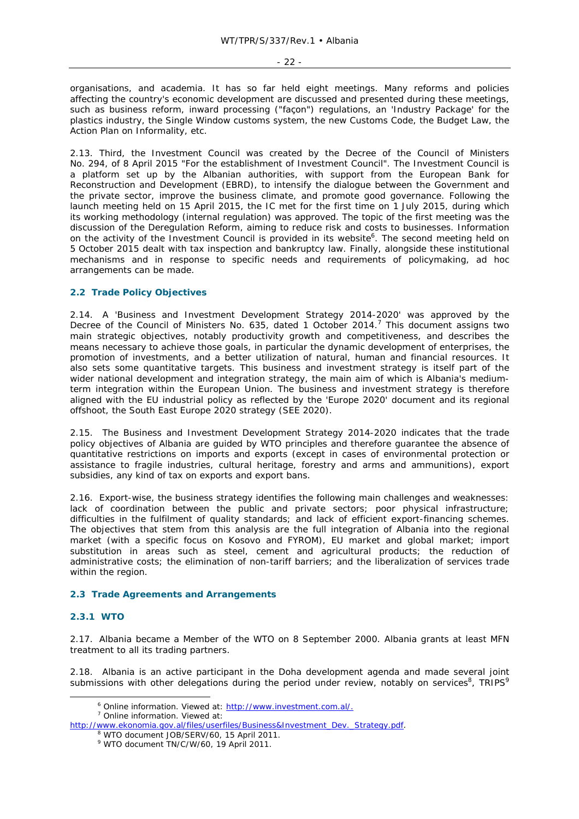organisations, and academia. It has so far held eight meetings. Many reforms and policies affecting the country's economic development are discussed and presented during these meetings, such as business reform, inward processing ("façon") regulations, an 'Industry Package' for the plastics industry, the Single Window customs system, the new Customs Code, the Budget Law, the Action Plan on Informality, etc.

2.13. Third, the Investment Council was created by the Decree of the Council of Ministers No. 294, of 8 April 2015 "For the establishment of Investment Council". The Investment Council is a platform set up by the Albanian authorities, with support from the European Bank for Reconstruction and Development (EBRD), to intensify the dialogue between the Government and the private sector, improve the business climate, and promote good governance. Following the launch meeting held on 15 April 2015, the IC met for the first time on 1 July 2015, during which its working methodology (internal regulation) was approved. The topic of the first meeting was the discussion of the Deregulation Reform, aiming to reduce risk and costs to businesses. Information on the activity of the Investment Council is provided in its website<sup>6</sup>. The second meeting held on 5 October 2015 dealt with tax inspection and bankruptcy law. Finally, alongside these institutional mechanisms and in response to specific needs and requirements of policymaking, ad hoc arrangements can be made.

# **2.2 Trade Policy Objectives**

2.14. A 'Business and Investment Development Strategy 2014-2020' was approved by the Decree of the Council of Ministers No. 635, dated 1 October 2014.<sup>7</sup> This document assigns two main strategic objectives, notably productivity growth and competitiveness, and describes the means necessary to achieve those goals, in particular the dynamic development of enterprises, the promotion of investments, and a better utilization of natural, human and financial resources. It also sets some quantitative targets. This business and investment strategy is itself part of the wider national development and integration strategy, the main aim of which is Albania's mediumterm integration within the European Union. The business and investment strategy is therefore aligned with the EU industrial policy as reflected by the 'Europe 2020' document and its regional offshoot, the South East Europe 2020 strategy (SEE 2020).

2.15. The Business and Investment Development Strategy 2014-2020 indicates that the trade policy objectives of Albania are guided by WTO principles and therefore guarantee the absence of quantitative restrictions on imports and exports (except in cases of environmental protection or assistance to fragile industries, cultural heritage, forestry and arms and ammunitions), export subsidies, any kind of tax on exports and export bans.

2.16. Export-wise, the business strategy identifies the following main challenges and weaknesses: lack of coordination between the public and private sectors; poor physical infrastructure; difficulties in the fulfilment of quality standards; and lack of efficient export-financing schemes. The objectives that stem from this analysis are the full integration of Albania into the regional market (with a specific focus on Kosovo and FYROM), EU market and global market; import substitution in areas such as steel, cement and agricultural products; the reduction of administrative costs; the elimination of non-tariff barriers; and the liberalization of services trade within the region.

### **2.3 Trade Agreements and Arrangements**

### **2.3.1 WTO**

2.17. Albania became a Member of the WTO on 8 September 2000. Albania grants at least MFN treatment to all its trading partners.

2.18. Albania is an active participant in the Doha development agenda and made several joint submissions with other delegations during the period under review, notably on services  $,$  TRIPS

 $\overline{\phantom{0}}$ <sup>6</sup> Online information. Viewed at: http://www.investment.com.al/. <sup>7</sup> Online information. Viewed at:

http://www.ekonomia.gov.al/files/userfiles/Business&Investment\_Dev.\_Strategy.pdf.

WTO document JOB/SERV/60, 15 April 2011.

<sup>9</sup> WTO document TN/C/W/60, 19 April 2011.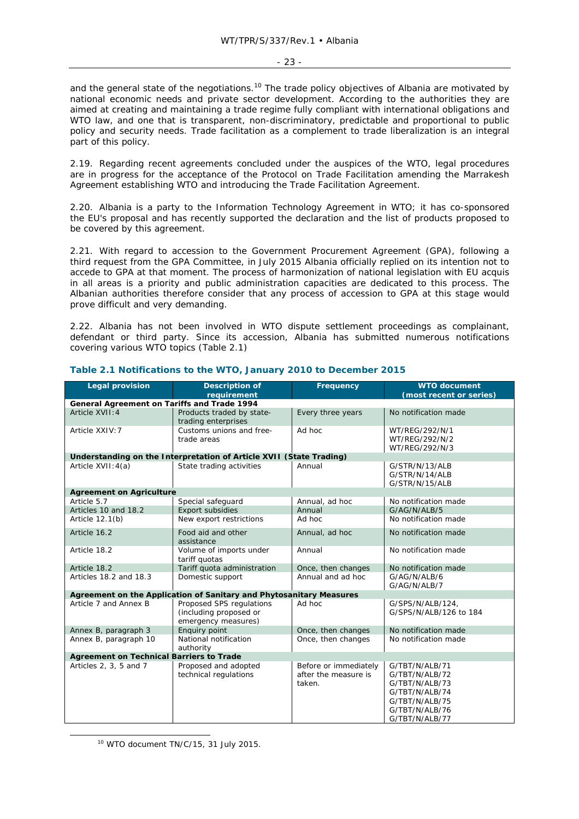and the general state of the negotiations.<sup>10</sup> The trade policy objectives of Albania are motivated by national economic needs and private sector development. According to the authorities they are aimed at creating and maintaining a trade regime fully compliant with international obligations and WTO law, and one that is transparent, non-discriminatory, predictable and proportional to public policy and security needs. Trade facilitation as a complement to trade liberalization is an integral part of this policy.

2.19. Regarding recent agreements concluded under the auspices of the WTO, legal procedures are in progress for the acceptance of the Protocol on Trade Facilitation amending the Marrakesh Agreement establishing WTO and introducing the Trade Facilitation Agreement.

2.20. Albania is a party to the Information Technology Agreement in WTO; it has co-sponsored the EU's proposal and has recently supported the declaration and the list of products proposed to be covered by this agreement.

2.21. With regard to accession to the Government Procurement Agreement (GPA), following a third request from the GPA Committee, in July 2015 Albania officially replied on its intention not to accede to GPA at that moment. The process of harmonization of national legislation with EU acquis in all areas is a priority and public administration capacities are dedicated to this process. The Albanian authorities therefore consider that any process of accession to GPA at this stage would prove difficult and very demanding.

2.22. Albania has not been involved in WTO dispute settlement proceedings as complainant, defendant or third party. Since its accession, Albania has submitted numerous notifications covering various WTO topics (Table 2.1)

| <b>Legal provision</b>                                              | <b>Description of</b><br>requirement                                      | Frequency                                               | <b>WTO document</b><br>(most recent or series)                                                                             |  |  |  |  |
|---------------------------------------------------------------------|---------------------------------------------------------------------------|---------------------------------------------------------|----------------------------------------------------------------------------------------------------------------------------|--|--|--|--|
| General Agreement on Tariffs and Trade 1994                         |                                                                           |                                                         |                                                                                                                            |  |  |  |  |
| Article XVII: 4                                                     | Products traded by state-<br>trading enterprises                          | Every three years                                       | No notification made                                                                                                       |  |  |  |  |
| Article XXIV: 7                                                     | Customs unions and free-<br>trade areas                                   | Ad hoc                                                  | WT/REG/292/N/1<br>WT/REG/292/N/2<br>WT/REG/292/N/3                                                                         |  |  |  |  |
|                                                                     | Understanding on the Interpretation of Article XVII (State Trading)       |                                                         |                                                                                                                            |  |  |  |  |
| Article XVII: 4(a)                                                  | State trading activities                                                  | Annual                                                  | G/STR/N/13/ALB<br>G/STR/N/14/ALB<br>G/STR/N/15/ALB                                                                         |  |  |  |  |
| <b>Agreement on Agriculture</b>                                     |                                                                           |                                                         |                                                                                                                            |  |  |  |  |
| Article 5.7                                                         | Special safeguard                                                         | Annual, ad hoc                                          | No notification made                                                                                                       |  |  |  |  |
| Articles 10 and 18.2                                                | Export subsidies                                                          | Annual                                                  | G/AG/N/ALB/5                                                                                                               |  |  |  |  |
| Article 12.1(b)                                                     | New export restrictions                                                   | Ad hoc                                                  | No notification made                                                                                                       |  |  |  |  |
| Article 16.2                                                        | Food aid and other<br>assistance                                          | Annual, ad hoc                                          | No notification made                                                                                                       |  |  |  |  |
| Article 18.2                                                        | Volume of imports under<br>tariff quotas                                  | Annual                                                  | No notification made                                                                                                       |  |  |  |  |
| Article 18.2                                                        | Tariff quota administration                                               | Once, then changes                                      | No notification made                                                                                                       |  |  |  |  |
| Articles 18.2 and 18.3                                              | Domestic support                                                          | Annual and ad hoc                                       | G/AG/N/ALB/6<br>G/AG/N/ALB/7                                                                                               |  |  |  |  |
| Agreement on the Application of Sanitary and Phytosanitary Measures |                                                                           |                                                         |                                                                                                                            |  |  |  |  |
| Article 7 and Annex B                                               | Proposed SPS regulations<br>(including proposed or<br>emergency measures) | Ad hoc                                                  | G/SPS/N/ALB/124,<br>G/SPS/N/ALB/126 to 184                                                                                 |  |  |  |  |
| Annex B, paragraph 3                                                | Enquiry point                                                             | Once, then changes                                      | No notification made                                                                                                       |  |  |  |  |
| Annex B, paragraph 10                                               | National notification<br>authority                                        | Once, then changes                                      | No notification made                                                                                                       |  |  |  |  |
| <b>Agreement on Technical Barriers to Trade</b>                     |                                                                           |                                                         |                                                                                                                            |  |  |  |  |
| Articles 2, 3, 5 and 7                                              | Proposed and adopted<br>technical regulations                             | Before or immediately<br>after the measure is<br>taken. | G/TBT/N/ALB/71<br>G/TBT/N/ALB/72<br>G/TBT/N/ALB/73<br>G/TBT/N/ALB/74<br>G/TBT/N/ALB/75<br>G/TBT/N/ALB/76<br>G/TBT/N/ALB/77 |  |  |  |  |

### **Table 2.1 Notifications to the WTO, January 2010 to December 2015**

 <sup>10</sup> WTO document TN/C/15, 31 July 2015.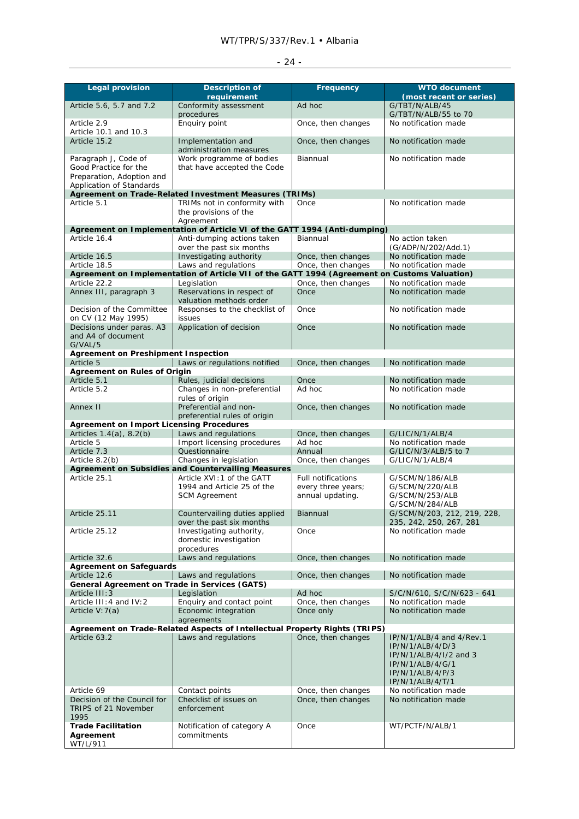| <b>Legal provision</b>                                                                                 | <b>Description of</b><br>requirement                                                         | Frequency                                                           | <b>WTO document</b><br>(most recent or series)                                                                                     |
|--------------------------------------------------------------------------------------------------------|----------------------------------------------------------------------------------------------|---------------------------------------------------------------------|------------------------------------------------------------------------------------------------------------------------------------|
| Article 5.6, 5.7 and 7.2                                                                               | Conformity assessment<br>procedures                                                          | Ad hoc                                                              | G/TBT/N/ALB/45<br>G/TBT/N/ALB/55 to 70                                                                                             |
| Article 2.9<br>Article 10.1 and 10.3                                                                   | Enquiry point                                                                                | Once, then changes                                                  | No notification made                                                                                                               |
| Article 15.2                                                                                           | Implementation and<br>administration measures                                                | Once, then changes                                                  | No notification made                                                                                                               |
| Paragraph J, Code of<br>Good Practice for the<br>Preparation, Adoption and<br>Application of Standards | Work programme of bodies<br>that have accepted the Code                                      | Biannual                                                            | No notification made                                                                                                               |
|                                                                                                        | Agreement on Trade-Related Investment Measures (TRIMs)                                       |                                                                     |                                                                                                                                    |
| Article 5.1                                                                                            | TRIMs not in conformity with<br>the provisions of the<br>Agreement                           | Once                                                                | No notification made                                                                                                               |
|                                                                                                        | Agreement on Implementation of Article VI of the GATT 1994 (Anti-dumping)                    |                                                                     |                                                                                                                                    |
| Article 16.4                                                                                           | Anti-dumping actions taken                                                                   | Biannual                                                            | No action taken                                                                                                                    |
|                                                                                                        | over the past six months                                                                     |                                                                     | (G/ADP/N/202/Add.1)                                                                                                                |
| Article 16.5<br>Article 18.5                                                                           | Investigating authority<br>Laws and regulations                                              | Once, then changes<br>Once, then changes                            | No notification made<br>No notification made                                                                                       |
|                                                                                                        | Agreement on Implementation of Article VII of the GATT 1994 (Agreement on Customs Valuation) |                                                                     |                                                                                                                                    |
| Article 22.2                                                                                           | Legislation                                                                                  | Once, then changes                                                  | No notification made                                                                                                               |
| Annex III, paragraph 3                                                                                 | Reservations in respect of                                                                   | Once                                                                | No notification made                                                                                                               |
| Decision of the Committee                                                                              | valuation methods order<br>Responses to the checklist of                                     | Once                                                                | No notification made                                                                                                               |
| on CV (12 May 1995)<br>Decisions under paras. A3                                                       | issues<br>Application of decision                                                            | Once                                                                | No notification made                                                                                                               |
| and A4 of document<br>G/VAL/5                                                                          |                                                                                              |                                                                     |                                                                                                                                    |
| <b>Agreement on Preshipment Inspection</b><br>Article 5                                                | Laws or regulations notified                                                                 | Once, then changes                                                  | No notification made                                                                                                               |
| <b>Agreement on Rules of Origin</b>                                                                    |                                                                                              |                                                                     |                                                                                                                                    |
| Article 5.1                                                                                            | Rules, judicial decisions                                                                    | Once                                                                | No notification made                                                                                                               |
| Article 5.2                                                                                            | Changes in non-preferential<br>rules of origin                                               | Ad hoc                                                              | No notification made                                                                                                               |
| Annex II                                                                                               | Preferential and non-<br>preferential rules of origin                                        | Once, then changes                                                  | No notification made                                                                                                               |
| <b>Agreement on Import Licensing Procedures</b>                                                        |                                                                                              |                                                                     |                                                                                                                                    |
| Articles 1.4(a), 8.2(b)<br>Article 5                                                                   | Laws and regulations<br>Import licensing procedures                                          | Once, then changes<br>Ad hoc                                        | G/LIC/N/1/ALB/4<br>No notification made                                                                                            |
| Article 7.3                                                                                            | Questionnaire                                                                                | Annual                                                              | G/LIC/N/3/ALB/5 to 7                                                                                                               |
| Article 8.2(b)                                                                                         | Changes in legislation                                                                       | Once, then changes                                                  | G/LIC/N/1/ALB/4                                                                                                                    |
|                                                                                                        | <b>Agreement on Subsidies and Countervailing Measures</b>                                    |                                                                     |                                                                                                                                    |
| Article 25.1                                                                                           | Article XVI: 1 of the GATT<br>1994 and Article 25 of the<br><b>SCM Agreement</b>             | <b>Full notifications</b><br>every three years;<br>annual updating. | G/SCM/N/186/ALB<br>G/SCM/N/220/ALB<br>G/SCM/N/253/ALB<br>G/SCM/N/284/ALB                                                           |
| Article 25.11                                                                                          | Countervailing duties applied<br>over the past six months                                    | Biannual                                                            | G/SCM/N/203, 212, 219, 228,<br>235, 242, 250, 267, 281                                                                             |
| Article 25.12                                                                                          | Investigating authority,<br>domestic investigation<br>procedures                             | Once                                                                | No notification made                                                                                                               |
| Article 32.6                                                                                           | Laws and regulations                                                                         | Once, then changes                                                  | No notification made                                                                                                               |
| <b>Agreement on Safeguards</b><br>Article 12.6                                                         | Laws and regulations                                                                         | Once, then changes                                                  | No notification made                                                                                                               |
| <b>General Agreement on Trade in Services (GATS)</b>                                                   |                                                                                              |                                                                     |                                                                                                                                    |
| Article III: 3                                                                                         | Legislation                                                                                  | Ad hoc                                                              | S/C/N/610, S/C/N/623 - 641                                                                                                         |
| Article III: 4 and IV: 2                                                                               | Enquiry and contact point                                                                    | Once, then changes                                                  | No notification made                                                                                                               |
| Article V: 7(a)                                                                                        | Economic integration<br>agreements                                                           | Once only                                                           | No notification made                                                                                                               |
|                                                                                                        | Agreement on Trade-Related Aspects of Intellectual Property Rights (TRIPS)                   |                                                                     |                                                                                                                                    |
| Article 63.2                                                                                           | Laws and regulations                                                                         | Once, then changes                                                  | IP/N/1/ALB/4 and 4/Rev.1<br>IP/N/1/ALB/4/D/3<br>IP/N/1/ALB/4/I/2 and 3<br>IP/N/1/ALB/4/G/1<br>IP/N/1/ALB/4/P/3<br>IP/N/1/ALB/4/T/1 |
| Article 69<br>Decision of the Council for<br>TRIPS of 21 November<br>1995                              | Contact points<br>Checklist of issues on<br>enforcement                                      | Once, then changes<br>Once, then changes                            | No notification made<br>No notification made                                                                                       |
| <b>Trade Facilitation</b><br>Agreement<br>WT/L/911                                                     | Notification of category A<br>commitments                                                    | Once                                                                | WT/PCTF/N/ALB/1                                                                                                                    |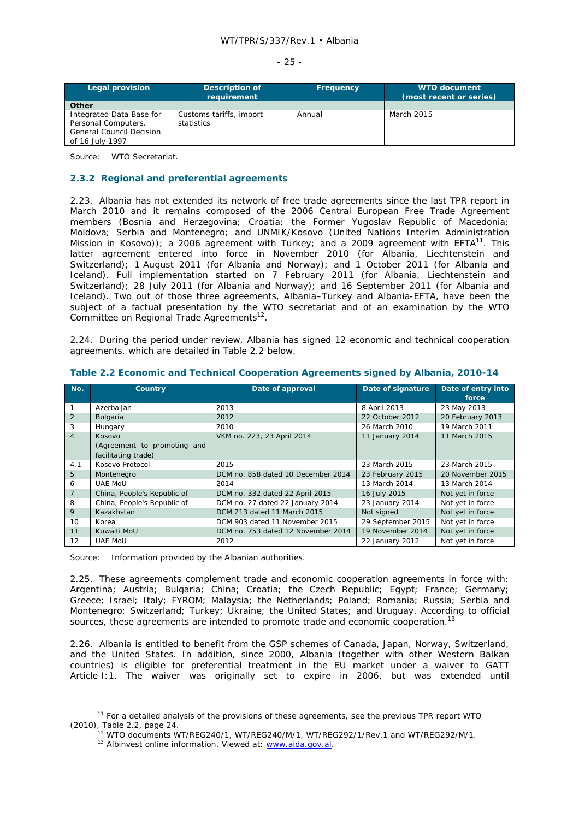| Legal provision                                                                                                | Description of<br>requirement         | <b>Frequency</b> | <b>WTO document</b><br>(most recent or series) |
|----------------------------------------------------------------------------------------------------------------|---------------------------------------|------------------|------------------------------------------------|
| Other<br>Integrated Data Base for<br>Personal Computers.<br><b>General Council Decision</b><br>of 16 July 1997 | Customs tariffs, import<br>statistics | Annual           | March 2015                                     |

Source: WTO Secretariat.

# **2.3.2 Regional and preferential agreements**

2.23. Albania has not extended its network of free trade agreements since the last TPR report in March 2010 and it remains composed of the 2006 Central European Free Trade Agreement members (Bosnia and Herzegovina; Croatia; the Former Yugoslav Republic of Macedonia; Moldova; Serbia and Montenegro; and UNMIK/Kosovo (United Nations Interim Administration Mission in Kosovo)); a 2006 agreement with Turkey; and a 2009 agreement with  $EFTA^{11}$ . This latter agreement entered into force in November 2010 (for Albania, Liechtenstein and Switzerland); 1 August 2011 (for Albania and Norway); and 1 October 2011 (for Albania and Iceland). Full implementation started on 7 February 2011 (for Albania, Liechtenstein and Switzerland); 28 July 2011 (for Albania and Norway); and 16 September 2011 (for Albania and Iceland). Two out of those three agreements, Albania–Turkey and Albania-EFTA, have been the subject of a factual presentation by the WTO secretariat and of an examination by the WTO Committee on Regional Trade Agreements<sup>12</sup>.

2.24. During the period under review, Albania has signed 12 economic and technical cooperation agreements, which are detailed in Table 2.2 below.

| No.            | Country                     | Date of approval                   | Date of signature | Date of entry into<br>force |
|----------------|-----------------------------|------------------------------------|-------------------|-----------------------------|
|                | Azerbaijan                  | 2013                               | 8 April 2013      | 23 May 2013                 |
| 2              | Bulgaria                    | 2012                               | 22 October 2012   | 20 February 2013            |
| 3              | Hungary                     | 2010                               | 26 March 2010     | 19 March 2011               |
| $\overline{4}$ | Kosovo                      | VKM no. 223, 23 April 2014         | 11 January 2014   | 11 March 2015               |
|                | (Agreement to promoting and |                                    |                   |                             |
|                | facilitating trade)         |                                    |                   |                             |
| 4.1            | Kosovo Protocol             | 2015                               | 23 March 2015     | 23 March 2015               |
| 5              | Montenegro                  | DCM no. 858 dated 10 December 2014 | 23 February 2015  | 20 November 2015            |
| 6              | <b>UAE MOU</b>              | 2014                               | 13 March 2014     | 13 March 2014               |
| 7              | China, People's Republic of | DCM no. 332 dated 22 April 2015    | 16 July 2015      | Not yet in force            |
| 8              | China, People's Republic of | DCM no. 27 dated 22 January 2014   | 23 January 2014   | Not yet in force            |
| 9              | Kazakhstan                  | DCM 213 dated 11 March 2015        | Not signed        | Not yet in force            |
| 10             | Korea                       | DCM 903 dated 11 November 2015     | 29 September 2015 | Not yet in force            |
| 11             | Kuwaiti MoU                 | DCM no. 753 dated 12 November 2014 | 19 November 2014  | Not yet in force            |
| 12             | <b>UAE MoU</b>              | 2012                               | 22 January 2012   | Not yet in force            |

**Table 2.2 Economic and Technical Cooperation Agreements signed by Albania, 2010-14** 

Source: Information provided by the Albanian authorities.

2.25. These agreements complement trade and economic cooperation agreements in force with: Argentina; Austria; Bulgaria; China; Croatia; the Czech Republic; Egypt; France; Germany; Greece; Israel; Italy; FYROM; Malaysia; the Netherlands; Poland; Romania; Russia; Serbia and Montenegro; Switzerland; Turkey; Ukraine; the United States; and Uruguay. According to official sources, these agreements are intended to promote trade and economic cooperation.<sup>13</sup>

2.26. Albania is entitled to benefit from the GSP schemes of Canada, Japan, Norway, Switzerland, and the United States. In addition, since 2000, Albania (together with other Western Balkan countries) is eligible for preferential treatment in the EU market under a waiver to GATT Article I:1. The waiver was originally set to expire in 2006, but was extended until

<sup>&</sup>lt;sup>11</sup> For a detailed analysis of the provisions of these agreements, see the previous TPR report WTO (2010), Table 2.2, page 24.<br><sup>12</sup> WTO documents WT/REG240/1, WT/REG240/M/1, WT/REG292/1/Rev.1 and WT/REG292/M/1.<br><sup>13</sup> Albinvest online information. Viewed at: <u>www.aida.gov.al</u>.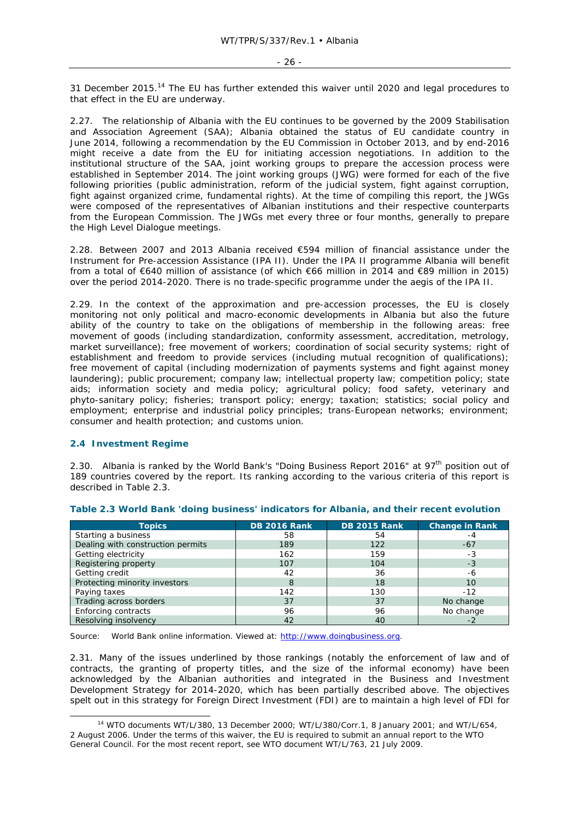31 December 2015.<sup>14</sup> The EU has further extended this waiver until 2020 and legal procedures to that effect in the EU are underway.

2.27. The relationship of Albania with the EU continues to be governed by the 2009 Stabilisation and Association Agreement (SAA); Albania obtained the status of EU candidate country in June 2014, following a recommendation by the EU Commission in October 2013, and by end-2016 might receive a date from the EU for initiating accession negotiations. In addition to the institutional structure of the SAA, joint working groups to prepare the accession process were established in September 2014. The joint working groups (JWG) were formed for each of the five following priorities (public administration, reform of the judicial system, fight against corruption, fight against organized crime, fundamental rights). At the time of compiling this report, the JWGs were composed of the representatives of Albanian institutions and their respective counterparts from the European Commission. The JWGs met every three or four months, generally to prepare the High Level Dialogue meetings.

2.28. Between 2007 and 2013 Albania received €594 million of financial assistance under the Instrument for Pre-accession Assistance (IPA II). Under the IPA II programme Albania will benefit from a total of €640 million of assistance (of which €66 million in 2014 and €89 million in 2015) over the period 2014-2020. There is no trade-specific programme under the aegis of the IPA II.

2.29. In the context of the approximation and pre-accession processes, the EU is closely monitoring not only political and macro-economic developments in Albania but also the future ability of the country to take on the obligations of membership in the following areas: free movement of goods (including standardization, conformity assessment, accreditation, metrology, market surveillance); free movement of workers; coordination of social security systems; right of establishment and freedom to provide services (including mutual recognition of qualifications); free movement of capital (including modernization of payments systems and fight against money laundering); public procurement; company law; intellectual property law; competition policy; state aids; information society and media policy; agricultural policy; food safety, veterinary and phyto-sanitary policy; fisheries; transport policy; energy; taxation; statistics; social policy and employment; enterprise and industrial policy principles; trans-European networks; environment; consumer and health protection; and customs union.

# **2.4 Investment Regime**

2.30. Albania is ranked by the World Bank's "Doing Business Report 2016" at 97<sup>th</sup> position out of 189 countries covered by the report. Its ranking according to the various criteria of this report is described in Table 2.3.

| <b>Topics</b>                     | <b>DB 2016 Rank</b> | <b>DB 2015 Rank</b> | <b>Change in Rank</b> |
|-----------------------------------|---------------------|---------------------|-----------------------|
| Starting a business               | 58                  | 54                  | -4                    |
| Dealing with construction permits | 189                 | 122                 | $-67$                 |
| Getting electricity               | 162                 | 159                 | -3                    |
| Registering property              | 107                 | 104                 | $-3$                  |
| Getting credit                    | 42                  | 36                  | -6                    |
| Protecting minority investors     | 8                   | 18                  | 10                    |
| Paying taxes                      | 142                 | 130                 | $-12$                 |
| Trading across borders            | 37                  | 37                  | No change             |
| Enforcing contracts               | 96                  | 96                  | No change             |
| Resolving insolvency              | 42                  | 40                  |                       |

### **Table 2.3 World Bank 'doing business' indicators for Albania, and their recent evolution**

Source: World Bank online information. Viewed at: http://www.doingbusiness.org.

2.31. Many of the issues underlined by those rankings (notably the enforcement of law and of contracts, the granting of property titles, and the size of the informal economy) have been acknowledged by the Albanian authorities and integrated in the Business and Investment Development Strategy for 2014-2020, which has been partially described above. The objectives spelt out in this strategy for Foreign Direct Investment (FDI) are to maintain a high level of FDI for

 <sup>14</sup> WTO documents WT/L/380, 13 December 2000; WT/L/380/Corr.1, 8 January 2001; and WT/L/654, 2 August 2006. Under the terms of this waiver, the EU is required to submit an annual report to the WTO General Council. For the most recent report, see WTO document WT/L/763, 21 July 2009.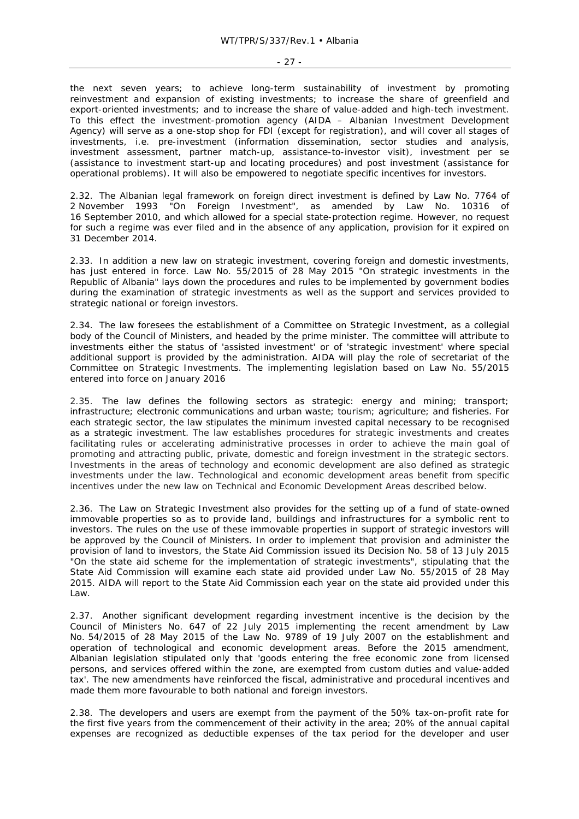### - 27 -

the next seven years; to achieve long-term sustainability of investment by promoting reinvestment and expansion of existing investments; to increase the share of greenfield and export-oriented investments; and to increase the share of value-added and high-tech investment. To this effect the investment-promotion agency (AIDA – Albanian Investment Development Agency) will serve as a one-stop shop for FDI (except for registration), and will cover all stages of investments, i.e. pre-investment (information dissemination, sector studies and analysis, investment assessment, partner match-up, assistance-to-investor visit), investment *per se* (assistance to investment start-up and locating procedures) and post investment (assistance for operational problems). It will also be empowered to negotiate specific incentives for investors.

2.32. The Albanian legal framework on foreign direct investment is defined by Law No. 7764 of 2 November 1993 "On Foreign Investment", as amended by Law No. 10316 of 16 September 2010, and which allowed for a special state-protection regime. However, no request for such a regime was ever filed and in the absence of any application, provision for it expired on 31 December 2014.

2.33. In addition a new law on strategic investment, covering foreign and domestic investments, has just entered in force. Law No. 55/2015 of 28 May 2015 "On strategic investments in the Republic of Albania" lays down the procedures and rules to be implemented by government bodies during the examination of strategic investments as well as the support and services provided to strategic national or foreign investors.

2.34. The law foresees the establishment of a Committee on Strategic Investment, as a collegial body of the Council of Ministers, and headed by the prime minister. The committee will attribute to investments either the status of 'assisted investment' or of 'strategic investment' where special additional support is provided by the administration. AIDA will play the role of secretariat of the Committee on Strategic Investments. The implementing legislation based on Law No. 55/2015 entered into force on January 2016

2.35. The law defines the following sectors as strategic: energy and mining; transport; infrastructure; electronic communications and urban waste; tourism; agriculture; and fisheries. For each strategic sector, the law stipulates the minimum invested capital necessary to be recognised as a strategic investment. The law establishes procedures for strategic investments and creates facilitating rules or accelerating administrative processes in order to achieve the main goal of promoting and attracting public, private, domestic and foreign investment in the strategic sectors. Investments in the areas of technology and economic development are also defined as strategic investments under the law. Technological and economic development areas benefit from specific incentives under the new law on Technical and Economic Development Areas described below.

2.36. The Law on Strategic Investment also provides for the setting up of a fund of state-owned immovable properties so as to provide land, buildings and infrastructures for a symbolic rent to investors. The rules on the use of these immovable properties in support of strategic investors will be approved by the Council of Ministers. In order to implement that provision and administer the provision of land to investors, the State Aid Commission issued its Decision No. 58 of 13 July 2015 "On the state aid scheme for the implementation of strategic investments", stipulating that the State Aid Commission will examine each state aid provided under Law No. 55/2015 of 28 May 2015. AIDA will report to the State Aid Commission each year on the state aid provided under this Law.

2.37. Another significant development regarding investment incentive is the decision by the Council of Ministers No. 647 of 22 July 2015 implementing the recent amendment by Law No. 54/2015 of 28 May 2015 of the Law No. 9789 of 19 July 2007 on the establishment and operation of technological and economic development areas. Before the 2015 amendment, Albanian legislation stipulated only that 'goods entering the free economic zone from licensed persons, and services offered within the zone, are exempted from custom duties and value-added tax'. The new amendments have reinforced the fiscal, administrative and procedural incentives and made them more favourable to both national and foreign investors.

2.38. The developers and users are exempt from the payment of the 50% tax-on-profit rate for the first five years from the commencement of their activity in the area; 20% of the annual capital expenses are recognized as deductible expenses of the tax period for the developer and user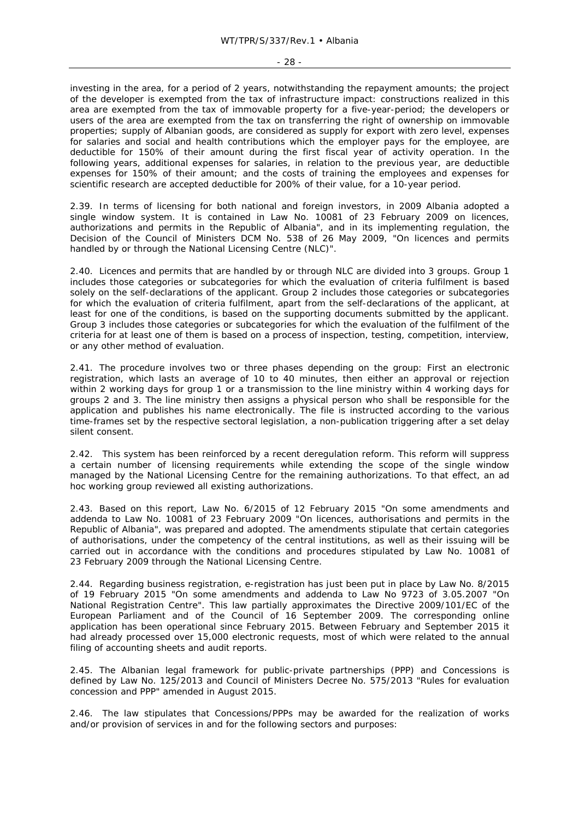### - 28 -

investing in the area, for a period of 2 years, notwithstanding the repayment amounts; the project of the developer is exempted from the tax of infrastructure impact: constructions realized in this area are exempted from the tax of immovable property for a five-year-period; the developers or users of the area are exempted from the tax on transferring the right of ownership on immovable properties; supply of Albanian goods, are considered as supply for export with zero level, expenses for salaries and social and health contributions which the employer pays for the employee, are deductible for 150% of their amount during the first fiscal year of activity operation. In the following years, additional expenses for salaries, in relation to the previous year, are deductible expenses for 150% of their amount; and the costs of training the employees and expenses for scientific research are accepted deductible for 200% of their value, for a 10-year period.

2.39. In terms of licensing for both national and foreign investors, in 2009 Albania adopted a single window system. It is contained in Law No. 10081 of 23 February 2009 on licences, authorizations and permits in the Republic of Albania", and in its implementing regulation, the Decision of the Council of Ministers DCM No. 538 of 26 May 2009, "On licences and permits handled by or through the National Licensing Centre (NLC)".

2.40. Licences and permits that are handled by or through NLC are divided into 3 groups. Group 1 includes those categories or subcategories for which the evaluation of criteria fulfilment is based solely on the self-declarations of the applicant. Group 2 includes those categories or subcategories for which the evaluation of criteria fulfilment, apart from the self-declarations of the applicant, at least for one of the conditions, is based on the supporting documents submitted by the applicant. Group 3 includes those categories or subcategories for which the evaluation of the fulfilment of the criteria for at least one of them is based on a process of inspection, testing, competition, interview, or any other method of evaluation.

2.41. The procedure involves two or three phases depending on the group: First an electronic registration, which lasts an average of 10 to 40 minutes, then either an approval or rejection within 2 working days for group 1 or a transmission to the line ministry within 4 working days for groups 2 and 3. The line ministry then assigns a physical person who shall be responsible for the application and publishes his name electronically. The file is instructed according to the various time-frames set by the respective sectoral legislation, a non-publication triggering after a set delay silent consent.

2.42. This system has been reinforced by a recent deregulation reform. This reform will suppress a certain number of licensing requirements while extending the scope of the single window managed by the National Licensing Centre for the remaining authorizations. To that effect, an ad hoc working group reviewed all existing authorizations.

2.43. Based on this report, Law No. 6/2015 of 12 February 2015 "On some amendments and addenda to Law No. 10081 of 23 February 2009 "On licences, authorisations and permits in the Republic of Albania", was prepared and adopted. The amendments stipulate that certain categories of authorisations, under the competency of the central institutions, as well as their issuing will be carried out in accordance with the conditions and procedures stipulated by Law No. 10081 of 23 February 2009 through the National Licensing Centre.

2.44. Regarding business registration, e-registration has just been put in place by Law No. 8/2015 of 19 February 2015 "On some amendments and addenda to Law No 9723 of 3.05.2007 "On National Registration Centre". This law partially approximates the Directive 2009/101/EC of the European Parliament and of the Council of 16 September 2009. The corresponding online application has been operational since February 2015. Between February and September 2015 it had already processed over 15,000 electronic requests, most of which were related to the annual filing of accounting sheets and audit reports.

2.45. The Albanian legal framework for public-private partnerships (PPP) and Concessions is defined by Law No. 125/2013 and Council of Ministers Decree No. 575/2013 "Rules for evaluation concession and PPP" amended in August 2015.

2.46. The law stipulates that Concessions/PPPs may be awarded for the realization of works and/or provision of services in and for the following sectors and purposes: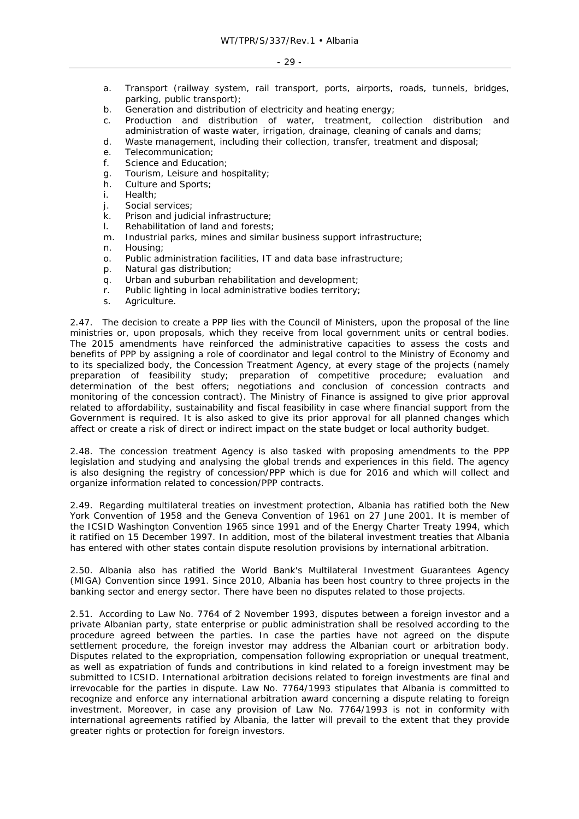- a. Transport (railway system, rail transport, ports, airports, roads, tunnels, bridges, parking, public transport);
- b. Generation and distribution of electricity and heating energy;
- c. Production and distribution of water, treatment, collection distribution and administration of waste water, irrigation, drainage, cleaning of canals and dams;
- d. Waste management, including their collection, transfer, treatment and disposal;
- e. Telecommunication;
- f. Science and Education;
- g. Tourism, Leisure and hospitality;
- h. Culture and Sports;
- i. Health;
- j. Social services;
- k. Prison and judicial infrastructure;
- l. Rehabilitation of land and forests;
- m. Industrial parks, mines and similar business support infrastructure;
- n. Housing;
- o. Public administration facilities, IT and data base infrastructure;
- p. Natural gas distribution;
- q. Urban and suburban rehabilitation and development;
- r. Public lighting in local administrative bodies territory;
- s. Agriculture.

2.47. The decision to create a PPP lies with the Council of Ministers, upon the proposal of the line ministries or, upon proposals, which they receive from local government units or central bodies. The 2015 amendments have reinforced the administrative capacities to assess the costs and benefits of PPP by assigning a role of coordinator and legal control to the Ministry of Economy and to its specialized body, the Concession Treatment Agency, at every stage of the projects (namely preparation of feasibility study; preparation of competitive procedure; evaluation and determination of the best offers; negotiations and conclusion of concession contracts and monitoring of the concession contract). The Ministry of Finance is assigned to give prior approval related to affordability, sustainability and fiscal feasibility in case where financial support from the Government is required. It is also asked to give its prior approval for all planned changes which affect or create a risk of direct or indirect impact on the state budget or local authority budget.

2.48. The concession treatment Agency is also tasked with proposing amendments to the PPP legislation and studying and analysing the global trends and experiences in this field. The agency is also designing the registry of concession/PPP which is due for 2016 and which will collect and organize information related to concession/PPP contracts.

2.49. Regarding multilateral treaties on investment protection, Albania has ratified both the New York Convention of 1958 and the Geneva Convention of 1961 on 27 June 2001. It is member of the ICSID Washington Convention 1965 since 1991 and of the Energy Charter Treaty 1994, which it ratified on 15 December 1997. In addition, most of the bilateral investment treaties that Albania has entered with other states contain dispute resolution provisions by international arbitration.

2.50. Albania also has ratified the World Bank's Multilateral Investment Guarantees Agency (MIGA) Convention since 1991. Since 2010, Albania has been host country to three projects in the banking sector and energy sector. There have been no disputes related to those projects.

2.51. According to Law No. 7764 of 2 November 1993, disputes between a foreign investor and a private Albanian party, state enterprise or public administration shall be resolved according to the procedure agreed between the parties. In case the parties have not agreed on the dispute settlement procedure, the foreign investor may address the Albanian court or arbitration body. Disputes related to the expropriation, compensation following expropriation or unequal treatment, as well as expatriation of funds and contributions in kind related to a foreign investment may be submitted to ICSID. International arbitration decisions related to foreign investments are final and irrevocable for the parties in dispute. Law No. 7764/1993 stipulates that Albania is committed to recognize and enforce any international arbitration award concerning a dispute relating to foreign investment. Moreover, in case any provision of Law No. 7764/1993 is not in conformity with international agreements ratified by Albania, the latter will prevail to the extent that they provide greater rights or protection for foreign investors.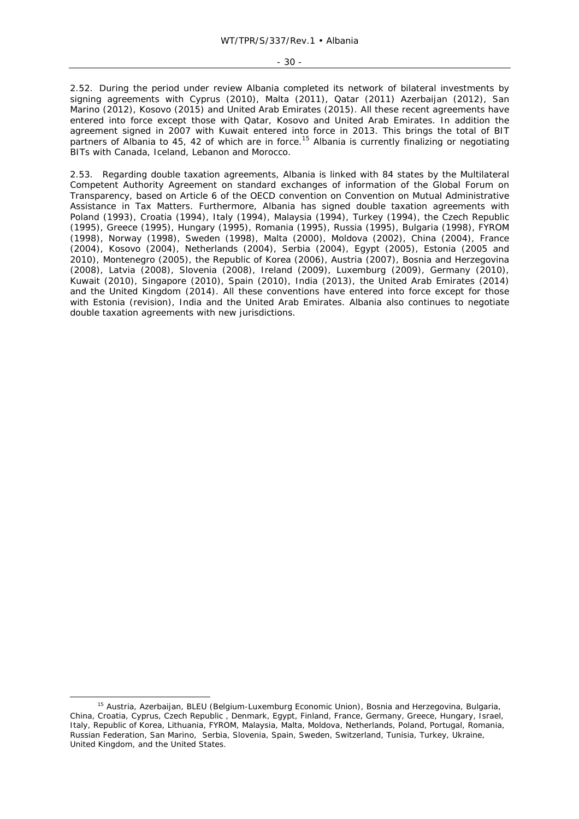2.52. During the period under review Albania completed its network of bilateral investments by signing agreements with Cyprus (2010), Malta (2011), Qatar (2011) Azerbaijan (2012), San Marino (2012), Kosovo (2015) and United Arab Emirates (2015). All these recent agreements have entered into force except those with Qatar, Kosovo and United Arab Emirates. In addition the agreement signed in 2007 with Kuwait entered into force in 2013. This brings the total of BIT partners of Albania to 45, 42 of which are in force.<sup>15</sup> Albania is currently finalizing or negotiating BITs with Canada, Iceland, Lebanon and Morocco.

2.53. Regarding double taxation agreements, Albania is linked with 84 states by the Multilateral Competent Authority Agreement on standard exchanges of information of the Global Forum on Transparency, based on Article 6 of the OECD convention on Convention on Mutual Administrative Assistance in Tax Matters. Furthermore, Albania has signed double taxation agreements with Poland (1993), Croatia (1994), Italy (1994), Malaysia (1994), Turkey (1994), the Czech Republic (1995), Greece (1995), Hungary (1995), Romania (1995), Russia (1995), Bulgaria (1998), FYROM (1998), Norway (1998), Sweden (1998), Malta (2000), Moldova (2002), China (2004), France (2004), Kosovo (2004), Netherlands (2004), Serbia (2004), Egypt (2005), Estonia (2005 and 2010), Montenegro (2005), the Republic of Korea (2006), Austria (2007), Bosnia and Herzegovina (2008), Latvia (2008), Slovenia (2008), Ireland (2009), Luxemburg (2009), Germany (2010), Kuwait (2010), Singapore (2010), Spain (2010), India (2013), the United Arab Emirates (2014) and the United Kingdom (2014). All these conventions have entered into force except for those with Estonia (revision), India and the United Arab Emirates. Albania also continues to negotiate double taxation agreements with new jurisdictions.

<sup>&</sup>lt;sup>15</sup> Austria, Azerbaijan, BLEU (Belgium-Luxemburg Economic Union), Bosnia and Herzegovina, Bulgaria, China, Croatia, Cyprus, Czech Republic , Denmark, Egypt, Finland, France, Germany, Greece, Hungary, Israel, Italy, Republic of Korea, Lithuania, FYROM, Malaysia, Malta, Moldova, Netherlands, Poland, Portugal, Romania, Russian Federation, San Marino, Serbia, Slovenia, Spain, Sweden, Switzerland, Tunisia, Turkey, Ukraine, United Kingdom, and the United States.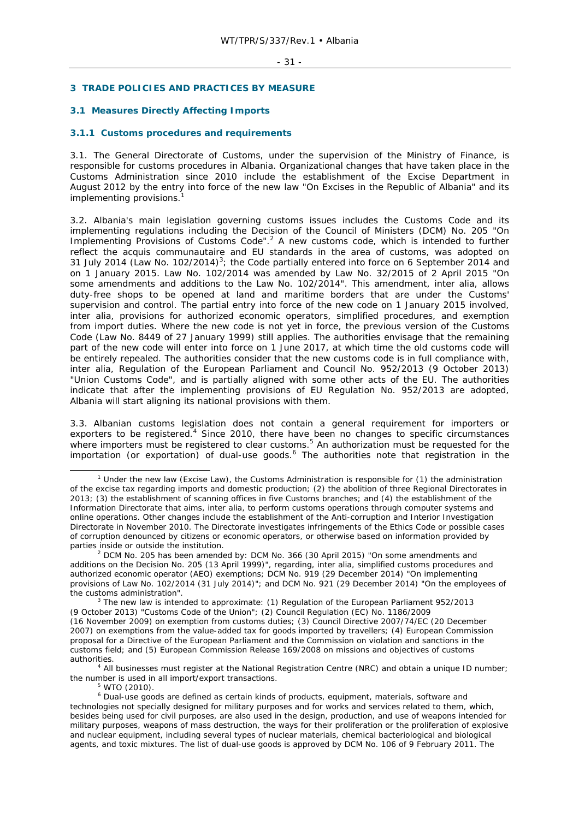### **3 TRADE POLICIES AND PRACTICES BY MEASURE**

# **3.1 Measures Directly Affecting Imports**

### **3.1.1 Customs procedures and requirements**

3.1. The General Directorate of Customs, under the supervision of the Ministry of Finance, is responsible for customs procedures in Albania. Organizational changes that have taken place in the Customs Administration since 2010 include the establishment of the Excise Department in August 2012 by the entry into force of the new law "On Excises in the Republic of Albania" and its implementing provisions.

3.2. Albania's main legislation governing customs issues includes the Customs Code and its implementing regulations including the Decision of the Council of Ministers (DCM) No. 205 "On Implementing Provisions of Customs Code".<sup>2</sup> A new customs code, which is intended to further reflect the *acquis communautaire* and EU standards in the area of customs, was adopted on 31 July 2014 (Law No. 102/2014)<sup>3</sup>; the Code partially entered into force on 6 September 2014 and on 1 January 2015. Law No. 102/2014 was amended by Law No. 32/2015 of 2 April 2015 "On some amendments and additions to the Law No. 102/2014". This amendment, *inter alia,* allows duty-free shops to be opened at land and maritime borders that are under the Customs' supervision and control. The partial entry into force of the new code on 1 January 2015 involved, *inter alia,* provisions for authorized economic operators, simplified procedures, and exemption from import duties. Where the new code is not yet in force, the previous version of the Customs Code (Law No. 8449 of 27 January 1999) still applies. The authorities envisage that the remaining part of the new code will enter into force on 1 June 2017, at which time the old customs code will be entirely repealed. The authorities consider that the new customs code is in full compliance with, *inter alia,* Regulation of the European Parliament and Council No. 952/2013 (9 October 2013) "Union Customs Code", and is partially aligned with some other acts of the EU. The authorities indicate that after the implementing provisions of EU Regulation No. 952/2013 are adopted, Albania will start aligning its national provisions with them.

3.3. Albanian customs legislation does not contain a general requirement for importers or exporters to be registered.<sup>4</sup> Since 2010, there have been no changes to specific circumstances where importers must be registered to clear customs.<sup>5</sup> An authorization must be requested for the importation (or exportation) of dual-use goods.<sup>6</sup> The authorities note that registration in the

<sup>4</sup> All businesses must register at the National Registration Centre (NRC) and obtain a unique ID number; the number is used in all import/export transactions.

 $W$ TO (2010).

 $\frac{1}{1}$ <sup>1</sup> Under the new law (Excise Law), the Customs Administration is responsible for (1) the administration of the excise tax regarding imports and domestic production; (2) the abolition of three Regional Directorates in 2013; (3) the establishment of scanning offices in five Customs branches; and (4) the establishment of the Information Directorate that aims, *inter alia,* to perform customs operations through computer systems and online operations. Other changes include the establishment of the Anti-corruption and Interior Investigation Directorate in November 2010. The Directorate investigates infringements of the Ethics Code or possible cases of corruption denounced by citizens or economic operators, or otherwise based on information provided by parties inside or outside the institution. 2

 $2$  DCM No. 205 has been amended by: DCM No. 366 (30 April 2015) "On some amendments and additions on the Decision No. 205 (13 April 1999)", regarding, *inter alia,* simplified customs procedures and authorized economic operator (AEO) exemptions; DCM No. 919 (29 December 2014) "On implementing provisions of Law No. 102/2014 (31 July 2014)"; and DCM No. 921 (29 December 2014) "On the employees of the customs administration".

<sup>&</sup>lt;sup>3</sup> The new law is intended to approximate: (1) Regulation of the European Parliament 952/2013 (9 October 2013) "Customs Code of the Union"; (2) Council Regulation (EC) No. 1186/2009 (16 November 2009) on exemption from customs duties; (3) Council Directive 2007/74/EC (20 December 2007) on exemptions from the value-added tax for goods imported by travellers; (4) European Commission proposal for a Directive of the European Parliament and the Commission on violation and sanctions in the customs field; and (5) European Commission Release 169/2008 on missions and objectives of customs authorities. 4

<sup>&</sup>lt;sup>6</sup> Dual-use goods are defined as certain kinds of products, equipment, materials, software and technologies not specially designed for military purposes and for works and services related to them, which, besides being used for civil purposes, are also used in the design, production, and use of weapons intended for military purposes, weapons of mass destruction, the ways for their proliferation or the proliferation of explosive and nuclear equipment, including several types of nuclear materials, chemical bacteriological and biological agents, and toxic mixtures. The list of dual-use goods is approved by DCM No. 106 of 9 February 2011. The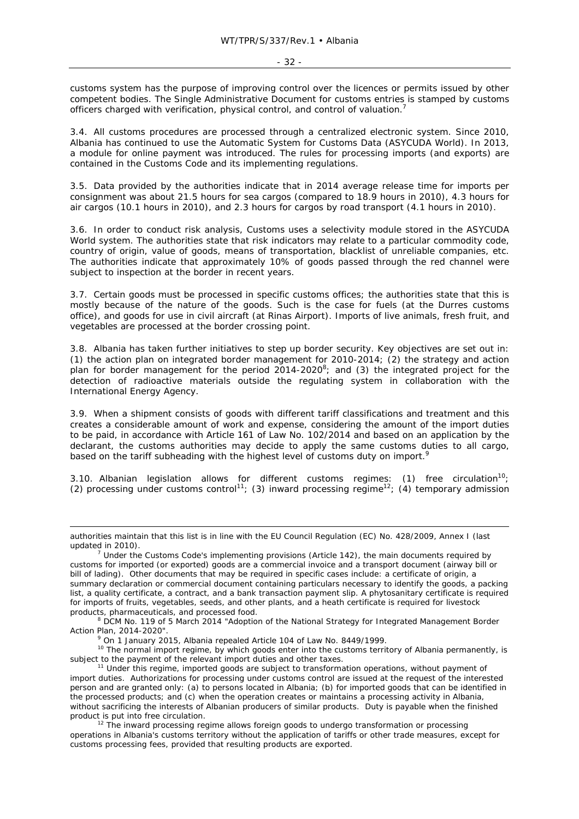customs system has the purpose of improving control over the licences or permits issued by other competent bodies. The Single Administrative Document for customs entries is stamped by customs officers charged with verification, physical control, and control of valuation.<sup>7</sup>

3.4. All customs procedures are processed through a centralized electronic system. Since 2010, Albania has continued to use the Automatic System for Customs Data (ASYCUDA World). In 2013, a module for online payment was introduced. The rules for processing imports (and exports) are contained in the Customs Code and its implementing regulations.

3.5. Data provided by the authorities indicate that in 2014 average release time for imports per consignment was about 21.5 hours for sea cargos (compared to 18.9 hours in 2010), 4.3 hours for air cargos (10.1 hours in 2010), and 2.3 hours for cargos by road transport (4.1 hours in 2010).

3.6. In order to conduct risk analysis, Customs uses a selectivity module stored in the ASYCUDA World system. The authorities state that risk indicators may relate to a particular commodity code, country of origin, value of goods, means of transportation, blacklist of unreliable companies, etc. The authorities indicate that approximately 10% of goods passed through the red channel were subject to inspection at the border in recent years.

3.7. Certain goods must be processed in specific customs offices; the authorities state that this is mostly because of the nature of the goods. Such is the case for fuels (at the Durres customs office), and goods for use in civil aircraft (at Rinas Airport). Imports of live animals, fresh fruit, and vegetables are processed at the border crossing point.

3.8. Albania has taken further initiatives to step up border security. Key objectives are set out in: (1) the action plan on integrated border management for 2010-2014; (2) the strategy and action plan for border management for the period  $2014$ - $2020^8$ ; and (3) the integrated project for the detection of radioactive materials outside the regulating system in collaboration with the International Energy Agency.

3.9. When a shipment consists of goods with different tariff classifications and treatment and this creates a considerable amount of work and expense, considering the amount of the import duties to be paid, in accordance with Article 161 of Law No. 102/2014 and based on an application by the declarant, the customs authorities may decide to apply the same customs duties to all cargo, based on the tariff subheading with the highest level of customs duty on import.<sup>9</sup>

3.10. Albanian legislation allows for different customs regimes: (1) free circulation<sup>10</sup>; (2) processing under customs control<sup>11</sup>; (3) inward processing regime<sup>12</sup>; (4) temporary admission

ł

<sup>10</sup> The normal import regime, by which goods enter into the customs territory of Albania permanently, is subject to the payment of the relevant import duties and other taxes.<br><sup>11</sup> Under this regime, imported goods are subject to transformation operations, without payment of

authorities maintain that this list is in line with the EU Council Regulation (EC) No. 428/2009, Annex I (last updated in 2010).

 $\frac{7}{1}$  Under the Customs Code's implementing provisions (Article 142), the main documents required by customs for imported (or exported) goods are a commercial invoice and a transport document (airway bill or bill of lading). Other documents that may be required in specific cases include: a certificate of origin, a summary declaration or commercial document containing particulars necessary to identify the goods, a packing list, a quality certificate, a contract, and a bank transaction payment slip. A phytosanitary certificate is required for imports of fruits, vegetables, seeds, and other plants, and a heath certificate is required for livestock products, pharmaceuticals, and processed food.

<sup>&</sup>lt;sup>8</sup> DCM No. 119 of 5 March 2014 "Adoption of the National Strategy for Integrated Management Border Action Plan, 2014-2020".

<sup>&</sup>lt;sup>9</sup> On 1 January 2015, Albania repealed Article 104 of Law No. 8449/1999.

import duties. Authorizations for processing under customs control are issued at the request of the interested person and are granted only: (a) to persons located in Albania; (b) for imported goods that can be identified in the processed products; and (c) when the operation creates or maintains a processing activity in Albania, without sacrificing the interests of Albanian producers of similar products. Duty is payable when the finished product is put into free circulation.<br><sup>12</sup> The inward processing regime allows foreign goods to undergo transformation or processing

operations in Albania's customs territory without the application of tariffs or other trade measures, except for customs processing fees, provided that resulting products are exported.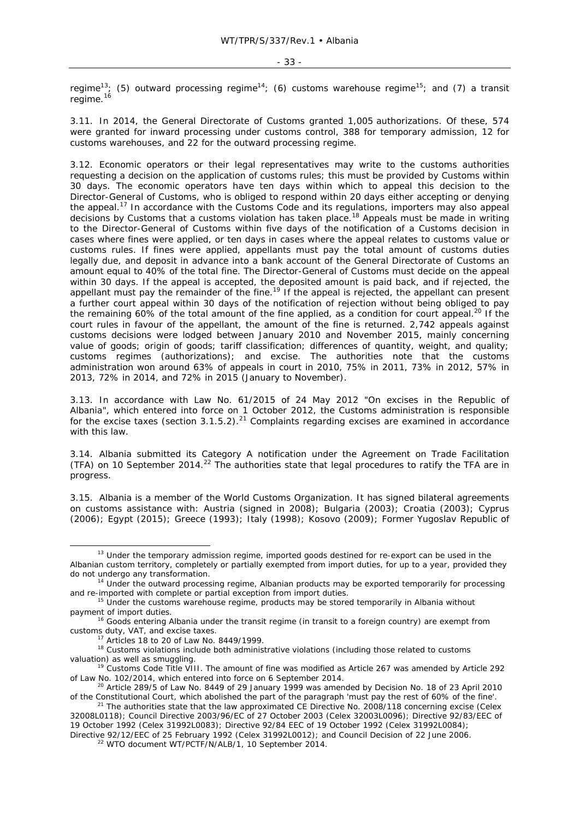regime<sup>13</sup>; (5) outward processing regime<sup>14</sup>; (6) customs warehouse regime<sup>15</sup>; and (7) a transit regime. $16$ 

3.11. In 2014, the General Directorate of Customs granted 1,005 authorizations. Of these, 574 were granted for inward processing under customs control, 388 for temporary admission, 12 for customs warehouses, and 22 for the outward processing regime.

3.12. Economic operators or their legal representatives may write to the customs authorities requesting a decision on the application of customs rules; this must be provided by Customs within 30 days. The economic operators have ten days within which to appeal this decision to the Director-General of Customs, who is obliged to respond within 20 days either accepting or denying the appeal.17 In accordance with the Customs Code and its regulations, importers may also appeal decisions by Customs that a customs violation has taken place.<sup>18</sup> Appeals must be made in writing to the Director-General of Customs within five days of the notification of a Customs decision in cases where fines were applied, or ten days in cases where the appeal relates to customs value or customs rules. If fines were applied, appellants must pay the total amount of customs duties legally due, and deposit in advance into a bank account of the General Directorate of Customs an amount equal to 40% of the total fine. The Director-General of Customs must decide on the appeal within 30 days. If the appeal is accepted, the deposited amount is paid back, and if rejected, the appellant must pay the remainder of the fine.<sup>19</sup> If the appeal is rejected, the appellant can present a further court appeal within 30 days of the notification of rejection without being obliged to pay the remaining 60% of the total amount of the fine applied, as a condition for court appeal.<sup>20</sup> If the court rules in favour of the appellant, the amount of the fine is returned. 2,742 appeals against customs decisions were lodged between January 2010 and November 2015, mainly concerning value of goods; origin of goods; tariff classification; differences of quantity, weight, and quality; customs regimes (authorizations); and excise. The authorities note that the customs administration won around 63% of appeals in court in 2010, 75% in 2011, 73% in 2012, 57% in 2013, 72% in 2014, and 72% in 2015 (January to November).

3.13. In accordance with Law No. 61/2015 of 24 May 2012 "On excises in the Republic of Albania", which entered into force on 1 October 2012, the Customs administration is responsible for the excise taxes (section  $3.1.5.2$ ).<sup>21</sup> Complaints regarding excises are examined in accordance with this law.

3.14. Albania submitted its Category A notification under the Agreement on Trade Facilitation (TFA) on 10 September 2014.<sup>22</sup> The authorities state that legal procedures to ratify the TFA are in progress.

3.15. Albania is a member of the World Customs Organization. It has signed bilateral agreements on customs assistance with: Austria (signed in 2008); Bulgaria (2003); Croatia (2003); Cyprus (2006); Egypt (2015); Greece (1993); Italy (1998); Kosovo (2009); Former Yugoslav Republic of

 $13$  Under the temporary admission regime, imported goods destined for re-export can be used in the Albanian custom territory, completely or partially exempted from import duties, for up to a year, provided they<br>do not undergo any transformation.

<sup>&</sup>lt;sup>14</sup> Under the outward processing regime, Albanian products may be exported temporarily for processing and re-imported with complete or partial exception from import duties.

<sup>&</sup>lt;sup>15</sup> Under the customs warehouse regime, products may be stored temporarily in Albania without payment of import duties.

<sup>&</sup>lt;sup>16</sup> Goods entering Albania under the transit regime (in transit to a foreign country) are exempt from

customs duty, VAT, and excise taxes.<br><sup>17</sup> Articles 18 to 20 of Law No. 8449/1999.<br><sup>18</sup> Customs violations include both administrative violations (including those related to customs valuation) as well as smuggling.

<sup>&</sup>lt;sup>19</sup> Customs Code Title VIII. The amount of fine was modified as Article 267 was amended by Article 292 of Law No. 102/2014, which entered into force on 6 September 2014.<br><sup>20</sup> Article 289/5 of Law No. 8449 of 29 January 1999 was amended by Decision No. 18 of 23 April 2010

of the Constitutional Court, which abolished the part of the paragraph 'must pay the rest of 60% of the fine'.<br><sup>21</sup> The authorities state that the law approximated CE Directive No. 2008/118 concerning excise (Celex

<sup>32008</sup>L0118); Council Directive 2003/96/EC of 27 October 2003 (Celex 32003L0096); Directive 92/83/EEC of 19 October 1992 (Celex 31992L0083); Directive 92/84 EEC of 19 October 1992 (Celex 31992L0084); Directive 92/12/EEC of 25 February 1992 (Celex 31992L0012); and Council Decision of 22 June 2006. 22 WTO document WT/PCTF/N/ALB/1, 10 September 2014.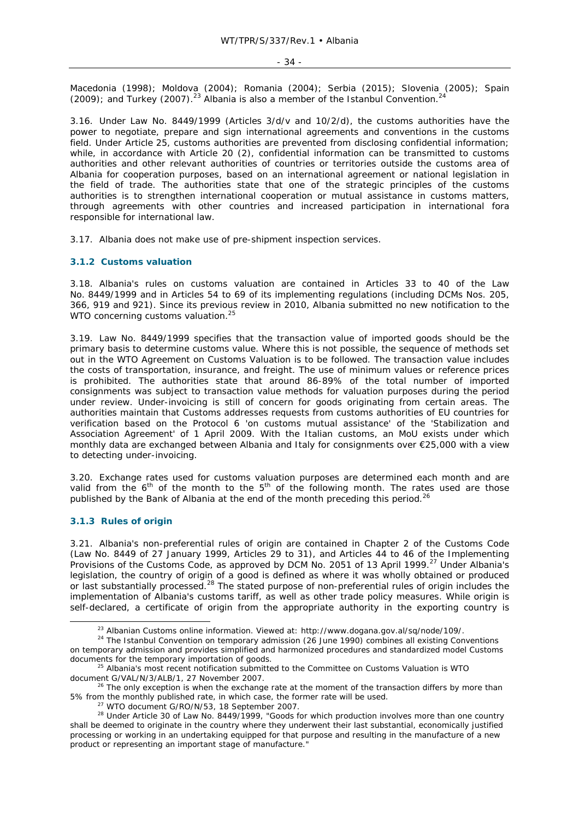Macedonia (1998); Moldova (2004); Romania (2004); Serbia (2015); Slovenia (2005); Spain  $(2009)$ ; and Turkey (2007).<sup>23</sup> Albania is also a member of the Istanbul Convention.<sup>2</sup>

3.16. Under Law No. 8449/1999 (Articles 3/d/v and 10/2/d), the customs authorities have the power to negotiate, prepare and sign international agreements and conventions in the customs field. Under Article 25, customs authorities are prevented from disclosing confidential information; while, in accordance with Article 20 (2), confidential information can be transmitted to customs authorities and other relevant authorities of countries or territories outside the customs area of Albania for cooperation purposes, based on an international agreement or national legislation in the field of trade. The authorities state that one of the strategic principles of the customs authorities is to strengthen international cooperation or mutual assistance in customs matters, through agreements with other countries and increased participation in international fora responsible for international law.

3.17. Albania does not make use of pre-shipment inspection services.

### **3.1.2 Customs valuation**

3.18. Albania's rules on customs valuation are contained in Articles 33 to 40 of the Law No. 8449/1999 and in Articles 54 to 69 of its implementing regulations (including DCMs Nos. 205, 366, 919 and 921). Since its previous review in 2010, Albania submitted no new notification to the WTO concerning customs valuation.<sup>25</sup>

3.19. Law No. 8449/1999 specifies that the transaction value of imported goods should be the primary basis to determine customs value. Where this is not possible, the sequence of methods set out in the WTO Agreement on Customs Valuation is to be followed. The transaction value includes the costs of transportation, insurance, and freight. The use of minimum values or reference prices is prohibited. The authorities state that around 86-89% of the total number of imported consignments was subject to transaction value methods for valuation purposes during the period under review. Under-invoicing is still of concern for goods originating from certain areas. The authorities maintain that Customs addresses requests from customs authorities of EU countries for verification based on the Protocol 6 'on customs mutual assistance' of the 'Stabilization and Association Agreement' of 1 April 2009. With the Italian customs, an MoU exists under which monthly data are exchanged between Albania and Italy for consignments over €25,000 with a view to detecting under-invoicing.

3.20. Exchange rates used for customs valuation purposes are determined each month and are valid from the  $6<sup>th</sup>$  of the month to the  $5<sup>th</sup>$  of the following month. The rates used are those published by the Bank of Albania at the end of the month preceding this period.<sup>26</sup>

# **3.1.3 Rules of origin**

3.21. Albania's non-preferential rules of origin are contained in Chapter 2 of the Customs Code (Law No. 8449 of 27 January 1999, Articles 29 to 31), and Articles 44 to 46 of the Implementing Provisions of the Customs Code, as approved by DCM No. 2051 of 13 April 1999.<sup>27</sup> Under Albania's legislation, the country of origin of a good is defined as where it was wholly obtained or produced or last substantially processed.<sup>28</sup> The stated purpose of non-preferential rules of origin includes the implementation of Albania's customs tariff, as well as other trade policy measures. While origin is self-declared, a certificate of origin from the appropriate authority in the exporting country is

<sup>&</sup>lt;sup>23</sup> Albanian Customs online information. Viewed at: http://www.dogana.gov.al/sq/node/109/.<br><sup>24</sup> The Istanbul Convention on temporary admission (26 June 1990) combines all existing Conventions on temporary admission and provides simplified and harmonized procedures and standardized model Customs documents for the temporary importation of goods.<br><sup>25</sup> Albania's most recent notification submitted to the Committee on Customs Valuation is WTO

document G/VAL/N/3/ALB/1, 27 November 2007.<br><sup>26</sup> The only exception is when the exchange rate at the moment of the transaction differs by more than

<sup>5%</sup> from the monthly published rate, in which case, the former rate will be used.<br><sup>27</sup> WTO document G/RO/N/53, 18 September 2007.<br><sup>28</sup> Under Article 30 of Law No. 8449/1999, "Goods for which production involves more than on shall be deemed to originate in the country where they underwent their last substantial, economically justified processing or working in an undertaking equipped for that purpose and resulting in the manufacture of a new product or representing an important stage of manufacture."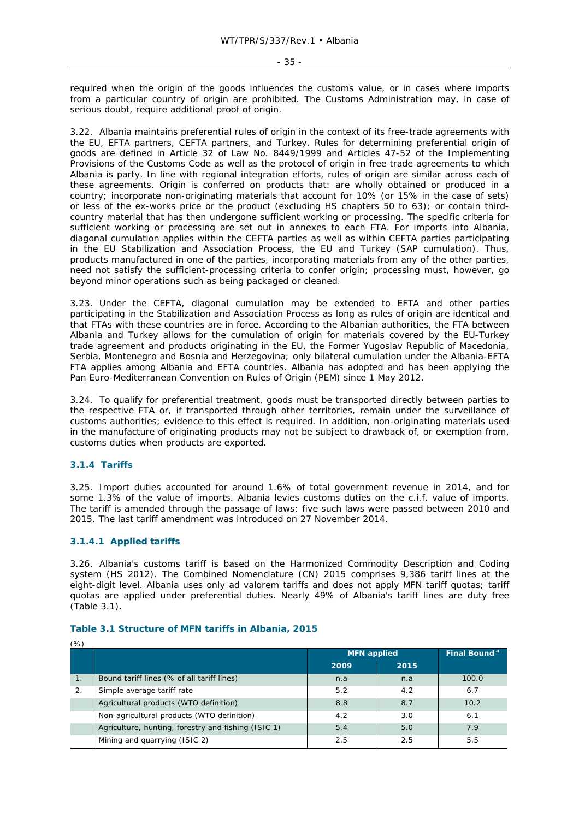required when the origin of the goods influences the customs value, or in cases where imports from a particular country of origin are prohibited. The Customs Administration may, in case of serious doubt, require additional proof of origin.

3.22. Albania maintains preferential rules of origin in the context of its free-trade agreements with the EU, EFTA partners, CEFTA partners, and Turkey. Rules for determining preferential origin of goods are defined in Article 32 of Law No. 8449/1999 and Articles 47-52 of the Implementing Provisions of the Customs Code as well as the protocol of origin in free trade agreements to which Albania is party. In line with regional integration efforts, rules of origin are similar across each of these agreements. Origin is conferred on products that: are wholly obtained or produced in a country; incorporate non-originating materials that account for 10% (or 15% in the case of sets) or less of the ex-works price or the product (excluding HS chapters 50 to 63); or contain thirdcountry material that has then undergone sufficient working or processing. The specific criteria for sufficient working or processing are set out in annexes to each FTA. For imports into Albania, diagonal cumulation applies within the CEFTA parties as well as within CEFTA parties participating in the EU Stabilization and Association Process, the EU and Turkey (SAP cumulation). Thus, products manufactured in one of the parties, incorporating materials from any of the other parties, need not satisfy the sufficient-processing criteria to confer origin; processing must, however, go beyond minor operations such as being packaged or cleaned.

3.23. Under the CEFTA, diagonal cumulation may be extended to EFTA and other parties participating in the Stabilization and Association Process as long as rules of origin are identical and that FTAs with these countries are in force. According to the Albanian authorities, the FTA between Albania and Turkey allows for the cumulation of origin for materials covered by the EU-Turkey trade agreement and products originating in the EU, the Former Yugoslav Republic of Macedonia, Serbia, Montenegro and Bosnia and Herzegovina; only bilateral cumulation under the Albania-EFTA FTA applies among Albania and EFTA countries. Albania has adopted and has been applying the Pan Euro-Mediterranean Convention on Rules of Origin (PEM) since 1 May 2012.

3.24. To qualify for preferential treatment, goods must be transported directly between parties to the respective FTA or, if transported through other territories, remain under the surveillance of customs authorities; evidence to this effect is required. In addition, non-originating materials used in the manufacture of originating products may not be subject to drawback of, or exemption from, customs duties when products are exported.

# **3.1.4 Tariffs**

3.25. Import duties accounted for around 1.6% of total government revenue in 2014, and for some 1.3% of the value of imports. Albania levies customs duties on the c.i.f. value of imports. The tariff is amended through the passage of laws: five such laws were passed between 2010 and 2015. The last tariff amendment was introduced on 27 November 2014.

# **3.1.4.1 Applied tariffs**

3.26. Albania's customs tariff is based on the Harmonized Commodity Description and Coding system (HS 2012). The Combined Nomenclature (CN) 2015 comprises 9,386 tariff lines at the eight-digit level. Albania uses only *ad valorem* tariffs and does not apply MFN tariff quotas; tariff quotas are applied under preferential duties. Nearly 49% of Albania's tariff lines are duty free (Table 3.1).

| (%)            |                                                     |                    |      |                          |  |  |  |
|----------------|-----------------------------------------------------|--------------------|------|--------------------------|--|--|--|
|                |                                                     | <b>MFN</b> applied |      | Final Bound <sup>a</sup> |  |  |  |
|                |                                                     | 2009               | 2015 |                          |  |  |  |
| $\mathbf{1}$ . | Bound tariff lines (% of all tariff lines)          | n.a                | n.a  | 100.0                    |  |  |  |
| 2.             | Simple average tariff rate                          | 5.2                | 4.2  | 6.7                      |  |  |  |
|                | Agricultural products (WTO definition)              | 8.8                | 8.7  | 10.2                     |  |  |  |
|                | Non-agricultural products (WTO definition)          | 4.2                | 3.0  | 6.1                      |  |  |  |
|                | Agriculture, hunting, forestry and fishing (ISIC 1) | 5.4                | 5.0  | 7.9                      |  |  |  |
|                | Mining and quarrying (ISIC 2)                       | 2.5                | 2.5  | 5.5                      |  |  |  |

### **Table 3.1 Structure of MFN tariffs in Albania, 2015**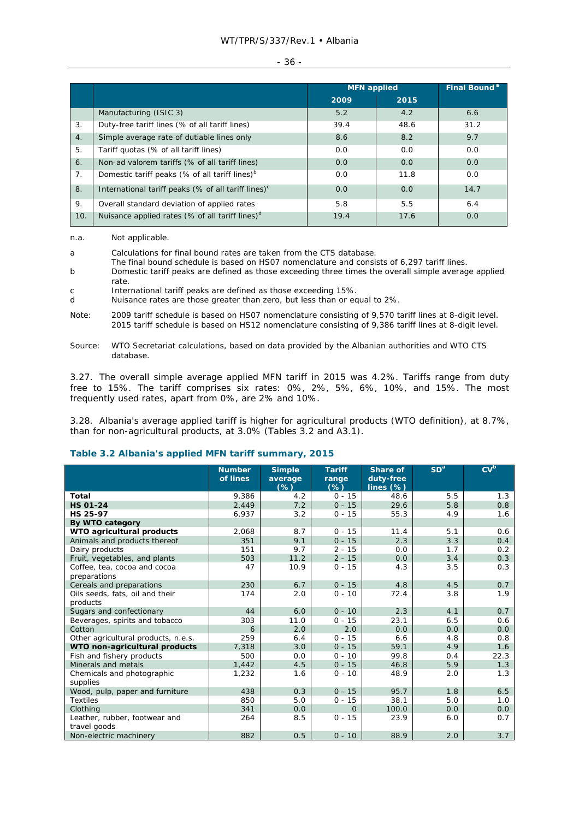### WT/TPR/S/337/Rev.1 • Albania

### - 36 -

|     |                                                                 | <b>MFN</b> applied |      | Final Bound <sup>a</sup> |
|-----|-----------------------------------------------------------------|--------------------|------|--------------------------|
|     |                                                                 | 2009               | 2015 |                          |
|     | Manufacturing (ISIC 3)                                          | 5.2                | 4.2  | 6.6                      |
| 3.  | Duty-free tariff lines (% of all tariff lines)                  | 39.4               | 48.6 | 31.2                     |
| 4.  | Simple average rate of dutiable lines only                      | 8.6                | 8.2  | 9.7                      |
| 5.  | Tariff quotas (% of all tariff lines)                           | 0.0                | 0.0  | 0.0                      |
| 6.  | Non-ad valorem tariffs (% of all tariff lines)                  | 0.0                | 0.0  | 0.0                      |
| 7.  | Domestic tariff peaks (% of all tariff lines) <sup>b</sup>      | 0.0                | 11.8 | 0.0                      |
| 8.  | International tariff peaks (% of all tariff lines) <sup>c</sup> | 0.0                | 0.0  | 14.7                     |
| 9.  | Overall standard deviation of applied rates                     | 5.8                | 5.5  | 6.4                      |
| 10. | Nuisance applied rates (% of all tariff lines) <sup>d</sup>     | 19.4               | 17.6 | 0.0                      |

n.a. Not applicable.

a Calculations for final bound rates are taken from the CTS database.

The final bound schedule is based on HS07 nomenclature and consists of 6,297 tariff lines.

b Domestic tariff peaks are defined as those exceeding three times the overall simple average applied rate.

c International tariff peaks are defined as those exceeding 15%.

- d Nuisance rates are those greater than zero, but less than or equal to 2%.
- Note: 2009 tariff schedule is based on HS07 nomenclature consisting of 9,570 tariff lines at 8-digit level. 2015 tariff schedule is based on HS12 nomenclature consisting of 9,386 tariff lines at 8-digit level.
- Source: WTO Secretariat calculations, based on data provided by the Albanian authorities and WTO CTS database.

3.27. The overall simple average applied MFN tariff in 2015 was 4.2%. Tariffs range from duty free to 15%. The tariff comprises six rates: 0%, 2%, 5%, 6%, 10%, and 15%. The most frequently used rates, apart from 0%, are 2% and 10%.

3.28. Albania's average applied tariff is higher for agricultural products (WTO definition), at 8.7%, than for non-agricultural products, at 3.0% (Tables 3.2 and A3.1).

# **Table 3.2 Albania's applied MFN tariff summary, 2015**

|                                     | <b>Number</b> | <b>Simple</b>     | <b>Tariff</b>   | <b>Share of</b>           | SD <sup>a</sup> | CV <sup>b</sup> |
|-------------------------------------|---------------|-------------------|-----------------|---------------------------|-----------------|-----------------|
|                                     | of lines      | average<br>$(\%)$ | range<br>$(\%)$ | duty-free<br>lines $(\%)$ |                 |                 |
| Total                               | 9.386         | 4.2               | $0 - 15$        | 48.6                      | 5.5             | 1.3             |
| <b>HS 01-24</b>                     | 2,449         | 7.2               | $0 - 15$        | 29.6                      | 5.8             | 0.8             |
| HS 25-97                            | 6,937         | 3.2               | $0 - 15$        | 55.3                      | 4.9             | 1.6             |
| By WTO category                     |               |                   |                 |                           |                 |                 |
| WTO agricultural products           | 2,068         | 8.7               | $0 - 15$        | 11.4                      | 5.1             | 0.6             |
| Animals and products thereof        | 351           | 9.1               | $0 - 15$        | 2.3                       | 3.3             | 0.4             |
| Dairy products                      | 151           | 9.7               | $2 - 15$        | 0.0                       | 1.7             | 0.2             |
| Fruit, vegetables, and plants       | 503           | 11.2              | $2 - 15$        | 0.0                       | 3.4             | 0.3             |
| Coffee, tea, cocoa and cocoa        | 47            | 10.9              | $0 - 15$        | 4.3                       | 3.5             | 0.3             |
| preparations                        |               |                   |                 |                           |                 |                 |
| Cereals and preparations            | 230           | 6.7               | $0 - 15$        | 4.8                       | 4.5             | 0.7             |
| Oils seeds, fats, oil and their     | 174           | 2.0               | $0 - 10$        | 72.4                      | 3.8             | 1.9             |
| products                            |               |                   |                 |                           |                 |                 |
| Sugars and confectionary            | 44            | 6.0               | $0 - 10$        | 2.3                       | 4.1             | 0.7             |
| Beverages, spirits and tobacco      | 303           | 11.0              | $0 - 15$        | 23.1                      | 6.5             | 0.6             |
| Cotton                              | 6             | 2.0               | 2.0             | 0.0                       | 0.0             | 0.0             |
| Other agricultural products, n.e.s. | 259           | 6.4               | $0 - 15$        | 6.6                       | 4.8             | 0.8             |
| WTO non-agricultural products       | 7,318         | 3.0               | $0 - 15$        | 59.1                      | 4.9             | 1.6             |
| Fish and fishery products           | 500           | 0.0               | $0 - 10$        | 99.8                      | 0.4             | 22.3            |
| Minerals and metals                 | 1,442         | 4.5               | $0 - 15$        | 46.8                      | 5.9             | 1.3             |
| Chemicals and photographic          | 1,232         | 1.6               | $0 - 10$        | 48.9                      | 2.0             | 1.3             |
| supplies                            |               |                   |                 |                           |                 |                 |
| Wood, pulp, paper and furniture     | 438           | 0.3               | $0 - 15$        | 95.7                      | 1.8             | 6.5             |
| <b>Textiles</b>                     | 850           | 5.0               | $0 - 15$        | 38.1                      | 5.0             | 1.0             |
| Clothing                            | 341           | 0.0               | $\Omega$        | 100.0                     | 0.0             | 0.0             |
| Leather, rubber, footwear and       | 264           | 8.5               | $0 - 15$        | 23.9                      | 6.0             | 0.7             |
| travel goods                        |               |                   |                 |                           |                 |                 |
| Non-electric machinery              | 882           | 0.5               | $0 - 10$        | 88.9                      | 2.0             | 3.7             |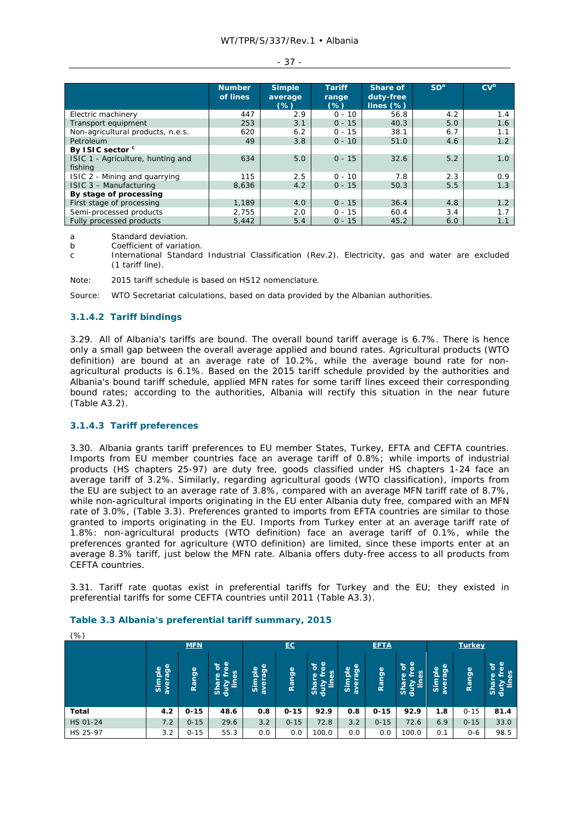#### - 37 -

|                                              | <b>Number</b> | <b>Simple</b>     | <b>Tariff</b>   | <b>Share of</b>           | SD <sup>a</sup> | CV <sup>b</sup> |
|----------------------------------------------|---------------|-------------------|-----------------|---------------------------|-----------------|-----------------|
|                                              | of lines      | average<br>$(\%)$ | range<br>$(\%)$ | duty-free<br>lines $(\%)$ |                 |                 |
| Electric machinery                           | 447           | 2.9               | $0 - 10$        | 56.8                      | 4.2             | 1.4             |
| Transport equipment                          | 253           | 3.1               | $0 - 15$        | 40.3                      | 5.0             | 1.6             |
| Non-agricultural products, n.e.s.            | 620           | 6.2               | $0 - 15$        | 38.1                      | 6.7             | 1.1             |
| Petroleum                                    | 49            | 3.8               | $0 - 10$        | 51.0                      | 4.6             | 1.2             |
| By ISIC sector <sup>c</sup>                  |               |                   |                 |                           |                 |                 |
| ISIC 1 - Agriculture, hunting and<br>fishing | 634           | 5.0               | $0 - 15$        | 32.6                      | 5.2             | 1.0             |
| ISIC 2 - Mining and guarrying                | 115           | 2.5               | $0 - 10$        | 7.8                       | 2.3             | 0.9             |
| ISIC 3 - Manufacturing                       | 8.636         | 4.2               | $0 - 15$        | 50.3                      | 5.5             | 1.3             |
| By stage of processing                       |               |                   |                 |                           |                 |                 |
| First stage of processing                    | 1,189         | 4.0               | $0 - 15$        | 36.4                      | 4.8             | 1.2             |
| Semi-processed products                      | 2,755         | 2.0               | $0 - 15$        | 60.4                      | 3.4             | 1.7             |
| Fully processed products                     | 5,442         | 5.4               | $0 - 15$        | 45.2                      | 6.0             | 1.1             |

a Standard deviation.

b Coefficient of variation.

c International Standard Industrial Classification (Rev.2). Electricity, gas and water are excluded (1 tariff line).

Note: 2015 tariff schedule is based on HS12 nomenclature.

Source: WTO Secretariat calculations, based on data provided by the Albanian authorities.

### **3.1.4.2 Tariff bindings**

3.29. All of Albania's tariffs are bound. The overall bound tariff average is 6.7%. There is hence only a small gap between the overall average applied and bound rates. Agricultural products (WTO definition) are bound at an average rate of 10.2%, while the average bound rate for nonagricultural products is 6.1%. Based on the 2015 tariff schedule provided by the authorities and Albania's bound tariff schedule, applied MFN rates for some tariff lines exceed their corresponding bound rates; according to the authorities, Albania will rectify this situation in the near future (Table A3.2).

#### **3.1.4.3 Tariff preferences**

3.30. Albania grants tariff preferences to EU member States, Turkey, EFTA and CEFTA countries. Imports from EU member countries face an average tariff of 0.8%; while imports of industrial products (HS chapters 25-97) are duty free, goods classified under HS chapters 1-24 face an average tariff of 3.2%. Similarly, regarding agricultural goods (WTO classification), imports from the EU are subject to an average rate of 3.8%, compared with an average MFN tariff rate of 8.7%, while non-agricultural imports originating in the EU enter Albania duty free, compared with an MFN rate of 3.0%, (Table 3.3). Preferences granted to imports from EFTA countries are similar to those granted to imports originating in the EU. Imports from Turkey enter at an average tariff rate of 1.8%: non-agricultural products (WTO definition) face an average tariff of 0.1%, while the preferences granted for agriculture (WTO definition) are limited, since these imports enter at an average 8.3% tariff, just below the MFN rate. Albania offers duty-free access to all products from CEFTA countries.

3.31. Tariff rate quotas exist in preferential tariffs for Turkey and the EU; they existed in preferential tariffs for some CEFTA countries until 2011 (Table A3.3).

| (% )     |                            |            |                                                         |                                    |          |                                                                    |                                                              |             |                                                                 |                                               |           |                                                              |
|----------|----------------------------|------------|---------------------------------------------------------|------------------------------------|----------|--------------------------------------------------------------------|--------------------------------------------------------------|-------------|-----------------------------------------------------------------|-----------------------------------------------|-----------|--------------------------------------------------------------|
|          |                            | <b>MFN</b> |                                                         |                                    | EC       |                                                                    |                                                              | <b>EFTA</b> |                                                                 | <b>Turkey</b>                                 |           |                                                              |
|          | age<br>elqr<br>aver<br>ູ້ສ | Range      | ൕ<br>$\delta$<br>đ١<br>εs<br>۵<br>$-$<br>īg<br>卢<br>완 울 | age<br>$\mathbf{Q}$<br>۹<br>ē<br>៵ | Range    | $\omega$<br>ð<br>(l)<br>es<br>$\omega$<br><b>Shar</b><br>duty<br>È | age<br>$\mathbf{\Phi}$<br>-<br>o,<br>а<br>ᄒ<br>►<br>ΰō<br>ĥ, | Range       | $\mathbf{\Phi}$<br>৳<br>٥<br>δg<br><b>d</b><br>ā<br>E<br>킁<br>访 | $\frac{1}{9}$<br>Simple<br>$\sigma$<br>능<br>ã | ge<br>Ran | ୍ଚ୍ଚ<br>ବ<br>৳<br>ser<br>(l)<br>E<br>$\sigma$<br>$rac{1}{2}$ |
| Total    | 4.2                        | $0 - 15$   | 48.6                                                    | 0.8                                | $0 - 15$ | 92.9                                                               | 0.8                                                          | $0 - 15$    | 92.9                                                            | 1.8                                           | $0 - 15$  | 81.4                                                         |
| HS 01-24 | 7.2                        | $0 - 15$   | 29.6                                                    | 3.2                                | $0 - 15$ | 72.8                                                               | 3.2                                                          | $0 - 15$    | 72.6                                                            | 6.9                                           | $0 - 15$  | 33.0                                                         |
| HS 25-97 | 3.2                        | $0 - 15$   | 55.3                                                    | 0.0                                | 0.0      | 100.0                                                              | 0.0                                                          | 0.0         | 100.0                                                           | 0.1                                           | $0 - 6$   | 98.5                                                         |

#### **Table 3.3 Albania's preferential tariff summary, 2015**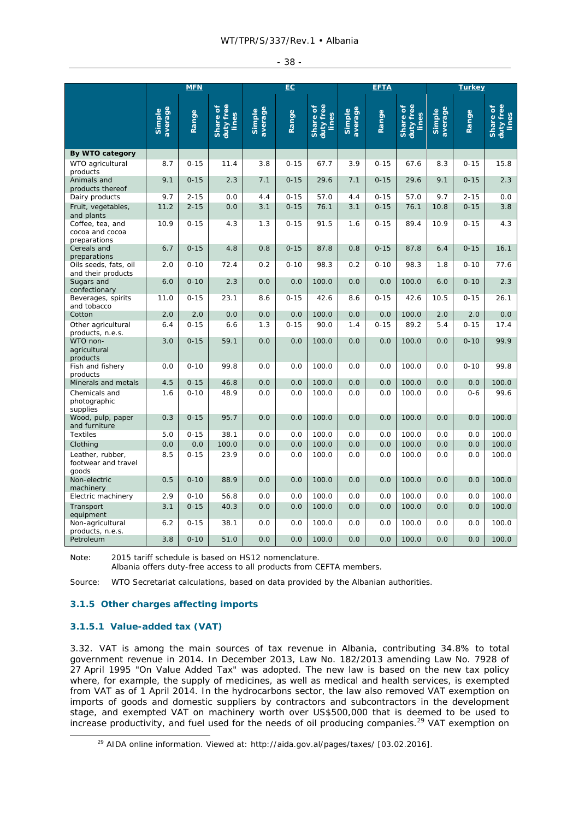|  | ۰.<br>., |  |
|--|----------|--|
|--|----------|--|

|                                                     |                   | <b>MFN</b> |                                |                   | EC       |                                |                   | <b>EFTA</b> |                                |                   | <b>Turkey</b> |                                |
|-----------------------------------------------------|-------------------|------------|--------------------------------|-------------------|----------|--------------------------------|-------------------|-------------|--------------------------------|-------------------|---------------|--------------------------------|
|                                                     | average<br>Simple | Range      | duty free<br>Share of<br>lines | average<br>Simple | Range    | duty free<br>Share of<br>lines | average<br>Simple | Range       | duty free<br>Share of<br>lines | average<br>Simple | Range         | duty free<br>Share of<br>lines |
| By WTO category                                     |                   |            |                                |                   |          |                                |                   |             |                                |                   |               |                                |
| WTO agricultural<br>products                        | 8.7               | $0 - 15$   | 11.4                           | 3.8               | $0 - 15$ | 67.7                           | 3.9               | $0 - 15$    | 67.6                           | 8.3               | $0 - 15$      | 15.8                           |
| Animals and<br>products thereof                     | 9.1               | $0 - 15$   | 2.3                            | 7.1               | $0 - 15$ | 29.6                           | 7.1               | $0 - 15$    | 29.6                           | 9.1               | $0 - 15$      | 2.3                            |
| Dairy products                                      | 9.7               | $2 - 15$   | 0.0                            | 4.4               | $0 - 15$ | 57.0                           | 4.4               | $0 - 15$    | 57.0                           | 9.7               | $2 - 15$      | 0.0                            |
| Fruit, vegetables,<br>and plants                    | 11.2              | $2 - 15$   | 0.0                            | 3.1               | $0 - 15$ | 76.1                           | 3.1               | $0 - 15$    | 76.1                           | 10.8              | $0 - 15$      | 3.8                            |
| Coffee, tea, and<br>cocoa and cocoa<br>preparations | 10.9              | $0 - 15$   | 4.3                            | 1.3               | $0 - 15$ | 91.5                           | 1.6               | $0 - 15$    | 89.4                           | 10.9              | $0 - 15$      | 4.3                            |
| Cereals and<br>preparations                         | 6.7               | $0 - 15$   | 4.8                            | 0.8               | $0 - 15$ | 87.8                           | 0.8               | $0 - 15$    | 87.8                           | 6.4               | $0 - 15$      | 16.1                           |
| Oils seeds, fats, oil<br>and their products         | 2.0               | $0 - 10$   | 72.4                           | 0.2               | $0 - 10$ | 98.3                           | 0.2               | $0 - 10$    | 98.3                           | 1.8               | $0 - 10$      | 77.6                           |
| Sugars and<br>confectionary                         | 6.0               | $0 - 10$   | 2.3                            | 0.0               | 0.0      | 100.0                          | 0.0               | 0.0         | 100.0                          | 6.0               | $0 - 10$      | 2.3                            |
| Beverages, spirits<br>and tobacco                   | 11.0              | $0 - 15$   | 23.1                           | 8.6               | $0 - 15$ | 42.6                           | 8.6               | $0 - 15$    | 42.6                           | 10.5              | $0 - 15$      | 26.1                           |
| Cotton                                              | 2.0               | 2.0        | 0.0                            | 0.0               | 0.0      | 100.0                          | 0.0               | 0.0         | 100.0                          | 2.0               | 2.0           | 0.0                            |
| Other agricultural<br>products, n.e.s.              | 6.4               | $0 - 15$   | 6.6                            | 1.3               | $0 - 15$ | 90.0                           | 1.4               | $0 - 15$    | 89.2                           | 5.4               | $0 - 15$      | 17.4                           |
| WTO non-<br>agricultural<br>products                | 3.0               | $0 - 15$   | 59.1                           | 0.0               | 0.0      | 100.0                          | 0.0               | 0.0         | 100.0                          | 0.0               | $0 - 10$      | 99.9                           |
| Fish and fishery<br>products                        | 0.0               | $0 - 10$   | 99.8                           | 0.0               | 0.0      | 100.0                          | 0.0               | 0.0         | 100.0                          | 0.0               | $0 - 10$      | 99.8                           |
| Minerals and metals                                 | 4.5               | $0 - 15$   | 46.8                           | 0.0               | 0.0      | 100.0                          | 0.0               | 0.0         | 100.0                          | 0.0               | 0.0           | 100.0                          |
| Chemicals and<br>photographic<br>supplies           | 1.6               | $0 - 10$   | 48.9                           | 0.0               | 0.0      | 100.0                          | 0.0               | 0.0         | 100.0                          | 0.0               | $0 - 6$       | 99.6                           |
| Wood, pulp, paper<br>and furniture                  | 0.3               | $0 - 15$   | 95.7                           | 0.0               | 0.0      | 100.0                          | 0.0               | 0.0         | 100.0                          | 0.0               | 0.0           | 100.0                          |
| <b>Textiles</b>                                     | 5.0               | $0 - 15$   | 38.1                           | 0.0               | 0.0      | 100.0                          | 0.0               | 0.0         | 100.0                          | 0.0               | 0.0           | 100.0                          |
| Clothing                                            | 0.0               | 0.0        | 100.0                          | 0.0               | 0.0      | 100.0                          | 0.0               | 0.0         | 100.0                          | 0.0               | 0.0           | 100.0                          |
| Leather, rubber,<br>footwear and travel<br>goods    | 8.5               | $0 - 15$   | 23.9                           | 0.0               | 0.0      | 100.0                          | 0.0               | 0.0         | 100.0                          | 0.0               | 0.0           | 100.0                          |
| Non-electric<br>machinery                           | 0.5               | $0 - 10$   | 88.9                           | 0.0               | 0.0      | 100.0                          | 0.0               | 0.0         | 100.0                          | 0.0               | 0.0           | 100.0                          |
| Electric machinery                                  | 2.9               | $0 - 10$   | 56.8                           | 0.0               | 0.0      | 100.0                          | 0.0               | 0.0         | 100.0                          | 0.0               | 0.0           | 100.0                          |
| Transport<br>equipment                              | 3.1               | $0 - 15$   | 40.3                           | 0.0               | 0.0      | 100.0                          | 0.0               | 0.0         | 100.0                          | 0.0               | 0.0           | 100.0                          |
| Non-agricultural<br>products, n.e.s.                | 6.2               | $0 - 15$   | 38.1                           | 0.0               | 0.0      | 100.0                          | 0.0               | 0.0         | 100.0                          | 0.0               | 0.0           | 100.0                          |
| Petroleum                                           | 3.8               | $0 - 10$   | 51.0                           | 0.0               | 0.0      | 100.0                          | 0.0               | 0.0         | 100.0                          | 0.0               | 0.0           | 100.0                          |

Note: 2015 tariff schedule is based on HS12 nomenclature.

Albania offers duty-free access to all products from CEFTA members.

Source: WTO Secretariat calculations, based on data provided by the Albanian authorities.

### **3.1.5 Other charges affecting imports**

### **3.1.5.1 Value-added tax (VAT)**

3.32. VAT is among the main sources of tax revenue in Albania, contributing 34.8% to total government revenue in 2014. In December 2013, Law No. 182/2013 amending Law No. 7928 of 27 April 1995 "On Value Added Tax" was adopted. The new law is based on the new tax policy where, for example, the supply of medicines, as well as medical and health services, is exempted from VAT as of 1 April 2014. In the hydrocarbons sector, the law also removed VAT exemption on imports of goods and domestic suppliers by contractors and subcontractors in the development stage, and exempted VAT on machinery worth over US\$500,000 that is deemed to be used to increase productivity, and fuel used for the needs of oil producing companies.<sup>29</sup> VAT exemption on

<sup>&</sup>lt;sup>29</sup> AIDA online information. Viewed at: http://aida.gov.al/pages/taxes/ [03.02.2016].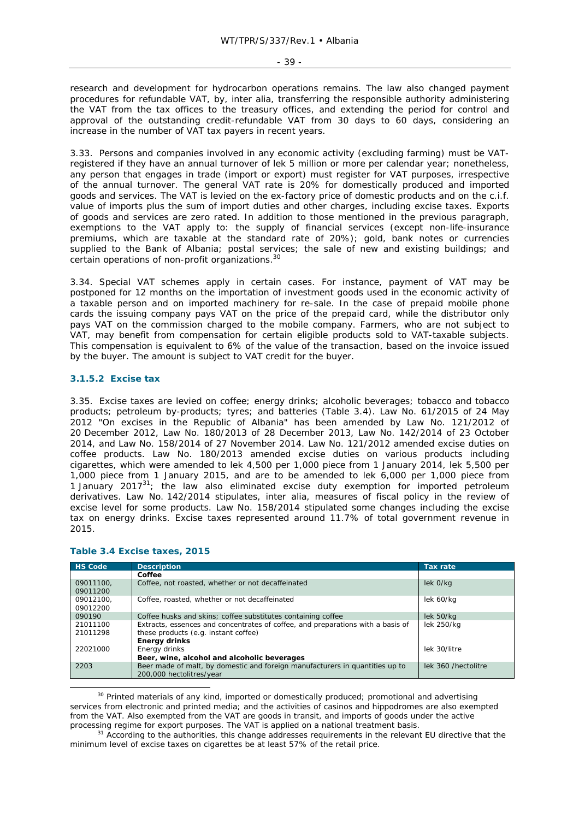research and development for hydrocarbon operations remains. The law also changed payment procedures for refundable VAT, by, *inter alia,* transferring the responsible authority administering the VAT from the tax offices to the treasury offices, and extending the period for control and approval of the outstanding credit-refundable VAT from 30 days to 60 days, considering an increase in the number of VAT tax payers in recent years.

3.33. Persons and companies involved in any economic activity (excluding farming) must be VATregistered if they have an annual turnover of lek 5 million or more per calendar year; nonetheless, any person that engages in trade (import or export) must register for VAT purposes, irrespective of the annual turnover. The general VAT rate is 20% for domestically produced and imported goods and services. The VAT is levied on the ex-factory price of domestic products and on the c.i.f. value of imports plus the sum of import duties and other charges, including excise taxes. Exports of goods and services are zero rated. In addition to those mentioned in the previous paragraph, exemptions to the VAT apply to: the supply of financial services (except non-life-insurance premiums, which are taxable at the standard rate of 20%); gold, bank notes or currencies supplied to the Bank of Albania; postal services; the sale of new and existing buildings; and certain operations of non-profit organizations.30

3.34. Special VAT schemes apply in certain cases. For instance, payment of VAT may be postponed for 12 months on the importation of investment goods used in the economic activity of a taxable person and on imported machinery for re-sale. In the case of prepaid mobile phone cards the issuing company pays VAT on the price of the prepaid card, while the distributor only pays VAT on the commission charged to the mobile company. Farmers, who are not subject to VAT, may benefit from compensation for certain eligible products sold to VAT-taxable subjects. This compensation is equivalent to 6% of the value of the transaction, based on the invoice issued by the buyer. The amount is subject to VAT credit for the buyer.

### **3.1.5.2 Excise tax**

3.35. Excise taxes are levied on coffee; energy drinks; alcoholic beverages; tobacco and tobacco products; petroleum by-products; tyres; and batteries (Table 3.4). Law No. 61/2015 of 24 May 2012 "On excises in the Republic of Albania" has been amended by Law No. 121/2012 of 20 December 2012, Law No. 180/2013 of 28 December 2013, Law No. 142/2014 of 23 October 2014, and Law No. 158/2014 of 27 November 2014. Law No. 121/2012 amended excise duties on coffee products. Law No. 180/2013 amended excise duties on various products including cigarettes, which were amended to lek 4,500 per 1,000 piece from 1 January 2014, lek 5,500 per 1,000 piece from 1 January 2015, and are to be amended to lek 6,000 per 1,000 piece from 1 January 2017 $31$ ; the law also eliminated excise duty exemption for imported petroleum derivatives. Law No. 142/2014 stipulates, *inter alia,* measures of fiscal policy in the review of excise level for some products. Law No. 158/2014 stipulated some changes including the excise tax on energy drinks. Excise taxes represented around 11.7% of total government revenue in 2015.

| <b>HS Code</b> | <b>Description</b>                                                              | <b>Tax rate</b>      |
|----------------|---------------------------------------------------------------------------------|----------------------|
|                | Coffee                                                                          |                      |
| 09011100,      | Coffee, not roasted, whether or not decaffeinated                               | lek 0/kg             |
| 09011200       |                                                                                 |                      |
| 09012100.      | Coffee, roasted, whether or not decaffeinated                                   | lek 60/kg            |
| 09012200       |                                                                                 |                      |
| 090190         | Coffee husks and skins; coffee substitutes containing coffee                    | lek 50/kg            |
| 21011100       | Extracts, essences and concentrates of coffee, and preparations with a basis of | lek 250/kg           |
| 21011298       | these products (e.g. instant coffee)                                            |                      |
|                | <b>Energy drinks</b>                                                            |                      |
| 22021000       | Energy drinks                                                                   | lek 30/litre         |
|                | Beer, wine, alcohol and alcoholic beverages                                     |                      |
| 2203           | Beer made of malt, by domestic and foreign manufacturers in quantities up to    | lek 360 / hectolitre |
|                | 200,000 hectolitres/year                                                        |                      |

#### **Table 3.4 Excise taxes, 2015**

<sup>30</sup> Printed materials of any kind, imported or domestically produced; promotional and advertising services from electronic and printed media; and the activities of casinos and hippodromes are also exempted from the VAT. Also exempted from the VAT are goods in transit, and imports of goods under the active processing regime for export purposes. The VAT is applied on a national treatment basis.<br><sup>31</sup> According to the authorities, this change addresses requirements in the relevant EU directive that the

minimum level of excise taxes on cigarettes be at least 57% of the retail price.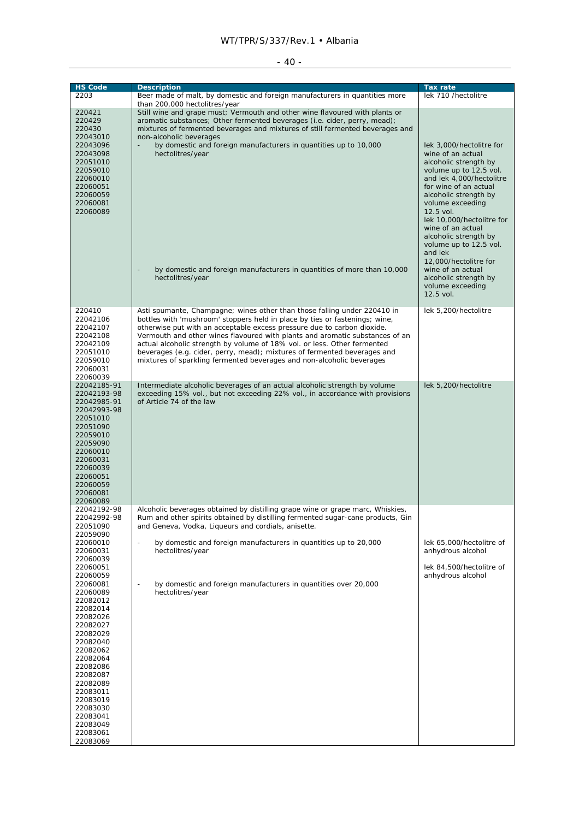## $-40 -$

| <b>HS Code</b><br>2203                                                                                                                                                                                                                                   | <b>Description</b><br>Beer made of malt, by domestic and foreign manufacturers in quantities more<br>than 200,000 hectolitres/year                                                                                                                                                                                                                                                                                                                                                                                                                  | <b>Tax rate</b><br>lek 710 /hectolitre                                                                                                                                                                                                                                                                                                                                                                                                  |
|----------------------------------------------------------------------------------------------------------------------------------------------------------------------------------------------------------------------------------------------------------|-----------------------------------------------------------------------------------------------------------------------------------------------------------------------------------------------------------------------------------------------------------------------------------------------------------------------------------------------------------------------------------------------------------------------------------------------------------------------------------------------------------------------------------------------------|-----------------------------------------------------------------------------------------------------------------------------------------------------------------------------------------------------------------------------------------------------------------------------------------------------------------------------------------------------------------------------------------------------------------------------------------|
| 220421<br>220429<br>220430<br>22043010                                                                                                                                                                                                                   | Still wine and grape must; Vermouth and other wine flavoured with plants or<br>aromatic substances; Other fermented beverages (i.e. cider, perry, mead);<br>mixtures of fermented beverages and mixtures of still fermented beverages and<br>non-alcoholic beverages                                                                                                                                                                                                                                                                                |                                                                                                                                                                                                                                                                                                                                                                                                                                         |
| 22043096<br>22043098<br>22051010<br>22059010<br>22060010<br>22060051<br>22060059<br>22060081<br>22060089                                                                                                                                                 | by domestic and foreign manufacturers in quantities up to 10,000<br>$\overline{\phantom{a}}$<br>hectolitres/year<br>by domestic and foreign manufacturers in quantities of more than 10,000<br>hectolitres/year                                                                                                                                                                                                                                                                                                                                     | lek 3,000/hectolitre for<br>wine of an actual<br>alcoholic strength by<br>volume up to 12.5 vol.<br>and lek 4,000/hectolitre<br>for wine of an actual<br>alcoholic strength by<br>volume exceeding<br>12.5 vol.<br>lek 10,000/hectolitre for<br>wine of an actual<br>alcoholic strength by<br>volume up to 12.5 vol.<br>and lek<br>12,000/hectolitre for<br>wine of an actual<br>alcoholic strength by<br>volume exceeding<br>12.5 vol. |
| 220410<br>22042106<br>22042107<br>22042108<br>22042109<br>22051010<br>22059010<br>22060031<br>22060039                                                                                                                                                   | Asti spumante, Champagne; wines other than those falling under 220410 in<br>bottles with 'mushroom' stoppers held in place by ties or fastenings; wine,<br>otherwise put with an acceptable excess pressure due to carbon dioxide.<br>Vermouth and other wines flavoured with plants and aromatic substances of an<br>actual alcoholic strength by volume of 18% vol. or less. Other fermented<br>beverages (e.g. cider, perry, mead); mixtures of fermented beverages and<br>mixtures of sparkling fermented beverages and non-alcoholic beverages | lek 5,200/hectolitre                                                                                                                                                                                                                                                                                                                                                                                                                    |
| 22042185-91<br>22042193-98<br>22042985-91<br>22042993-98<br>22051010<br>22051090<br>22059010<br>22059090<br>22060010<br>22060031<br>22060039<br>22060051<br>22060059<br>22060081<br>22060089                                                             | Intermediate alcoholic beverages of an actual alcoholic strength by volume<br>exceeding 15% vol., but not exceeding 22% vol., in accordance with provisions<br>of Article 74 of the law                                                                                                                                                                                                                                                                                                                                                             | lek 5,200/hectolitre                                                                                                                                                                                                                                                                                                                                                                                                                    |
| 22042192-98<br>22042992-98<br>22051090<br>22059090                                                                                                                                                                                                       | Alcoholic beverages obtained by distilling grape wine or grape marc, Whiskies,<br>Rum and other spirits obtained by distilling fermented sugar-cane products, Gin<br>and Geneva, Vodka, Liqueurs and cordials, anisette.                                                                                                                                                                                                                                                                                                                            |                                                                                                                                                                                                                                                                                                                                                                                                                                         |
| 22060010<br>22060031<br>22060039<br>22060051                                                                                                                                                                                                             | $\mathbb{Z}^2$<br>by domestic and foreign manufacturers in quantities up to 20,000<br>hectolitres/vear                                                                                                                                                                                                                                                                                                                                                                                                                                              | lek 65,000/hectolitre of<br>anhydrous alcohol<br>lek 84,500/hectolitre of                                                                                                                                                                                                                                                                                                                                                               |
| 22060059<br>22060081<br>22060089<br>22082012<br>22082014<br>22082026<br>22082027<br>22082029<br>22082040<br>22082062<br>22082064<br>22082086<br>22082087<br>22082089<br>22083011<br>22083019<br>22083030<br>22083041<br>22083049<br>22083061<br>22083069 | by domestic and foreign manufacturers in quantities over 20,000<br>$\overline{\phantom{a}}$<br>hectolitres/year                                                                                                                                                                                                                                                                                                                                                                                                                                     | anhydrous alcohol                                                                                                                                                                                                                                                                                                                                                                                                                       |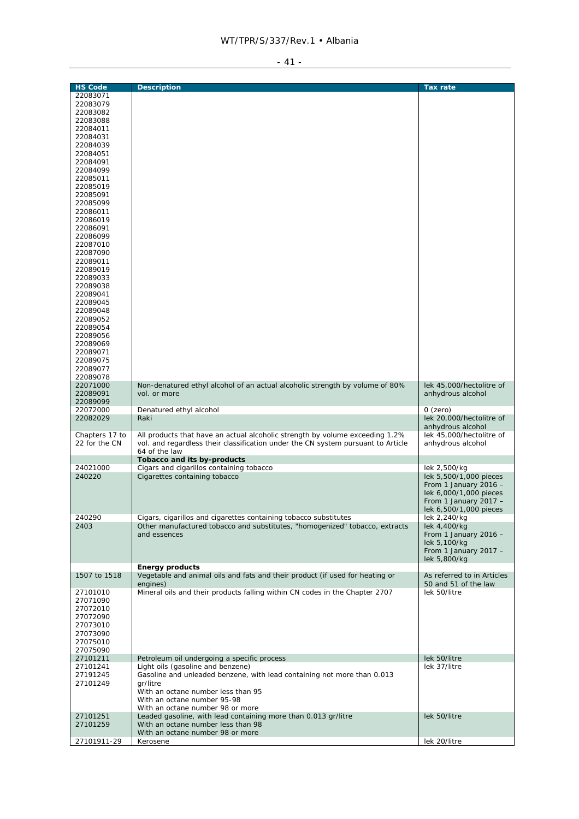| the contract of the contract of the |  |
|-------------------------------------|--|
|                                     |  |

| <b>HS Code</b>       | <b>Description</b>                                                                                   | <b>Tax rate</b>                                 |
|----------------------|------------------------------------------------------------------------------------------------------|-------------------------------------------------|
| 22083071             |                                                                                                      |                                                 |
| 22083079             |                                                                                                      |                                                 |
| 22083082             |                                                                                                      |                                                 |
| 22083088             |                                                                                                      |                                                 |
| 22084011             |                                                                                                      |                                                 |
| 22084031             |                                                                                                      |                                                 |
| 22084039             |                                                                                                      |                                                 |
| 22084051             |                                                                                                      |                                                 |
| 22084091             |                                                                                                      |                                                 |
| 22084099             |                                                                                                      |                                                 |
| 22085011             |                                                                                                      |                                                 |
| 22085019             |                                                                                                      |                                                 |
| 22085091             |                                                                                                      |                                                 |
| 22085099<br>22086011 |                                                                                                      |                                                 |
|                      |                                                                                                      |                                                 |
| 22086019             |                                                                                                      |                                                 |
| 22086091             |                                                                                                      |                                                 |
| 22086099<br>22087010 |                                                                                                      |                                                 |
| 22087090             |                                                                                                      |                                                 |
| 22089011             |                                                                                                      |                                                 |
| 22089019             |                                                                                                      |                                                 |
| 22089033             |                                                                                                      |                                                 |
| 22089038             |                                                                                                      |                                                 |
| 22089041             |                                                                                                      |                                                 |
| 22089045             |                                                                                                      |                                                 |
| 22089048             |                                                                                                      |                                                 |
| 22089052             |                                                                                                      |                                                 |
| 22089054             |                                                                                                      |                                                 |
| 22089056             |                                                                                                      |                                                 |
| 22089069             |                                                                                                      |                                                 |
| 22089071             |                                                                                                      |                                                 |
| 22089075             |                                                                                                      |                                                 |
| 22089077             |                                                                                                      |                                                 |
| 22089078             |                                                                                                      |                                                 |
| 22071000             | Non-denatured ethyl alcohol of an actual alcoholic strength by volume of 80%                         | lek 45,000/hectolitre of                        |
| 22089091             | vol. or more                                                                                         | anhydrous alcohol                               |
| 22089099             |                                                                                                      |                                                 |
| 22072000             | Denatured ethyl alcohol                                                                              | $O$ (zero)                                      |
| 22082029             | Raki                                                                                                 | lek 20,000/hectolitre of                        |
|                      |                                                                                                      | anhydrous alcohol                               |
| Chapters 17 to       | All products that have an actual alcoholic strength by volume exceeding 1.2%                         | lek 45,000/hectolitre of                        |
| 22 for the CN        | vol. and regardless their classification under the CN system pursuant to Article                     | anhydrous alcohol                               |
|                      | 64 of the law                                                                                        |                                                 |
|                      | Tobacco and its by-products                                                                          |                                                 |
| 24021000             | Cigars and cigarillos containing tobacco                                                             | lek 2,500/kg<br>lek 5,500/1,000 pieces          |
| 240220               | Cigarettes containing tobacco                                                                        |                                                 |
|                      |                                                                                                      | From 1 January 2016 -                           |
|                      |                                                                                                      | lek 6,000/1,000 pieces                          |
|                      |                                                                                                      | From 1 January 2017 -<br>lek 6,500/1,000 pieces |
| 240290               | Cigars, cigarillos and cigarettes containing tobacco substitutes                                     | lek 2,240/kg                                    |
| 2403                 | Other manufactured tobacco and substitutes, "homogenized" tobacco, extracts                          | lek 4.400/ka                                    |
|                      | and essences                                                                                         | From 1 January 2016 -                           |
|                      |                                                                                                      | lek 5,100/kg                                    |
|                      |                                                                                                      | From 1 January 2017 -                           |
|                      |                                                                                                      | lek 5,800/kg                                    |
|                      | <b>Energy products</b>                                                                               |                                                 |
| 1507 to 1518         | Vegetable and animal oils and fats and their product (if used for heating or                         | As referred to in Articles                      |
|                      | engines)                                                                                             | 50 and 51 of the law                            |
| 27101010             | Mineral oils and their products falling within CN codes in the Chapter 2707                          | lek 50/litre                                    |
| 27071090             |                                                                                                      |                                                 |
| 27072010             |                                                                                                      |                                                 |
| 27072090             |                                                                                                      |                                                 |
| 27073010             |                                                                                                      |                                                 |
| 27073090             |                                                                                                      |                                                 |
| 27075010             |                                                                                                      |                                                 |
| 27075090             |                                                                                                      |                                                 |
| 27101211             | Petroleum oil undergoing a specific process                                                          | lek 50/litre                                    |
| 27101241             | Light oils (gasoline and benzene)                                                                    | lek 37/litre                                    |
| 27191245             | Gasoline and unleaded benzene, with lead containing not more than 0.013                              |                                                 |
| 27101249             | gr/litre                                                                                             |                                                 |
|                      | With an octane number less than 95                                                                   |                                                 |
|                      | With an octane number 95-98                                                                          |                                                 |
|                      | With an octane number 98 or more                                                                     |                                                 |
| 27101251<br>27101259 | Leaded gasoline, with lead containing more than 0.013 gr/litre<br>With an octane number less than 98 | lek 50/litre                                    |
|                      | With an octane number 98 or more                                                                     |                                                 |
| 27101911-29          | Kerosene                                                                                             | lek 20/litre                                    |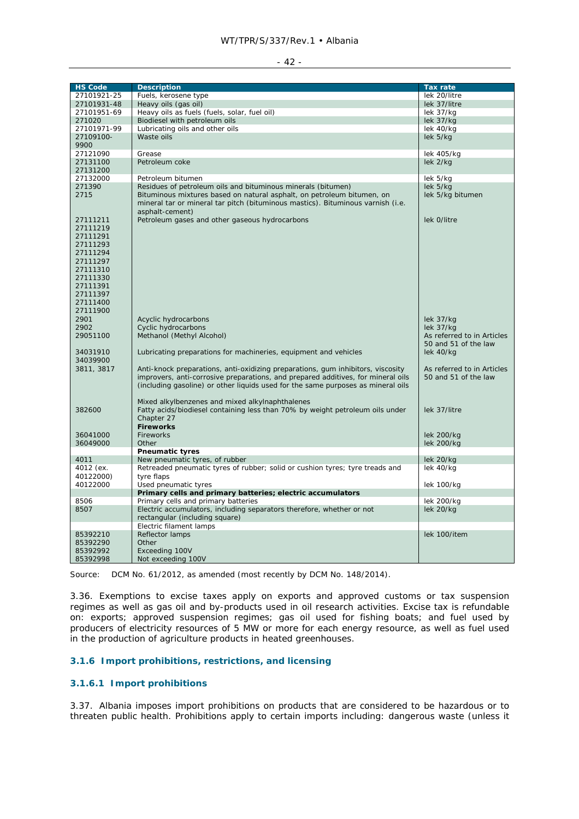| × |  |
|---|--|
|---|--|

| <b>HS Code</b> | <b>Description</b>                                                               | <b>Tax rate</b>            |
|----------------|----------------------------------------------------------------------------------|----------------------------|
| 27101921-25    | Fuels, kerosene type                                                             | lek 20/litre               |
| 27101931-48    | Heavy oils (gas oil)                                                             | lek 37/litre               |
| 27101951-69    | Heavy oils as fuels (fuels, solar, fuel oil)                                     | lek $37/kg$                |
| 271020         | Biodiesel with petroleum oils                                                    | $lek$ 37/ $kq$             |
| 27101971-99    | Lubricating oils and other oils                                                  | lek 40/kg                  |
| 27109100-      | Waste oils                                                                       | lek 5/kg                   |
| 9900           |                                                                                  |                            |
| 27121090       | Grease                                                                           | lek 405/kg                 |
| 27131100       | Petroleum coke                                                                   | lek 2/kg                   |
| 27131200       |                                                                                  |                            |
| 27132000       | Petroleum bitumen                                                                | lek 5/kg                   |
| 271390         | Residues of petroleum oils and bituminous minerals (bitumen)                     | lek 5/kg                   |
|                |                                                                                  |                            |
| 2715           | Bituminous mixtures based on natural asphalt, on petroleum bitumen, on           | lek 5/kg bitumen           |
|                | mineral tar or mineral tar pitch (bituminous mastics). Bituminous varnish (i.e.  |                            |
|                | asphalt-cement)                                                                  |                            |
| 27111211       | Petroleum gases and other gaseous hydrocarbons                                   | lek 0/litre                |
| 27111219       |                                                                                  |                            |
| 27111291       |                                                                                  |                            |
| 27111293       |                                                                                  |                            |
| 27111294       |                                                                                  |                            |
| 27111297       |                                                                                  |                            |
| 27111310       |                                                                                  |                            |
| 27111330       |                                                                                  |                            |
| 27111391       |                                                                                  |                            |
| 27111397       |                                                                                  |                            |
|                |                                                                                  |                            |
| 27111400       |                                                                                  |                            |
| 27111900       |                                                                                  |                            |
| 2901           | Acyclic hydrocarbons                                                             | lek 37/kg                  |
| 2902           | <b>Cyclic hydrocarbons</b>                                                       | lek 37/kg                  |
| 29051100       | Methanol (Methyl Alcohol)                                                        | As referred to in Articles |
|                |                                                                                  | 50 and 51 of the law       |
| 34031910       | Lubricating preparations for machineries, equipment and vehicles                 | lek 40/kg                  |
| 34039900       |                                                                                  |                            |
| 3811, 3817     | Anti-knock preparations, anti-oxidizing preparations, gum inhibitors, viscosity  | As referred to in Articles |
|                | improvers, anti-corrosive preparations, and prepared additives, for mineral oils | 50 and 51 of the law       |
|                | (including gasoline) or other liquids used for the same purposes as mineral oils |                            |
|                |                                                                                  |                            |
|                |                                                                                  |                            |
|                | Mixed alkylbenzenes and mixed alkylnaphthalenes                                  |                            |
| 382600         | Fatty acids/biodiesel containing less than 70% by weight petroleum oils under    | lek 37/litre               |
|                | Chapter 27                                                                       |                            |
|                | <b>Fireworks</b>                                                                 |                            |
| 36041000       | <b>Fireworks</b>                                                                 | lek 200/kg                 |
| 36049000       | Other                                                                            | lek 200/kg                 |
|                | <b>Pneumatic tyres</b>                                                           |                            |
| 4011           | New pneumatic tyres, of rubber                                                   | lek 20/kg                  |
| 4012 (ex.      | Retreaded pneumatic tyres of rubber; solid or cushion tyres; tyre treads and     | lek 40/kg                  |
| 40122000)      | tyre flaps                                                                       |                            |
| 40122000       | Used pneumatic tyres                                                             | lek 100/kg                 |
|                | Primary cells and primary batteries; electric accumulators                       |                            |
| 8506           | Primary cells and primary batteries                                              | lek 200/kg                 |
| 8507           | Electric accumulators, including separators therefore, whether or not            | lek 20/kg                  |
|                |                                                                                  |                            |
|                | rectangular (including square)                                                   |                            |
|                | Electric filament lamps                                                          |                            |
| 85392210       | Reflector lamps                                                                  | lek 100/item               |
| 85392290       | Other                                                                            |                            |
| 85392992       | Exceeding 100V                                                                   |                            |
| 85392998       | Not exceeding 100V                                                               |                            |

Source: DCM No. 61/2012, as amended (most recently by DCM No. 148/2014).

3.36. Exemptions to excise taxes apply on exports and approved customs or tax suspension regimes as well as gas oil and by-products used in oil research activities. Excise tax is refundable on: exports; approved suspension regimes; gas oil used for fishing boats; and fuel used by producers of electricity resources of 5 MW or more for each energy resource, as well as fuel used in the production of agriculture products in heated greenhouses.

### **3.1.6 Import prohibitions, restrictions, and licensing**

### **3.1.6.1 Import prohibitions**

3.37. Albania imposes import prohibitions on products that are considered to be hazardous or to threaten public health. Prohibitions apply to certain imports including: dangerous waste (unless it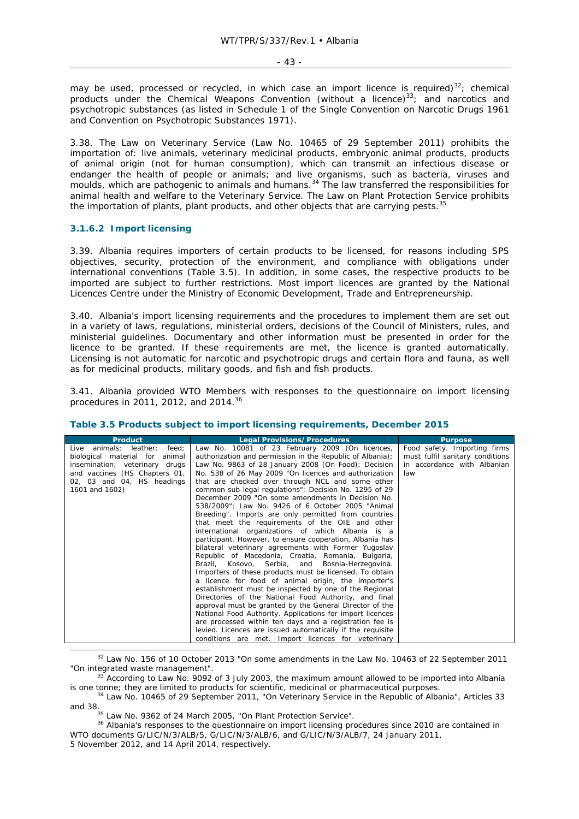may be used, processed or recycled, in which case an import licence is required)<sup>32</sup>; chemical products under the Chemical Weapons Convention (without a licence) $^{33}$ ; and narcotics and psychotropic substances (as listed in Schedule 1 of the Single Convention on Narcotic Drugs 1961 and Convention on Psychotropic Substances 1971).

3.38. The Law on Veterinary Service (Law No. 10465 of 29 September 2011) prohibits the importation of: live animals, veterinary medicinal products, embryonic animal products, products of animal origin (not for human consumption), which can transmit an infectious disease or endanger the health of people or animals; and live organisms, such as bacteria, viruses and moulds, which are pathogenic to animals and humans.<sup>34</sup> The law transferred the responsibilities for animal health and welfare to the Veterinary Service. The Law on Plant Protection Service prohibits the importation of plants, plant products, and other objects that are carrying pests. $35$ 

### **3.1.6.2 Import licensing**

3.39. Albania requires importers of certain products to be licensed, for reasons including SPS objectives, security, protection of the environment, and compliance with obligations under international conventions (Table 3.5). In addition, in some cases, the respective products to be imported are subject to further restrictions. Most import licences are granted by the National Licences Centre under the Ministry of Economic Development, Trade and Entrepreneurship.

3.40. Albania's import licensing requirements and the procedures to implement them are set out in a variety of laws, regulations, ministerial orders, decisions of the Council of Ministers, rules, and ministerial guidelines. Documentary and other information must be presented in order for the licence to be granted. If these requirements are met, the licence is granted automatically. Licensing is not automatic for narcotic and psychotropic drugs and certain flora and fauna, as well as for medicinal products, military goods, and fish and fish products.

3.41. Albania provided WTO Members with responses to the questionnaire on import licensing procedures in 2011, 2012, and 2014.36

#### **Table 3.5 Products subject to import licensing requirements, December 2015**

| <b>Product</b>                     | <b>Legal Provisions/Procedures</b>                         | <b>Purpose</b>                  |
|------------------------------------|------------------------------------------------------------|---------------------------------|
| animals; leather;<br>feed;<br>Live | Law No. 10081 of 23 February 2009 (On licences,            | Food safety. Importing firms    |
| biological material for<br>animal  | authorization and permission in the Republic of Albania);  | must fulfil sanitary conditions |
| insemination; veterinary drugs     | Law No. 9863 of 28 January 2008 (On Food); Decision        | in accordance with Albanian     |
| and vaccines (HS Chapters 01,      | No. 538 of 26 May 2009 "On licences and authorization      | law                             |
| 02, 03 and 04, HS headings         | that are checked over through NCL and some other           |                                 |
| 1601 and 1602)                     | common sub-legal regulations"; Decision No. 1295 of 29     |                                 |
|                                    | December 2009 "On some amendments in Decision No.          |                                 |
|                                    | 538/2009"; Law No. 9426 of 6 October 2005 "Animal          |                                 |
|                                    | Breeding". Imports are only permitted from countries       |                                 |
|                                    | that meet the requirements of the OIE and other            |                                 |
|                                    | international organizations of which Albania is a          |                                 |
|                                    | participant. However, to ensure cooperation, Albania has   |                                 |
|                                    | bilateral veterinary agreements with Former Yugoslav       |                                 |
|                                    | Republic of Macedonia, Croatia, Romania, Bulgaria,         |                                 |
|                                    | Brazil, Kosovo, Serbia, and Bosnia-Herzegovina.            |                                 |
|                                    | Importers of these products must be licensed. To obtain    |                                 |
|                                    | a licence for food of animal origin, the importer's        |                                 |
|                                    | establishment must be inspected by one of the Regional     |                                 |
|                                    | Directories of the National Food Authority, and final      |                                 |
|                                    | approval must be granted by the General Director of the    |                                 |
|                                    | National Food Authority. Applications for import licences  |                                 |
|                                    | are processed within ten days and a registration fee is    |                                 |
|                                    | levied. Licences are issued automatically if the requisite |                                 |
|                                    | conditions are met. Import licences for veterinary         |                                 |

 $32$  Law No. 156 of 10 October 2013 "On some amendments in the Law No. 10463 of 22 September 2011 "On integrated waste management".<br><sup>33</sup> According to Law No. 9092 of 3 July 2003, the maximum amount allowed to be imported into Albania

is one tonne; they are limited to products for scientific, medicinal or pharmaceutical purposes.<br><sup>34</sup> Law No. 10465 of 29 September 2011, "On Veterinary Service in the Republic of Albania", Articles 33

and 38.<br><sup>35</sup> Law No. 9362 of 24 March 2005, "On Plant Protection Service".<br><sup>36</sup> Albania's responses to the questionnaire on import licensing procedures since 2010 are contained in WTO documents G/LIC/N/3/ALB/5, G/LIC/N/3/ALB/6, and G/LIC/N/3/ALB/7, 24 January 2011, 5 November 2012, and 14 April 2014, respectively.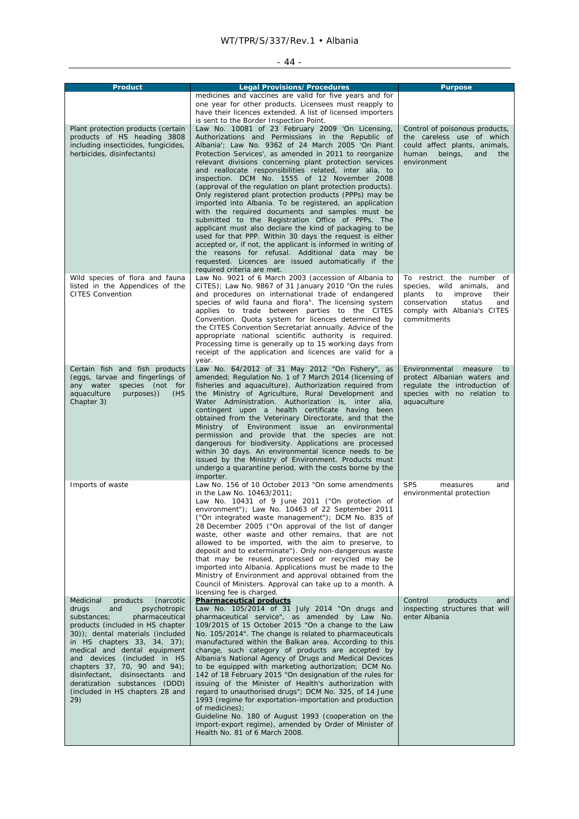# - 44 -

| <b>Product</b>                                                       | <b>Legal Provisions/Procedures</b><br>medicines and vaccines are valid for five years and for                         | <b>Purpose</b>                                                    |
|----------------------------------------------------------------------|-----------------------------------------------------------------------------------------------------------------------|-------------------------------------------------------------------|
|                                                                      | one year for other products. Licensees must reapply to                                                                |                                                                   |
|                                                                      | have their licences extended. A list of licensed importers                                                            |                                                                   |
| Plant protection products (certain                                   | is sent to the Border Inspection Point.<br>Law No. 10081 of 23 February 2009 'On Licensing,                           | Control of poisonous products,                                    |
| products of HS heading 3808                                          | Authorizations and Permissions in the Republic of                                                                     | the careless use of which                                         |
| including insecticides, fungicides,                                  | Albania'; Law No. 9362 of 24 March 2005 'On Plant                                                                     | could affect plants, animals,                                     |
| herbicides, disinfectants)                                           | Protection Services', as amended in 2011 to reorganize<br>relevant divisions concerning plant protection services     | human<br>beings,<br>and<br>the<br>environment                     |
|                                                                      | and reallocate responsibilities related, inter alia, to                                                               |                                                                   |
|                                                                      | inspection. DCM No. 1555 of 12 November 2008                                                                          |                                                                   |
|                                                                      | (approval of the regulation on plant protection products).<br>Only registered plant protection products (PPPs) may be |                                                                   |
|                                                                      | imported into Albania. To be registered, an application                                                               |                                                                   |
|                                                                      | with the required documents and samples must be                                                                       |                                                                   |
|                                                                      | submitted to the Registration Office of PPPs. The<br>applicant must also declare the kind of packaging to be          |                                                                   |
|                                                                      | used for that PPP. Within 30 days the request is either                                                               |                                                                   |
|                                                                      | accepted or, if not, the applicant is informed in writing of                                                          |                                                                   |
|                                                                      | the reasons for refusal. Additional data may be<br>requested. Licences are issued automatically if the                |                                                                   |
|                                                                      | required criteria are met.                                                                                            |                                                                   |
| Wild species of flora and fauna                                      | Law No. 9021 of 6 March 2003 (accession of Albania to                                                                 | To restrict the number of                                         |
| listed in the Appendices of the<br><b>CITES Convention</b>           | CITES); Law No. 9867 of 31 January 2010 "On the rules<br>and procedures on international trade of endangered          | species, wild animals,<br>and<br>plants<br>to<br>improve<br>their |
|                                                                      | species of wild fauna and flora". The licensing system                                                                | conservation<br>status<br>and                                     |
|                                                                      | applies to trade between parties to the CITES                                                                         | comply with Albania's CITES                                       |
|                                                                      | Convention. Quota system for licences determined by<br>the CITES Convention Secretariat annually. Advice of the       | commitments                                                       |
|                                                                      | appropriate national scientific authority is required.                                                                |                                                                   |
|                                                                      | Processing time is generally up to 15 working days from                                                               |                                                                   |
|                                                                      | receipt of the application and licences are valid for a<br>year.                                                      |                                                                   |
| Certain fish and fish products                                       | Law No. 64/2012 of 31 May 2012 "On Fishery", as                                                                       | Environmental measure<br>to                                       |
| (eggs, larvae and fingerlings of<br>any water species (not for       | amended; Regulation No. 1 of 7 March 2014 (licensing of<br>fisheries and aquaculture). Authorization required from    | protect Albanian waters and<br>regulate the introduction of       |
| aquaculture<br>purposes))<br>(HS                                     | the Ministry of Agriculture, Rural Development and                                                                    | species with no relation to                                       |
| Chapter 3)                                                           | Water Administration. Authorization is, <i>inter alia</i> ,                                                           | aquaculture                                                       |
|                                                                      | contingent upon a health certificate having been<br>obtained from the Veterinary Directorate, and that the            |                                                                   |
|                                                                      | Ministry of Environment issue an environmental                                                                        |                                                                   |
|                                                                      | permission and provide that the species are not                                                                       |                                                                   |
|                                                                      | dangerous for biodiversity. Applications are processed<br>within 30 days. An environmental licence needs to be        |                                                                   |
|                                                                      | issued by the Ministry of Environment. Products must                                                                  |                                                                   |
|                                                                      | undergo a quarantine period, with the costs borne by the<br>importer.                                                 |                                                                   |
| Imports of waste                                                     | Law No. 156 of 10 October 2013 "On some amendments                                                                    | <b>SPS</b><br>measures<br>and                                     |
|                                                                      | in the Law No. 10463/2011:<br>Law No. 10431 of 9 June 2011 ("On protection of                                         | environmental protection                                          |
|                                                                      | environment"); Law No. 10463 of 22 September 2011                                                                     |                                                                   |
|                                                                      | ("On integrated waste management"); DCM No. 835 of                                                                    |                                                                   |
|                                                                      | 28 December 2005 ("On approval of the list of danger<br>waste, other waste and other remains, that are not            |                                                                   |
|                                                                      | allowed to be imported, with the aim to preserve, to                                                                  |                                                                   |
|                                                                      | deposit and to exterminate"). Only non-dangerous waste                                                                |                                                                   |
|                                                                      | that may be reused, processed or recycled may be<br>imported into Albania. Applications must be made to the           |                                                                   |
|                                                                      | Ministry of Environment and approval obtained from the                                                                |                                                                   |
|                                                                      | Council of Ministers. Approval can take up to a month. A                                                              |                                                                   |
| Medicinal<br>(narcotic<br>products                                   | licensing fee is charged.<br><b>Pharmaceutical products</b>                                                           | products<br>Control<br>and                                        |
| psychotropic<br>drugs<br>and                                         | Law No. 105/2014 of 31 July 2014 "On drugs and                                                                        | inspecting structures that will                                   |
| substances;<br>pharmaceutical                                        | pharmaceutical service", as amended by Law No.                                                                        | enter Albania                                                     |
| products (included in HS chapter<br>30)); dental materials (included | 109/2015 of 15 October 2015 "On a change to the Law<br>No. 105/2014". The change is related to pharmaceuticals        |                                                                   |
| in HS chapters $33, 34, 37$ ;                                        | manufactured within the Balkan area. According to this                                                                |                                                                   |
| medical and dental equipment                                         | change, such category of products are accepted by                                                                     |                                                                   |
| and devices (included in HS<br>chapters 37, 70, 90 and 94);          | Albania's National Agency of Drugs and Medical Devices<br>to be equipped with marketing authorization; DCM No.        |                                                                   |
| disinfectant, disinsectants and                                      | 142 of 18 February 2015 "On designation of the rules for                                                              |                                                                   |
| deratization substances (DDD)                                        | issuing of the Minister of Health's authorization with                                                                |                                                                   |
| (included in HS chapters 28 and<br>29)                               | regard to unauthorised drugs"; DCM No. 325, of 14 June<br>1993 (regime for exportation-importation and production     |                                                                   |
|                                                                      | of medicines);                                                                                                        |                                                                   |
|                                                                      | Guideline No. 180 of August 1993 (cooperation on the                                                                  |                                                                   |
|                                                                      | import-export regime), amended by Order of Minister of<br>Health No. 81 of 6 March 2008.                              |                                                                   |
|                                                                      |                                                                                                                       |                                                                   |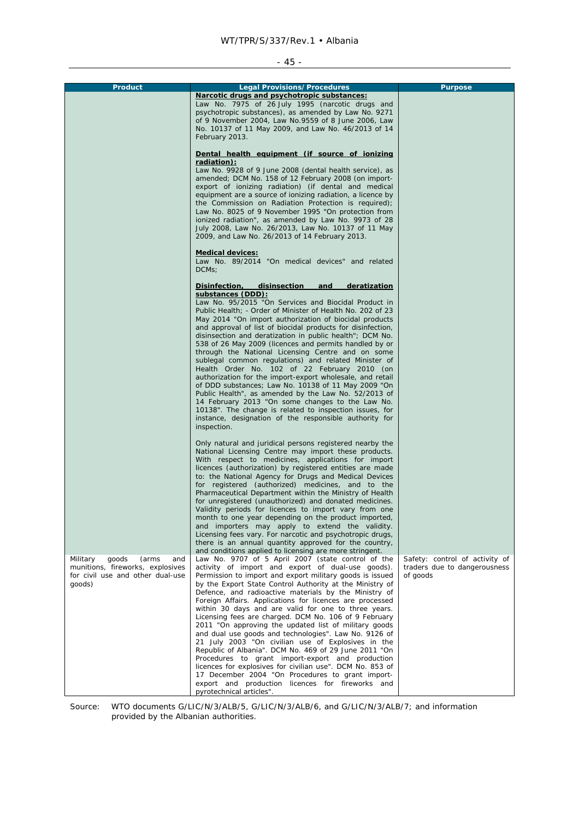#### - 45 -

| <b>Product</b>                    | <b>Legal Provisions/Procedures</b>                                                                                    | <b>Purpose</b>                 |
|-----------------------------------|-----------------------------------------------------------------------------------------------------------------------|--------------------------------|
|                                   | Narcotic drugs and psychotropic substances:                                                                           |                                |
|                                   | Law No. 7975 of 26 July 1995 (narcotic drugs and<br>psychotropic substances), as amended by Law No. 9271              |                                |
|                                   | of 9 November 2004, Law No.9559 of 8 June 2006, Law                                                                   |                                |
|                                   | No. 10137 of 11 May 2009, and Law No. 46/2013 of 14                                                                   |                                |
|                                   | February 2013.                                                                                                        |                                |
|                                   |                                                                                                                       |                                |
|                                   | Dental health equipment (if source of ionizing                                                                        |                                |
|                                   | radiation):                                                                                                           |                                |
|                                   | Law No. 9928 of 9 June 2008 (dental health service), as                                                               |                                |
|                                   | amended; DCM No. 158 of 12 February 2008 (on import-<br>export of ionizing radiation) (if dental and medical          |                                |
|                                   | equipment are a source of ionizing radiation, a licence by                                                            |                                |
|                                   | the Commission on Radiation Protection is required);                                                                  |                                |
|                                   | Law No. 8025 of 9 November 1995 "On protection from                                                                   |                                |
|                                   | ionized radiation", as amended by Law No. 9973 of 28                                                                  |                                |
|                                   | July 2008, Law No. 26/2013, Law No. 10137 of 11 May                                                                   |                                |
|                                   | 2009, and Law No. 26/2013 of 14 February 2013.                                                                        |                                |
|                                   | <b>Medical devices:</b>                                                                                               |                                |
|                                   | Law No. 89/2014 "On medical devices" and related                                                                      |                                |
|                                   | DCMs:                                                                                                                 |                                |
|                                   |                                                                                                                       |                                |
|                                   | Disinfection,<br>disinsection<br>and<br>deratization                                                                  |                                |
|                                   | substances (DDD):                                                                                                     |                                |
|                                   | Law No. 95/2015 "On Services and Biocidal Product in                                                                  |                                |
|                                   | Public Health; - Order of Minister of Health No. 202 of 23                                                            |                                |
|                                   | May 2014 "On import authorization of biocidal products<br>and approval of list of biocidal products for disinfection, |                                |
|                                   | disinsection and deratization in public health"; DCM No.                                                              |                                |
|                                   | 538 of 26 May 2009 (licences and permits handled by or                                                                |                                |
|                                   | through the National Licensing Centre and on some                                                                     |                                |
|                                   | sublegal common regulations) and related Minister of                                                                  |                                |
|                                   | Health Order No. 102 of 22 February 2010 (on                                                                          |                                |
|                                   | authorization for the import-export wholesale, and retail                                                             |                                |
|                                   | of DDD substances; Law No. 10138 of 11 May 2009 "On<br>Public Health", as amended by the Law No. 52/2013 of           |                                |
|                                   | 14 February 2013 "On some changes to the Law No.                                                                      |                                |
|                                   | 10138". The change is related to inspection issues, for                                                               |                                |
|                                   | instance, designation of the responsible authority for                                                                |                                |
|                                   | inspection.                                                                                                           |                                |
|                                   |                                                                                                                       |                                |
|                                   | Only natural and juridical persons registered nearby the                                                              |                                |
|                                   | National Licensing Centre may import these products.<br>With respect to medicines, applications for import            |                                |
|                                   | licences (authorization) by registered entities are made                                                              |                                |
|                                   | to: the National Agency for Drugs and Medical Devices                                                                 |                                |
|                                   | for registered (authorized) medicines, and to the                                                                     |                                |
|                                   | Pharmaceutical Department within the Ministry of Health                                                               |                                |
|                                   | for unregistered (unauthorized) and donated medicines.                                                                |                                |
|                                   | Validity periods for licences to import vary from one                                                                 |                                |
|                                   | month to one year depending on the product imported,<br>and importers may apply to extend the validity.               |                                |
|                                   | Licensing fees vary. For narcotic and psychotropic drugs,                                                             |                                |
|                                   | there is an annual quantity approved for the country,                                                                 |                                |
|                                   | and conditions applied to licensing are more stringent.                                                               |                                |
| Military<br>goods<br>(arms<br>and | Law No. 9707 of 5 April 2007 (state control of the                                                                    | Safety: control of activity of |
| munitions, fireworks, explosives  | activity of import and export of dual-use goods).                                                                     | traders due to dangerousness   |
| for civil use and other dual-use  | Permission to import and export military goods is issued                                                              | of goods                       |
| goods)                            | by the Export State Control Authority at the Ministry of<br>Defence, and radioactive materials by the Ministry of     |                                |
|                                   | Foreign Affairs. Applications for licences are processed                                                              |                                |
|                                   | within 30 days and are valid for one to three years.                                                                  |                                |
|                                   | Licensing fees are charged. DCM No. 106 of 9 February                                                                 |                                |
|                                   | 2011 "On approving the updated list of military goods                                                                 |                                |
|                                   | and dual use goods and technologies". Law No. 9126 of                                                                 |                                |
|                                   | 21 July 2003 "On civilian use of Explosives in the                                                                    |                                |
|                                   | Republic of Albania". DCM No. 469 of 29 June 2011 "On                                                                 |                                |
|                                   | Procedures to grant import-export and production<br>licences for explosives for civilian use". DCM No. 853 of         |                                |
|                                   | 17 December 2004 "On Procedures to grant import-                                                                      |                                |
|                                   | export and production licences for fireworks and                                                                      |                                |
|                                   | pyrotechnical articles".                                                                                              |                                |

Source: WTO documents G/LIC/N/3/ALB/5, G/LIC/N/3/ALB/6, and G/LIC/N/3/ALB/7; and information provided by the Albanian authorities.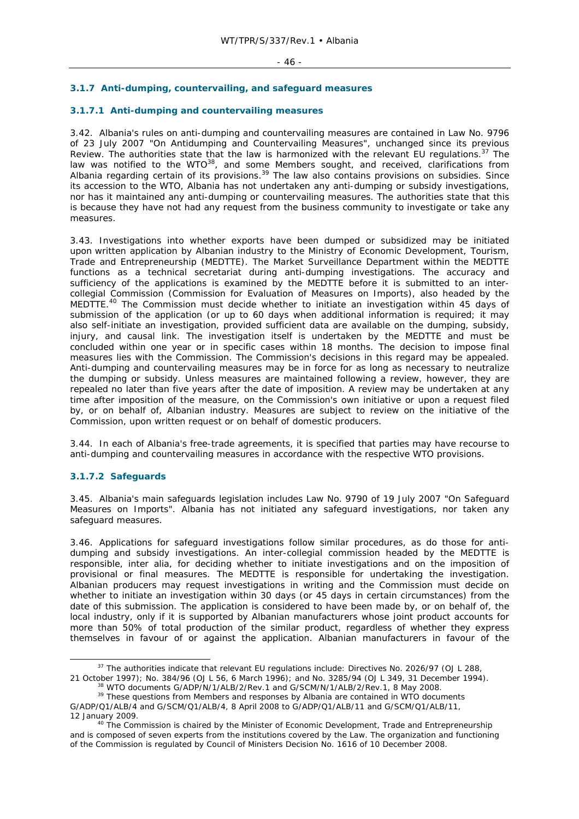### **3.1.7 Anti-dumping, countervailing, and safeguard measures**

### **3.1.7.1 Anti-dumping and countervailing measures**

3.42. Albania's rules on anti-dumping and countervailing measures are contained in Law No. 9796 of 23 July 2007 "On Antidumping and Countervailing Measures", unchanged since its previous Review. The authorities state that the law is harmonized with the relevant EU regulations.<sup>37</sup> The law was notified to the WTO $^{38}$ , and some Members sought, and received, clarifications from Albania regarding certain of its provisions.<sup>39</sup> The law also contains provisions on subsidies. Since its accession to the WTO, Albania has not undertaken any anti-dumping or subsidy investigations, nor has it maintained any anti-dumping or countervailing measures. The authorities state that this is because they have not had any request from the business community to investigate or take any measures.

3.43. Investigations into whether exports have been dumped or subsidized may be initiated upon written application by Albanian industry to the Ministry of Economic Development, Tourism, Trade and Entrepreneurship (MEDTTE). The Market Surveillance Department within the MEDTTE functions as a technical secretariat during anti-dumping investigations. The accuracy and sufficiency of the applications is examined by the MEDTTE before it is submitted to an intercollegial Commission (Commission for Evaluation of Measures on Imports), also headed by the MEDTTE.<sup>40</sup> The Commission must decide whether to initiate an investigation within 45 days of submission of the application (or up to 60 days when additional information is required; it may also self-initiate an investigation, provided sufficient data are available on the dumping, subsidy, injury, and causal link. The investigation itself is undertaken by the MEDTTE and must be concluded within one year or in specific cases within 18 months. The decision to impose final measures lies with the Commission. The Commission's decisions in this regard may be appealed. Anti-dumping and countervailing measures may be in force for as long as necessary to neutralize the dumping or subsidy. Unless measures are maintained following a review, however, they are repealed no later than five years after the date of imposition. A review may be undertaken at any time after imposition of the measure, on the Commission's own initiative or upon a request filed by, or on behalf of, Albanian industry. Measures are subject to review on the initiative of the Commission, upon written request or on behalf of domestic producers.

3.44. In each of Albania's free-trade agreements, it is specified that parties may have recourse to anti-dumping and countervailing measures in accordance with the respective WTO provisions.

#### **3.1.7.2 Safeguards**

3.45. Albania's main safeguards legislation includes Law No. 9790 of 19 July 2007 "On Safeguard Measures on Imports". Albania has not initiated any safeguard investigations, nor taken any safeguard measures.

3.46. Applications for safeguard investigations follow similar procedures, as do those for antidumping and subsidy investigations. An inter-collegial commission headed by the MEDTTE is responsible, *inter alia*, for deciding whether to initiate investigations and on the imposition of provisional or final measures. The MEDTTE is responsible for undertaking the investigation. Albanian producers may request investigations in writing and the Commission must decide on whether to initiate an investigation within 30 days (or 45 days in certain circumstances) from the date of this submission. The application is considered to have been made by, or on behalf of, the local industry, only if it is supported by Albanian manufacturers whose joint product accounts for more than 50% of total production of the similar product, regardless of whether they express themselves in favour of or against the application. Albanian manufacturers in favour of the

<sup>&</sup>lt;sup>37</sup> The authorities indicate that relevant EU regulations include: Directives No. 2026/97 (OJ L 288, 21 October 1997); No. 384/96 (OJ L 56, 6 March 1996); and No. 3285/94 (OJ L 349, 31 December 1994).

<sup>&</sup>lt;sup>38</sup> WTO documents G/ADP/N/1/ALB/2/Rev.1 and G/SCM/N/1/ALB/2/Rev.1, 8 May 2008.<br><sup>39</sup> These questions from Members and responses by Albania are contained in WTO documents

G/ADP/Q1/ALB/4 and G/SCM/Q1/ALB/4, 8 April 2008 to G/ADP/Q1/ALB/11 and G/SCM/Q1/ALB/11,

<sup>12</sup> January 2009.<br><sup>40</sup> The Commission is chaired by the Minister of Economic Development, Trade and Entrepreneurship and is composed of seven experts from the institutions covered by the Law. The organization and functioning of the Commission is regulated by Council of Ministers Decision No. 1616 of 10 December 2008.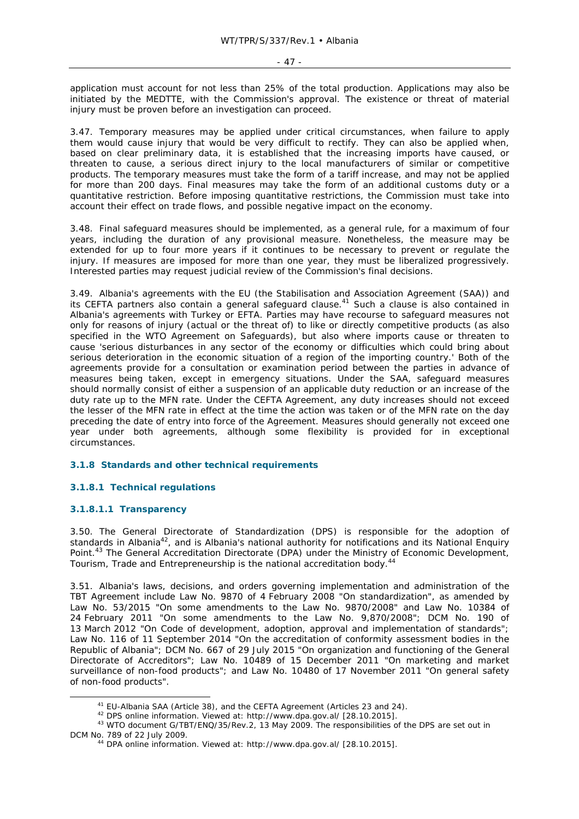application must account for not less than 25% of the total production. Applications may also be initiated by the MEDTTE, with the Commission's approval. The existence or threat of material injury must be proven before an investigation can proceed.

3.47. Temporary measures may be applied under critical circumstances, when failure to apply them would cause injury that would be very difficult to rectify. They can also be applied when, based on clear preliminary data, it is established that the increasing imports have caused, or threaten to cause, a serious direct injury to the local manufacturers of similar or competitive products. The temporary measures must take the form of a tariff increase, and may not be applied for more than 200 days. Final measures may take the form of an additional customs duty or a quantitative restriction. Before imposing quantitative restrictions, the Commission must take into account their effect on trade flows, and possible negative impact on the economy.

3.48. Final safeguard measures should be implemented, as a general rule, for a maximum of four years, including the duration of any provisional measure. Nonetheless, the measure may be extended for up to four more years if it continues to be necessary to prevent or regulate the injury. If measures are imposed for more than one year, they must be liberalized progressively. Interested parties may request judicial review of the Commission's final decisions.

3.49. Albania's agreements with the EU (the Stabilisation and Association Agreement (SAA)) and its CEFTA partners also contain a general safeguard clause.<sup>41</sup> Such a clause is also contained in Albania's agreements with Turkey or EFTA. Parties may have recourse to safeguard measures not only for reasons of injury (actual or the threat of) to like or directly competitive products (as also specified in the WTO Agreement on Safeguards), but also where imports cause or threaten to cause 'serious disturbances in any sector of the economy or difficulties which could bring about serious deterioration in the economic situation of a region of the importing country.' Both of the agreements provide for a consultation or examination period between the parties in advance of measures being taken, except in emergency situations. Under the SAA, safeguard measures should normally consist of either a suspension of an applicable duty reduction or an increase of the duty rate up to the MFN rate. Under the CEFTA Agreement, any duty increases should not exceed the lesser of the MFN rate in effect at the time the action was taken or of the MFN rate on the day preceding the date of entry into force of the Agreement. Measures should generally not exceed one year under both agreements, although some flexibility is provided for in exceptional circumstances.

### **3.1.8 Standards and other technical requirements**

### **3.1.8.1 Technical regulations**

#### **3.1.8.1.1 Transparency**

3.50. The General Directorate of Standardization (DPS) is responsible for the adoption of standards in Albania<sup>42</sup>, and is Albania's national authority for notifications and its National Enquiry Point.<sup>43</sup> The General Accreditation Directorate (DPA) under the Ministry of Economic Development, Tourism, Trade and Entrepreneurship is the national accreditation body.<sup>4</sup>

3.51. Albania's laws, decisions, and orders governing implementation and administration of the TBT Agreement include Law No. 9870 of 4 February 2008 "On standardization", as amended by Law No. 53/2015 "On some amendments to the Law No. 9870/2008" and Law No. 10384 of 24 February 2011 "On some amendments to the Law No. 9,870/2008"; DCM No. 190 of 13 March 2012 "On Code of development, adoption, approval and implementation of standards"; Law No. 116 of 11 September 2014 "On the accreditation of conformity assessment bodies in the Republic of Albania"; DCM No. 667 of 29 July 2015 "On organization and functioning of the General Directorate of Accreditors"; Law No. 10489 of 15 December 2011 "On marketing and market surveillance of non-food products"; and Law No. 10480 of 17 November 2011 "On general safety of non-food products".

<sup>&</sup>lt;sup>41</sup> EU-Albania SAA (Article 38), and the CEFTA Agreement (Articles 23 and 24).<br><sup>42</sup> DPS online information. Viewed at: http://www.dpa.gov.al/ [28.10.2015].<br><sup>43</sup> WTO document G/TBT/ENQ/35/Rev.2, 13 May 2009. The responsib DCM No. 789 of 22 July 2009.<br><sup>44</sup> DPA online information. Viewed at: http://www.dpa.gov.al/ [28.10.2015].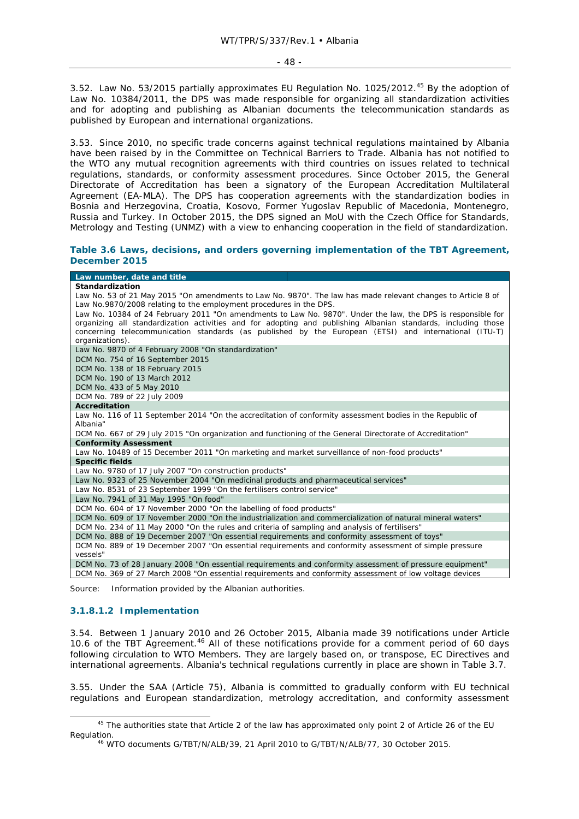3.52. Law No. 53/2015 partially approximates EU Regulation No. 1025/2012.<sup>45</sup> By the adoption of Law No. 10384/2011, the DPS was made responsible for organizing all standardization activities and for adopting and publishing as Albanian documents the telecommunication standards as published by European and international organizations.

3.53. Since 2010, no specific trade concerns against technical regulations maintained by Albania have been raised by in the Committee on Technical Barriers to Trade. Albania has not notified to the WTO any mutual recognition agreements with third countries on issues related to technical regulations, standards, or conformity assessment procedures. Since October 2015, the General Directorate of Accreditation has been a signatory of the European Accreditation Multilateral Agreement (EA-MLA). The DPS has cooperation agreements with the standardization bodies in Bosnia and Herzegovina, Croatia, Kosovo, Former Yugoslav Republic of Macedonia, Montenegro, Russia and Turkey. In October 2015, the DPS signed an MoU with the Czech Office for Standards, Metrology and Testing (UNMZ) with a view to enhancing cooperation in the field of standardization.

### **Table 3.6 Laws, decisions, and orders governing implementation of the TBT Agreement, December 2015**

| Law number, date and title                                                                                 |                                                                                                               |
|------------------------------------------------------------------------------------------------------------|---------------------------------------------------------------------------------------------------------------|
| Standardization                                                                                            |                                                                                                               |
|                                                                                                            | Law No. 53 of 21 May 2015 "On amendments to Law No. 9870". The law has made relevant changes to Article 8 of  |
| Law No.9870/2008 relating to the employment procedures in the DPS.                                         |                                                                                                               |
|                                                                                                            | Law No. 10384 of 24 February 2011 "On amendments to Law No. 9870". Under the law, the DPS is responsible for  |
|                                                                                                            | organizing all standardization activities and for adopting and publishing Albanian standards, including those |
|                                                                                                            | concerning telecommunication standards (as published by the European (ETSI) and international (ITU-T)         |
| organizations).                                                                                            |                                                                                                               |
| Law No. 9870 of 4 February 2008 "On standardization"                                                       |                                                                                                               |
| DCM No. 754 of 16 September 2015                                                                           |                                                                                                               |
| DCM No. 138 of 18 February 2015                                                                            |                                                                                                               |
| DCM No. 190 of 13 March 2012                                                                               |                                                                                                               |
| DCM No. 433 of 5 May 2010<br>DCM No. 789 of 22 July 2009                                                   |                                                                                                               |
| <b>Accreditation</b>                                                                                       |                                                                                                               |
| Law No. 116 of 11 September 2014 "On the accreditation of conformity assessment bodies in the Republic of  |                                                                                                               |
| Albania"                                                                                                   |                                                                                                               |
| DCM No. 667 of 29 July 2015 "On organization and functioning of the General Directorate of Accreditation"  |                                                                                                               |
| <b>Conformity Assessment</b>                                                                               |                                                                                                               |
| Law No. 10489 of 15 December 2011 "On marketing and market surveillance of non-food products"              |                                                                                                               |
| <b>Specific fields</b>                                                                                     |                                                                                                               |
| Law No. 9780 of 17 July 2007 "On construction products"                                                    |                                                                                                               |
| Law No. 9323 of 25 November 2004 "On medicinal products and pharmaceutical services"                       |                                                                                                               |
| Law No. 8531 of 23 September 1999 "On the fertilisers control service"                                     |                                                                                                               |
| Law No. 7941 of 31 May 1995 "On food"                                                                      |                                                                                                               |
| DCM No. 604 of 17 November 2000 "On the labelling of food products"                                        |                                                                                                               |
| DCM No. 609 of 17 November 2000 "On the industrialization and commercialization of natural mineral waters" |                                                                                                               |
| DCM No. 234 of 11 May 2000 "On the rules and criteria of sampling and analysis of fertilisers"             |                                                                                                               |
| DCM No. 888 of 19 December 2007 "On essential requirements and conformity assessment of toys"              |                                                                                                               |
| DCM No. 889 of 19 December 2007 "On essential requirements and conformity assessment of simple pressure    |                                                                                                               |
| vessels"                                                                                                   |                                                                                                               |
| DCM No. 73 of 28 January 2008 "On essential requirements and conformity assessment of pressure equipment"  |                                                                                                               |
| DCM No. 369 of 27 March 2008 "On essential requirements and conformity assessment of low voltage devices   |                                                                                                               |

Source: Information provided by the Albanian authorities.

### **3.1.8.1.2 Implementation**

3.54. Between 1 January 2010 and 26 October 2015, Albania made 39 notifications under Article 10.6 of the TBT Agreement.<sup>46</sup> All of these notifications provide for a comment period of 60 days following circulation to WTO Members. They are largely based on, or transpose, EC Directives and international agreements. Albania's technical regulations currently in place are shown in Table 3.7.

3.55. Under the SAA (Article 75), Albania is committed to gradually conform with EU technical regulations and European standardization, metrology accreditation, and conformity assessment

<sup>&</sup>lt;sup>45</sup> The authorities state that Article 2 of the law has approximated only point 2 of Article 26 of the EU Regulation.<br><sup>46</sup> WTO documents G/TBT/N/ALB/39, 21 April 2010 to G/TBT/N/ALB/77, 30 October 2015.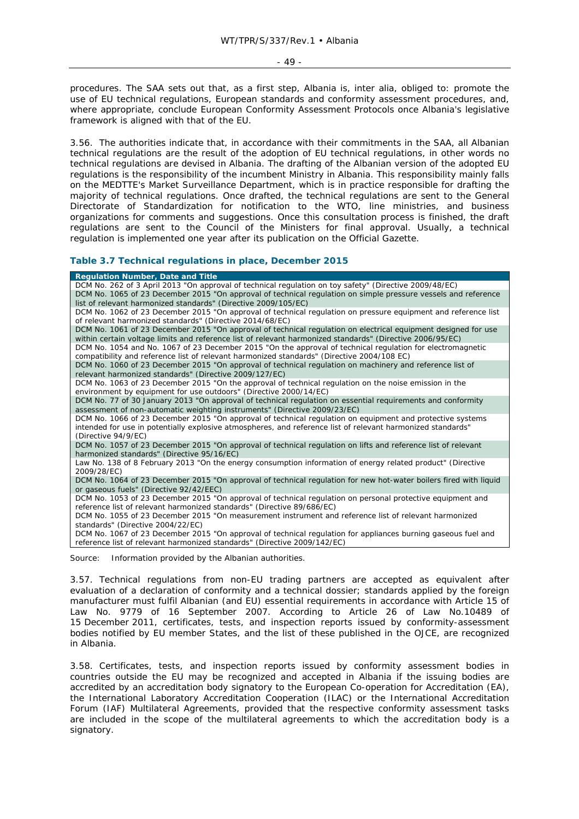procedures. The SAA sets out that, as a first step, Albania is, *inter alia,* obliged to: promote the use of EU technical regulations, European standards and conformity assessment procedures, and, where appropriate, conclude European Conformity Assessment Protocols once Albania's legislative framework is aligned with that of the EU.

3.56. The authorities indicate that, in accordance with their commitments in the SAA, all Albanian technical regulations are the result of the adoption of EU technical regulations, in other words no technical regulations are devised in Albania. The drafting of the Albanian version of the adopted EU regulations is the responsibility of the incumbent Ministry in Albania. This responsibility mainly falls on the MEDTTE's Market Surveillance Department, which is in practice responsible for drafting the majority of technical regulations. Once drafted, the technical regulations are sent to the General Directorate of Standardization for notification to the WTO, line ministries, and business organizations for comments and suggestions. Once this consultation process is finished, the draft regulations are sent to the Council of the Ministers for final approval. Usually, a technical regulation is implemented one year after its publication on the *Official Gazette*.

### **Table 3.7 Technical regulations in place, December 2015**

| <b>Regulation Number, Date and Title</b>                                                                          |
|-------------------------------------------------------------------------------------------------------------------|
| DCM No. 262 of 3 April 2013 "On approval of technical regulation on toy safety" (Directive 2009/48/EC)            |
| DCM No. 1065 of 23 December 2015 "On approval of technical regulation on simple pressure vessels and reference    |
| list of relevant harmonized standards" (Directive 2009/105/EC)                                                    |
| DCM No. 1062 of 23 December 2015 "On approval of technical regulation on pressure equipment and reference list    |
| of relevant harmonized standards" (Directive 2014/68/EC)                                                          |
| DCM No. 1061 of 23 December 2015 "On approval of technical regulation on electrical equipment designed for use    |
| within certain voltage limits and reference list of relevant harmonized standards" (Directive 2006/95/EC)         |
| DCM No. 1054 and No. 1067 of 23 December 2015 "On the approval of technical regulation for electromagnetic        |
| compatibility and reference list of relevant harmonized standards" (Directive 2004/108 EC)                        |
| DCM No. 1060 of 23 December 2015 "On approval of technical regulation on machinery and reference list of          |
| relevant harmonized standards" (Directive 2009/127/EC)                                                            |
| DCM No. 1063 of 23 December 2015 "On the approval of technical regulation on the noise emission in the            |
| environment by equipment for use outdoors" (Directive 2000/14/EC)                                                 |
| DCM No. 77 of 30 January 2013 "On approval of technical regulation on essential requirements and conformity       |
| assessment of non-automatic weighting instruments" (Directive 2009/23/EC)                                         |
| DCM No. 1066 of 23 December 2015 "On approval of technical regulation on equipment and protective systems         |
| intended for use in potentially explosive atmospheres, and reference list of relevant harmonized standards"       |
| (Directive 94/9/EC)                                                                                               |
| DCM No. 1057 of 23 December 2015 "On approval of technical regulation on lifts and reference list of relevant     |
| harmonized standards" (Directive 95/16/EC)                                                                        |
| Law No. 138 of 8 February 2013 "On the energy consumption information of energy related product" (Directive       |
| 2009/28/EC)                                                                                                       |
| DCM No. 1064 of 23 December 2015 "On approval of technical regulation for new hot-water boilers fired with liguid |
| or gaseous fuels" (Directive 92/42/EEC)                                                                           |
| DCM No. 1053 of 23 December 2015 "On approval of technical regulation on personal protective equipment and        |
| reference list of relevant harmonized standards" (Directive 89/686/EC)                                            |
| DCM No. 1055 of 23 December 2015 "On measurement instrument and reference list of relevant harmonized             |
| standards" (Directive 2004/22/EC)                                                                                 |
| DCM No. 1067 of 23 December 2015 "On approval of technical regulation for appliances burning gaseous fuel and     |
| reference list of relevant harmonized standards" (Directive 2009/142/EC)                                          |
|                                                                                                                   |

Source: Information provided by the Albanian authorities.

3.57. Technical regulations from non-EU trading partners are accepted as equivalent after evaluation of a declaration of conformity and a technical dossier; standards applied by the foreign manufacturer must fulfil Albanian (and EU) essential requirements in accordance with Article 15 of Law No. 9779 of 16 September 2007. According to Article 26 of Law No.10489 of 15 December 2011, certificates, tests, and inspection reports issued by conformity-assessment bodies notified by EU member States, and the list of these published in the OJCE, are recognized in Albania.

3.58. Certificates, tests, and inspection reports issued by conformity assessment bodies in countries outside the EU may be recognized and accepted in Albania if the issuing bodies are accredited by an accreditation body signatory to the European Co-operation for Accreditation (EA), the International Laboratory Accreditation Cooperation (ILAC) or the International Accreditation Forum (IAF) Multilateral Agreements, provided that the respective conformity assessment tasks are included in the scope of the multilateral agreements to which the accreditation body is a signatory.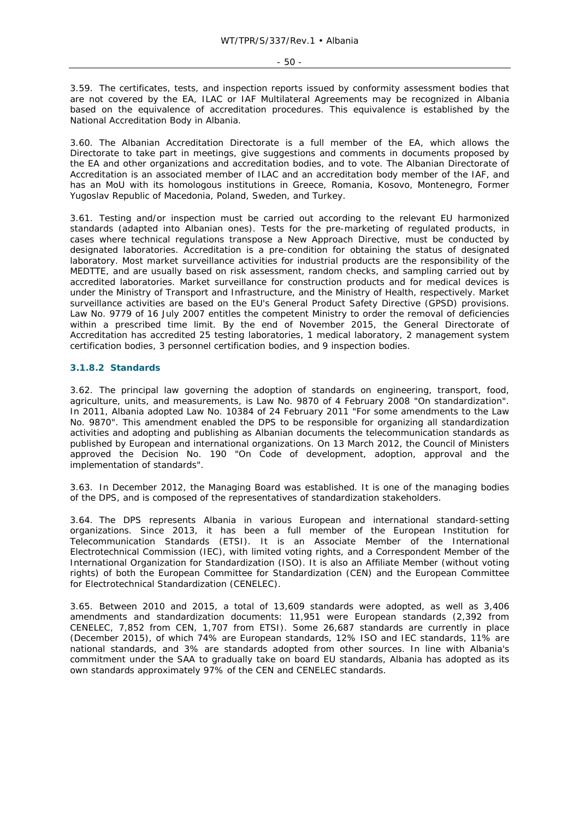3.59. The certificates, tests, and inspection reports issued by conformity assessment bodies that are not covered by the EA, ILAC or IAF Multilateral Agreements may be recognized in Albania based on the equivalence of accreditation procedures. This equivalence is established by the National Accreditation Body in Albania.

3.60. The Albanian Accreditation Directorate is a full member of the EA, which allows the Directorate to take part in meetings, give suggestions and comments in documents proposed by the EA and other organizations and accreditation bodies, and to vote. The Albanian Directorate of Accreditation is an associated member of ILAC and an accreditation body member of the IAF, and has an MoU with its homologous institutions in Greece, Romania, Kosovo, Montenegro, Former Yugoslav Republic of Macedonia, Poland, Sweden, and Turkey.

3.61. Testing and/or inspection must be carried out according to the relevant EU harmonized standards (adapted into Albanian ones). Tests for the pre-marketing of regulated products, in cases where technical regulations transpose a New Approach Directive, must be conducted by designated laboratories. Accreditation is a pre-condition for obtaining the status of designated laboratory. Most market surveillance activities for industrial products are the responsibility of the MEDTTE, and are usually based on risk assessment, random checks, and sampling carried out by accredited laboratories. Market surveillance for construction products and for medical devices is under the Ministry of Transport and Infrastructure, and the Ministry of Health, respectively. Market surveillance activities are based on the EU's General Product Safety Directive (GPSD) provisions. Law No. 9779 of 16 July 2007 entitles the competent Ministry to order the removal of deficiencies within a prescribed time limit. By the end of November 2015, the General Directorate of Accreditation has accredited 25 testing laboratories, 1 medical laboratory, 2 management system certification bodies, 3 personnel certification bodies, and 9 inspection bodies.

### **3.1.8.2 Standards**

3.62. The principal law governing the adoption of standards on engineering, transport, food, agriculture, units, and measurements, is Law No. 9870 of 4 February 2008 "On standardization". In 2011, Albania adopted Law No. 10384 of 24 February 2011 "For some amendments to the Law No. 9870". This amendment enabled the DPS to be responsible for organizing all standardization activities and adopting and publishing as Albanian documents the telecommunication standards as published by European and international organizations. On 13 March 2012, the Council of Ministers approved the Decision No. 190 "On Code of development, adoption, approval and the implementation of standards".

3.63. In December 2012, the Managing Board was established. It is one of the managing bodies of the DPS, and is composed of the representatives of standardization stakeholders.

3.64. The DPS represents Albania in various European and international standard-setting organizations. Since 2013, it has been a full member of the European Institution for Telecommunication Standards (ETSI). It is an Associate Member of the International Electrotechnical Commission (IEC), with limited voting rights, and a Correspondent Member of the International Organization for Standardization (ISO). It is also an Affiliate Member (without voting rights) of both the European Committee for Standardization (CEN) and the European Committee for Electrotechnical Standardization (CENELEC).

3.65. Between 2010 and 2015, a total of 13,609 standards were adopted, as well as 3,406 amendments and standardization documents: 11,951 were European standards (2,392 from CENELEC, 7,852 from CEN, 1,707 from ETSI). Some 26,687 standards are currently in place (December 2015), of which 74% are European standards, 12% ISO and IEC standards, 11% are national standards, and 3% are standards adopted from other sources. In line with Albania's commitment under the SAA to gradually take on board EU standards, Albania has adopted as its own standards approximately 97% of the CEN and CENELEC standards.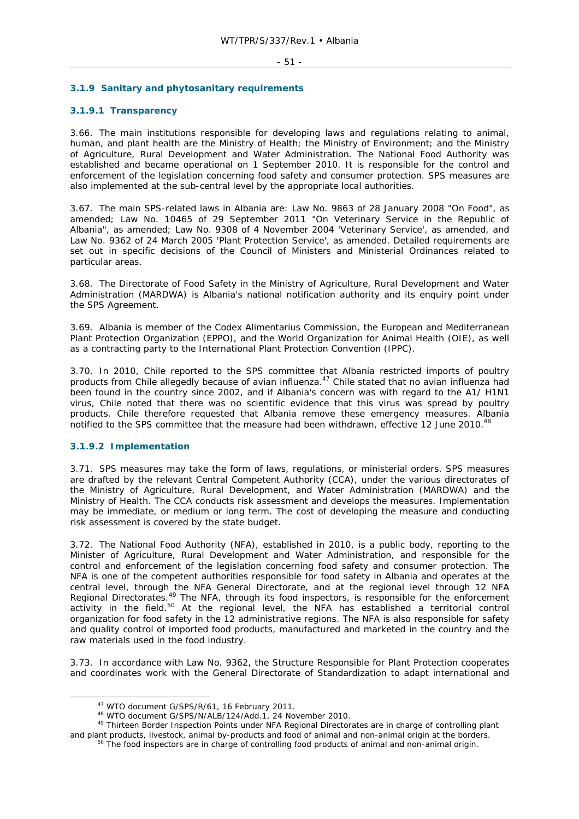#### - 51 -

### **3.1.9 Sanitary and phytosanitary requirements**

### **3.1.9.1 Transparency**

3.66. The main institutions responsible for developing laws and regulations relating to animal, human, and plant health are the Ministry of Health; the Ministry of Environment; and the Ministry of Agriculture, Rural Development and Water Administration. The National Food Authority was established and became operational on 1 September 2010. It is responsible for the control and enforcement of the legislation concerning food safety and consumer protection. SPS measures are also implemented at the sub-central level by the appropriate local authorities.

3.67. The main SPS-related laws in Albania are: Law No. 9863 of 28 January 2008 "On Food", as amended; Law No. 10465 of 29 September 2011 "On Veterinary Service in the Republic of Albania", as amended; Law No. 9308 of 4 November 2004 'Veterinary Service', as amended, and Law No. 9362 of 24 March 2005 'Plant Protection Service', as amended. Detailed requirements are set out in specific decisions of the Council of Ministers and Ministerial Ordinances related to particular areas.

3.68. The Directorate of Food Safety in the Ministry of Agriculture, Rural Development and Water Administration (MARDWA) is Albania's national notification authority and its enquiry point under the SPS Agreement.

3.69. Albania is member of the Codex Alimentarius Commission, the European and Mediterranean Plant Protection Organization (EPPO), and the World Organization for Animal Health (OIE), as well as a contracting party to the International Plant Protection Convention (IPPC).

3.70. In 2010, Chile reported to the SPS committee that Albania restricted imports of poultry products from Chile allegedly because of avian influenza.<sup>47</sup> Chile stated that no avian influenza had been found in the country since 2002, and if Albania's concern was with regard to the A1/ H1N1 virus, Chile noted that there was no scientific evidence that this virus was spread by poultry products. Chile therefore requested that Albania remove these emergency measures. Albania notified to the SPS committee that the measure had been withdrawn, effective 12 June 2010.<sup>48</sup>

### **3.1.9.2 Implementation**

3.71. SPS measures may take the form of laws, regulations, or ministerial orders. SPS measures are drafted by the relevant Central Competent Authority (CCA), under the various directorates of the Ministry of Agriculture, Rural Development, and Water Administration (MARDWA) and the Ministry of Health. The CCA conducts risk assessment and develops the measures. Implementation may be immediate, or medium or long term. The cost of developing the measure and conducting risk assessment is covered by the state budget.

3.72. The National Food Authority (NFA), established in 2010, is a public body, reporting to the Minister of Agriculture, Rural Development and Water Administration, and responsible for the control and enforcement of the legislation concerning food safety and consumer protection. The NFA is one of the competent authorities responsible for food safety in Albania and operates at the central level, through the NFA General Directorate, and at the regional level through 12 NFA Regional Directorates.<sup>49</sup> The NFA, through its food inspectors, is responsible for the enforcement activity in the field.<sup>50</sup> At the regional level, the NFA has established a territorial control organization for food safety in the 12 administrative regions. The NFA is also responsible for safety and quality control of imported food products, manufactured and marketed in the country and the raw materials used in the food industry.

3.73. In accordance with Law No. 9362, the Structure Responsible for Plant Protection cooperates and coordinates work with the General Directorate of Standardization to adapt international and

<sup>&</sup>lt;sup>47</sup> WTO document G/SPS/R/61, 16 February 2011.<br><sup>48</sup> WTO document G/SPS/N/ALB/124/Add.1, 24 November 2010.<br><sup>49</sup> Thirteen Border Inspection Points under NFA Regional Directorates are in charge of controlling plant

and plant products, livestock, animal by-products and food of animal and non-animal origin at the borders.<br><sup>50</sup> The food inspectors are in charge of controlling food products of animal and non-animal origin.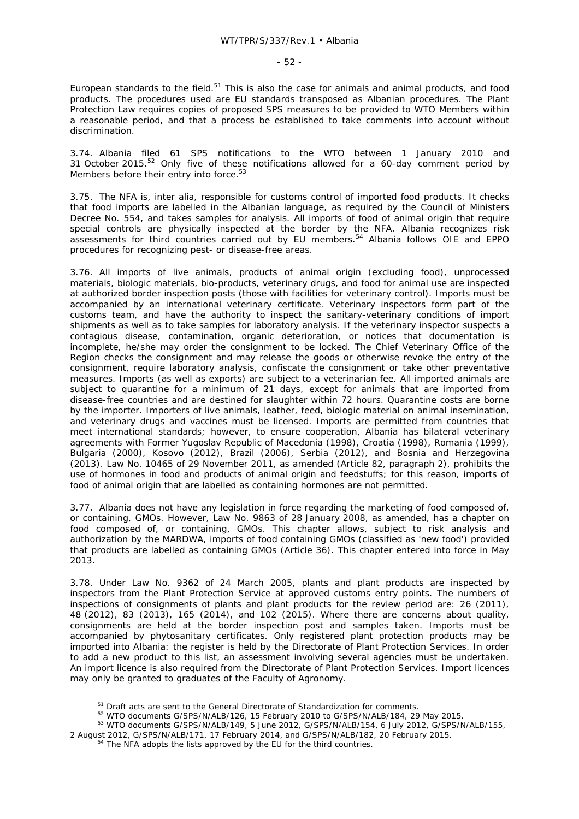European standards to the field.<sup>51</sup> This is also the case for animals and animal products, and food products. The procedures used are EU standards transposed as Albanian procedures. The Plant Protection Law requires copies of proposed SPS measures to be provided to WTO Members within a reasonable period, and that a process be established to take comments into account without discrimination.

3.74. Albania filed 61 SPS notifications to the WTO between 1 January 2010 and 31 October 2015.<sup>52</sup> Only five of these notifications allowed for a 60-day comment period by Members before their entry into force.<sup>53</sup>

3.75. The NFA is, *inter alia,* responsible for customs control of imported food products. It checks that food imports are labelled in the Albanian language, as required by the Council of Ministers Decree No. 554, and takes samples for analysis. All imports of food of animal origin that require special controls are physically inspected at the border by the NFA. Albania recognizes risk assessments for third countries carried out by EU members.<sup>54</sup> Albania follows OIE and EPPO procedures for recognizing pest- or disease-free areas.

3.76. All imports of live animals, products of animal origin (excluding food), unprocessed materials, biologic materials, bio-products, veterinary drugs, and food for animal use are inspected at authorized border inspection posts (those with facilities for veterinary control). Imports must be accompanied by an international veterinary certificate. Veterinary inspectors form part of the customs team, and have the authority to inspect the sanitary-veterinary conditions of import shipments as well as to take samples for laboratory analysis. If the veterinary inspector suspects a contagious disease, contamination, organic deterioration, or notices that documentation is incomplete, he/she may order the consignment to be locked. The Chief Veterinary Office of the Region checks the consignment and may release the goods or otherwise revoke the entry of the consignment, require laboratory analysis, confiscate the consignment or take other preventative measures. Imports (as well as exports) are subject to a veterinarian fee. All imported animals are subject to quarantine for a minimum of 21 days, except for animals that are imported from disease-free countries and are destined for slaughter within 72 hours. Quarantine costs are borne by the importer. Importers of live animals, leather, feed, biologic material on animal insemination, and veterinary drugs and vaccines must be licensed. Imports are permitted from countries that meet international standards; however, to ensure cooperation, Albania has bilateral veterinary agreements with Former Yugoslav Republic of Macedonia (1998), Croatia (1998), Romania (1999), Bulgaria (2000), Kosovo (2012), Brazil (2006), Serbia (2012), and Bosnia and Herzegovina (2013). Law No. 10465 of 29 November 2011, as amended (Article 82, paragraph 2), prohibits the use of hormones in food and products of animal origin and feedstuffs; for this reason, imports of food of animal origin that are labelled as containing hormones are not permitted.

3.77. Albania does not have any legislation in force regarding the marketing of food composed of, or containing, GMOs. However, Law No. 9863 of 28 January 2008, as amended, has a chapter on food composed of, or containing, GMOs. This chapter allows, subject to risk analysis and authorization by the MARDWA, imports of food containing GMOs (classified as 'new food') provided that products are labelled as containing GMOs (Article 36). This chapter entered into force in May 2013.

3.78. Under Law No. 9362 of 24 March 2005, plants and plant products are inspected by inspectors from the Plant Protection Service at approved customs entry points. The numbers of inspections of consignments of plants and plant products for the review period are: 26 (2011), 48 (2012), 83 (2013), 165 (2014), and 102 (2015). Where there are concerns about quality, consignments are held at the border inspection post and samples taken. Imports must be accompanied by phytosanitary certificates. Only registered plant protection products may be imported into Albania: the register is held by the Directorate of Plant Protection Services. In order to add a new product to this list, an assessment involving several agencies must be undertaken. An import licence is also required from the Directorate of Plant Protection Services. Import licences may only be granted to graduates of the Faculty of Agronomy.

 $^{51}$  Draft acts are sent to the General Directorate of Standardization for comments.<br> $^{52}$  WTO documents G/SPS/N/ALB/126, 15 February 2010 to G/SPS/N/ALB/184, 29 May 2015.<br> $^{53}$  WTO documents G/SPS/N/ALB/149, 5 June 2

<sup>2</sup> August 2012, G/SPS/N/ALB/171, 17 February 2014, and G/SPS/N/ALB/182, 20 February 2015. 54 The NFA adopts the lists approved by the EU for the third countries.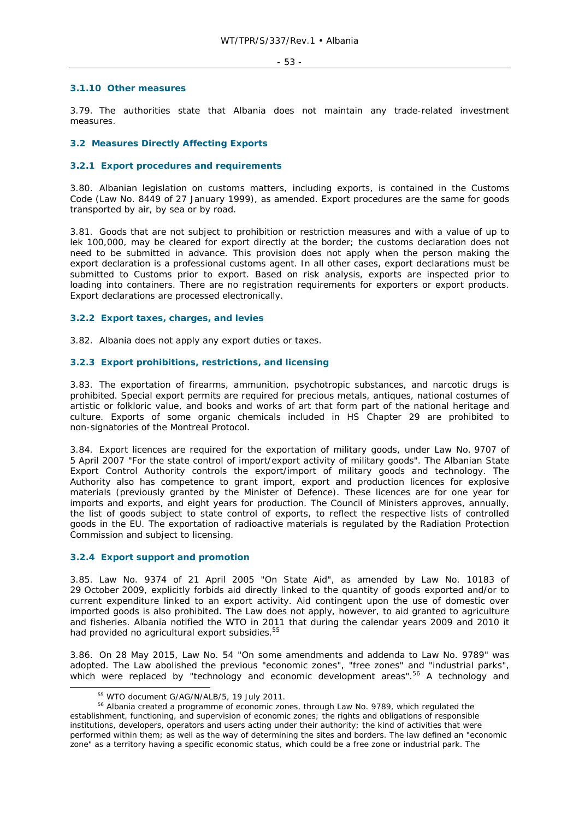#### **3.1.10 Other measures**

3.79. The authorities state that Albania does not maintain any trade-related investment measures.

### **3.2 Measures Directly Affecting Exports**

#### **3.2.1 Export procedures and requirements**

3.80. Albanian legislation on customs matters, including exports, is contained in the Customs Code (Law No. 8449 of 27 January 1999), as amended. Export procedures are the same for goods transported by air, by sea or by road.

3.81. Goods that are not subject to prohibition or restriction measures and with a value of up to lek 100,000, may be cleared for export directly at the border; the customs declaration does not need to be submitted in advance. This provision does not apply when the person making the export declaration is a professional customs agent. In all other cases, export declarations must be submitted to Customs prior to export. Based on risk analysis, exports are inspected prior to loading into containers. There are no registration requirements for exporters or export products. Export declarations are processed electronically.

#### **3.2.2 Export taxes, charges, and levies**

3.82. Albania does not apply any export duties or taxes.

#### **3.2.3 Export prohibitions, restrictions, and licensing**

3.83. The exportation of firearms, ammunition, psychotropic substances, and narcotic drugs is prohibited. Special export permits are required for precious metals, antiques, national costumes of artistic or folkloric value, and books and works of art that form part of the national heritage and culture. Exports of some organic chemicals included in HS Chapter 29 are prohibited to non-signatories of the Montreal Protocol.

3.84. Export licences are required for the exportation of military goods, under Law No. 9707 of 5 April 2007 "For the state control of import/export activity of military goods". The Albanian State Export Control Authority controls the export/import of military goods and technology. The Authority also has competence to grant import, export and production licences for explosive materials (previously granted by the Minister of Defence). These licences are for one year for imports and exports, and eight years for production. The Council of Ministers approves, annually, the list of goods subject to state control of exports, to reflect the respective lists of controlled goods in the EU. The exportation of radioactive materials is regulated by the Radiation Protection Commission and subject to licensing.

#### **3.2.4 Export support and promotion**

3.85. Law No. 9374 of 21 April 2005 "On State Aid", as amended by Law No. 10183 of 29 October 2009, explicitly forbids aid directly linked to the quantity of goods exported and/or to current expenditure linked to an export activity. Aid contingent upon the use of domestic over imported goods is also prohibited. The Law does not apply, however, to aid granted to agriculture and fisheries. Albania notified the WTO in 2011 that during the calendar years 2009 and 2010 it had provided no agricultural export subsidies.<sup>55</sup>

3.86. On 28 May 2015, Law No. 54 "On some amendments and addenda to Law No. 9789" was adopted. The Law abolished the previous "economic zones", "free zones" and "industrial parks", which were replaced by "technology and economic development areas".<sup>56</sup> A technology and

<sup>&</sup>lt;sup>55</sup> WTO document G/AG/N/ALB/5, 19 July 2011.<br><sup>56</sup> Albania created a programme of economic zones, through Law No. 9789, which regulated the establishment, functioning, and supervision of economic zones; the rights and obligations of responsible institutions, developers, operators and users acting under their authority; the kind of activities that were performed within them; as well as the way of determining the sites and borders. The law defined an "economic zone" as a territory having a specific economic status, which could be a free zone or industrial park. The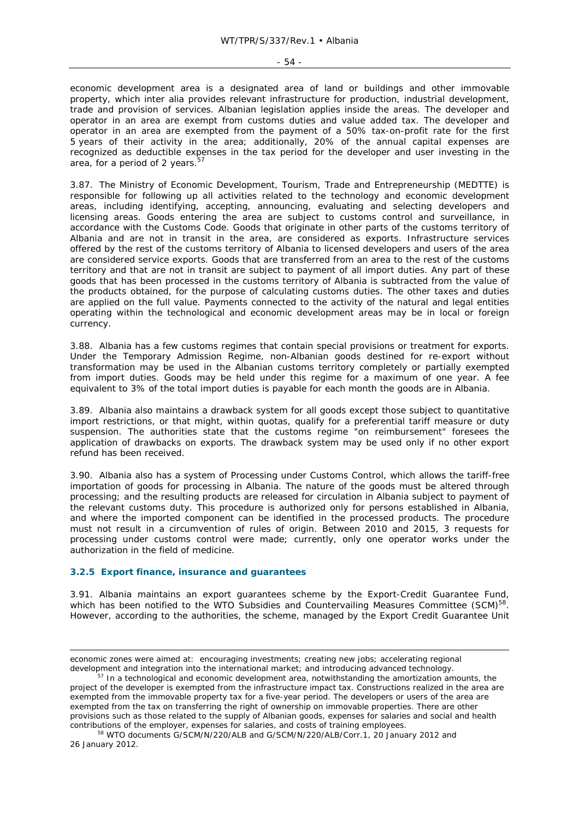#### $-54 -$

economic development area is a designated area of land or buildings and other immovable property, which *inter alia* provides relevant infrastructure for production, industrial development, trade and provision of services. Albanian legislation applies inside the areas. The developer and operator in an area are exempt from customs duties and value added tax. The developer and operator in an area are exempted from the payment of a 50% tax-on-profit rate for the first 5 years of their activity in the area; additionally, 20% of the annual capital expenses are recognized as deductible expenses in the tax period for the developer and user investing in the area, for a period of 2 years.<sup>57</sup>

3.87. The Ministry of Economic Development, Tourism, Trade and Entrepreneurship (MEDTTE) is responsible for following up all activities related to the technology and economic development areas, including identifying, accepting, announcing, evaluating and selecting developers and licensing areas. Goods entering the area are subject to customs control and surveillance, in accordance with the Customs Code. Goods that originate in other parts of the customs territory of Albania and are not in transit in the area, are considered as exports. Infrastructure services offered by the rest of the customs territory of Albania to licensed developers and users of the area are considered service exports. Goods that are transferred from an area to the rest of the customs territory and that are not in transit are subject to payment of all import duties. Any part of these goods that has been processed in the customs territory of Albania is subtracted from the value of the products obtained, for the purpose of calculating customs duties. The other taxes and duties are applied on the full value. Payments connected to the activity of the natural and legal entities operating within the technological and economic development areas may be in local or foreign currency.

3.88. Albania has a few customs regimes that contain special provisions or treatment for exports. Under the Temporary Admission Regime, non-Albanian goods destined for re-export without transformation may be used in the Albanian customs territory completely or partially exempted from import duties. Goods may be held under this regime for a maximum of one year. A fee equivalent to 3% of the total import duties is payable for each month the goods are in Albania.

3.89. Albania also maintains a drawback system for all goods except those subject to quantitative import restrictions, or that might, within quotas, qualify for a preferential tariff measure or duty suspension. The authorities state that the customs regime "on reimbursement" foresees the application of drawbacks on exports. The drawback system may be used only if no other export refund has been received.

3.90. Albania also has a system of Processing under Customs Control, which allows the tariff-free importation of goods for processing in Albania. The nature of the goods must be altered through processing; and the resulting products are released for circulation in Albania subject to payment of the relevant customs duty. This procedure is authorized only for persons established in Albania, and where the imported component can be identified in the processed products. The procedure must not result in a circumvention of rules of origin. Between 2010 and 2015, 3 requests for processing under customs control were made; currently, only one operator works under the authorization in the field of medicine.

### **3.2.5 Export finance, insurance and guarantees**

ł

3.91. Albania maintains an export guarantees scheme by the Export-Credit Guarantee Fund, which has been notified to the WTO Subsidies and Countervailing Measures Committee (SCM)<sup>58</sup>. However, according to the authorities, the scheme, managed by the Export Credit Guarantee Unit

economic zones were aimed at: encouraging investments; creating new jobs; accelerating regional development and integration into the international market; and introducing advanced technology.<br><sup>57</sup> In a technological and economic development area, notwithstanding the amortization amounts, the

project of the developer is exempted from the infrastructure impact tax. Constructions realized in the area are exempted from the immovable property tax for a five-year period. The developers or users of the area are exempted from the tax on transferring the right of ownership on immovable properties. There are other provisions such as those related to the supply of Albanian goods, expenses for salaries and social and health contributions of the employer, expenses for salaries, and costs of training employees.<br><sup>58</sup> WTO documents G/SCM/N/220/ALB and G/SCM/N/220/ALB/Corr.1, 20 January 2012 and

<sup>26</sup> January 2012.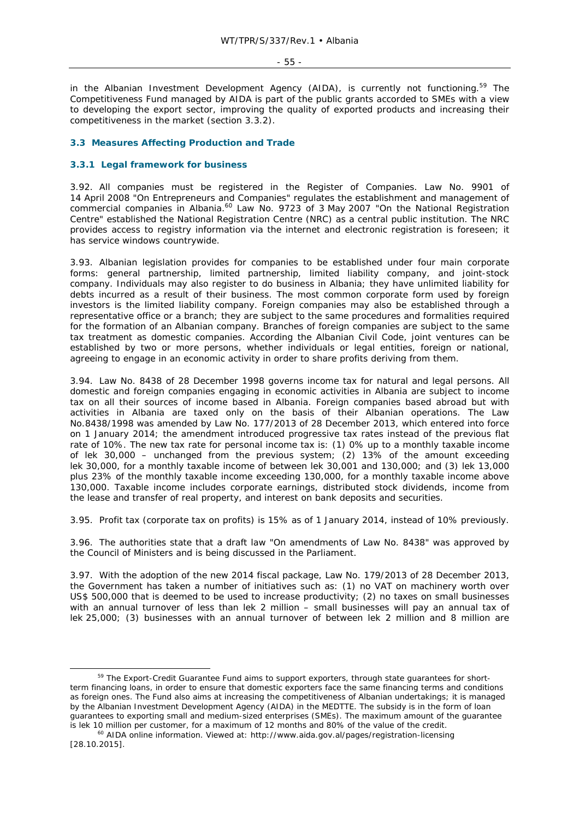in the Albanian Investment Development Agency (AIDA), is currently not functioning.<sup>59</sup> The Competitiveness Fund managed by AIDA is part of the public grants accorded to SMEs with a view to developing the export sector, improving the quality of exported products and increasing their competitiveness in the market (section 3.3.2).

### **3.3 Measures Affecting Production and Trade**

#### **3.3.1 Legal framework for business**

3.92. All companies must be registered in the Register of Companies. Law No. 9901 of 14 April 2008 "On Entrepreneurs and Companies" regulates the establishment and management of commercial companies in Albania.<sup>60</sup> Law No. 9723 of 3 May 2007 "On the National Registration Centre" established the National Registration Centre (NRC) as a central public institution. The NRC provides access to registry information via the internet and electronic registration is foreseen; it has service windows countrywide.

3.93. Albanian legislation provides for companies to be established under four main corporate forms: general partnership, limited partnership, limited liability company, and joint-stock company. Individuals may also register to do business in Albania; they have unlimited liability for debts incurred as a result of their business. The most common corporate form used by foreign investors is the limited liability company. Foreign companies may also be established through a representative office or a branch; they are subject to the same procedures and formalities required for the formation of an Albanian company. Branches of foreign companies are subject to the same tax treatment as domestic companies. According the Albanian Civil Code, joint ventures can be established by two or more persons, whether individuals or legal entities, foreign or national, agreeing to engage in an economic activity in order to share profits deriving from them.

3.94. Law No. 8438 of 28 December 1998 governs income tax for natural and legal persons. All domestic and foreign companies engaging in economic activities in Albania are subject to income tax on all their sources of income based in Albania. Foreign companies based abroad but with activities in Albania are taxed only on the basis of their Albanian operations. The Law No.8438/1998 was amended by Law No. 177/2013 of 28 December 2013, which entered into force on 1 January 2014; the amendment introduced progressive tax rates instead of the previous flat rate of 10%. The new tax rate for personal income tax is: (1) 0% up to a monthly taxable income of lek 30,000 – unchanged from the previous system; (2) 13% of the amount exceeding lek 30,000, for a monthly taxable income of between lek 30,001 and 130,000; and (3) lek 13,000 plus 23% of the monthly taxable income exceeding 130,000, for a monthly taxable income above 130,000. Taxable income includes corporate earnings, distributed stock dividends, income from the lease and transfer of real property, and interest on bank deposits and securities.

3.95. Profit tax (corporate tax on profits) is 15% as of 1 January 2014, instead of 10% previously.

3.96. The authorities state that a draft law "On amendments of Law No. 8438" was approved by the Council of Ministers and is being discussed in the Parliament.

3.97. With the adoption of the new 2014 fiscal package, Law No. 179/2013 of 28 December 2013, the Government has taken a number of initiatives such as: (1) no VAT on machinery worth over US\$ 500,000 that is deemed to be used to increase productivity; (2) no taxes on small businesses with an annual turnover of less than lek 2 million – small businesses will pay an annual tax of lek 25,000; (3) businesses with an annual turnover of between lek 2 million and 8 million are

<sup>&</sup>lt;sup>59</sup> The Export-Credit Guarantee Fund aims to support exporters, through state guarantees for shortterm financing loans, in order to ensure that domestic exporters face the same financing terms and conditions as foreign ones. The Fund also aims at increasing the competitiveness of Albanian undertakings; it is managed by the Albanian Investment Development Agency (AIDA) in the MEDTTE. The subsidy is in the form of loan guarantees to exporting small and medium-sized enterprises (SMEs). The maximum amount of the guarantee

is lek 10 million per customer, for a maximum of 12 months and 80% of the value of the credit.<br><sup>60</sup> AIDA online information. Viewed at: http://www.aida.gov.al/pages/registration-licensing [28.10.2015].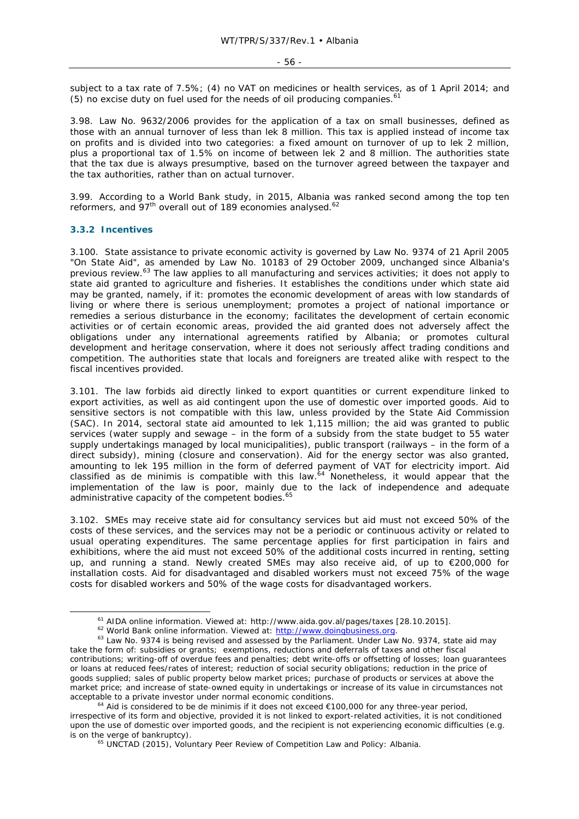subject to a tax rate of 7.5%; (4) no VAT on medicines or health services, as of 1 April 2014; and (5) no excise duty on fuel used for the needs of oil producing companies.<sup>61</sup>

3.98. Law No. 9632/2006 provides for the application of a tax on small businesses, defined as those with an annual turnover of less than lek 8 million. This tax is applied instead of income tax on profits and is divided into two categories: a fixed amount on turnover of up to lek 2 million, plus a proportional tax of 1.5% on income of between lek 2 and 8 million. The authorities state that the tax due is always presumptive, based on the turnover agreed between the taxpayer and the tax authorities, rather than on actual turnover.

3.99. According to a World Bank study, in 2015, Albania was ranked second among the top ten reformers, and 97<sup>th</sup> overall out of 189 economies analysed.<sup>62</sup>

#### **3.3.2 Incentives**

3.100. State assistance to private economic activity is governed by Law No. 9374 of 21 April 2005 "On State Aid", as amended by Law No. 10183 of 29 October 2009, unchanged since Albania's previous review.63 The law applies to all manufacturing and services activities; it does not apply to state aid granted to agriculture and fisheries. It establishes the conditions under which state aid may be granted, namely, if it: promotes the economic development of areas with low standards of living or where there is serious unemployment; promotes a project of national importance or remedies a serious disturbance in the economy; facilitates the development of certain economic activities or of certain economic areas, provided the aid granted does not adversely affect the obligations under any international agreements ratified by Albania; or promotes cultural development and heritage conservation, where it does not seriously affect trading conditions and competition. The authorities state that locals and foreigners are treated alike with respect to the fiscal incentives provided.

3.101. The law forbids aid directly linked to export quantities or current expenditure linked to export activities, as well as aid contingent upon the use of domestic over imported goods. Aid to sensitive sectors is not compatible with this law, unless provided by the State Aid Commission (SAC). In 2014, sectoral state aid amounted to lek 1,115 million; the aid was granted to public services (water supply and sewage – in the form of a subsidy from the state budget to 55 water supply undertakings managed by local municipalities), public transport (railways – in the form of a direct subsidy), mining (closure and conservation). Aid for the energy sector was also granted, amounting to lek 195 million in the form of deferred payment of VAT for electricity import. Aid classified as *de minimis* is compatible with this law.<sup>64</sup> Nonetheless, it would appear that the implementation of the law is poor, mainly due to the lack of independence and adequate administrative capacity of the competent bodies.<sup>65</sup>

3.102. SMEs may receive state aid for consultancy services but aid must not exceed 50% of the costs of these services, and the services may not be a periodic or continuous activity or related to usual operating expenditures. The same percentage applies for first participation in fairs and exhibitions, where the aid must not exceed 50% of the additional costs incurred in renting, setting up, and running a stand. Newly created SMEs may also receive aid, of up to €200,000 for installation costs. Aid for disadvantaged and disabled workers must not exceed 75% of the wage costs for disabled workers and 50% of the wage costs for disadvantaged workers.

<sup>&</sup>lt;sup>61</sup> AIDA online information. Viewed at: http://www.aida.gov.al/pages/taxes [28.10.2015].<br><sup>62</sup> World Bank online information. Viewed at: http://www.doingbusiness.org.<br><sup>63</sup> Law No. 9374 is being revised and assessed by the take the form of: subsidies or grants; exemptions, reductions and deferrals of taxes and other fiscal contributions; writing-off of overdue fees and penalties; debt write-offs or offsetting of losses; loan guarantees or loans at reduced fees/rates of interest; reduction of social security obligations; reduction in the price of goods supplied; sales of public property below market prices; purchase of products or services at above the market price; and increase of state-owned equity in undertakings or increase of its value in circumstances not acceptable to a private investor under normal economic conditions. 64 Aid is considered to be *de minimis* if it does not exceed €100,000 for any three-year period,

irrespective of its form and objective, provided it is not linked to export-related activities, it is not conditioned upon the use of domestic over imported goods, and the recipient is not experiencing economic difficulties (e.g. is on the verge of bankruptcy).<br><sup>65</sup> UNCTAD (2015), *Voluntary Peer Review of Competition Law and Policy: Albania.*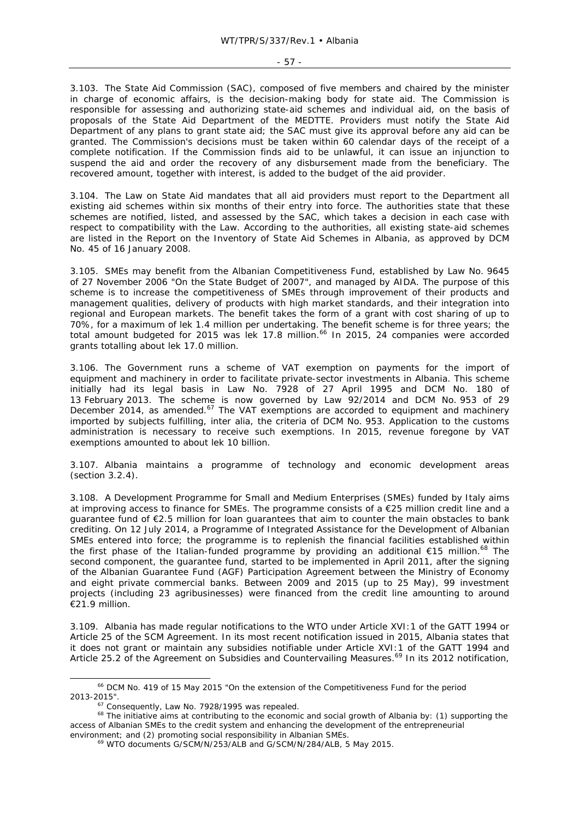#### - 57 -

3.103. The State Aid Commission (SAC), composed of five members and chaired by the minister in charge of economic affairs, is the decision-making body for state aid. The Commission is responsible for assessing and authorizing state-aid schemes and individual aid, on the basis of proposals of the State Aid Department of the MEDTTE. Providers must notify the State Aid Department of any plans to grant state aid; the SAC must give its approval before any aid can be granted. The Commission's decisions must be taken within 60 calendar days of the receipt of a complete notification. If the Commission finds aid to be unlawful, it can issue an injunction to suspend the aid and order the recovery of any disbursement made from the beneficiary. The recovered amount, together with interest, is added to the budget of the aid provider.

3.104. The Law on State Aid mandates that all aid providers must report to the Department all existing aid schemes within six months of their entry into force. The authorities state that these schemes are notified, listed, and assessed by the SAC, which takes a decision in each case with respect to compatibility with the Law. According to the authorities, all existing state-aid schemes are listed in the Report on the Inventory of State Aid Schemes in Albania, as approved by DCM No. 45 of 16 January 2008.

3.105. SMEs may benefit from the Albanian Competitiveness Fund, established by Law No. 9645 of 27 November 2006 "On the State Budget of 2007", and managed by AIDA. The purpose of this scheme is to increase the competitiveness of SMEs through improvement of their products and management qualities, delivery of products with high market standards, and their integration into regional and European markets. The benefit takes the form of a grant with cost sharing of up to 70%, for a maximum of lek 1.4 million per undertaking. The benefit scheme is for three years; the total amount budgeted for 2015 was lek 17.8 million.<sup>66</sup> In 2015, 24 companies were accorded grants totalling about lek 17.0 million.

3.106. The Government runs a scheme of VAT exemption on payments for the import of equipment and machinery in order to facilitate private-sector investments in Albania. This scheme initially had its legal basis in Law No. 7928 of 27 April 1995 and DCM No. 180 of 13 February 2013. The scheme is now governed by Law 92/2014 and DCM No. 953 of 29 December 2014, as amended. $67$  The VAT exemptions are accorded to equipment and machinery imported by subjects fulfilling, *inter alia*, the criteria of DCM No. 953. Application to the customs administration is necessary to receive such exemptions. In 2015, revenue foregone by VAT exemptions amounted to about lek 10 billion.

3.107. Albania maintains a programme of technology and economic development areas (section 3.2.4).

3.108. A Development Programme for Small and Medium Enterprises (SMEs) funded by Italy aims at improving access to finance for SMEs. The programme consists of a €25 million credit line and a guarantee fund of €2.5 million for loan guarantees that aim to counter the main obstacles to bank crediting. On 12 July 2014, a Programme of Integrated Assistance for the Development of Albanian SMEs entered into force; the programme is to replenish the financial facilities established within the first phase of the Italian-funded programme by providing an additional  $\epsilon$ 15 million.<sup>68</sup> The second component, the guarantee fund, started to be implemented in April 2011, after the signing of the Albanian Guarantee Fund (AGF) Participation Agreement between the Ministry of Economy and eight private commercial banks. Between 2009 and 2015 (up to 25 May), 99 investment projects (including 23 agribusinesses) were financed from the credit line amounting to around €21.9 million.

3.109. Albania has made regular notifications to the WTO under Article XVI:1 of the GATT 1994 or Article 25 of the SCM Agreement. In its most recent notification issued in 2015, Albania states that it does not grant or maintain any subsidies notifiable under Article XVI:1 of the GATT 1994 and Article 25.2 of the Agreement on Subsidies and Countervailing Measures.<sup>69</sup> In its 2012 notification,

 $^{66}$  DCM No. 419 of 15 May 2015 "On the extension of the Competitiveness Fund for the period 2013-2015".

 $67$  Consequently, Law No. 7928/1995 was repealed.<br> $68$  The initiative aims at contributing to the economic and social growth of Albania by: (1) supporting the access of Albanian SMEs to the credit system and enhancing the development of the entrepreneurial environment; and (2) promoting social responsibility in Albanian SMEs. 69 WTO documents G/SCM/N/253/ALB and G/SCM/N/284/ALB, 5 May 2015.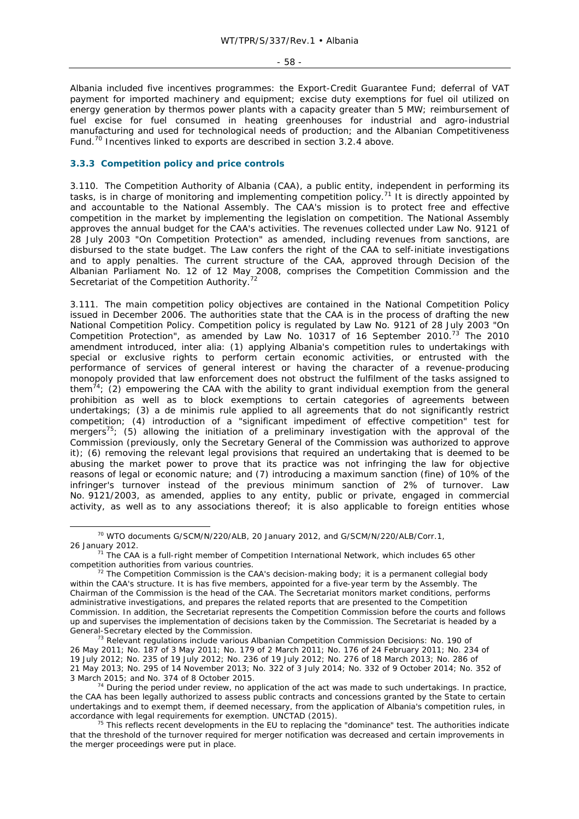- 58 -

Albania included five incentives programmes: the Export-Credit Guarantee Fund; deferral of VAT payment for imported machinery and equipment; excise duty exemptions for fuel oil utilized on energy generation by thermos power plants with a capacity greater than 5 MW; reimbursement of fuel excise for fuel consumed in heating greenhouses for industrial and agro-industrial manufacturing and used for technological needs of production; and the Albanian Competitiveness Fund.70 Incentives linked to exports are described in section 3.2.4 above.

### **3.3.3 Competition policy and price controls**

3.110. The Competition Authority of Albania (CAA), a public entity, independent in performing its tasks, is in charge of monitoring and implementing competition policy.<sup>71</sup> It is directly appointed by and accountable to the National Assembly. The CAA's mission is to protect free and effective competition in the market by implementing the legislation on competition. The National Assembly approves the annual budget for the CAA's activities. The revenues collected under Law No. 9121 of 28 July 2003 "On Competition Protection" as amended, including revenues from sanctions, are disbursed to the state budget. The Law confers the right of the CAA to self-initiate investigations and to apply penalties. The current structure of the CAA, approved through Decision of the Albanian Parliament No. 12 of 12 May 2008, comprises the Competition Commission and the Secretariat of the Competition Authority.<sup>72</sup>

3.111. The main competition policy objectives are contained in the National Competition Policy issued in December 2006. The authorities state that the CAA is in the process of drafting the new National Competition Policy. Competition policy is regulated by Law No. 9121 of 28 July 2003 "On Competition Protection", as amended by Law No. 10317 of 16 September 2010.<sup>73</sup> The 2010 amendment introduced, *inter alia:* (1) applying Albania's competition rules to undertakings with special or exclusive rights to perform certain economic activities, or entrusted with the performance of services of general interest or having the character of a revenue-producing monopoly provided that law enforcement does not obstruct the fulfilment of the tasks assigned to them<sup>74</sup>; (2) empowering the CAA with the ability to grant individual exemption from the general prohibition as well as to block exemptions to certain categories of agreements between undertakings; (3) a *de minimis* rule applied to all agreements that do not significantly restrict competition; (4) introduction of a "significant impediment of effective competition" test for mergers<sup>75</sup>; (5) allowing the initiation of a preliminary investigation with the approval of the Commission (previously, only the Secretary General of the Commission was authorized to approve it); (6) removing the relevant legal provisions that required an undertaking that is deemed to be abusing the market power to prove that its practice was not infringing the law for objective reasons of legal or economic nature; and (7) introducing a maximum sanction (fine) of 10% of the infringer's turnover instead of the previous minimum sanction of 2% of turnover. Law No. 9121/2003, as amended, applies to any entity, public or private, engaged in commercial activity, as well as to any associations thereof; it is also applicable to foreign entities whose

<sup>&</sup>lt;sup>70</sup> WTO documents G/SCM/N/220/ALB, 20 January 2012, and G/SCM/N/220/ALB/Corr.1, 26 January 2012. 71 The CAA is a full-right member of Competition International Network, which includes 65 other

competition authorities from various countries.<br><sup>72</sup> The Competition Commission is the CAA's decision-making body; it is a permanent collegial body

within the CAA's structure. It is has five members, appointed for a five-year term by the Assembly. The Chairman of the Commission is the head of the CAA. The Secretariat monitors market conditions, performs administrative investigations, and prepares the related reports that are presented to the Competition Commission. In addition, the Secretariat represents the Competition Commission before the courts and follows up and supervises the implementation of decisions taken by the Commission. The Secretariat is headed by a

General-Secretary elected by the Commission.<br><sup>73</sup> Relevant regulations include various Albanian Competition Commission Decisions: No. 190 of 26 May 2011; No. 187 of 3 May 2011; No. 179 of 2 March 2011; No. 176 of 24 February 2011; No. 234 of 19 July 2012; No. 235 of 19 July 2012; No. 236 of 19 July 2012; No. 276 of 18 March 2013; No. 286 of 21 May 2013; No. 295 of 14 November 2013; No. 322 of 3 July 2014; No. 332 of 9 October 2014; No. 352 of 3 March 2015; and No. 374 of 8 October 2015.<br><sup>74</sup> During the period under review, no application of the act was made to such undertakings. In practice,

the CAA has been legally authorized to assess public contracts and concessions granted by the State to certain undertakings and to exempt them, if deemed necessary, from the application of Albania's competition rules, in accordance with legal requirements for exemption. UNCTAD (2015).

<sup>75</sup> This reflects recent developments in the EU to replacing the "dominance" test. The authorities indicate that the threshold of the turnover required for merger notification was decreased and certain improvements in the merger proceedings were put in place.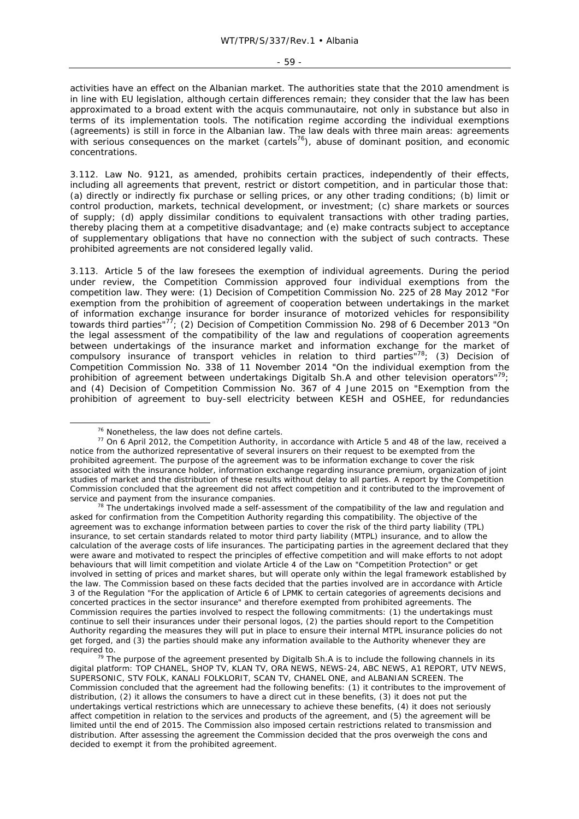#### - 59 -

activities have an effect on the Albanian market. The authorities state that the 2010 amendment is in line with EU legislation, although certain differences remain; they consider that the law has been approximated to a broad extent with the *acquis communautaire*, not only in substance but also in terms of its implementation tools. The notification regime according the individual exemptions (agreements) is still in force in the Albanian law. The law deals with three main areas: agreements with serious consequences on the market (cartels<sup>76</sup>), abuse of dominant position, and economic concentrations.

3.112. Law No. 9121, as amended, prohibits certain practices, independently of their effects, including all agreements that prevent, restrict or distort competition, and in particular those that: (a) directly or indirectly fix purchase or selling prices, or any other trading conditions; (b) limit or control production, markets, technical development, or investment; (c) share markets or sources of supply; (d) apply dissimilar conditions to equivalent transactions with other trading parties, thereby placing them at a competitive disadvantage; and (e) make contracts subject to acceptance of supplementary obligations that have no connection with the subject of such contracts. These prohibited agreements are not considered legally valid.

3.113. Article 5 of the law foresees the exemption of individual agreements. During the period under review, the Competition Commission approved four individual exemptions from the competition law. They were: (1) Decision of Competition Commission No. 225 of 28 May 2012 "For exemption from the prohibition of agreement of cooperation between undertakings in the market of information exchange insurance for border insurance of motorized vehicles for responsibility towards third parties"<sup>77</sup>; (2) Decision of Competition Commission No. 298 of 6 December 2013 "On the legal assessment of the compatibility of the law and regulations of cooperation agreements between undertakings of the insurance market and information exchange for the market of compulsory insurance of transport vehicles in relation to third parties"78; (3) Decision of Competition Commission No. 338 of 11 November 2014 "On the individual exemption from the prohibition of agreement between undertakings Digitalb Sh.A and other television operators"<sup>79</sup>; and (4) Decision of Competition Commission No. 367 of 4 June 2015 on "Exemption from the prohibition of agreement to buy-sell electricity between KESH and OSHEE, for redundancies

 $78$  The undertakings involved made a self-assessment of the compatibility of the law and regulation and asked for confirmation from the Competition Authority regarding this compatibility. The objective of the agreement was to exchange information between parties to cover the risk of the third party liability (TPL) insurance, to set certain standards related to motor third party liability (MTPL) insurance, and to allow the calculation of the average costs of life insurances. The participating parties in the agreement declared that they were aware and motivated to respect the principles of effective competition and will make efforts to not adopt behaviours that will limit competition and violate Article 4 of the Law on "Competition Protection" or get involved in setting of prices and market shares, but will operate only within the legal framework established by the law. The Commission based on these facts decided that the parties involved are in accordance with Article 3 of the Regulation "For the application of Article 6 of LPMK to certain categories of agreements decisions and concerted practices in the sector insurance" and therefore exempted from prohibited agreements. The Commission requires the parties involved to respect the following commitments: (1) the undertakings must continue to sell their insurances under their personal logos, (2) the parties should report to the Competition Authority regarding the measures they will put in place to ensure their internal MTPL insurance policies do not get forged, and (3) the parties should make any information available to the Authority whenever they are

required to.<br><sup>79</sup> The purpose of the agreement presented by Digitalb Sh.A is to include the following channels in its digital platform: TOP CHANEL, SHOP TV, KLAN TV, ORA NEWS, NEWS-24, ABC NEWS, A1 REPORT, UTV NEWS, SUPERSONIC, STV FOLK, KANALI FOLKLORIT, SCAN TV, CHANEL ONE, and ALBANIAN SCREEN. The Commission concluded that the agreement had the following benefits: (1) it contributes to the improvement of distribution, (2) it allows the consumers to have a direct cut in these benefits, (3) it does not put the undertakings vertical restrictions which are unnecessary to achieve these benefits, (4) it does not seriously affect competition in relation to the services and products of the agreement, and (5) the agreement will be limited until the end of 2015. The Commission also imposed certain restrictions related to transmission and distribution. After assessing the agreement the Commission decided that the pros overweigh the cons and decided to exempt it from the prohibited agreement.

<sup>&</sup>lt;sup>76</sup> Nonetheless, the law does not define cartels.<br><sup>77</sup> On 6 April 2012, the Competition Authority, in accordance with Article 5 and 48 of the law, received a notice from the authorized representative of several insurers on their request to be exempted from the prohibited agreement. The purpose of the agreement was to be information exchange to cover the risk associated with the insurance holder, information exchange regarding insurance premium, organization of joint studies of market and the distribution of these results without delay to all parties. A report by the Competition Commission concluded that the agreement did not affect competition and it contributed to the improvement of service and payment from the insurance companies.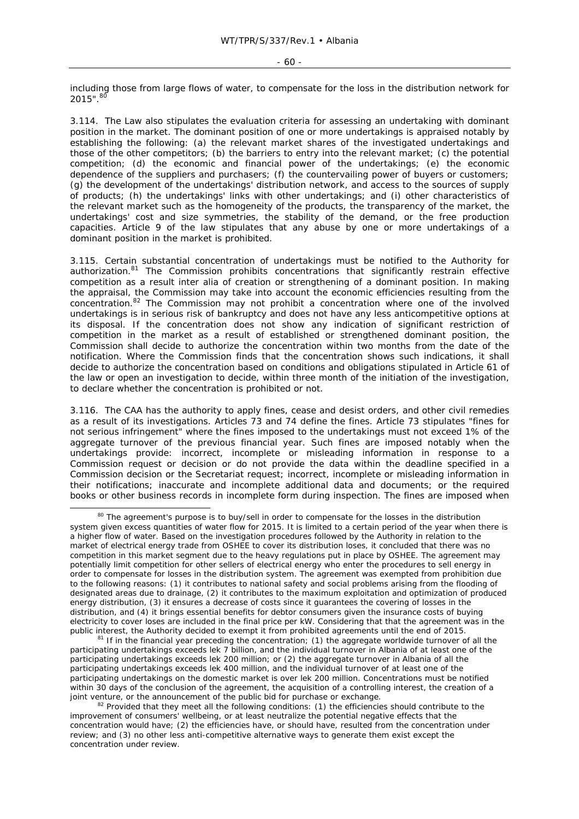#### $-60 -$

including those from large flows of water, to compensate for the loss in the distribution network for  $2015"$ .  $80$ 

3.114. The Law also stipulates the evaluation criteria for assessing an undertaking with dominant position in the market. The dominant position of one or more undertakings is appraised notably by establishing the following: (a) the relevant market shares of the investigated undertakings and those of the other competitors; (b) the barriers to entry into the relevant market; (c) the potential competition; (d) the economic and financial power of the undertakings; (e) the economic dependence of the suppliers and purchasers; (f) the countervailing power of buyers or customers; (g) the development of the undertakings' distribution network, and access to the sources of supply of products; (h) the undertakings' links with other undertakings; and (i) other characteristics of the relevant market such as the homogeneity of the products, the transparency of the market, the undertakings' cost and size symmetries, the stability of the demand, or the free production capacities. Article 9 of the law stipulates that any abuse by one or more undertakings of a dominant position in the market is prohibited.

3.115. Certain substantial concentration of undertakings must be notified to the Authority for authorization.<sup>81</sup> The Commission prohibits concentrations that significantly restrain effective competition as a result *inter alia* of creation or strengthening of a dominant position. In making the appraisal, the Commission may take into account the economic efficiencies resulting from the concentration.82 The Commission may not prohibit a concentration where one of the involved undertakings is in serious risk of bankruptcy and does not have any less anticompetitive options at its disposal. If the concentration does not show any indication of significant restriction of competition in the market as a result of established or strengthened dominant position, the Commission shall decide to authorize the concentration within two months from the date of the notification. Where the Commission finds that the concentration shows such indications, it shall decide to authorize the concentration based on conditions and obligations stipulated in Article 61 of the law or open an investigation to decide, within three month of the initiation of the investigation, to declare whether the concentration is prohibited or not.

3.116. The CAA has the authority to apply fines, cease and desist orders, and other civil remedies as a result of its investigations. Articles 73 and 74 define the fines. Article 73 stipulates "fines for not serious infringement" where the fines imposed to the undertakings must not exceed 1% of the aggregate turnover of the previous financial year. Such fines are imposed notably when the undertakings provide: incorrect, incomplete or misleading information in response to a Commission request or decision or do not provide the data within the deadline specified in a Commission decision or the Secretariat request; incorrect, incomplete or misleading information in their notifications; inaccurate and incomplete additional data and documents; or the required books or other business records in incomplete form during inspection. The fines are imposed when

participating undertakings exceeds lek 7 billion, and the individual turnover in Albania of at least one of the participating undertakings exceeds lek 200 million; or (2) the aggregate turnover in Albania of all the participating undertakings exceeds lek 400 million, and the individual turnover of at least one of the participating undertakings on the domestic market is over lek 200 million. Concentrations must be notified within 30 days of the conclusion of the agreement, the acquisition of a controlling interest, the creation of a<br>joint venture, or the announcement of the public bid for purchase or exchange.

<sup>&</sup>lt;sup>80</sup> The agreement's purpose is to buy/sell in order to compensate for the losses in the distribution system given excess quantities of water flow for 2015. It is limited to a certain period of the year when there is a higher flow of water. Based on the investigation procedures followed by the Authority in relation to the market of electrical energy trade from OSHEE to cover its distribution loses, it concluded that there was no competition in this market segment due to the heavy regulations put in place by OSHEE. The agreement may potentially limit competition for other sellers of electrical energy who enter the procedures to sell energy in order to compensate for losses in the distribution system. The agreement was exempted from prohibition due to the following reasons: (1) it contributes to national safety and social problems arising from the flooding of designated areas due to drainage, (2) it contributes to the maximum exploitation and optimization of produced energy distribution, (3) it ensures a decrease of costs since it guarantees the covering of losses in the distribution, and (4) it brings essential benefits for debtor consumers given the insurance costs of buying electricity to cover loses are included in the final price per kW. Considering that that the agreement was in the public interest, the Authority decided to exempt it from prohibited agreements until the end of 2015.<br><sup>81</sup> If in the financial year preceding the concentration; (1) the aggregate worldwide turnover of all the

 $82$  Provided that they meet all the following conditions: (1) the efficiencies should contribute to the improvement of consumers' wellbeing, or at least neutralize the potential negative effects that the concentration would have; (2) the efficiencies have, or should have, resulted from the concentration under review; and (3) no other less anti-competitive alternative ways to generate them exist except the concentration under review.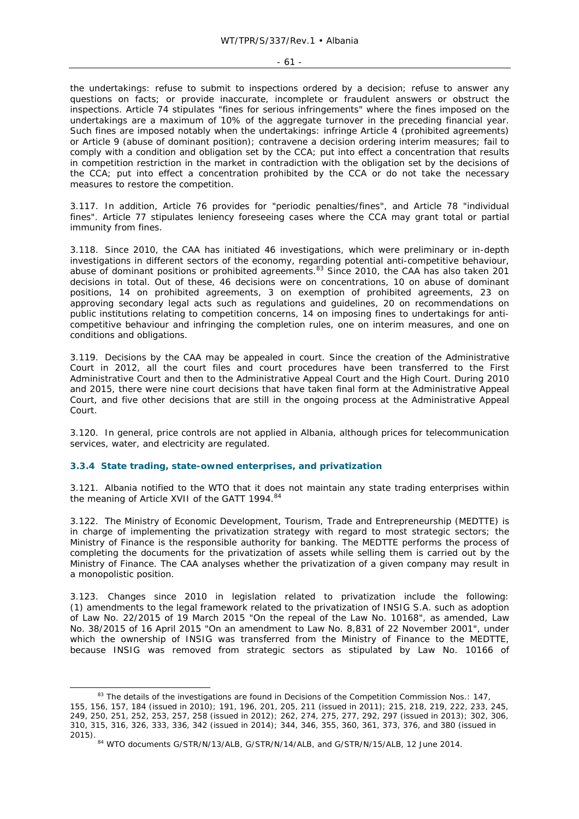the undertakings: refuse to submit to inspections ordered by a decision; refuse to answer any questions on facts; or provide inaccurate, incomplete or fraudulent answers or obstruct the inspections. Article 74 stipulates "fines for serious infringements" where the fines imposed on the undertakings are a maximum of 10% of the aggregate turnover in the preceding financial year. Such fines are imposed notably when the undertakings: infringe Article 4 (prohibited agreements) or Article 9 (abuse of dominant position); contravene a decision ordering interim measures; fail to comply with a condition and obligation set by the CCA; put into effect a concentration that results in competition restriction in the market in contradiction with the obligation set by the decisions of the CCA; put into effect a concentration prohibited by the CCA or do not take the necessary measures to restore the competition.

3.117. In addition, Article 76 provides for "periodic penalties/fines", and Article 78 "individual fines". Article 77 stipulates leniency foreseeing cases where the CCA may grant total or partial immunity from fines.

3.118. Since 2010, the CAA has initiated 46 investigations, which were preliminary or in-depth investigations in different sectors of the economy, regarding potential anti-competitive behaviour, abuse of dominant positions or prohibited agreements.<sup>83</sup> Since 2010, the CAA has also taken 201 decisions in total. Out of these, 46 decisions were on concentrations, 10 on abuse of dominant positions, 14 on prohibited agreements, 3 on exemption of prohibited agreements, 23 on approving secondary legal acts such as regulations and guidelines, 20 on recommendations on public institutions relating to competition concerns, 14 on imposing fines to undertakings for anticompetitive behaviour and infringing the completion rules, one on interim measures, and one on conditions and obligations.

3.119. Decisions by the CAA may be appealed in court. Since the creation of the Administrative Court in 2012, all the court files and court procedures have been transferred to the First Administrative Court and then to the Administrative Appeal Court and the High Court. During 2010 and 2015, there were nine court decisions that have taken final form at the Administrative Appeal Court, and five other decisions that are still in the ongoing process at the Administrative Appeal Court.

3.120. In general, price controls are not applied in Albania, although prices for telecommunication services, water, and electricity are regulated.

#### **3.3.4 State trading, state-owned enterprises, and privatization**

3.121. Albania notified to the WTO that it does not maintain any state trading enterprises within the meaning of Article XVII of the GATT 1994.<sup>84</sup>

3.122. The Ministry of Economic Development, Tourism, Trade and Entrepreneurship (MEDTTE) is in charge of implementing the privatization strategy with regard to most strategic sectors; the Ministry of Finance is the responsible authority for banking. The MEDTTE performs the process of completing the documents for the privatization of assets while selling them is carried out by the Ministry of Finance. The CAA analyses whether the privatization of a given company may result in a monopolistic position.

3.123. Changes since 2010 in legislation related to privatization include the following: (1) amendments to the legal framework related to the privatization of INSIG S.A. such as adoption of Law No. 22/2015 of 19 March 2015 "On the repeal of the Law No. 10168", as amended, Law No. 38/2015 of 16 April 2015 "On an amendment to Law No. 8,831 of 22 November 2001", under which the ownership of INSIG was transferred from the Ministry of Finance to the MEDTTE, because INSIG was removed from strategic sectors as stipulated by Law No. 10166 of

<sup>&</sup>lt;sup>83</sup> The details of the investigations are found in Decisions of the Competition Commission Nos.: 147, 155, 156, 157, 184 (issued in 2010); 191, 196, 201, 205, 211 (issued in 2011); 215, 218, 219, 222, 233, 245, 249, 250, 251, 252, 253, 257, 258 (issued in 2012); 262, 274, 275, 277, 292, 297 (issued in 2013); 302, 306, 310, 315, 316, 326, 333, 336, 342 (issued in 2014); 344, 346, 355, 360, 361, 373, 376, and 380 (issued in 2015). <sup>84</sup> WTO documents G/STR/N/13/ALB, G/STR/N/14/ALB, and G/STR/N/15/ALB, 12 June 2014.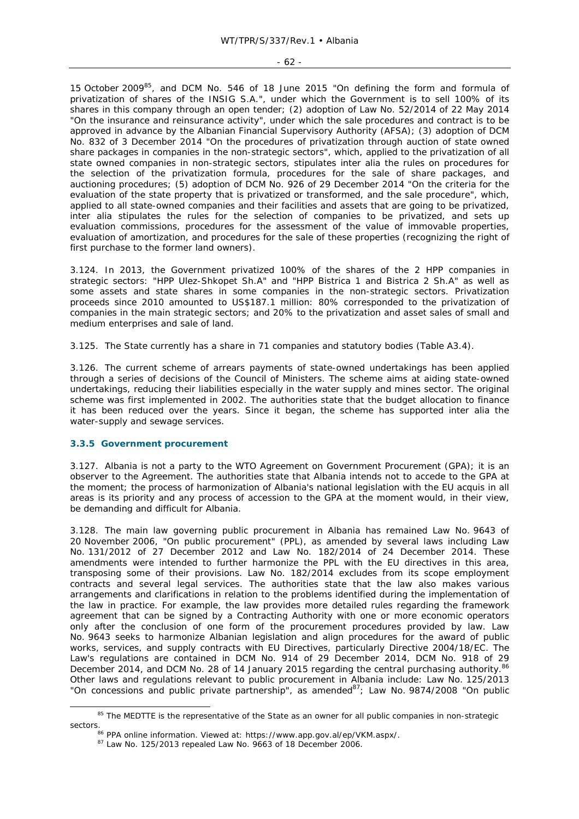#### - 62 -

15 October 2009<sup>85</sup>, and DCM No. 546 of 18 June 2015 "On defining the form and formula of privatization of shares of the INSIG S.A.", under which the Government is to sell 100% of its shares in this company through an open tender; (2) adoption of Law No. 52/2014 of 22 May 2014 "On the insurance and reinsurance activity", under which the sale procedures and contract is to be approved in advance by the Albanian Financial Supervisory Authority (AFSA); (3) adoption of DCM No. 832 of 3 December 2014 "On the procedures of privatization through auction of state owned share packages in companies in the non-strategic sectors", which, applied to the privatization of all state owned companies in non-strategic sectors, stipulates *inter alia* the rules on procedures for the selection of the privatization formula, procedures for the sale of share packages, and auctioning procedures; (5) adoption of DCM No. 926 of 29 December 2014 "On the criteria for the evaluation of the state property that is privatized or transformed, and the sale procedure", which, applied to all state-owned companies and their facilities and assets that are going to be privatized, *inter alia* stipulates the rules for the selection of companies to be privatized, and sets up evaluation commissions, procedures for the assessment of the value of immovable properties, evaluation of amortization, and procedures for the sale of these properties (recognizing the right of first purchase to the former land owners).

3.124. In 2013, the Government privatized 100% of the shares of the 2 HPP companies in strategic sectors: "HPP Ulez-Shkopet Sh.A" and "HPP Bistrica 1 and Bistrica 2 Sh.A" as well as some assets and state shares in some companies in the non-strategic sectors. Privatization proceeds since 2010 amounted to US\$187.1 million: 80% corresponded to the privatization of companies in the main strategic sectors; and 20% to the privatization and asset sales of small and medium enterprises and sale of land.

3.125. The State currently has a share in 71 companies and statutory bodies (Table A3.4).

3.126. The current scheme of arrears payments of state-owned undertakings has been applied through a series of decisions of the Council of Ministers. The scheme aims at aiding state-owned undertakings, reducing their liabilities especially in the water supply and mines sector. The original scheme was first implemented in 2002. The authorities state that the budget allocation to finance it has been reduced over the years. Since it began, the scheme has supported *inter alia* the water-supply and sewage services.

#### **3.3.5 Government procurement**

3.127. Albania is not a party to the WTO Agreement on Government Procurement (GPA); it is an observer to the Agreement. The authorities state that Albania intends not to accede to the GPA at the moment; the process of harmonization of Albania's national legislation with the EU *acquis* in all areas is its priority and any process of accession to the GPA at the moment would, in their view, be demanding and difficult for Albania.

3.128. The main law governing public procurement in Albania has remained Law No. 9643 of 20 November 2006, "On public procurement" (PPL), as amended by several laws including Law No. 131/2012 of 27 December 2012 and Law No. 182/2014 of 24 December 2014. These amendments were intended to further harmonize the PPL with the EU directives in this area, transposing some of their provisions. Law No. 182/2014 excludes from its scope employment contracts and several legal services. The authorities state that the law also makes various arrangements and clarifications in relation to the problems identified during the implementation of the law in practice. For example, the law provides more detailed rules regarding the framework agreement that can be signed by a Contracting Authority with one or more economic operators only after the conclusion of one form of the procurement procedures provided by law. Law No. 9643 seeks to harmonize Albanian legislation and align procedures for the award of public works, services, and supply contracts with EU Directives, particularly Directive 2004/18/EC. The Law's regulations are contained in DCM No. 914 of 29 December 2014, DCM No. 918 of 29 December 2014, and DCM No. 28 of 14 January 2015 regarding the central purchasing authority.<sup>86</sup> Other laws and regulations relevant to public procurement in Albania include: Law No. 125/2013 "On concessions and public private partnership", as amended $^{87}$ ; Law No. 9874/2008 "On public

<sup>&</sup>lt;sup>85</sup> The MEDTTE is the representative of the State as an owner for all public companies in non-strategic sectors.<br><sup>86</sup> PPA online information. Viewed at: https://www.app.gov.al/ep/VKM.aspx/.<br><sup>87</sup> Law No. 125/2013 repealed Law No. 9663 of 18 December 2006.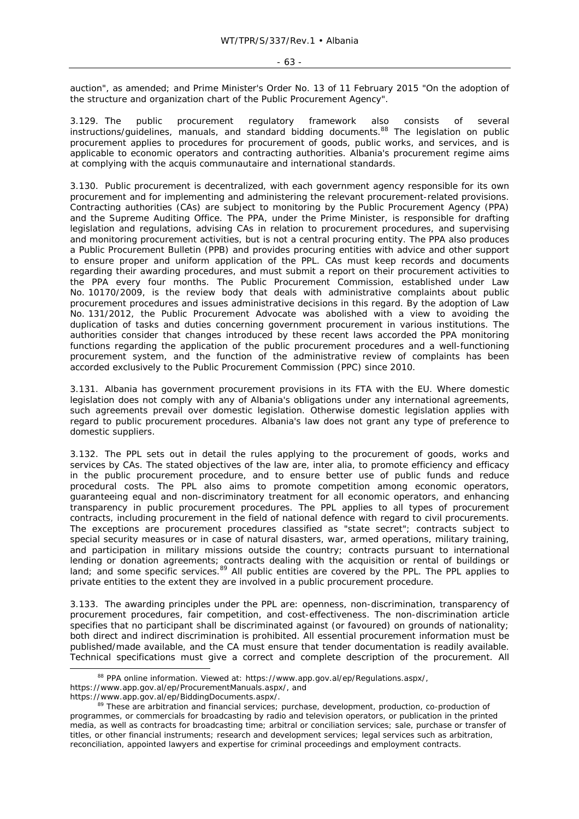auction", as amended; and Prime Minister's Order No. 13 of 11 February 2015 "On the adoption of the structure and organization chart of the Public Procurement Agency".

3.129. The public procurement regulatory framework also consists of several instructions/guidelines, manuals, and standard bidding documents.<sup>88</sup> The legislation on public procurement applies to procedures for procurement of goods, public works, and services, and is applicable to economic operators and contracting authorities. Albania's procurement regime aims at complying with the *acquis communautaire* and international standards.

3.130. Public procurement is decentralized, with each government agency responsible for its own procurement and for implementing and administering the relevant procurement-related provisions. Contracting authorities (CAs) are subject to monitoring by the Public Procurement Agency (PPA) and the Supreme Auditing Office. The PPA, under the Prime Minister, is responsible for drafting legislation and regulations, advising CAs in relation to procurement procedures, and supervising and monitoring procurement activities, but is not a central procuring entity. The PPA also produces a Public Procurement Bulletin (PPB) and provides procuring entities with advice and other support to ensure proper and uniform application of the PPL. CAs must keep records and documents regarding their awarding procedures, and must submit a report on their procurement activities to the PPA every four months. The Public Procurement Commission, established under Law No. 10170/2009, is the review body that deals with administrative complaints about public procurement procedures and issues administrative decisions in this regard. By the adoption of Law No. 131/2012, the Public Procurement Advocate was abolished with a view to avoiding the duplication of tasks and duties concerning government procurement in various institutions. The authorities consider that changes introduced by these recent laws accorded the PPA monitoring functions regarding the application of the public procurement procedures and a well-functioning procurement system, and the function of the administrative review of complaints has been accorded exclusively to the Public Procurement Commission (PPC) since 2010.

3.131. Albania has government procurement provisions in its FTA with the EU. Where domestic legislation does not comply with any of Albania's obligations under any international agreements, such agreements prevail over domestic legislation. Otherwise domestic legislation applies with regard to public procurement procedures. Albania's law does not grant any type of preference to domestic suppliers.

3.132. The PPL sets out in detail the rules applying to the procurement of goods, works and services by CAs. The stated objectives of the law are, *inter alia,* to promote efficiency and efficacy in the public procurement procedure, and to ensure better use of public funds and reduce procedural costs. The PPL also aims to promote competition among economic operators, guaranteeing equal and non-discriminatory treatment for all economic operators, and enhancing transparency in public procurement procedures. The PPL applies to all types of procurement contracts, including procurement in the field of national defence with regard to civil procurements. The exceptions are procurement procedures classified as "state secret"; contracts subject to special security measures or in case of natural disasters, war, armed operations, military training, and participation in military missions outside the country; contracts pursuant to international lending or donation agreements; contracts dealing with the acquisition or rental of buildings or land; and some specific services.<sup>89</sup> All public entities are covered by the PPL. The PPL applies to private entities to the extent they are involved in a public procurement procedure.

3.133. The awarding principles under the PPL are: openness, non-discrimination, transparency of procurement procedures, fair competition, and cost-effectiveness. The non-discrimination article specifies that no participant shall be discriminated against (or favoured) on grounds of nationality; both direct and indirect discrimination is prohibited. All essential procurement information must be published/made available, and the CA must ensure that tender documentation is readily available. Technical specifications must give a correct and complete description of the procurement. All

<sup>88</sup> PPA online information. Viewed at: https://www.app.gov.al/ep/Regulations.aspx/, https://www.app.gov.al/ep/ProcurementManuals.aspx/, and<br>https://www.app.gov.al/ep/BiddingDocuments.aspx/.

<sup>89</sup> These are arbitration and financial services; purchase, development, production, co-production of programmes, or commercials for broadcasting by radio and television operators, or publication in the printed media, as well as contracts for broadcasting time; arbitral or conciliation services; sale, purchase or transfer of titles, or other financial instruments; research and development services; legal services such as arbitration, reconciliation, appointed lawyers and expertise for criminal proceedings and employment contracts.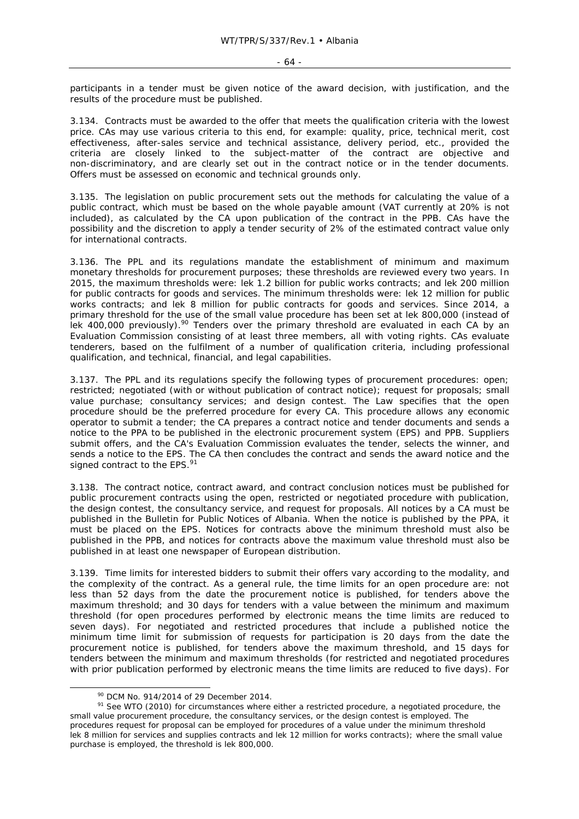participants in a tender must be given notice of the award decision, with justification, and the results of the procedure must be published.

3.134. Contracts must be awarded to the offer that meets the qualification criteria with the lowest price. CAs may use various criteria to this end, for example: quality, price, technical merit, cost effectiveness, after-sales service and technical assistance, delivery period, etc., provided the criteria are closely linked to the subject-matter of the contract are objective and non-discriminatory, and are clearly set out in the contract notice or in the tender documents. Offers must be assessed on economic and technical grounds only.

3.135. The legislation on public procurement sets out the methods for calculating the value of a public contract, which must be based on the whole payable amount (VAT currently at 20% is not included), as calculated by the CA upon publication of the contract in the PPB. CAs have the possibility and the discretion to apply a tender security of 2% of the estimated contract value only for international contracts.

3.136. The PPL and its regulations mandate the establishment of minimum and maximum monetary thresholds for procurement purposes; these thresholds are reviewed every two years. In 2015, the maximum thresholds were: lek 1.2 billion for public works contracts; and lek 200 million for public contracts for goods and services. The minimum thresholds were: lek 12 million for public works contracts; and lek 8 million for public contracts for goods and services. Since 2014, a primary threshold for the use of the small value procedure has been set at lek 800,000 (instead of lek 400,000 previously).<sup>90</sup> Tenders over the primary threshold are evaluated in each CA by an Evaluation Commission consisting of at least three members, all with voting rights. CAs evaluate tenderers, based on the fulfilment of a number of qualification criteria, including professional qualification, and technical, financial, and legal capabilities.

3.137. The PPL and its regulations specify the following types of procurement procedures: open; restricted; negotiated (with or without publication of contract notice); request for proposals; small value purchase; consultancy services; and design contest. The Law specifies that the open procedure should be the preferred procedure for every CA. This procedure allows any economic operator to submit a tender; the CA prepares a contract notice and tender documents and sends a notice to the PPA to be published in the electronic procurement system (EPS) and PPB. Suppliers submit offers, and the CA's Evaluation Commission evaluates the tender, selects the winner, and sends a notice to the EPS. The CA then concludes the contract and sends the award notice and the signed contract to the EPS.<sup>91</sup>

3.138. The contract notice, contract award, and contract conclusion notices must be published for public procurement contracts using the open, restricted or negotiated procedure with publication, the design contest, the consultancy service, and request for proposals. All notices by a CA must be published in the Bulletin for Public Notices of Albania. When the notice is published by the PPA, it must be placed on the EPS. Notices for contracts above the minimum threshold must also be published in the PPB, and notices for contracts above the maximum value threshold must also be published in at least one newspaper of European distribution.

3.139. Time limits for interested bidders to submit their offers vary according to the modality, and the complexity of the contract. As a general rule, the time limits for an open procedure are: not less than 52 days from the date the procurement notice is published, for tenders above the maximum threshold; and 30 days for tenders with a value between the minimum and maximum threshold (for open procedures performed by electronic means the time limits are reduced to seven days). For negotiated and restricted procedures that include a published notice the minimum time limit for submission of requests for participation is 20 days from the date the procurement notice is published, for tenders above the maximum threshold, and 15 days for tenders between the minimum and maximum thresholds (for restricted and negotiated procedures with prior publication performed by electronic means the time limits are reduced to five days). For

 $\frac{90}{1}$  DCM No. 914/2014 of 29 December 2014.<br><sup>91</sup> See WTO (2010) for circumstances where either a restricted procedure, a negotiated procedure, the small value procurement procedure, the consultancy services, or the design contest is employed. The procedures request for proposal can be employed for procedures of a value under the minimum threshold lek 8 million for services and supplies contracts and lek 12 million for works contracts); where the small value purchase is employed, the threshold is lek 800,000.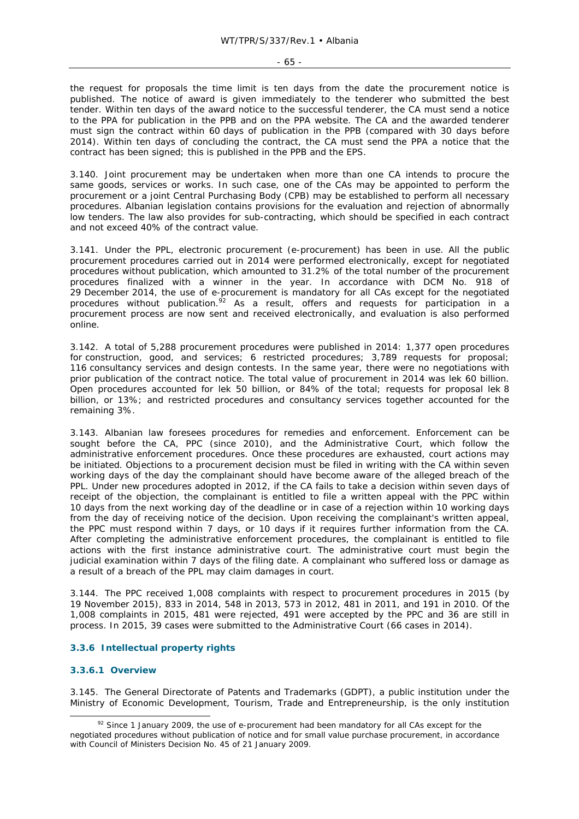the request for proposals the time limit is ten days from the date the procurement notice is published. The notice of award is given immediately to the tenderer who submitted the best tender. Within ten days of the award notice to the successful tenderer, the CA must send a notice to the PPA for publication in the PPB and on the PPA website. The CA and the awarded tenderer must sign the contract within 60 days of publication in the PPB (compared with 30 days before 2014). Within ten days of concluding the contract, the CA must send the PPA a notice that the contract has been signed; this is published in the PPB and the EPS.

3.140. Joint procurement may be undertaken when more than one CA intends to procure the same goods, services or works. In such case, one of the CAs may be appointed to perform the procurement or a joint Central Purchasing Body (CPB) may be established to perform all necessary procedures. Albanian legislation contains provisions for the evaluation and rejection of abnormally low tenders. The law also provides for sub-contracting, which should be specified in each contract and not exceed 40% of the contract value.

3.141. Under the PPL, electronic procurement (e-procurement) has been in use. All the public procurement procedures carried out in 2014 were performed electronically, except for negotiated procedures without publication, which amounted to 31.2% of the total number of the procurement procedures finalized with a winner in the year. In accordance with DCM No. 918 of 29 December 2014, the use of e-procurement is mandatory for all CAs except for the negotiated procedures without publication.<sup>92</sup> As a result, offers and requests for participation in a procurement process are now sent and received electronically, and evaluation is also performed online.

3.142. A total of 5,288 procurement procedures were published in 2014: 1,377 open procedures for construction, good, and services; 6 restricted procedures; 3,789 requests for proposal; 116 consultancy services and design contests. In the same year, there were no negotiations with prior publication of the contract notice. The total value of procurement in 2014 was lek 60 billion. Open procedures accounted for lek 50 billion, or 84% of the total; requests for proposal lek 8 billion, or 13%; and restricted procedures and consultancy services together accounted for the remaining 3%.

3.143. Albanian law foresees procedures for remedies and enforcement. Enforcement can be sought before the CA, PPC (since 2010), and the Administrative Court, which follow the administrative enforcement procedures. Once these procedures are exhausted, court actions may be initiated. Objections to a procurement decision must be filed in writing with the CA within seven working days of the day the complainant should have become aware of the alleged breach of the PPL. Under new procedures adopted in 2012, if the CA fails to take a decision within seven days of receipt of the objection, the complainant is entitled to file a written appeal with the PPC within 10 days from the next working day of the deadline or in case of a rejection within 10 working days from the day of receiving notice of the decision. Upon receiving the complainant's written appeal, the PPC must respond within 7 days, or 10 days if it requires further information from the CA. After completing the administrative enforcement procedures, the complainant is entitled to file actions with the first instance administrative court. The administrative court must begin the judicial examination within 7 days of the filing date. A complainant who suffered loss or damage as a result of a breach of the PPL may claim damages in court.

3.144. The PPC received 1,008 complaints with respect to procurement procedures in 2015 (by 19 November 2015), 833 in 2014, 548 in 2013, 573 in 2012, 481 in 2011, and 191 in 2010. Of the 1,008 complaints in 2015, 481 were rejected, 491 were accepted by the PPC and 36 are still in process. In 2015, 39 cases were submitted to the Administrative Court (66 cases in 2014).

### **3.3.6 Intellectual property rights**

### **3.3.6.1 Overview**

3.145. The General Directorate of Patents and Trademarks (GDPT), a public institution under the Ministry of Economic Development, Tourism, Trade and Entrepreneurship, is the only institution

 $92$  Since 1 January 2009, the use of e-procurement had been mandatory for all CAs except for the negotiated procedures without publication of notice and for small value purchase procurement, in accordance with Council of Ministers Decision No. 45 of 21 January 2009.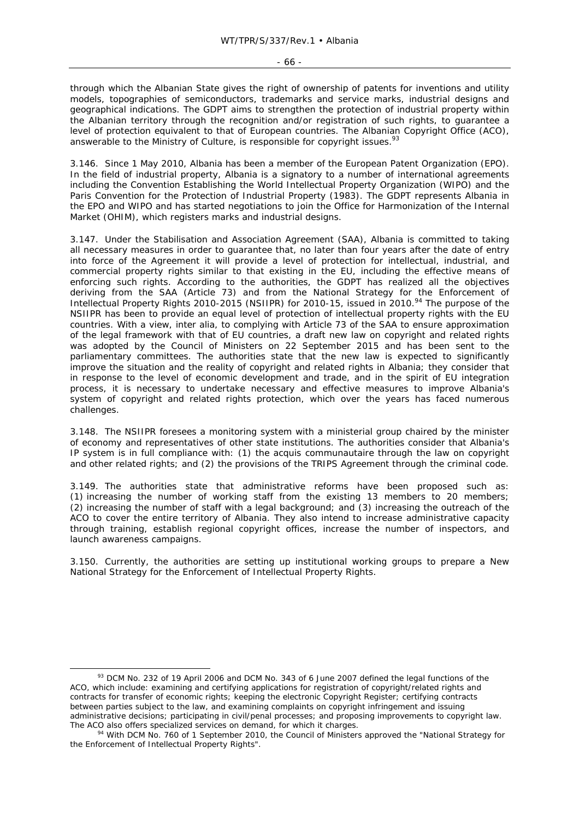- 66 -

through which the Albanian State gives the right of ownership of patents for inventions and utility models, topographies of semiconductors, trademarks and service marks, industrial designs and geographical indications. The GDPT aims to strengthen the protection of industrial property within the Albanian territory through the recognition and/or registration of such rights, to guarantee a level of protection equivalent to that of European countries. The Albanian Copyright Office (ACO), answerable to the Ministry of Culture, is responsible for copyright issues.<sup>93</sup>

3.146. Since 1 May 2010, Albania has been a member of the European Patent Organization (EPO). In the field of industrial property, Albania is a signatory to a number of international agreements including the Convention Establishing the World Intellectual Property Organization (WIPO) and the Paris Convention for the Protection of Industrial Property (1983). The GDPT represents Albania in the EPO and WIPO and has started negotiations to join the Office for Harmonization of the Internal Market (OHIM), which registers marks and industrial designs.

3.147. Under the Stabilisation and Association Agreement (SAA), Albania is committed to taking all necessary measures in order to guarantee that, no later than four years after the date of entry into force of the Agreement it will provide a level of protection for intellectual, industrial, and commercial property rights similar to that existing in the EU, including the effective means of enforcing such rights. According to the authorities, the GDPT has realized all the objectives deriving from the SAA (Article 73) and from the National Strategy for the Enforcement of Intellectual Property Rights 2010-2015 (NSIIPR) for 2010-15, issued in 2010.94 The purpose of the NSIIPR has been to provide an equal level of protection of intellectual property rights with the EU countries. With a view, *inter alia*, to complying with Article 73 of the SAA to ensure approximation of the legal framework with that of EU countries, a draft new law on copyright and related rights was adopted by the Council of Ministers on 22 September 2015 and has been sent to the parliamentary committees. The authorities state that the new law is expected to significantly improve the situation and the reality of copyright and related rights in Albania; they consider that in response to the level of economic development and trade, and in the spirit of EU integration process, it is necessary to undertake necessary and effective measures to improve Albania's system of copyright and related rights protection, which over the years has faced numerous challenges.

3.148. The NSIIPR foresees a monitoring system with a ministerial group chaired by the minister of economy and representatives of other state institutions. The authorities consider that Albania's IP system is in full compliance with: (1) the *acquis communautaire* through the law on copyright and other related rights; and (2) the provisions of the TRIPS Agreement through the criminal code.

3.149. The authorities state that administrative reforms have been proposed such as: (1) increasing the number of working staff from the existing 13 members to 20 members; (2) increasing the number of staff with a legal background; and (3) increasing the outreach of the ACO to cover the entire territory of Albania. They also intend to increase administrative capacity through training, establish regional copyright offices, increase the number of inspectors, and launch awareness campaigns.

3.150. Currently, the authorities are setting up institutional working groups to prepare a New National Strategy for the Enforcement of Intellectual Property Rights.

<sup>&</sup>lt;sup>93</sup> DCM No. 232 of 19 April 2006 and DCM No. 343 of 6 June 2007 defined the legal functions of the ACO, which include: examining and certifying applications for registration of copyright/related rights and contracts for transfer of economic rights; keeping the electronic Copyright Register; certifying contracts between parties subject to the law, and examining complaints on copyright infringement and issuing administrative decisions; participating in civil/penal processes; and proposing improvements to copyright law. The ACO also offers specialized services on demand, for which it charges.<br><sup>94</sup> With DCM No. 760 of 1 September 2010, the Council of Ministers approved the "National Strategy for

the Enforcement of Intellectual Property Rights".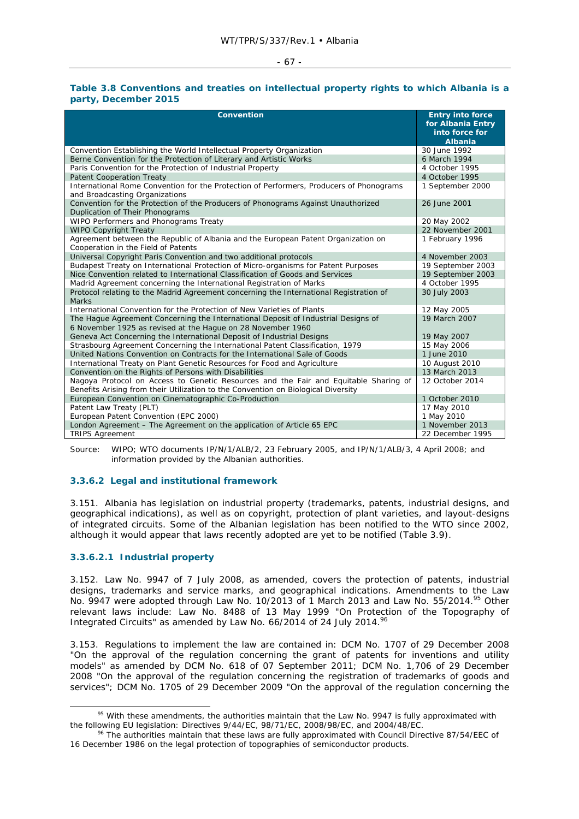#### - 67 -

#### **Table 3.8 Conventions and treaties on intellectual property rights to which Albania is a party, December 2015**

| <b>Convention</b>                                                                                                                                                         | <b>Entry into force</b><br>for Albania Entry<br>into force for<br><b>Albania</b> |
|---------------------------------------------------------------------------------------------------------------------------------------------------------------------------|----------------------------------------------------------------------------------|
| Convention Establishing the World Intellectual Property Organization                                                                                                      | 30 June 1992                                                                     |
| Berne Convention for the Protection of Literary and Artistic Works                                                                                                        | 6 March 1994                                                                     |
| Paris Convention for the Protection of Industrial Property                                                                                                                | 4 October 1995                                                                   |
| <b>Patent Cooperation Treaty</b>                                                                                                                                          | 4 October 1995                                                                   |
| International Rome Convention for the Protection of Performers, Producers of Phonograms<br>and Broadcasting Organizations                                                 | 1 September 2000                                                                 |
| Convention for the Protection of the Producers of Phonograms Against Unauthorized<br>Duplication of Their Phonograms                                                      | 26 June 2001                                                                     |
| WIPO Performers and Phonograms Treaty                                                                                                                                     | 20 May 2002                                                                      |
| <b>WIPO Copyright Treaty</b>                                                                                                                                              | 22 November 2001                                                                 |
| Agreement between the Republic of Albania and the European Patent Organization on<br>Cooperation in the Field of Patents                                                  | 1 February 1996                                                                  |
| Universal Copyright Paris Convention and two additional protocols                                                                                                         | 4 November 2003                                                                  |
| Budapest Treaty on International Protection of Micro-organisms for Patent Purposes                                                                                        | 19 September 2003                                                                |
| Nice Convention related to International Classification of Goods and Services                                                                                             | 19 September 2003                                                                |
| Madrid Agreement concerning the International Registration of Marks                                                                                                       | 4 October 1995                                                                   |
| Protocol relating to the Madrid Agreement concerning the International Registration of<br><b>Marks</b>                                                                    | 30 July 2003                                                                     |
| International Convention for the Protection of New Varieties of Plants                                                                                                    | 12 May 2005                                                                      |
| The Hague Agreement Concerning the International Deposit of Industrial Designs of<br>6 November 1925 as revised at the Hague on 28 November 1960                          | 19 March 2007                                                                    |
| Geneva Act Concerning the International Deposit of Industrial Designs                                                                                                     | 19 May 2007                                                                      |
| Strasbourg Agreement Concerning the International Patent Classification, 1979                                                                                             | 15 May 2006                                                                      |
| United Nations Convention on Contracts for the International Sale of Goods                                                                                                | 1 June 2010                                                                      |
| International Treaty on Plant Genetic Resources for Food and Agriculture                                                                                                  | 10 August 2010                                                                   |
| Convention on the Rights of Persons with Disabilities                                                                                                                     | 13 March 2013                                                                    |
| Nagoya Protocol on Access to Genetic Resources and the Fair and Equitable Sharing of<br>Benefits Arising from their Utilization to the Convention on Biological Diversity | 12 October 2014                                                                  |
| European Convention on Cinematographic Co-Production                                                                                                                      | 1 October 2010                                                                   |
| Patent Law Treaty (PLT)                                                                                                                                                   | 17 May 2010                                                                      |
| European Patent Convention (EPC 2000)                                                                                                                                     | 1 May 2010                                                                       |
| London Agreement – The Agreement on the application of Article 65 EPC                                                                                                     | 1 November 2013                                                                  |
| <b>TRIPS Agreement</b>                                                                                                                                                    | 22 December 1995                                                                 |

Source: WIPO; WTO documents IP/N/1/ALB/2, 23 February 2005, and IP/N/1/ALB/3, 4 April 2008; and information provided by the Albanian authorities.

#### **3.3.6.2 Legal and institutional framework**

3.151. Albania has legislation on industrial property (trademarks, patents, industrial designs, and geographical indications), as well as on copyright, protection of plant varieties, and layout-designs of integrated circuits. Some of the Albanian legislation has been notified to the WTO since 2002, although it would appear that laws recently adopted are yet to be notified (Table 3.9).

### **3.3.6.2.1 Industrial property**

3.152. Law No. 9947 of 7 July 2008, as amended, covers the protection of patents, industrial designs, trademarks and service marks, and geographical indications. Amendments to the Law No. 9947 were adopted through Law No. 10/2013 of 1 March 2013 and Law No. 55/2014.<sup>95</sup> Other relevant laws include: Law No. 8488 of 13 May 1999 "On Protection of the Topography of Integrated Circuits" as amended by Law No. 66/2014 of 24 July 2014.<sup>96</sup>

3.153. Regulations to implement the law are contained in: DCM No. 1707 of 29 December 2008 "On the approval of the regulation concerning the grant of patents for inventions and utility models" as amended by DCM No. 618 of 07 September 2011; DCM No. 1,706 of 29 December 2008 "On the approval of the regulation concerning the registration of trademarks of goods and services"; DCM No. 1705 of 29 December 2009 "On the approval of the regulation concerning the

<sup>&</sup>lt;sup>95</sup> With these amendments, the authorities maintain that the Law No. 9947 is fully approximated with the following EU legislation: Directives 9/44/EC, 98/71/EC, 2008/98/EC, and 2004/48/EC.<br><sup>96</sup> The authorities maintain that these laws are fully approximated with Council Directive 87/54/EEC of

<sup>16</sup> December 1986 on the legal protection of topographies of semiconductor products.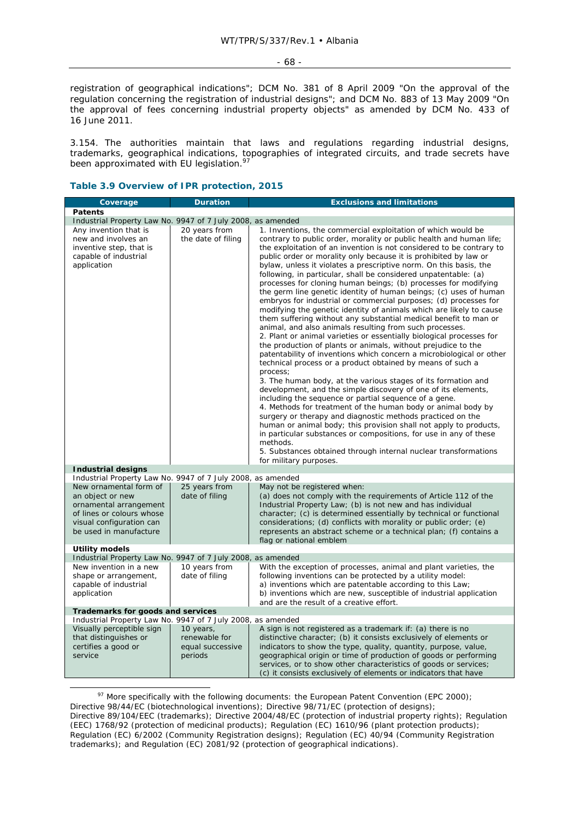registration of geographical indications"; DCM No. 381 of 8 April 2009 "On the approval of the regulation concerning the registration of industrial designs"; and DCM No. 883 of 13 May 2009 "On the approval of fees concerning industrial property objects" as amended by DCM No. 433 of 16 June 2011.

3.154. The authorities maintain that laws and regulations regarding industrial designs, trademarks, geographical indications, topographies of integrated circuits, and trade secrets have been approximated with EU legislation.<sup>97</sup>

### **Table 3.9 Overview of IPR protection, 2015**

| Coverage                                                                                                                                                                                                               | <b>Duration</b>                                                    | <b>Exclusions and limitations</b>                                                                                                                                                                                                                                                                                                                                                                                                                                                                                                                                                                                                                                                                                                                                                                                                                                                                                                                                                                                                                                                                                                                                                                                                                                                                                                                                                                                                                                                                                                                                                                                                                                                                                |  |
|------------------------------------------------------------------------------------------------------------------------------------------------------------------------------------------------------------------------|--------------------------------------------------------------------|------------------------------------------------------------------------------------------------------------------------------------------------------------------------------------------------------------------------------------------------------------------------------------------------------------------------------------------------------------------------------------------------------------------------------------------------------------------------------------------------------------------------------------------------------------------------------------------------------------------------------------------------------------------------------------------------------------------------------------------------------------------------------------------------------------------------------------------------------------------------------------------------------------------------------------------------------------------------------------------------------------------------------------------------------------------------------------------------------------------------------------------------------------------------------------------------------------------------------------------------------------------------------------------------------------------------------------------------------------------------------------------------------------------------------------------------------------------------------------------------------------------------------------------------------------------------------------------------------------------------------------------------------------------------------------------------------------------|--|
| <b>Patents</b>                                                                                                                                                                                                         |                                                                    |                                                                                                                                                                                                                                                                                                                                                                                                                                                                                                                                                                                                                                                                                                                                                                                                                                                                                                                                                                                                                                                                                                                                                                                                                                                                                                                                                                                                                                                                                                                                                                                                                                                                                                                  |  |
|                                                                                                                                                                                                                        | Industrial Property Law No. 9947 of 7 July 2008, as amended        |                                                                                                                                                                                                                                                                                                                                                                                                                                                                                                                                                                                                                                                                                                                                                                                                                                                                                                                                                                                                                                                                                                                                                                                                                                                                                                                                                                                                                                                                                                                                                                                                                                                                                                                  |  |
| Any invention that is<br>new and involves an<br>inventive step, that is<br>capable of industrial<br>application                                                                                                        | 20 years from<br>the date of filing                                | 1. Inventions, the commercial exploitation of which would be<br>contrary to public order, morality or public health and human life;<br>the exploitation of an invention is not considered to be contrary to<br>public order or morality only because it is prohibited by law or<br>bylaw, unless it violates a prescriptive norm. On this basis, the<br>following, in particular, shall be considered unpatentable: (a)<br>processes for cloning human beings; (b) processes for modifying<br>the germ line genetic identity of human beings; (c) uses of human<br>embryos for industrial or commercial purposes; (d) processes for<br>modifying the genetic identity of animals which are likely to cause<br>them suffering without any substantial medical benefit to man or<br>animal, and also animals resulting from such processes.<br>2. Plant or animal varieties or essentially biological processes for<br>the production of plants or animals, without prejudice to the<br>patentability of inventions which concern a microbiological or other<br>technical process or a product obtained by means of such a<br>process;<br>3. The human body, at the various stages of its formation and<br>development, and the simple discovery of one of its elements,<br>including the sequence or partial sequence of a gene.<br>4. Methods for treatment of the human body or animal body by<br>surgery or therapy and diagnostic methods practiced on the<br>human or animal body; this provision shall not apply to products,<br>in particular substances or compositions, for use in any of these<br>methods.<br>5. Substances obtained through internal nuclear transformations<br>for military purposes. |  |
| <b>Industrial designs</b>                                                                                                                                                                                              |                                                                    |                                                                                                                                                                                                                                                                                                                                                                                                                                                                                                                                                                                                                                                                                                                                                                                                                                                                                                                                                                                                                                                                                                                                                                                                                                                                                                                                                                                                                                                                                                                                                                                                                                                                                                                  |  |
| Industrial Property Law No. 9947 of 7 July 2008, as amended<br>New ornamental form of<br>an object or new<br>ornamental arrangement<br>of lines or colours whose<br>visual configuration can<br>be used in manufacture | 25 years from<br>date of filing                                    | May not be registered when:<br>(a) does not comply with the requirements of Article 112 of the<br>Industrial Property Law; (b) is not new and has individual<br>character; (c) is determined essentially by technical or functional<br>considerations; (d) conflicts with morality or public order; (e)<br>represents an abstract scheme or a technical plan; (f) contains a<br>flag or national emblem                                                                                                                                                                                                                                                                                                                                                                                                                                                                                                                                                                                                                                                                                                                                                                                                                                                                                                                                                                                                                                                                                                                                                                                                                                                                                                          |  |
| Utility models                                                                                                                                                                                                         |                                                                    |                                                                                                                                                                                                                                                                                                                                                                                                                                                                                                                                                                                                                                                                                                                                                                                                                                                                                                                                                                                                                                                                                                                                                                                                                                                                                                                                                                                                                                                                                                                                                                                                                                                                                                                  |  |
| Industrial Property Law No.<br>New invention in a new<br>shape or arrangement,<br>capable of industrial<br>application                                                                                                 | 9947 of 7 July 2008, as amended<br>10 years from<br>date of filing | With the exception of processes, animal and plant varieties, the<br>following inventions can be protected by a utility model:<br>a) inventions which are patentable according to this Law;<br>b) inventions which are new, susceptible of industrial application<br>and are the result of a creative effort.                                                                                                                                                                                                                                                                                                                                                                                                                                                                                                                                                                                                                                                                                                                                                                                                                                                                                                                                                                                                                                                                                                                                                                                                                                                                                                                                                                                                     |  |
| Trademarks for goods and services                                                                                                                                                                                      |                                                                    |                                                                                                                                                                                                                                                                                                                                                                                                                                                                                                                                                                                                                                                                                                                                                                                                                                                                                                                                                                                                                                                                                                                                                                                                                                                                                                                                                                                                                                                                                                                                                                                                                                                                                                                  |  |
| Industrial Property Law No. 9947 of 7 July 2008, as amended<br>Visually perceptible sign                                                                                                                               | 10 years,                                                          | A sign is not registered as a trademark if: (a) there is no                                                                                                                                                                                                                                                                                                                                                                                                                                                                                                                                                                                                                                                                                                                                                                                                                                                                                                                                                                                                                                                                                                                                                                                                                                                                                                                                                                                                                                                                                                                                                                                                                                                      |  |
| that distinguishes or<br>certifies a good or<br>service                                                                                                                                                                | renewable for<br>equal successive<br>periods                       | distinctive character; (b) it consists exclusively of elements or<br>indicators to show the type, quality, quantity, purpose, value,<br>geographical origin or time of production of goods or performing<br>services, or to show other characteristics of goods or services;<br>(c) it consists exclusively of elements or indicators that have                                                                                                                                                                                                                                                                                                                                                                                                                                                                                                                                                                                                                                                                                                                                                                                                                                                                                                                                                                                                                                                                                                                                                                                                                                                                                                                                                                  |  |

 $97$  More specifically with the following documents: the European Patent Convention (EPC 2000); Directive 98/44/EC (biotechnological inventions); Directive 98/71/EC (protection of designs); Directive 89/104/EEC (trademarks); Directive 2004/48/EC (protection of industrial property rights); Regulation (EEC) 1768/92 (protection of medicinal products); Regulation (EC) 1610/96 (plant protection products); Regulation (EC) 6/2002 (Community Registration designs); Regulation (EC) 40/94 (Community Registration trademarks); and Regulation (EC) 2081/92 (protection of geographical indications).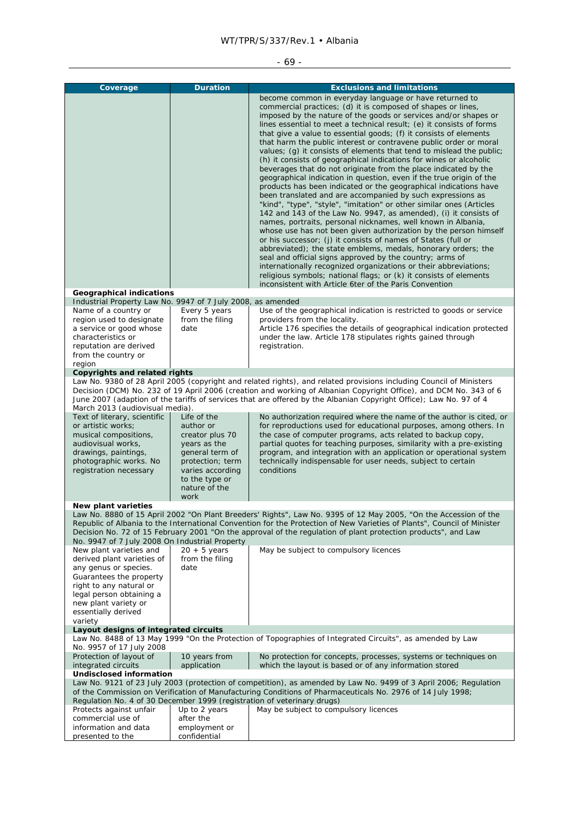# $-69 -$

| Coverage                                                                                                                                                                                                                    | <b>Duration</b>                                                                                                                                                   | <b>Exclusions and limitations</b><br>become common in everyday language or have returned to<br>commercial practices; (d) it is composed of shapes or lines,<br>imposed by the nature of the goods or services and/or shapes or<br>lines essential to meet a technical result; (e) it consists of forms<br>that give a value to essential goods; (f) it consists of elements<br>that harm the public interest or contravene public order or moral<br>values; (q) it consists of elements that tend to mislead the public;<br>(h) it consists of geographical indications for wines or alcoholic<br>beverages that do not originate from the place indicated by the<br>geographical indication in question, even if the true origin of the<br>products has been indicated or the geographical indications have<br>been translated and are accompanied by such expressions as<br>"kind", "type", "style", "imitation" or other similar ones (Articles<br>142 and 143 of the Law No. 9947, as amended), (i) it consists of<br>names, portraits, personal nicknames, well known in Albania,<br>whose use has not been given authorization by the person himself<br>or his successor; (j) it consists of names of States (full or<br>abbreviated); the state emblems, medals, honorary orders; the<br>seal and official signs approved by the country; arms of<br>internationally recognized organizations or their abbreviations;<br>religious symbols; national flags; or (k) it consists of elements<br>inconsistent with Article 6ter of the Paris Convention |
|-----------------------------------------------------------------------------------------------------------------------------------------------------------------------------------------------------------------------------|-------------------------------------------------------------------------------------------------------------------------------------------------------------------|-------------------------------------------------------------------------------------------------------------------------------------------------------------------------------------------------------------------------------------------------------------------------------------------------------------------------------------------------------------------------------------------------------------------------------------------------------------------------------------------------------------------------------------------------------------------------------------------------------------------------------------------------------------------------------------------------------------------------------------------------------------------------------------------------------------------------------------------------------------------------------------------------------------------------------------------------------------------------------------------------------------------------------------------------------------------------------------------------------------------------------------------------------------------------------------------------------------------------------------------------------------------------------------------------------------------------------------------------------------------------------------------------------------------------------------------------------------------------------------------------------------------------------------------------------------|
| <b>Geographical indications</b>                                                                                                                                                                                             |                                                                                                                                                                   |                                                                                                                                                                                                                                                                                                                                                                                                                                                                                                                                                                                                                                                                                                                                                                                                                                                                                                                                                                                                                                                                                                                                                                                                                                                                                                                                                                                                                                                                                                                                                             |
| Industrial Property Law No. 9947 of 7 July 2008, as amended<br>Name of a country or<br>region used to designate<br>a service or good whose<br>characteristics or<br>reputation are derived<br>from the country or<br>region | Every 5 years<br>from the filing<br>date                                                                                                                          | Use of the geographical indication is restricted to goods or service<br>providers from the locality.<br>Article 176 specifies the details of geographical indication protected<br>under the law. Article 178 stipulates rights gained through<br>registration.                                                                                                                                                                                                                                                                                                                                                                                                                                                                                                                                                                                                                                                                                                                                                                                                                                                                                                                                                                                                                                                                                                                                                                                                                                                                                              |
| Copyrights and related rights                                                                                                                                                                                               |                                                                                                                                                                   |                                                                                                                                                                                                                                                                                                                                                                                                                                                                                                                                                                                                                                                                                                                                                                                                                                                                                                                                                                                                                                                                                                                                                                                                                                                                                                                                                                                                                                                                                                                                                             |
| March 2013 (audiovisual media).                                                                                                                                                                                             |                                                                                                                                                                   | Law No. 9380 of 28 April 2005 (copyright and related rights), and related provisions including Council of Ministers<br>Decision (DCM) No. 232 of 19 April 2006 (creation and working of Albanian Copyright Office), and DCM No. 343 of 6<br>June 2007 (adaption of the tariffs of services that are offered by the Albanian Copyright Office); Law No. 97 of 4                                                                                                                                                                                                                                                                                                                                                                                                                                                                                                                                                                                                                                                                                                                                                                                                                                                                                                                                                                                                                                                                                                                                                                                              |
| Text of literary, scientific<br>or artistic works:<br>musical compositions,<br>audiovisual works,<br>drawings, paintings,<br>photographic works. No<br>registration necessary                                               | Life of the<br>author or<br>creator plus 70<br>years as the<br>general term of<br>protection; term<br>varies according<br>to the type or<br>nature of the<br>work | No authorization required where the name of the author is cited, or<br>for reproductions used for educational purposes, among others. In<br>the case of computer programs, acts related to backup copy,<br>partial quotes for teaching purposes, similarity with a pre-existing<br>program, and integration with an application or operational system<br>technically indispensable for user needs, subject to certain<br>conditions                                                                                                                                                                                                                                                                                                                                                                                                                                                                                                                                                                                                                                                                                                                                                                                                                                                                                                                                                                                                                                                                                                                         |
| New plant varieties                                                                                                                                                                                                         |                                                                                                                                                                   |                                                                                                                                                                                                                                                                                                                                                                                                                                                                                                                                                                                                                                                                                                                                                                                                                                                                                                                                                                                                                                                                                                                                                                                                                                                                                                                                                                                                                                                                                                                                                             |
| No. 9947 of 7 July 2008 On Industrial Property                                                                                                                                                                              |                                                                                                                                                                   | Law No. 8880 of 15 April 2002 "On Plant Breeders' Rights", Law No. 9395 of 12 May 2005, "On the Accession of the<br>Republic of Albania to the International Convention for the Protection of New Varieties of Plants", Council of Minister<br>Decision No. 72 of 15 February 2001 "On the approval of the regulation of plant protection products", and Law                                                                                                                                                                                                                                                                                                                                                                                                                                                                                                                                                                                                                                                                                                                                                                                                                                                                                                                                                                                                                                                                                                                                                                                                |
| New plant varieties and<br>derived plant varieties of<br>any genus or species.<br>Guarantees the property<br>right to any natural or<br>legal person obtaining a<br>new plant variety or<br>essentially derived<br>variety  | $20 + 5$ years<br>from the filing<br>date                                                                                                                         | May be subject to compulsory licences                                                                                                                                                                                                                                                                                                                                                                                                                                                                                                                                                                                                                                                                                                                                                                                                                                                                                                                                                                                                                                                                                                                                                                                                                                                                                                                                                                                                                                                                                                                       |
| Layout designs of integrated circuits                                                                                                                                                                                       |                                                                                                                                                                   | Law No. 8488 of 13 May 1999 "On the Protection of Topographies of Integrated Circuits", as amended by Law                                                                                                                                                                                                                                                                                                                                                                                                                                                                                                                                                                                                                                                                                                                                                                                                                                                                                                                                                                                                                                                                                                                                                                                                                                                                                                                                                                                                                                                   |
| No. 9957 of 17 July 2008<br>Protection of layout of                                                                                                                                                                         | 10 years from                                                                                                                                                     | No protection for concepts, processes, systems or techniques on                                                                                                                                                                                                                                                                                                                                                                                                                                                                                                                                                                                                                                                                                                                                                                                                                                                                                                                                                                                                                                                                                                                                                                                                                                                                                                                                                                                                                                                                                             |
| integrated circuits<br><b>Undisclosed information</b>                                                                                                                                                                       | application                                                                                                                                                       | which the layout is based or of any information stored                                                                                                                                                                                                                                                                                                                                                                                                                                                                                                                                                                                                                                                                                                                                                                                                                                                                                                                                                                                                                                                                                                                                                                                                                                                                                                                                                                                                                                                                                                      |
| Regulation No. 4 of 30 December 1999 (registration of veterinary drugs)                                                                                                                                                     |                                                                                                                                                                   | Law No. 9121 of 23 July 2003 (protection of competition), as amended by Law No. 9499 of 3 April 2006; Regulation<br>of the Commission on Verification of Manufacturing Conditions of Pharmaceuticals No. 2976 of 14 July 1998;                                                                                                                                                                                                                                                                                                                                                                                                                                                                                                                                                                                                                                                                                                                                                                                                                                                                                                                                                                                                                                                                                                                                                                                                                                                                                                                              |
| Protects against unfair                                                                                                                                                                                                     | Up to 2 years                                                                                                                                                     | May be subject to compulsory licences                                                                                                                                                                                                                                                                                                                                                                                                                                                                                                                                                                                                                                                                                                                                                                                                                                                                                                                                                                                                                                                                                                                                                                                                                                                                                                                                                                                                                                                                                                                       |
| commercial use of<br>information and data                                                                                                                                                                                   | after the<br>employment or                                                                                                                                        |                                                                                                                                                                                                                                                                                                                                                                                                                                                                                                                                                                                                                                                                                                                                                                                                                                                                                                                                                                                                                                                                                                                                                                                                                                                                                                                                                                                                                                                                                                                                                             |
| presented to the                                                                                                                                                                                                            | confidential                                                                                                                                                      |                                                                                                                                                                                                                                                                                                                                                                                                                                                                                                                                                                                                                                                                                                                                                                                                                                                                                                                                                                                                                                                                                                                                                                                                                                                                                                                                                                                                                                                                                                                                                             |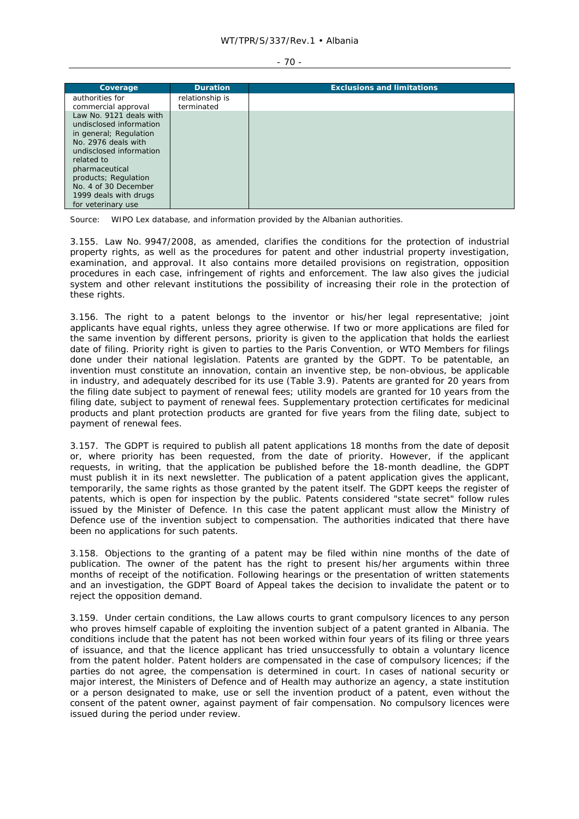| I<br>$\sim$ |  |
|-------------|--|
|-------------|--|

| Coverage                                          | <b>Duration</b>               | <b>Exclusions and limitations</b> |
|---------------------------------------------------|-------------------------------|-----------------------------------|
| authorities for                                   | relationship is<br>terminated |                                   |
| commercial approval<br>Law No. 9121 deals with    |                               |                                   |
| undisclosed information<br>in general; Regulation |                               |                                   |
| No. 2976 deals with                               |                               |                                   |
| undisclosed information<br>related to             |                               |                                   |
| pharmaceutical                                    |                               |                                   |
| products; Regulation<br>No. 4 of 30 December      |                               |                                   |
| 1999 deals with drugs                             |                               |                                   |
| for veterinary use                                |                               |                                   |

Source: WIPO Lex database, and information provided by the Albanian authorities.

3.155. Law No. 9947/2008, as amended, clarifies the conditions for the protection of industrial property rights, as well as the procedures for patent and other industrial property investigation, examination, and approval. It also contains more detailed provisions on registration, opposition procedures in each case, infringement of rights and enforcement. The law also gives the judicial system and other relevant institutions the possibility of increasing their role in the protection of these rights.

3.156. The right to a patent belongs to the inventor or his/her legal representative; joint applicants have equal rights, unless they agree otherwise. If two or more applications are filed for the same invention by different persons, priority is given to the application that holds the earliest date of filing. Priority right is given to parties to the Paris Convention, or WTO Members for filings done under their national legislation. Patents are granted by the GDPT. To be patentable, an invention must constitute an innovation, contain an inventive step, be non-obvious, be applicable in industry, and adequately described for its use (Table 3.9). Patents are granted for 20 years from the filing date subject to payment of renewal fees; utility models are granted for 10 years from the filing date, subject to payment of renewal fees. Supplementary protection certificates for medicinal products and plant protection products are granted for five years from the filing date, subject to payment of renewal fees.

3.157. The GDPT is required to publish all patent applications 18 months from the date of deposit or, where priority has been requested, from the date of priority. However, if the applicant requests, in writing, that the application be published before the 18-month deadline, the GDPT must publish it in its next newsletter. The publication of a patent application gives the applicant, temporarily, the same rights as those granted by the patent itself. The GDPT keeps the register of patents, which is open for inspection by the public. Patents considered "state secret" follow rules issued by the Minister of Defence. In this case the patent applicant must allow the Ministry of Defence use of the invention subject to compensation. The authorities indicated that there have been no applications for such patents.

3.158. Objections to the granting of a patent may be filed within nine months of the date of publication. The owner of the patent has the right to present his/her arguments within three months of receipt of the notification. Following hearings or the presentation of written statements and an investigation, the GDPT Board of Appeal takes the decision to invalidate the patent or to reject the opposition demand.

3.159. Under certain conditions, the Law allows courts to grant compulsory licences to any person who proves himself capable of exploiting the invention subject of a patent granted in Albania. The conditions include that the patent has not been worked within four years of its filing or three years of issuance, and that the licence applicant has tried unsuccessfully to obtain a voluntary licence from the patent holder. Patent holders are compensated in the case of compulsory licences; if the parties do not agree, the compensation is determined in court. In cases of national security or major interest, the Ministers of Defence and of Health may authorize an agency, a state institution or a person designated to make, use or sell the invention product of a patent, even without the consent of the patent owner, against payment of fair compensation. No compulsory licences were issued during the period under review.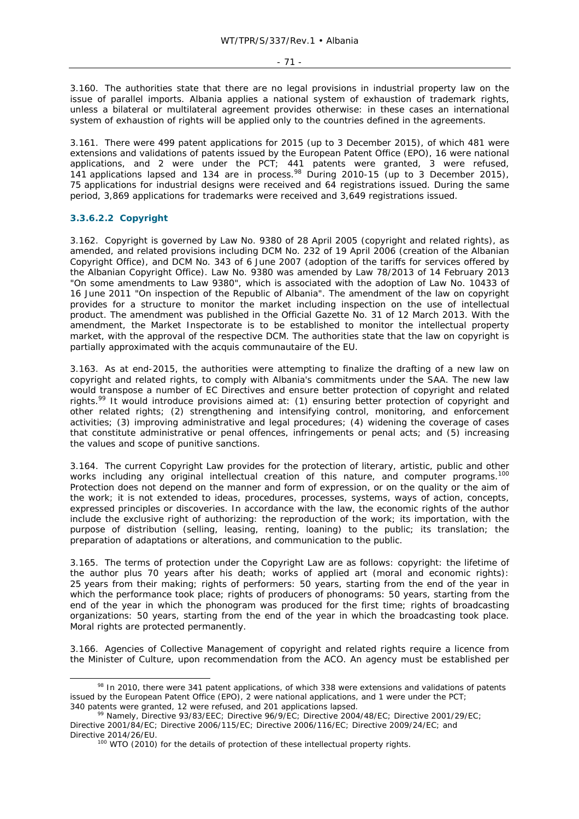3.160. The authorities state that there are no legal provisions in industrial property law on the issue of parallel imports. Albania applies a national system of exhaustion of trademark rights, unless a bilateral or multilateral agreement provides otherwise: in these cases an international system of exhaustion of rights will be applied only to the countries defined in the agreements.

3.161. There were 499 patent applications for 2015 (up to 3 December 2015), of which 481 were extensions and validations of patents issued by the European Patent Office (EPO), 16 were national applications, and 2 were under the PCT; 441 patents were granted, 3 were refused, 141 applications lapsed and 134 are in process.98 During 2010-15 (up to 3 December 2015), 75 applications for industrial designs were received and 64 registrations issued. During the same period, 3,869 applications for trademarks were received and 3,649 registrations issued.

### **3.3.6.2.2 Copyright**

3.162. Copyright is governed by Law No. 9380 of 28 April 2005 (copyright and related rights), as amended, and related provisions including DCM No. 232 of 19 April 2006 (creation of the Albanian Copyright Office), and DCM No. 343 of 6 June 2007 (adoption of the tariffs for services offered by the Albanian Copyright Office). Law No. 9380 was amended by Law 78/2013 of 14 February 2013 "On some amendments to Law 9380", which is associated with the adoption of Law No. 10433 of 16 June 2011 "On inspection of the Republic of Albania". The amendment of the law on copyright provides for a structure to monitor the market including inspection on the use of intellectual product. The amendment was published in the Official Gazette No. 31 of 12 March 2013. With the amendment, the Market Inspectorate is to be established to monitor the intellectual property market, with the approval of the respective DCM. The authorities state that the law on copyright is partially approximated with the *acquis communautaire* of the EU.

3.163. As at end-2015, the authorities were attempting to finalize the drafting of a new law on copyright and related rights, to comply with Albania's commitments under the SAA. The new law would transpose a number of EC Directives and ensure better protection of copyright and related rights.<sup>99</sup> It would introduce provisions aimed at: (1) ensuring better protection of copyright and other related rights; (2) strengthening and intensifying control, monitoring, and enforcement activities; (3) improving administrative and legal procedures; (4) widening the coverage of cases that constitute administrative or penal offences, infringements or penal acts; and (5) increasing the values and scope of punitive sanctions.

3.164. The current Copyright Law provides for the protection of literary, artistic, public and other works including any original intellectual creation of this nature, and computer programs.<sup>100</sup> Protection does not depend on the manner and form of expression, or on the quality or the aim of the work; it is not extended to ideas, procedures, processes, systems, ways of action, concepts, expressed principles or discoveries. In accordance with the law, the economic rights of the author include the exclusive right of authorizing: the reproduction of the work; its importation, with the purpose of distribution (selling, leasing, renting, loaning) to the public; its translation; the preparation of adaptations or alterations, and communication to the public.

3.165. The terms of protection under the Copyright Law are as follows: copyright: the lifetime of the author plus 70 years after his death; works of applied art (moral and economic rights): 25 years from their making; rights of performers: 50 years, starting from the end of the year in which the performance took place; rights of producers of phonograms: 50 years, starting from the end of the year in which the phonogram was produced for the first time; rights of broadcasting organizations: 50 years, starting from the end of the year in which the broadcasting took place. Moral rights are protected permanently.

3.166. Agencies of Collective Management of copyright and related rights require a licence from the Minister of Culture, upon recommendation from the ACO. An agency must be established per

<sup>98</sup> In 2010, there were 341 patent applications, of which 338 were extensions and validations of patents issued by the European Patent Office (EPO), 2 were national applications, and 1 were under the PCT;

<sup>340</sup> patents were granted, 12 were refused, and 201 applications lapsed.<br><sup>99</sup> Namely, Directive 93/83/EEC; Directive 96/9/EC; Directive 2004/48/EC; Directive 2001/29/EC; Directive 2001/84/EC; Directive 2006/115/EC; Directive 2006/116/EC; Directive 2009/24/EC; and

Directive 2014/26/EU.<br><sup>100</sup> WTO (2010) for the details of protection of these intellectual property rights.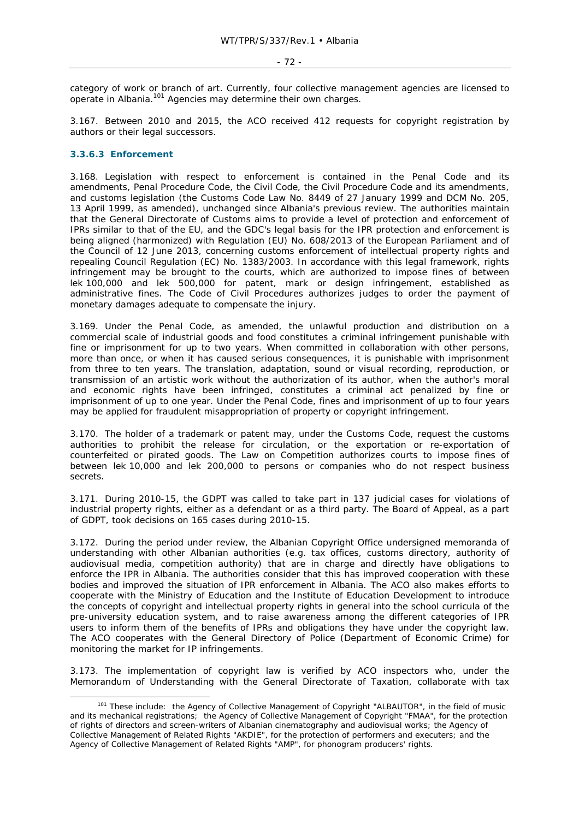category of work or branch of art. Currently, four collective management agencies are licensed to operate in Albania.101 Agencies may determine their own charges.

3.167. Between 2010 and 2015, the ACO received 412 requests for copyright registration by authors or their legal successors.

### **3.3.6.3 Enforcement**

3.168. Legislation with respect to enforcement is contained in the Penal Code and its amendments, Penal Procedure Code, the Civil Code, the Civil Procedure Code and its amendments, and customs legislation (the Customs Code Law No. 8449 of 27 January 1999 and DCM No. 205, 13 April 1999, as amended), unchanged since Albania's previous review. The authorities maintain that the General Directorate of Customs aims to provide a level of protection and enforcement of IPRs similar to that of the EU, and the GDC's legal basis for the IPR protection and enforcement is being aligned (harmonized) with Regulation (EU) No. 608/2013 of the European Parliament and of the Council of 12 June 2013, concerning customs enforcement of intellectual property rights and repealing Council Regulation (EC) No. 1383/2003. In accordance with this legal framework, rights infringement may be brought to the courts, which are authorized to impose fines of between lek 100,000 and lek 500,000 for patent, mark or design infringement, established as administrative fines. The Code of Civil Procedures authorizes judges to order the payment of monetary damages adequate to compensate the injury.

3.169. Under the Penal Code, as amended, the unlawful production and distribution on a commercial scale of industrial goods and food constitutes a criminal infringement punishable with fine or imprisonment for up to two years. When committed in collaboration with other persons, more than once, or when it has caused serious consequences, it is punishable with imprisonment from three to ten years. The translation, adaptation, sound or visual recording, reproduction, or transmission of an artistic work without the authorization of its author, when the author's moral and economic rights have been infringed, constitutes a criminal act penalized by fine or imprisonment of up to one year. Under the Penal Code, fines and imprisonment of up to four years may be applied for fraudulent misappropriation of property or copyright infringement.

3.170. The holder of a trademark or patent may, under the Customs Code, request the customs authorities to prohibit the release for circulation, or the exportation or re-exportation of counterfeited or pirated goods. The Law on Competition authorizes courts to impose fines of between lek 10,000 and lek 200,000 to persons or companies who do not respect business secrets.

3.171. During 2010-15, the GDPT was called to take part in 137 judicial cases for violations of industrial property rights, either as a defendant or as a third party. The Board of Appeal, as a part of GDPT, took decisions on 165 cases during 2010-15.

3.172. During the period under review, the Albanian Copyright Office undersigned memoranda of understanding with other Albanian authorities (e.g. tax offices, customs directory, authority of audiovisual media, competition authority) that are in charge and directly have obligations to enforce the IPR in Albania. The authorities consider that this has improved cooperation with these bodies and improved the situation of IPR enforcement in Albania. The ACO also makes efforts to cooperate with the Ministry of Education and the Institute of Education Development to introduce the concepts of copyright and intellectual property rights in general into the school curricula of the pre-university education system, and to raise awareness among the different categories of IPR users to inform them of the benefits of IPRs and obligations they have under the copyright law. The ACO cooperates with the General Directory of Police (Department of Economic Crime) for monitoring the market for IP infringements.

3.173. The implementation of copyright law is verified by ACO inspectors who, under the Memorandum of Understanding with the General Directorate of Taxation, collaborate with tax

<sup>101</sup> These include: the Agency of Collective Management of Copyright "ALBAUTOR", in the field of music and its mechanical registrations; the Agency of Collective Management of Copyright "FMAA", for the protection of rights of directors and screen-writers of Albanian cinematography and audiovisual works; the Agency of Collective Management of Related Rights "AKDIE", for the protection of performers and executers; and the Agency of Collective Management of Related Rights "AMP", for phonogram producers' rights.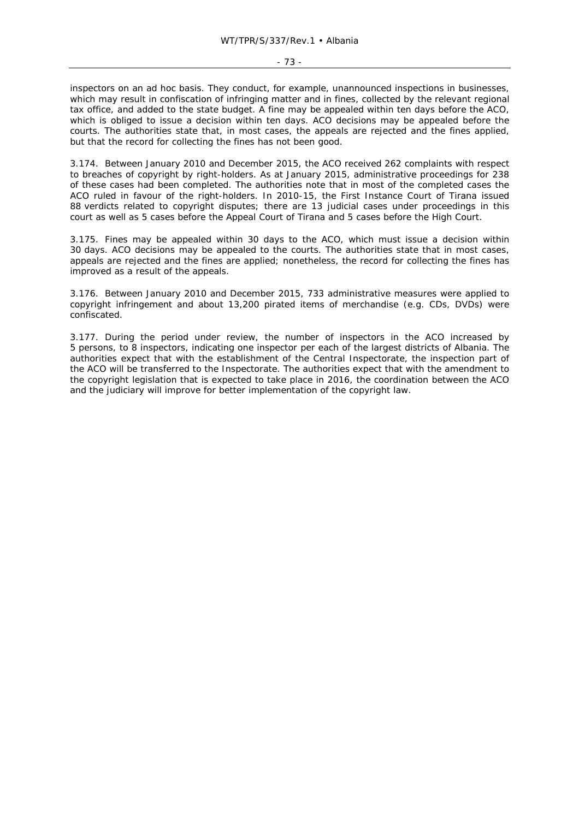inspectors on an ad hoc basis. They conduct, for example, unannounced inspections in businesses, which may result in confiscation of infringing matter and in fines, collected by the relevant regional tax office, and added to the state budget. A fine may be appealed within ten days before the ACO, which is obliged to issue a decision within ten days. ACO decisions may be appealed before the courts. The authorities state that, in most cases, the appeals are rejected and the fines applied, but that the record for collecting the fines has not been good.

3.174. Between January 2010 and December 2015, the ACO received 262 complaints with respect to breaches of copyright by right-holders. As at January 2015, administrative proceedings for 238 of these cases had been completed. The authorities note that in most of the completed cases the ACO ruled in favour of the right-holders. In 2010-15, the First Instance Court of Tirana issued 88 verdicts related to copyright disputes; there are 13 judicial cases under proceedings in this court as well as 5 cases before the Appeal Court of Tirana and 5 cases before the High Court.

3.175. Fines may be appealed within 30 days to the ACO, which must issue a decision within 30 days. ACO decisions may be appealed to the courts. The authorities state that in most cases, appeals are rejected and the fines are applied; nonetheless, the record for collecting the fines has improved as a result of the appeals.

3.176. Between January 2010 and December 2015, 733 administrative measures were applied to copyright infringement and about 13,200 pirated items of merchandise (e.g. CDs, DVDs) were confiscated.

3.177. During the period under review, the number of inspectors in the ACO increased by 5 persons, to 8 inspectors, indicating one inspector per each of the largest districts of Albania. The authorities expect that with the establishment of the Central Inspectorate, the inspection part of the ACO will be transferred to the Inspectorate. The authorities expect that with the amendment to the copyright legislation that is expected to take place in 2016, the coordination between the ACO and the judiciary will improve for better implementation of the copyright law.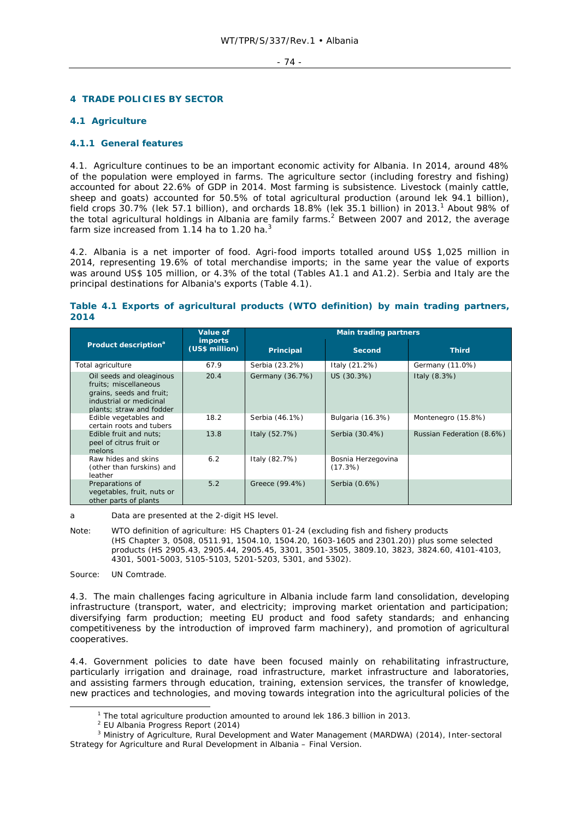## **4 TRADE POLICIES BY SECTOR**

## **4.1 Agriculture**

## **4.1.1 General features**

4.1. Agriculture continues to be an important economic activity for Albania. In 2014, around 48% of the population were employed in farms. The agriculture sector (including forestry and fishing) accounted for about 22.6% of GDP in 2014. Most farming is subsistence. Livestock (mainly cattle, sheep and goats) accounted for 50.5% of total agricultural production (around lek 94.1 billion), field crops 30.7% (lek 57.1 billion), and orchards 18.8% (lek 35.1 billion) in 2013.<sup>1</sup> About 98% of the total agricultural holdings in Albania are family farms.<sup>2</sup> Between 2007 and 2012, the average farm size increased from  $1.14$  ha to  $1.20$  ha.<sup>3</sup>

4.2. Albania is a net importer of food. Agri-food imports totalled around US\$ 1,025 million in 2014, representing 19.6% of total merchandise imports; in the same year the value of exports was around US\$ 105 million, or 4.3% of the total (Tables A1.1 and A1.2). Serbia and Italy are the principal destinations for Albania's exports (Table 4.1).

## **Table 4.1 Exports of agricultural products (WTO definition) by main trading partners, 2014**

|                                                                                                                                      | <b>Value of</b>                  |                  | <b>Main trading partners</b>  |                           |  |  |
|--------------------------------------------------------------------------------------------------------------------------------------|----------------------------------|------------------|-------------------------------|---------------------------|--|--|
| Product description <sup>a</sup>                                                                                                     | <i>imports</i><br>(US\$ million) | <b>Principal</b> | Second                        | <b>Third</b>              |  |  |
| Total agriculture                                                                                                                    | 67.9                             | Serbia (23.2%)   | Italy (21.2%)                 | Germany (11.0%)           |  |  |
| Oil seeds and oleaginous<br>fruits: miscellaneous<br>grains, seeds and fruit;<br>industrial or medicinal<br>plants; straw and fodder | 20.4                             | Germany (36.7%)  | US (30.3%)                    | Italy (8.3%)              |  |  |
| Edible vegetables and<br>certain roots and tubers                                                                                    | 18.2                             | Serbia (46.1%)   | Bulgaria (16.3%)              | Montenegro (15.8%)        |  |  |
| Edible fruit and nuts:<br>peel of citrus fruit or<br>melons                                                                          | 13.8                             | Italy (52.7%)    | Serbia (30.4%)                | Russian Federation (8.6%) |  |  |
| Raw hides and skins<br>(other than furskins) and<br>leather                                                                          | 6.2                              | Italy (82.7%)    | Bosnia Herzegovina<br>(17.3%) |                           |  |  |
| Preparations of<br>vegetables, fruit, nuts or<br>other parts of plants                                                               | 5.2                              | Greece (99.4%)   | Serbia (0.6%)                 |                           |  |  |

a Data are presented at the 2-digit HS level.

Note: WTO definition of agriculture: HS Chapters 01-24 (excluding fish and fishery products (HS Chapter 3, 0508, 0511.91, 1504.10, 1504.20, 1603-1605 and 2301.20)) plus some selected products (HS 2905.43, 2905.44, 2905.45, 3301, 3501-3505, 3809.10, 3823, 3824.60, 4101-4103, 4301, 5001-5003, 5105-5103, 5201-5203, 5301, and 5302).

Source: UN Comtrade.

4.3. The main challenges facing agriculture in Albania include farm land consolidation, developing infrastructure (transport, water, and electricity; improving market orientation and participation; diversifying farm production; meeting EU product and food safety standards; and enhancing competitiveness by the introduction of improved farm machinery), and promotion of agricultural cooperatives.

4.4. Government policies to date have been focused mainly on rehabilitating infrastructure, particularly irrigation and drainage, road infrastructure, market infrastructure and laboratories, and assisting farmers through education, training, extension services, the transfer of knowledge, new practices and technologies, and moving towards integration into the agricultural policies of the

 $\frac{1}{1}$ <sup>1</sup> The total agriculture production amounted to around lek 186.3 billion in 2013.

<sup>&</sup>lt;sup>2</sup> EU Albania Progress Report (2014)

<sup>&</sup>lt;sup>3</sup> Ministry of Agriculture, Rural Development and Water Management (MARDWA) (2014), Inter-sectoral Strategy for Agriculture and Rural Development in Albania – Final Version.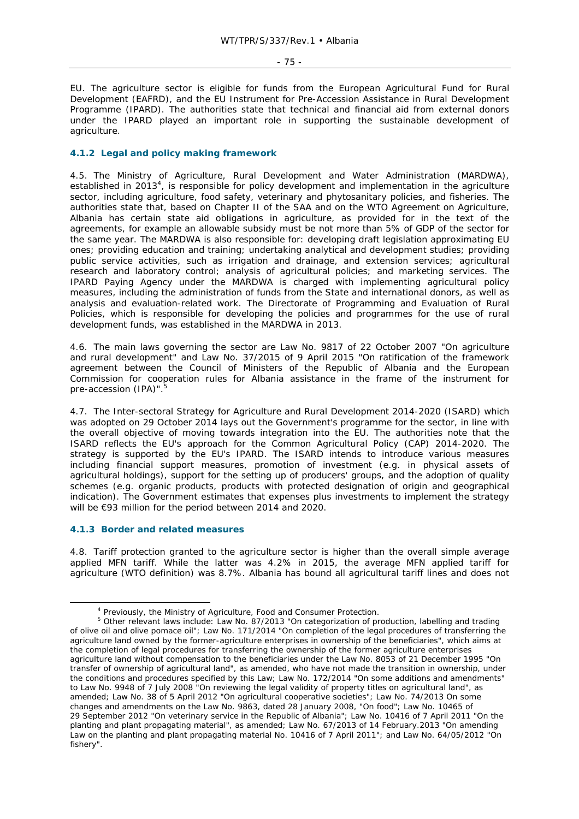EU. The agriculture sector is eligible for funds from the European Agricultural Fund for Rural Development (EAFRD), and the EU Instrument for Pre-Accession Assistance in Rural Development Programme (IPARD). The authorities state that technical and financial aid from external donors under the IPARD played an important role in supporting the sustainable development of agriculture.

## **4.1.2 Legal and policy making framework**

4.5. The Ministry of Agriculture, Rural Development and Water Administration (MARDWA), established in 2013<sup>4</sup>, is responsible for policy development and implementation in the agriculture sector, including agriculture, food safety, veterinary and phytosanitary policies, and fisheries. The authorities state that, based on Chapter II of the SAA and on the WTO Agreement on Agriculture, Albania has certain state aid obligations in agriculture, as provided for in the text of the agreements, for example an allowable subsidy must be not more than 5% of GDP of the sector for the same year. The MARDWA is also responsible for: developing draft legislation approximating EU ones; providing education and training; undertaking analytical and development studies; providing public service activities, such as irrigation and drainage, and extension services; agricultural research and laboratory control; analysis of agricultural policies; and marketing services. The IPARD Paying Agency under the MARDWA is charged with implementing agricultural policy measures, including the administration of funds from the State and international donors, as well as analysis and evaluation-related work. The Directorate of Programming and Evaluation of Rural Policies, which is responsible for developing the policies and programmes for the use of rural development funds, was established in the MARDWA in 2013.

4.6. The main laws governing the sector are Law No. 9817 of 22 October 2007 "On agriculture and rural development" and Law No. 37/2015 of 9 April 2015 "On ratification of the framework agreement between the Council of Ministers of the Republic of Albania and the European Commission for cooperation rules for Albania assistance in the frame of the instrument for pre-accession (IPA)".

4.7. The Inter-sectoral Strategy for Agriculture and Rural Development 2014-2020 (ISARD) which was adopted on 29 October 2014 lays out the Government's programme for the sector, in line with the overall objective of moving towards integration into the EU. The authorities note that the ISARD reflects the EU's approach for the Common Agricultural Policy (CAP) 2014-2020. The strategy is supported by the EU's IPARD. The ISARD intends to introduce various measures including financial support measures, promotion of investment (e.g. in physical assets of agricultural holdings), support for the setting up of producers' groups, and the adoption of quality schemes (e.g. organic products, products with protected designation of origin and geographical indication). The Government estimates that expenses plus investments to implement the strategy will be €93 million for the period between 2014 and 2020.

## **4.1.3 Border and related measures**

4.8. Tariff protection granted to the agriculture sector is higher than the overall simple average applied MFN tariff. While the latter was 4.2% in 2015, the average MFN applied tariff for agriculture (WTO definition) was 8.7%. Albania has bound all agricultural tariff lines and does not

 $\frac{1}{4}$ <sup>4</sup> Previously, the Ministry of Agriculture, Food and Consumer Protection.

<sup>&</sup>lt;sup>5</sup> Other relevant laws include: Law No. 87/2013 "On categorization of production, labelling and trading of olive oil and olive pomace oil"; Law No. 171/2014 "On completion of the legal procedures of transferring the agriculture land owned by the former-agriculture enterprises in ownership of the beneficiaries", which aims at the completion of legal procedures for transferring the ownership of the former agriculture enterprises agriculture land without compensation to the beneficiaries under the Law No. 8053 of 21 December 1995 "On transfer of ownership of agricultural land", as amended, who have not made the transition in ownership, under the conditions and procedures specified by this Law; Law No. 172/2014 "On some additions and amendments" to Law No. 9948 of 7 July 2008 "On reviewing the legal validity of property titles on agricultural land", as amended; Law No. 38 of 5 April 2012 "On agricultural cooperative societies"; Law No. 74/2013 On some changes and amendments on the Law No. 9863, dated 28 January 2008, "On food"; Law No. 10465 of 29 September 2012 "On veterinary service in the Republic of Albania"; Law No. 10416 of 7 April 2011 "On the planting and plant propagating material", as amended; Law No. 67/2013 of 14 February.2013 "On amending Law on the planting and plant propagating material No. 10416 of 7 April 2011"; and Law No. 64/05/2012 "On fishery".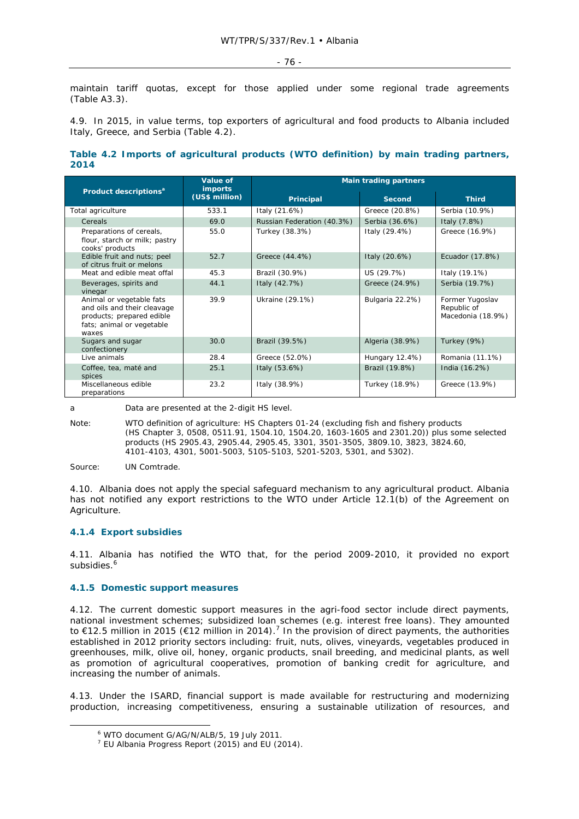maintain tariff quotas, except for those applied under some regional trade agreements (Table A3.3).

4.9. In 2015, in value terms, top exporters of agricultural and food products to Albania included Italy, Greece, and Serbia (Table 4.2).

## **Table 4.2 Imports of agricultural products (WTO definition) by main trading partners, 2014**

| Product descriptions <sup>a</sup>                                                                                          | Value of<br><b>imports</b> | <b>Main trading partners</b> |                 |                                                     |
|----------------------------------------------------------------------------------------------------------------------------|----------------------------|------------------------------|-----------------|-----------------------------------------------------|
|                                                                                                                            | (US\$ million)             | <b>Principal</b>             | <b>Second</b>   | <b>Third</b>                                        |
| Total agriculture                                                                                                          | 533.1                      | Italy (21.6%)                | Greece (20.8%)  | Serbia (10.9%)                                      |
| Cereals                                                                                                                    | 69.0                       | Russian Federation (40.3%)   | Serbia (36.6%)  | Italy (7.8%)                                        |
| Preparations of cereals,<br>flour, starch or milk; pastry<br>cooks' products                                               | 55.0                       | Turkey (38.3%)               | Italy (29.4%)   | Greece (16.9%)                                      |
| Edible fruit and nuts; peel<br>of citrus fruit or melons                                                                   | 52.7                       | Greece (44.4%)               | Italy (20.6%)   | Ecuador (17.8%)                                     |
| Meat and edible meat offal                                                                                                 | 45.3                       | Brazil (30.9%)               | US (29.7%)      | Italy (19.1%)                                       |
| Beverages, spirits and<br>vinegar                                                                                          | 44.1                       | Italy (42.7%)                | Greece (24.9%)  | Serbia (19.7%)                                      |
| Animal or vegetable fats<br>and oils and their cleavage<br>products; prepared edible<br>fats; animal or vegetable<br>waxes | 39.9                       | Ukraine (29.1%)              | Bulgaria 22.2%) | Former Yugoslav<br>Republic of<br>Macedonia (18.9%) |
| Sugars and sugar<br>confectionery                                                                                          | 30.0                       | Brazil (39.5%)               | Algeria (38.9%) | Turkey (9%)                                         |
| Live animals                                                                                                               | 28.4                       | Greece (52.0%)               | Hungary 12.4%)  | Romania (11.1%)                                     |
| Coffee, tea, maté and<br>spices                                                                                            | 25.1                       | Italy (53.6%)                | Brazil (19.8%)  | India (16.2%)                                       |
| Miscellaneous edible<br>preparations                                                                                       | 23.2                       | Italy (38.9%)                | Turkey (18.9%)  | Greece (13.9%)                                      |

a Data are presented at the 2-digit HS level.

Note: WTO definition of agriculture: HS Chapters 01-24 (excluding fish and fishery products (HS Chapter 3, 0508, 0511.91, 1504.10, 1504.20, 1603-1605 and 2301.20)) plus some selected products (HS 2905.43, 2905.44, 2905.45, 3301, 3501-3505, 3809.10, 3823, 3824.60, 4101-4103, 4301, 5001-5003, 5105-5103, 5201-5203, 5301, and 5302).

Source: UN Comtrade.

4.10. Albania does not apply the special safeguard mechanism to any agricultural product. Albania has not notified any export restrictions to the WTO under Article 12.1(b) of the Agreement on Agriculture.

## **4.1.4 Export subsidies**

4.11. Albania has notified the WTO that, for the period 2009-2010, it provided no export subsidies.<sup>6</sup>

## **4.1.5 Domestic support measures**

4.12. The current domestic support measures in the agri-food sector include direct payments, national investment schemes; subsidized loan schemes (e.g. interest free loans). They amounted to €12.5 million in 2015 (€12 million in 2014).<sup>7</sup> In the provision of direct payments, the authorities established in 2012 priority sectors including: fruit, nuts, olives, vineyards, vegetables produced in greenhouses, milk, olive oil, honey, organic products, snail breeding, and medicinal plants, as well as promotion of agricultural cooperatives, promotion of banking credit for agriculture, and increasing the number of animals.

4.13. Under the ISARD, financial support is made available for restructuring and modernizing production, increasing competitiveness, ensuring a sustainable utilization of resources, and

 $\overline{\phantom{0}}$ WTO document G/AG/N/ALB/5, 19 July 2011.

 $7$  EU Albania Progress Report (2015) and EU (2014).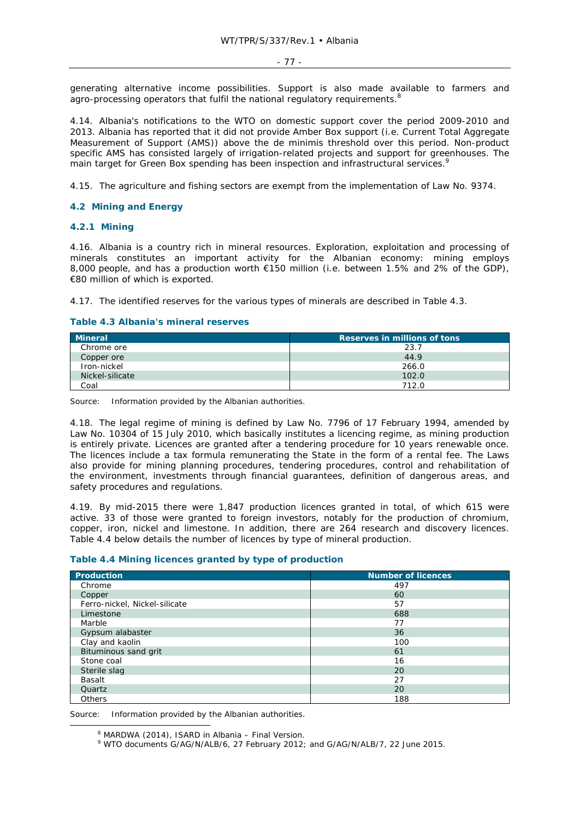generating alternative income possibilities. Support is also made available to farmers and  $\frac{3}{2}$  agro-processing operators that fulfil the national regulatory requirements.<sup>8</sup>

4.14. Albania's notifications to the WTO on domestic support cover the period 2009-2010 and 2013. Albania has reported that it did not provide Amber Box support (i.e. Current Total Aggregate Measurement of Support (AMS)) above the *de minimis* threshold over this period. Non-product specific AMS has consisted largely of irrigation-related projects and support for greenhouses. The main target for Green Box spending has been inspection and infrastructural services.<sup>9</sup>

4.15. The agriculture and fishing sectors are exempt from the implementation of Law No. 9374.

## **4.2 Mining and Energy**

## **4.2.1 Mining**

4.16. Albania is a country rich in mineral resources. Exploration, exploitation and processing of minerals constitutes an important activity for the Albanian economy: mining employs 8,000 people, and has a production worth €150 million (i.e. between 1.5% and 2% of the GDP), €80 million of which is exported.

4.17. The identified reserves for the various types of minerals are described in Table 4.3.

## **Table 4.3 Albania's mineral reserves**

| Mineral         | Reserves in millions of tons |
|-----------------|------------------------------|
| Chrome ore      | 23.7                         |
| Copper ore      | 44.9                         |
| Iron-nickel     | 266.0                        |
| Nickel-silicate | 102.0                        |
| Coal            | 712 N                        |

Source: Information provided by the Albanian authorities.

4.18. The legal regime of mining is defined by Law No. 7796 of 17 February 1994, amended by Law No. 10304 of 15 July 2010, which basically institutes a licencing regime, as mining production is entirely private. Licences are granted after a tendering procedure for 10 years renewable once. The licences include a tax formula remunerating the State in the form of a rental fee. The Laws also provide for mining planning procedures, tendering procedures, control and rehabilitation of the environment, investments through financial guarantees, definition of dangerous areas, and safety procedures and regulations.

4.19. By mid-2015 there were 1,847 production licences granted in total, of which 615 were active. 33 of those were granted to foreign investors, notably for the production of chromium, copper, iron, nickel and limestone. In addition, there are 264 research and discovery licences. Table 4.4 below details the number of licences by type of mineral production.

## **Table 4.4 Mining licences granted by type of production**

| Production                    | <b>Number of licences</b> |
|-------------------------------|---------------------------|
| Chrome                        | 497                       |
|                               |                           |
| Copper                        | 60                        |
| Ferro-nickel, Nickel-silicate | 57                        |
| Limestone                     | 688                       |
| Marble                        | 77                        |
| Gypsum alabaster              | 36                        |
| Clay and kaolin               | 100                       |
| Bituminous sand grit          | 61                        |
| Stone coal                    | 16                        |
| Sterile slag                  | 20                        |
| Basalt                        | 27                        |
| Quartz                        | 20                        |
| Others                        | 188                       |

Source: Information provided by the Albanian authorities.

 $\frac{1}{8}$  $8$  MARDWA (2014), ISARD in Albania – Final Version.

<sup>9</sup> WTO documents G/AG/N/ALB/6, 27 February 2012; and G/AG/N/ALB/7, 22 June 2015.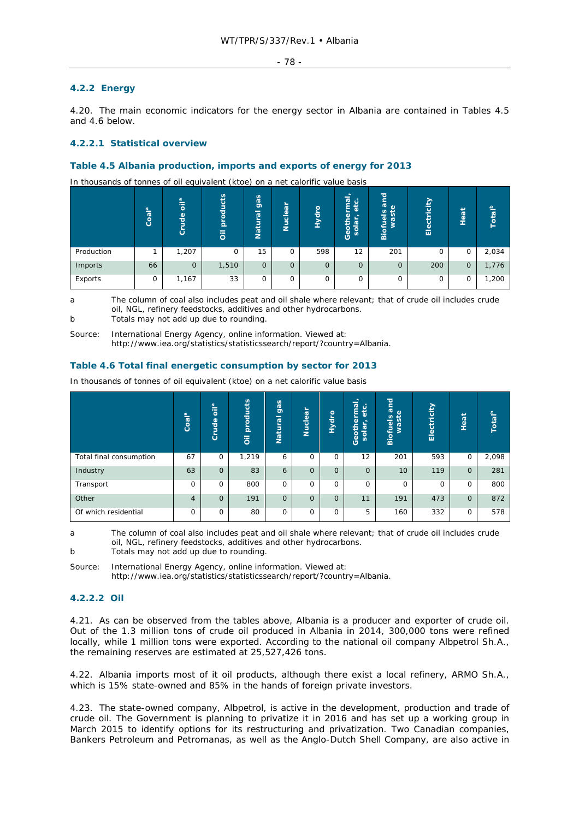## - 78 -

## **4.2.2 Energy**

4.20. The main economic indicators for the energy sector in Albania are contained in Tables 4.5 and 4.6 below.

## **4.2.2.1 Statistical overview**

## **Table 4.5 Albania production, imports and exports of energy for 2013**

In thousands of tonnes of oil equivalent (ktoe) on a net calorific value basis

|            | $\overline{\mathbf{a}}$<br>Coa | $\frac{1}{2}$<br>de<br>ŏ | oducts<br>호<br>$\overline{5}$ | gas<br>ಹ<br>≒<br>Natu | ►<br>$\bar{a}$<br>$\frac{1}{9}$<br>z | Hydro        | त्न<br>ω<br>$\sigma$<br>ᅙ<br>ලි<br>ල<br>Ü | ਨ<br>÷<br>న్<br>$\omega$<br>$\overline{\mathbf{z}}$<br>سيد<br>sp<br>fue<br>š<br>Bio | ticity<br>븅<br>Ele | سيد<br>$\sigma$<br>Φ<br>╼<br>- | Total <sup>b</sup> |
|------------|--------------------------------|--------------------------|-------------------------------|-----------------------|--------------------------------------|--------------|-------------------------------------------|-------------------------------------------------------------------------------------|--------------------|--------------------------------|--------------------|
| Production |                                | 1,207                    | 0                             | 15                    | 0                                    | 598          | 12                                        | 201                                                                                 | 0                  | 0                              | 2,034              |
| Imports    | 66                             | $\mathbf{0}$             | 1,510                         | 0                     | $\mathbf{O}$                         | $\mathbf{O}$ | $\Omega$                                  | $\mathbf{O}$                                                                        | 200                | $\circ$                        | 1,776              |
| Exports    | 0                              | 1,167                    | 33                            | O                     | 0                                    | $\mathbf 0$  | 0                                         | 0                                                                                   | 0                  | 0                              | 1,200              |

a The column of coal also includes peat and oil shale where relevant; that of crude oil includes crude oil, NGL, refinery feedstocks, additives and other hydrocarbons. b Totals may not add up due to rounding.

Source: International Energy Agency, online information. Viewed at: http://www.iea.org/statistics/statisticssearch/report/?country=Albania.

## **Table 4.6 Total final energetic consumption by sector for 2013**

|                         | 巴<br>Coa       | oila<br>Crude  | products<br>$\overline{\overline{0}}$ | gas<br>tural<br>$\overline{\mathbf{S}}$ | Nuclear      | Hydro          | $\sim$<br><b><u>leu</u></b><br>$\circ$<br>التقد<br>Ф.<br>₫<br>┶<br>흥<br>$\overline{a}$<br>-<br>ō<br>ق<br>ıñ. | land<br>$\omega$<br>äst<br>Biofuels<br>š | Electricity | Heat           | Total <sup>b</sup> |
|-------------------------|----------------|----------------|---------------------------------------|-----------------------------------------|--------------|----------------|--------------------------------------------------------------------------------------------------------------|------------------------------------------|-------------|----------------|--------------------|
| Total final consumption | 67             | 0              | 1,219                                 | 6                                       | $\Omega$     | $\Omega$       | 12                                                                                                           | 201                                      | 593         | 0              | 2,098              |
| Industry                | 63             | $\overline{O}$ | 83                                    | 6                                       | $\mathbf{O}$ | $\overline{0}$ | $\mathbf{O}$                                                                                                 | 10                                       | 119         | $\overline{O}$ | 281                |
| Transport               | 0              | 0              | 800                                   | 0                                       | 0            | 0              | 0                                                                                                            | 0                                        | $\Omega$    | 0              | 800                |
| Other                   | $\overline{4}$ | $\Omega$       | 191                                   | $\overline{O}$                          | $\mathbf{O}$ | $\Omega$       | 11                                                                                                           | 191                                      | 473         | $\overline{O}$ | 872                |
| Of which residential    | $\Omega$       | 0              | 80                                    | 0                                       | 0            | 0              | 5                                                                                                            | 160                                      | 332         | 0              | 578                |

In thousands of tonnes of oil equivalent (ktoe) on a net calorific value basis

a The column of coal also includes peat and oil shale where relevant; that of crude oil includes crude oil, NGL, refinery feedstocks, additives and other hydrocarbons.

b Totals may not add up due to rounding.

Source: International Energy Agency, online information. Viewed at:

http://www.iea.org/statistics/statisticssearch/report/?country=Albania.

## **4.2.2.2 Oil**

4.21. As can be observed from the tables above, Albania is a producer and exporter of crude oil. Out of the 1.3 million tons of crude oil produced in Albania in 2014, 300,000 tons were refined locally, while 1 million tons were exported. According to the national oil company Albpetrol Sh.A., the remaining reserves are estimated at 25,527,426 tons.

4.22. Albania imports most of it oil products, although there exist a local refinery, ARMO Sh.A., which is 15% state-owned and 85% in the hands of foreign private investors.

4.23. The state-owned company, Albpetrol, is active in the development, production and trade of crude oil. The Government is planning to privatize it in 2016 and has set up a working group in March 2015 to identify options for its restructuring and privatization. Two Canadian companies, Bankers Petroleum and Petromanas, as well as the Anglo-Dutch Shell Company, are also active in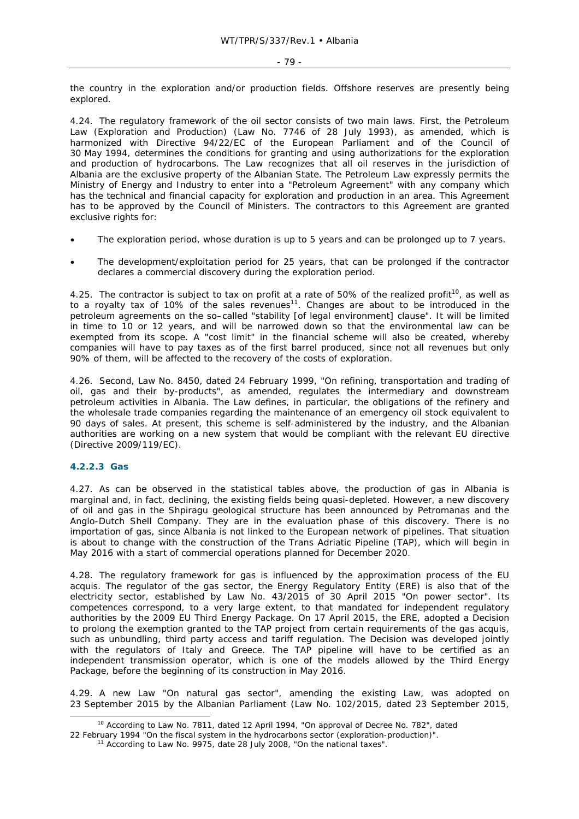the country in the exploration and/or production fields. Offshore reserves are presently being explored.

4.24. The regulatory framework of the oil sector consists of two main laws. First, the Petroleum Law (Exploration and Production) (Law No. 7746 of 28 July 1993), as amended, which is harmonized with Directive 94/22/EC of the European Parliament and of the Council of 30 May 1994, determines the conditions for granting and using authorizations for the exploration and production of hydrocarbons. The Law recognizes that all oil reserves in the jurisdiction of Albania are the exclusive property of the Albanian State. The Petroleum Law expressly permits the Ministry of Energy and Industry to enter into a "Petroleum Agreement" with any company which has the technical and financial capacity for exploration and production in an area. This Agreement has to be approved by the Council of Ministers. The contractors to this Agreement are granted exclusive rights for:

- The exploration period, whose duration is up to 5 years and can be prolonged up to 7 years.
- The development/exploitation period for 25 years, that can be prolonged if the contractor declares a commercial discovery during the exploration period.

4.25. The contractor is subject to tax on profit at a rate of 50% of the realized profit<sup>10</sup>, as well as to a royalty tax of 10% of the sales revenues<sup>11</sup>. Changes are about to be introduced in the petroleum agreements on the so–called "stability [of legal environment] clause". It will be limited in time to 10 or 12 years, and will be narrowed down so that the environmental law can be exempted from its scope. A "cost limit" in the financial scheme will also be created, whereby companies will have to pay taxes as of the first barrel produced, since not all revenues but only 90% of them, will be affected to the recovery of the costs of exploration.

4.26. Second, Law No. 8450, dated 24 February 1999, "On refining, transportation and trading of oil, gas and their by-products", as amended, regulates the intermediary and downstream petroleum activities in Albania. The Law defines, in particular, the obligations of the refinery and the wholesale trade companies regarding the maintenance of an emergency oil stock equivalent to 90 days of sales. At present, this scheme is self-administered by the industry, and the Albanian authorities are working on a new system that would be compliant with the relevant EU directive (Directive 2009/119/EC).

## **4.2.2.3 Gas**

4.27. As can be observed in the statistical tables above, the production of gas in Albania is marginal and, in fact, declining, the existing fields being quasi-depleted. However, a new discovery of oil and gas in the Shpiragu geological structure has been announced by Petromanas and the Anglo-Dutch Shell Company. They are in the evaluation phase of this discovery. There is no importation of gas, since Albania is not linked to the European network of pipelines. That situation is about to change with the construction of the Trans Adriatic Pipeline (TAP), which will begin in May 2016 with a start of commercial operations planned for December 2020.

4.28. The regulatory framework for gas is influenced by the approximation process of the EU *acquis*. The regulator of the gas sector, the Energy Regulatory Entity (ERE) is also that of the electricity sector, established by Law No. 43/2015 of 30 April 2015 "On power sector". Its competences correspond, to a very large extent, to that mandated for independent regulatory authorities by the 2009 EU Third Energy Package. On 17 April 2015, the ERE, adopted a Decision to prolong the exemption granted to the TAP project from certain requirements of the gas *acquis*, such as unbundling, third party access and tariff regulation. The Decision was developed jointly such as unbunding, million party access and tailor regulation. The Economy mass contribution with the regulators of Italy and Greece. The TAP pipeline will have to be certified as an independent transmission operator, which is one of the models allowed by the Third Energy Package, before the beginning of its construction in May 2016.

4.29. A new Law "On natural gas sector", amending the existing Law, was adopted on 23 September 2015 by the Albanian Parliament (Law No. 102/2015, dated 23 September 2015,

<sup>&</sup>lt;sup>10</sup> According to Law No. 7811, dated 12 April 1994, "On approval of Decree No. 782", dated

<sup>22</sup> February 1994 "On the fiscal system in the hydrocarbons sector (exploration-production)". 11 According to Law No. 9975, date 28 July 2008, "On the national taxes".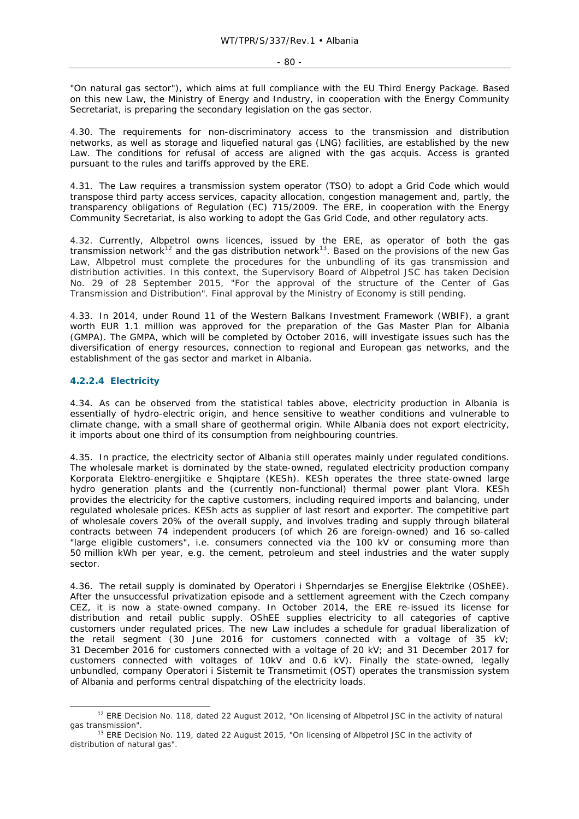"On natural gas sector"), which aims at full compliance with the EU Third Energy Package. Based on this new Law, the Ministry of Energy and Industry, in cooperation with the Energy Community Secretariat, is preparing the secondary legislation on the gas sector.

4.30. The requirements for non-discriminatory access to the transmission and distribution networks, as well as storage and liquefied natural gas (LNG) facilities, are established by the new Law. The conditions for refusal of access are aligned with the gas *acquis*. Access is granted pursuant to the rules and tariffs approved by the ERE.

4.31. The Law requires a transmission system operator (TSO) to adopt a Grid Code which would transpose third party access services, capacity allocation, congestion management and, partly, the transparency obligations of Regulation (EC) 715/2009. The ERE, in cooperation with the Energy Community Secretariat, is also working to adopt the Gas Grid Code, and other regulatory acts.

4.32. Currently, Albpetrol owns licences, issued by the ERE, as operator of both the gas transmission network<sup>12</sup> and the gas distribution network<sup>13</sup>. Based on the provisions of the new Gas Law, Albpetrol must complete the procedures for the unbundling of its gas transmission and distribution activities. In this context, the Supervisory Board of Albpetrol JSC has taken Decision No. 29 of 28 September 2015, "For the approval of the structure of the Center of Gas Transmission and Distribution". Final approval by the Ministry of Economy is still pending.

4.33. In 2014, under Round 11 of the Western Balkans Investment Framework (WBIF), a grant worth EUR 1.1 million was approved for the preparation of the Gas Master Plan for Albania (GMPA). The GMPA, which will be completed by October 2016, will investigate issues such has the diversification of energy resources, connection to regional and European gas networks, and the establishment of the gas sector and market in Albania.

## **4.2.2.4 Electricity**

4.34. As can be observed from the statistical tables above, electricity production in Albania is essentially of hydro-electric origin, and hence sensitive to weather conditions and vulnerable to climate change, with a small share of geothermal origin. While Albania does not export electricity, it imports about one third of its consumption from neighbouring countries.

4.35. In practice, the electricity sector of Albania still operates mainly under regulated conditions. The wholesale market is dominated by the state-owned, regulated electricity production company Korporata Elektro-energjitike e Shqiptare (KESh). KESh operates the three state-owned large hydro generation plants and the (currently non-functional) thermal power plant Vlora. KESh provides the electricity for the captive customers, including required imports and balancing, under regulated wholesale prices. KESh acts as supplier of last resort and exporter. The competitive part of wholesale covers 20% of the overall supply, and involves trading and supply through bilateral contracts between 74 independent producers (of which 26 are foreign-owned) and 16 so-called "large eligible customers", i.e. consumers connected via the 100 kV or consuming more than 50 million kWh per year, e.g. the cement, petroleum and steel industries and the water supply sector.

4.36. The retail supply is dominated by Operatori i Shperndarjes se Energjise Elektrike (OShEE). After the unsuccessful privatization episode and a settlement agreement with the Czech company CEZ, it is now a state-owned company. In October 2014, the ERE re-issued its license for distribution and retail public supply. OShEE supplies electricity to all categories of captive customers under regulated prices. The new Law includes a schedule for gradual liberalization of the retail segment (30 June 2016 for customers connected with a voltage of 35 kV; 31 December 2016 for customers connected with a voltage of 20 kV; and 31 December 2017 for customers connected with voltages of 10kV and 0.6 kV). Finally the state-owned, legally unbundled, company Operatori i Sistemit te Transmetimit (OST) operates the transmission system of Albania and performs central dispatching of the electricity loads.

<sup>&</sup>lt;sup>12</sup> ERE Decision No. 118, dated 22 August 2012, "On licensing of Albpetrol JSC in the activity of natural gas transmission".

<sup>&</sup>lt;sup>13</sup> ERE Decision No. 119, dated 22 August 2015, "On licensing of Albpetrol JSC in the activity of distribution of natural gas".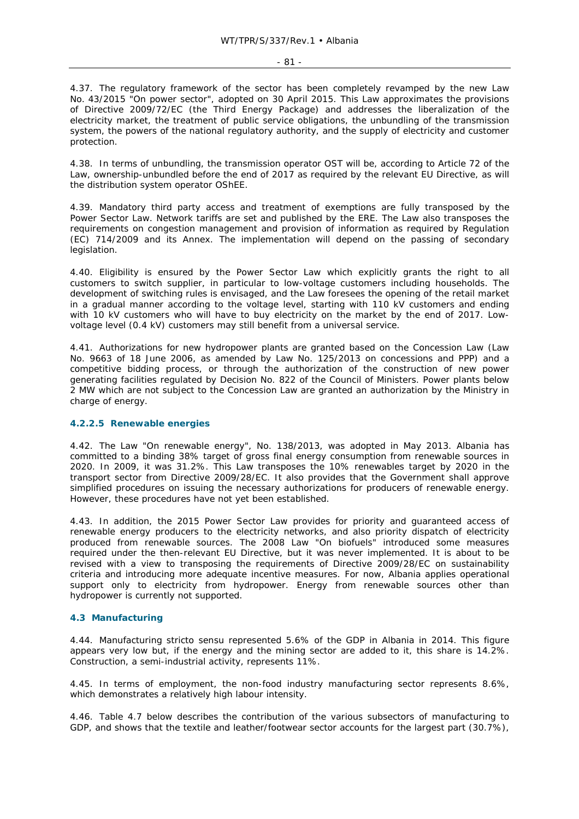4.37. The regulatory framework of the sector has been completely revamped by the new Law No. 43/2015 "On power sector", adopted on 30 April 2015. This Law approximates the provisions of Directive 2009/72/EC (the Third Energy Package) and addresses the liberalization of the electricity market, the treatment of public service obligations, the unbundling of the transmission system, the powers of the national regulatory authority, and the supply of electricity and customer protection.

4.38. In terms of unbundling, the transmission operator OST will be, according to Article 72 of the Law, ownership-unbundled before the end of 2017 as required by the relevant EU Directive, as will the distribution system operator OShEE.

4.39. Mandatory third party access and treatment of exemptions are fully transposed by the Power Sector Law. Network tariffs are set and published by the ERE. The Law also transposes the requirements on congestion management and provision of information as required by Regulation (EC) 714/2009 and its Annex. The implementation will depend on the passing of secondary legislation.

4.40. Eligibility is ensured by the Power Sector Law which explicitly grants the right to all customers to switch supplier, in particular to low-voltage customers including households. The development of switching rules is envisaged, and the Law foresees the opening of the retail market in a gradual manner according to the voltage level, starting with 110 kV customers and ending with 10 kV customers who will have to buy electricity on the market by the end of 2017. Lowvoltage level (0.4 kV) customers may still benefit from a universal service.

4.41. Authorizations for new hydropower plants are granted based on the Concession Law (Law No. 9663 of 18 June 2006, as amended by Law No. 125/2013 on concessions and PPP) and a competitive bidding process, or through the authorization of the construction of new power generating facilities regulated by Decision No. 822 of the Council of Ministers. Power plants below 2 MW which are not subject to the Concession Law are granted an authorization by the Ministry in charge of energy.

## **4.2.2.5 Renewable energies**

4.42. The Law "On renewable energy", No. 138/2013, was adopted in May 2013. Albania has committed to a binding 38% target of gross final energy consumption from renewable sources in 2020. In 2009, it was 31.2%. This Law transposes the 10% renewables target by 2020 in the transport sector from Directive 2009/28/EC. It also provides that the Government shall approve simplified procedures on issuing the necessary authorizations for producers of renewable energy. However, these procedures have not yet been established.

4.43. In addition, the 2015 Power Sector Law provides for priority and guaranteed access of renewable energy producers to the electricity networks, and also priority dispatch of electricity produced from renewable sources. The 2008 Law "On biofuels" introduced some measures required under the then-relevant EU Directive, but it was never implemented. It is about to be revised with a view to transposing the requirements of Directive 2009/28/EC on sustainability criteria and introducing more adequate incentive measures. For now, Albania applies operational support only to electricity from hydropower. Energy from renewable sources other than hydropower is currently not supported.

## **4.3 Manufacturing**

4.44. Manufacturing *stricto sensu* represented 5.6% of the GDP in Albania in 2014. This figure appears very low but, if the energy and the mining sector are added to it, this share is 14.2%. Construction, a semi-industrial activity, represents 11%.

4.45. In terms of employment, the non-food industry manufacturing sector represents 8.6%, which demonstrates a relatively high labour intensity.

4.46. Table 4.7 below describes the contribution of the various subsectors of manufacturing to GDP, and shows that the textile and leather/footwear sector accounts for the largest part (30.7%),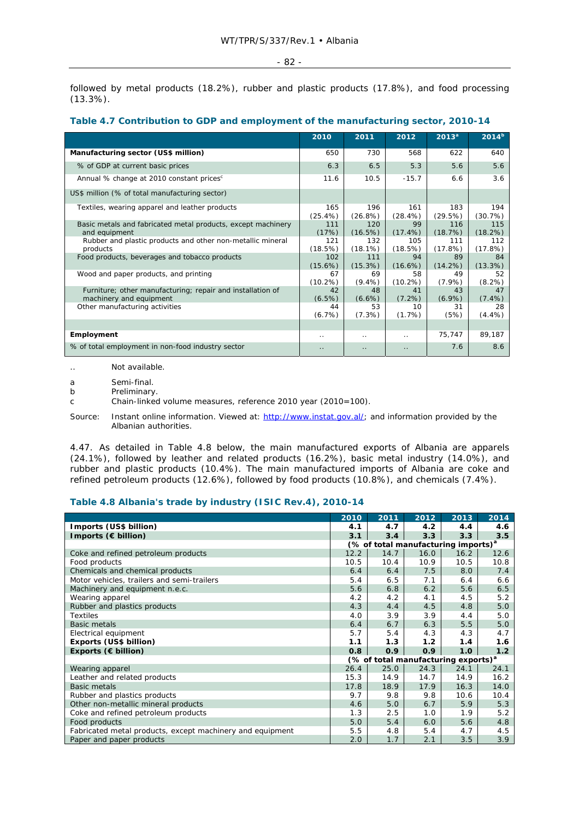followed by metal products (18.2%), rubber and plastic products (17.8%), and food processing (13.3%).

|                                                                                       | 2010                 | 2011                 | 2012                 | $2013^a$         | $2014^{b}$      |
|---------------------------------------------------------------------------------------|----------------------|----------------------|----------------------|------------------|-----------------|
| Manufacturing sector (US\$ million)                                                   | 650                  | 730                  | 568                  | 622              | 640             |
| % of GDP at current basic prices                                                      | 6.3                  | 6.5                  | 5.3                  | 5.6              | 5.6             |
| Annual % change at 2010 constant prices <sup>c</sup>                                  | 11.6                 | 10.5                 | $-15.7$              | 6.6              | 3.6             |
| US\$ million (% of total manufacturing sector)                                        |                      |                      |                      |                  |                 |
| Textiles, wearing apparel and leather products                                        | 165<br>$(25.4\%)$    | 196<br>$(26.8\%)$    | 161<br>$(28.4\%)$    | 183<br>(29.5%)   | 194<br>(30.7%)  |
| Basic metals and fabricated metal products, except machinery<br>and equipment         | 111<br>(17%)         | 120<br>(16.5%)       | 99<br>$(17.4\%)$     | 116<br>(18.7%)   | 115<br>(18.2%)  |
| Rubber and plastic products and other non-metallic mineral<br>products                | 121<br>(18.5%)       | 132<br>$(18.1\%)$    | 105<br>(18.5%)       | 111<br>(17.8%)   | 112<br>(17.8%)  |
| Food products, beverages and tobacco products                                         | 102<br>$(15.6\%)$    | 111<br>(15.3%)       | 94<br>$(16.6\%)$     | 89<br>$(14.2\%)$ | 84<br>(13.3%)   |
| Wood and paper products, and printing                                                 | 67<br>$(10.2\%)$     | 69<br>$(9.4\%)$      | 58<br>$(10.2\%)$     | 49<br>$(7.9\%)$  | 52<br>$(8.2\%)$ |
| Furniture; other manufacturing; repair and installation of<br>machinery and equipment | 42<br>(6.5%)         | 48<br>$(6.6\%)$      | 41<br>$(7.2\%)$      | 43<br>$(6.9\%)$  | 47<br>$(7.4\%)$ |
| Other manufacturing activities                                                        | 44<br>(6.7%)         | 53<br>(7.3%)         | 10<br>(1.7%)         | 31<br>(5%)       | 28<br>$(4.4\%)$ |
|                                                                                       |                      |                      |                      |                  |                 |
| Employment                                                                            | . .                  | $\ddotsc$            | $\ddot{\phantom{0}}$ | 75,747           | 89,187          |
| % of total employment in non-food industry sector                                     | $\ddot{\phantom{0}}$ | $\ddot{\phantom{0}}$ | $\ddotsc$            | 7.6              | 8.6             |

## **Table 4.7 Contribution to GDP and employment of the manufacturing sector, 2010-14**

.. Not available.

a Semi-final.

b Preliminary.

c Chain-linked volume measures, reference 2010 year (2010=100).

Source: Instant online information. Viewed at: http://www.instat.gov.al/; and information provided by the Albanian authorities.

4.47. As detailed in Table 4.8 below, the main manufactured exports of Albania are apparels (24.1%), followed by leather and related products (16.2%), basic metal industry (14.0%), and rubber and plastic products (10.4%). The main manufactured imports of Albania are coke and refined petroleum products (12.6%), followed by food products (10.8%), and chemicals (7.4%).

## **Table 4.8 Albania's trade by industry (ISIC Rev.4), 2010-14**

|                                                           | 2010 | 2011                                            | 2012             | 2013 | 2014 |
|-----------------------------------------------------------|------|-------------------------------------------------|------------------|------|------|
| Imports (US\$ billion)                                    | 4.1  | 4.7                                             | 4.2              | 4.4  | 4.6  |
| Imports $(\epsilon$ billion)                              | 3.1  | 3.4                                             | 3.3              | 3.3  | 3.5  |
|                                                           |      | (% of total manufacturing imports) <sup>a</sup> |                  |      |      |
| Coke and refined petroleum products                       | 12.2 | 14.7                                            | 16.0             | 16.2 | 12.6 |
| Food products                                             | 10.5 | 10.4                                            | 10.9             | 10.5 | 10.8 |
| Chemicals and chemical products                           | 6.4  | 6.4                                             | 7.5              | 8.0  | 7.4  |
| Motor vehicles, trailers and semi-trailers                | 5.4  | 6.5                                             | 7.1              | 6.4  | 6.6  |
| Machinery and equipment n.e.c.                            | 5.6  | 6.8                                             | 6.2              | 5.6  | 6.5  |
| Wearing apparel                                           | 4.2  | 4.2                                             | 4.1              | 4.5  | 5.2  |
| Rubber and plastics products                              | 4.3  | 4.4                                             | 4.5              | 4.8  | 5.0  |
| Textiles                                                  | 4.0  | 3.9                                             | 3.9              | 4.4  | 5.0  |
| Basic metals                                              | 6.4  | 6.7                                             | 6.3              | 5.5  | 5.0  |
| Electrical equipment                                      | 5.7  | 5.4                                             | 4.3              | 4.3  | 4.7  |
| Exports (US\$ billion)                                    | 1.1  | 1.3                                             | 1.2 <sub>1</sub> | 1.4  | 1.6  |
| Exports ( $\epsilon$ billion)                             | 0.8  | 0.9                                             | 0.9              | 1.0  | 1.2  |
|                                                           |      | (% of total manufacturing exports) <sup>a</sup> |                  |      |      |
| Wearing apparel                                           | 26.4 | 25.0                                            | 24.3             | 24.1 | 24.1 |
| Leather and related products                              | 15.3 | 14.9                                            | 14.7             | 14.9 | 16.2 |
| <b>Basic metals</b>                                       | 17.8 | 18.9                                            | 17.9             | 16.3 | 14.0 |
| Rubber and plastics products                              | 9.7  | 9.8                                             | 9.8              | 10.6 | 10.4 |
| Other non-metallic mineral products                       | 4.6  | 5.0                                             | 6.7              | 5.9  | 5.3  |
| Coke and refined petroleum products                       |      | 2.5                                             | 1.0              | 1.9  | 5.2  |
| Food products                                             |      | 5.4                                             | 6.0              | 5.6  | 4.8  |
| Fabricated metal products, except machinery and equipment | 5.5  | 4.8                                             | 5.4              | 4.7  | 4.5  |
| Paper and paper products                                  | 2.0  | 1.7                                             | 2.1              | 3.5  | 3.9  |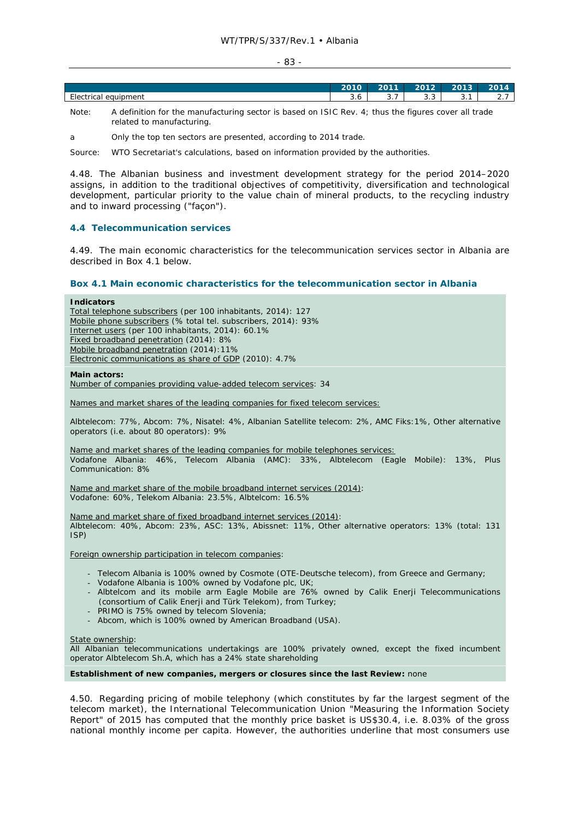#### - 83 -

|                                   | 2010                 | 0011             | 2012                  | 0012                | ---           |
|-----------------------------------|----------------------|------------------|-----------------------|---------------------|---------------|
| $-$<br>equipment<br>≟le⁄<br>ricai | $\sim$<br><b>J.O</b> | -<br>$\sim$<br>ູ | $\sim$ $\sim$<br>ن. ب | $\sim$ $\sim$<br>◡. | -<br><u>.</u> |
|                                   |                      |                  |                       |                     |               |

- Note: A definition for the manufacturing sector is based on ISIC Rev. 4; thus the figures cover all trade related to manufacturing.
- a Only the top ten sectors are presented, according to 2014 trade.

Source: WTO Secretariat's calculations, based on information provided by the authorities.

4.48. The Albanian business and investment development strategy for the period 2014–2020 assigns, in addition to the traditional objectives of competitivity, diversification and technological development, particular priority to the value chain of mineral products, to the recycling industry and to inward processing ("façon").

## **4.4 Telecommunication services**

4.49. The main economic characteristics for the telecommunication services sector in Albania are described in Box 4.1 below.

## **Box 4.1 Main economic characteristics for the telecommunication sector in Albania**

| <b>Indicators</b><br>Total telephone subscribers (per 100 inhabitants, 2014): 127<br>Mobile phone subscribers (% total tel. subscribers, 2014): 93%<br>Internet users (per 100 inhabitants, 2014): 60.1%<br>Fixed broadband penetration (2014): 8% |
|----------------------------------------------------------------------------------------------------------------------------------------------------------------------------------------------------------------------------------------------------|
| Mobile broadband penetration (2014): 11%<br>Electronic communications as share of GDP (2010): 4.7%                                                                                                                                                 |
| Main actors:<br>Number of companies providing value-added telecom services: 34                                                                                                                                                                     |

Names and market shares of the leading companies for fixed telecom services:

Albtelecom: 77%, Abcom: 7%, Nisatel: 4%, Albanian Satellite telecom: 2%, AMC Fiks:1%, Other alternative operators (i.e. about 80 operators): 9%

Name and market shares of the leading companies for mobile telephones services: Vodafone Albania: 46%, Telecom Albania (AMC): 33%, Albtelecom (Eagle Mobile): 13%, Plus Communication: 8%

Name and market share of the mobile broadband internet services (2014): Vodafone: 60%, Telekom Albania: 23.5%, Albtelcom: 16.5%

Name and market share of fixed broadband internet services (2014): Albtelecom: 40%, Abcom: 23%, ASC: 13%, Abissnet: 11%, Other alternative operators: 13% (total: 131 ISP)

Foreign ownership participation in telecom companies:

- Telecom Albania is 100% owned by Cosmote (OTE-Deutsche telecom), from Greece and Germany;
- Vodafone Albania is 100% owned by Vodafone plc, UK;
- Albtelcom and its mobile arm Eagle Mobile are 76% owned by Calik Enerji Telecommunications (consortium of Calik Enerji and Türk Telekom), from Turkey;
- PRIMO is 75% owned by telecom Slovenia;
- Abcom, which is 100% owned by American Broadband (USA).

#### State ownership:

All Albanian telecommunications undertakings are 100% privately owned, except the fixed incumbent operator Albtelecom Sh.A, which has a 24% state shareholding

## **Establishment of new companies, mergers or closures since the last Review:** none

4.50. Regarding pricing of mobile telephony (which constitutes by far the largest segment of the telecom market), the International Telecommunication Union "Measuring the Information Society Report" of 2015 has computed that the monthly price basket is US\$30.4, i.e. 8.03% of the gross national monthly income per capita. However, the authorities underline that most consumers use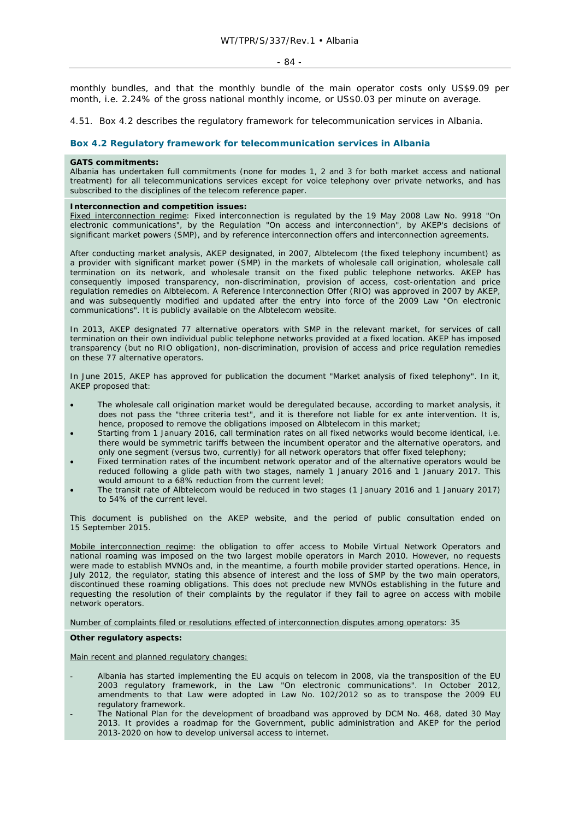monthly bundles, and that the monthly bundle of the main operator costs only US\$9.09 per month, i.e. 2.24% of the gross national monthly income, or US\$0.03 per minute on average.

4.51. Box 4.2 describes the regulatory framework for telecommunication services in Albania.

## **Box 4.2 Regulatory framework for telecommunication services in Albania**

#### **GATS commitments:**

Albania has undertaken full commitments (none for modes 1, 2 and 3 for both market access and national treatment) for all telecommunications services except for voice telephony over private networks, and has subscribed to the disciplines of the telecom reference paper.

#### **Interconnection and competition issues:**

Fixed interconnection regime: Fixed interconnection is regulated by the 19 May 2008 Law No. 9918 "On electronic communications", by the Regulation "On access and interconnection", by AKEP's decisions of significant market powers (SMP), and by reference interconnection offers and interconnection agreements.

After conducting market analysis, AKEP designated, in 2007, Albtelecom (the fixed telephony incumbent) as a provider with significant market power (SMP) in the markets of wholesale call origination, wholesale call termination on its network, and wholesale transit on the fixed public telephone networks. AKEP has consequently imposed transparency, non-discrimination, provision of access, cost-orientation and price regulation remedies on Albtelecom. A Reference Interconnection Offer (RIO) was approved in 2007 by AKEP, and was subsequently modified and updated after the entry into force of the 2009 Law "On electronic communications". It is publicly available on the Albtelecom website.

In 2013, AKEP designated 77 alternative operators with SMP in the relevant market, for services of call termination on their own individual public telephone networks provided at a fixed location. AKEP has imposed transparency (but no RIO obligation), non-discrimination, provision of access and price regulation remedies on these 77 alternative operators.

In June 2015, AKEP has approved for publication the document "Market analysis of fixed telephony". In it, AKEP proposed that:

- The wholesale call origination market would be deregulated because, according to market analysis, it does not pass the "three criteria test", and it is therefore not liable for ex ante intervention. It is, hence, proposed to remove the obligations imposed on Albtelecom in this market;
- Starting from 1 January 2016, call termination rates on all fixed networks would become identical, i.e. there would be symmetric tariffs between the incumbent operator and the alternative operators, and only one segment (versus two, currently) for all network operators that offer fixed telephony;
- Fixed termination rates of the incumbent network operator and of the alternative operators would be reduced following a glide path with two stages, namely 1 January 2016 and 1 January 2017. This would amount to a 68% reduction from the current level;
- The transit rate of Albtelecom would be reduced in two stages (1 January 2016 and 1 January 2017) to 54% of the current level.

This document is published on the AKEP website, and the period of public consultation ended on 15 September 2015.

Mobile interconnection regime: the obligation to offer access to Mobile Virtual Network Operators and national roaming was imposed on the two largest mobile operators in March 2010. However, no requests were made to establish MVNOs and, in the meantime, a fourth mobile provider started operations. Hence, in July 2012, the regulator, stating this absence of interest and the loss of SMP by the two main operators, discontinued these roaming obligations. This does not preclude new MVNOs establishing in the future and requesting the resolution of their complaints by the regulator if they fail to agree on access with mobile network operators.

Number of complaints filed or resolutions effected of interconnection disputes among operators: 35

#### **Other regulatory aspects:**

Main recent and planned regulatory changes:

- Albania has started implementing the EU *acquis* on telecom in 2008, via the transposition of the EU 2003 regulatory framework, in the Law "On electronic communications". In October 2012, amendments to that Law were adopted in Law No. 102/2012 so as to transpose the 2009 EU regulatory framework.
- The National Plan for the development of broadband was approved by DCM No. 468, dated 30 May 2013. It provides a roadmap for the Government, public administration and AKEP for the period 2013-2020 on how to develop universal access to internet.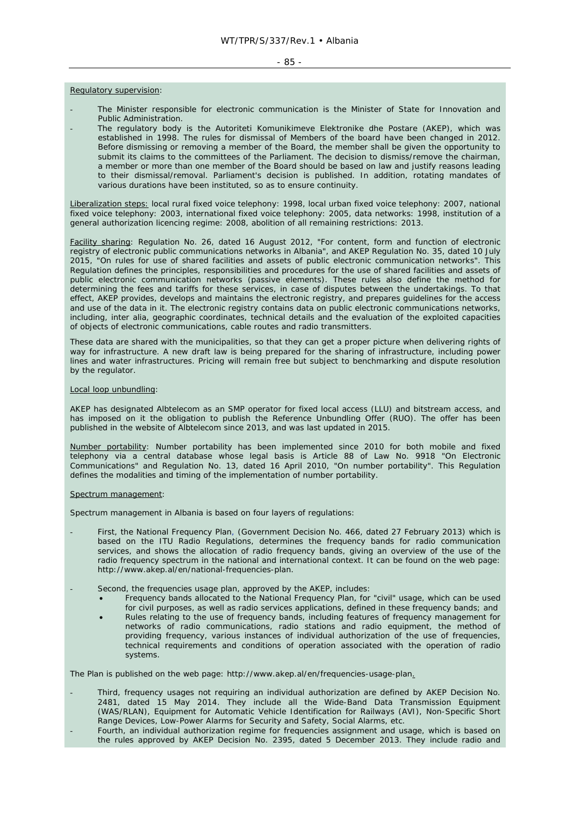#### - 85 -

#### Regulatory supervision:

- The Minister responsible for electronic communication is the Minister of State for Innovation and Public Administration.
- The regulatory body is the Autoriteti Komunikimeve Elektronike dhe Postare (AKEP), which was established in 1998. The rules for dismissal of Members of the board have been changed in 2012. Before dismissing or removing a member of the Board, the member shall be given the opportunity to submit its claims to the committees of the Parliament. The decision to dismiss/remove the chairman, a member or more than one member of the Board should be based on law and justify reasons leading to their dismissal/removal. Parliament's decision is published. In addition, rotating mandates of various durations have been instituted, so as to ensure continuity.

Liberalization steps: local rural fixed voice telephony: 1998, local urban fixed voice telephony: 2007, national fixed voice telephony: 2003, international fixed voice telephony: 2005, data networks: 1998, institution of a general authorization licencing regime: 2008, abolition of all remaining restrictions: 2013.

Facility sharing: Regulation No. 26, dated 16 August 2012, "For content, form and function of electronic registry of electronic public communications networks in Albania", and AKEP Regulation No. 35, dated 10 July 2015, "On rules for use of shared facilities and assets of public electronic communication networks". This Regulation defines the principles, responsibilities and procedures for the use of shared facilities and assets of public electronic communication networks (passive elements). These rules also define the method for determining the fees and tariffs for these services, in case of disputes between the undertakings. To that effect, AKEP provides, develops and maintains the electronic registry, and prepares guidelines for the access and use of the data in it. The electronic registry contains data on public electronic communications networks, including, *inter alia*, geographic coordinates, technical details and the evaluation of the exploited capacities of objects of electronic communications, cable routes and radio transmitters.

These data are shared with the municipalities, so that they can get a proper picture when delivering rights of way for infrastructure. A new draft law is being prepared for the sharing of infrastructure, including power lines and water infrastructures. Pricing will remain free but subject to benchmarking and dispute resolution by the regulator.

#### Local loop unbundling:

AKEP has designated Albtelecom as an SMP operator for fixed local access (LLU) and bitstream access, and has imposed on it the obligation to publish the Reference Unbundling Offer (RUO). The offer has been published in the website of Albtelecom since 2013, and was last updated in 2015.

Number portability: Number portability has been implemented since 2010 for both mobile and fixed telephony via a central database whose legal basis is Article 88 of Law No. 9918 "On Electronic Communications" and Regulation No. 13, dated 16 April 2010, "On number portability". This Regulation defines the modalities and timing of the implementation of number portability.

#### Spectrum management:

Spectrum management in Albania is based on four layers of regulations:

- First, the National Frequency Plan, (Government Decision No. 466, dated 27 February 2013) which is based on the ITU Radio Regulations, determines the frequency bands for radio communication services, and shows the allocation of radio frequency bands, giving an overview of the use of the radio frequency spectrum in the national and international context. It can be found on the web page: http://www.akep.al/en/national-frequencies-plan.
- Second, the frequencies usage plan, approved by the AKEP, includes:
	- Frequency bands allocated to the National Frequency Plan, for "civil" usage, which can be used for civil purposes, as well as radio services applications, defined in these frequency bands; and
	- Rules relating to the use of frequency bands, including features of frequency management for networks of radio communications, radio stations and radio equipment, the method of providing frequency, various instances of individual authorization of the use of frequencies, technical requirements and conditions of operation associated with the operation of radio systems.

The Plan is published on the web page: http://www.akep.al/en/frequencies-usage-plan.

- Third, frequency usages not requiring an individual authorization are defined by AKEP Decision No. 2481, dated 15 May 2014. They include all the Wide-Band Data Transmission Equipment (WAS/RLAN), Equipment for Automatic Vehicle Identification for Railways (AVI), Non-Specific Short Range Devices, Low-Power Alarms for Security and Safety, Social Alarms, etc.
- Fourth, an individual authorization regime for frequencies assignment and usage, which is based on the rules approved by AKEP Decision No. 2395, dated 5 December 2013. They include radio and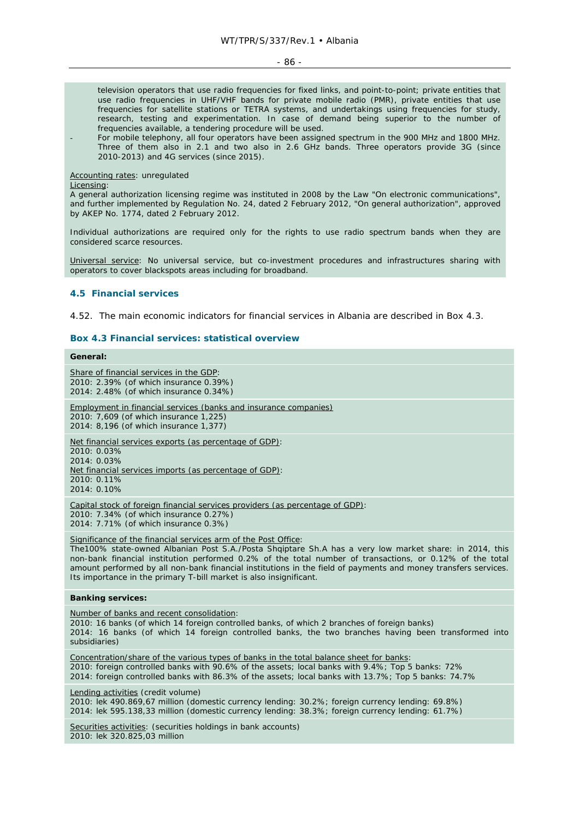#### - 86 -

television operators that use radio frequencies for fixed links, and point-to-point; private entities that use radio frequencies in UHF/VHF bands for private mobile radio (PMR), private entities that use frequencies for satellite stations or TETRA systems, and undertakings using frequencies for study, research, testing and experimentation. In case of demand being superior to the number of frequencies available, a tendering procedure will be used.

For mobile telephony, all four operators have been assigned spectrum in the 900 MHz and 1800 MHz. Three of them also in 2.1 and two also in 2.6 GHz bands. Three operators provide 3G (since 2010-2013) and 4G services (since 2015).

#### Accounting rates: unregulated

#### Licensing:

A general authorization licensing regime was instituted in 2008 by the Law "On electronic communications", and further implemented by Regulation No. 24, dated 2 February 2012, "On general authorization", approved by AKEP No. 1774, dated 2 February 2012.

Individual authorizations are required only for the rights to use radio spectrum bands when they are considered scarce resources.

Universal service: No universal service, but co-investment procedures and infrastructures sharing with operators to cover blackspots areas including for broadband.

## **4.5 Financial services**

4.52. The main economic indicators for financial services in Albania are described in Box 4.3.

#### **Box 4.3 Financial services: statistical overview**

## **General:**

Share of financial services in the GDP: 2010: 2.39% (of which insurance 0.39%) 2014: 2.48% (of which insurance 0.34%) Employment in financial services (banks and insurance companies) 2010: 7,609 (of which insurance 1,225) 2014: 8,196 (of which insurance 1,377) Net financial services exports (as percentage of GDP): 2010: 0.03% 2014: 0.03% Net financial services imports (as percentage of GDP): 2010: 0.11% 2014: 0.10% Capital stock of foreign financial services providers (as percentage of GDP): 2010: 7.34% (of which insurance 0.27%) 2014: 7.71% (of which insurance 0.3%) Significance of the financial services arm of the Post Office: The100% state-owned Albanian Post S.A./Posta Shqiptare Sh.A has a very low market share: in 2014, this non-bank financial institution performed 0.2% of the total number of transactions, or 0.12% of the total amount performed by all non-bank financial institutions in the field of payments and money transfers services. Its importance in the primary T-bill market is also insignificant. **Banking services:**  Number of banks and recent consolidation: 2010: 16 banks (of which 14 foreign controlled banks, of which 2 branches of foreign banks) 2014: 16 banks (of which 14 foreign controlled banks, the two branches having been transformed into subsidiaries) Concentration/share of the various types of banks in the total balance sheet for banks: 2010: foreign controlled banks with 90.6% of the assets; local banks with 9.4%; Top 5 banks: 72% 2014: foreign controlled banks with 86.3% of the assets; local banks with 13.7%; Top 5 banks: 74.7% Lending activities (credit volume) 2010: lek 490.869,67 million (domestic currency lending: 30.2%; foreign currency lending: 69.8%) 2014: lek 595.138,33 million (domestic currency lending: 38.3%; foreign currency lending: 61.7%) Securities activities: (securities holdings in bank accounts) 2010: lek 320.825,03 million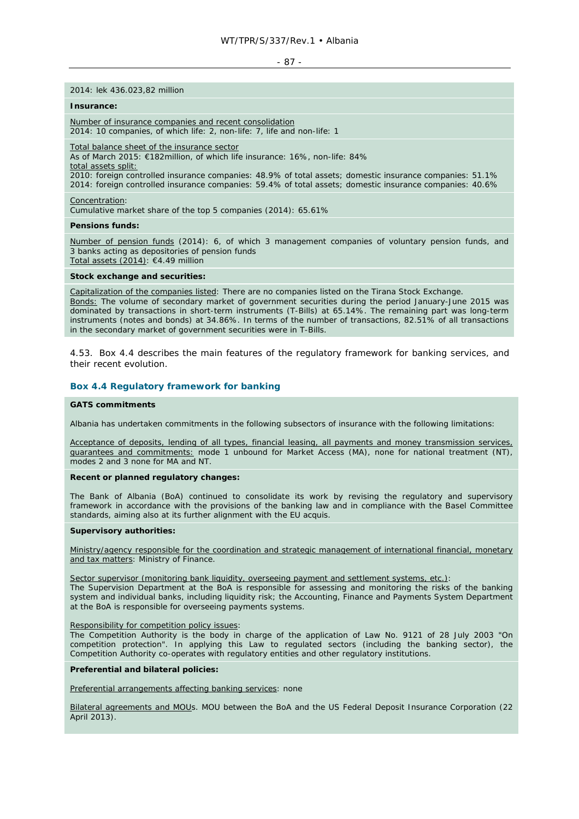- 87 -

#### 2014: lek 436.023,82 million

#### **Insurance:**

Number of insurance companies and recent consolidation 2014: 10 companies, of which life: 2, non-life: 7, life and non-life: 1

Total balance sheet of the insurance sector

As of March 2015: €182million, of which life insurance: 16%, non-life: 84% total assets split:

2010: foreign controlled insurance companies: 48.9% of total assets; domestic insurance companies: 51.1% 2014: foreign controlled insurance companies: 59.4% of total assets; domestic insurance companies: 40.6%

Concentration:

Cumulative market share of the top 5 companies (2014): 65.61%

#### **Pensions funds:**

Number of pension funds (2014): 6, of which 3 management companies of voluntary pension funds, and 3 banks acting as depositories of pension funds Total assets (2014): €4.49 million

#### **Stock exchange and securities:**

Capitalization of the companies listed: There are no companies listed on the Tirana Stock Exchange. Bonds: The volume of secondary market of government securities during the period January-June 2015 was dominated by transactions in short-term instruments (T-Bills) at 65.14%. The remaining part was long-term instruments (notes and bonds) at 34.86%. In terms of the number of transactions, 82.51% of all transactions in the secondary market of government securities were in T-Bills.

4.53. Box 4.4 describes the main features of the regulatory framework for banking services, and their recent evolution.

#### **Box 4.4 Regulatory framework for banking**

#### **GATS commitments**

Albania has undertaken commitments in the following subsectors of insurance with the following limitations:

Acceptance of deposits, lending of all types, financial leasing, all payments and money transmission services, guarantees and commitments: mode 1 unbound for Market Access (MA), none for national treatment (NT), modes 2 and 3 none for MA and NT.

#### **Recent or planned regulatory changes:**

The Bank of Albania (BoA) continued to consolidate its work by revising the regulatory and supervisory framework in accordance with the provisions of the banking law and in compliance with the Basel Committee standards, aiming also at its further alignment with the EU *acquis*.

#### **Supervisory authorities:**

Ministry/agency responsible for the coordination and strategic management of international financial, monetary and tax matters: Ministry of Finance.

Sector supervisor (monitoring bank liquidity, overseeing payment and settlement systems, etc.):

The Supervision Department at the BoA is responsible for assessing and monitoring the risks of the banking system and individual banks, including liquidity risk; the Accounting, Finance and Payments System Department at the BoA is responsible for overseeing payments systems.

#### Responsibility for competition policy issues:

The Competition Authority is the body in charge of the application of Law No. 9121 of 28 July 2003 "On competition protection". In applying this Law to regulated sectors (including the banking sector), the Competition Authority co-operates with regulatory entities and other regulatory institutions.

#### **Preferential and bilateral policies:**

Preferential arrangements affecting banking services: none

Bilateral agreements and MOUs. MOU between the BoA and the US Federal Deposit Insurance Corporation (22 April 2013).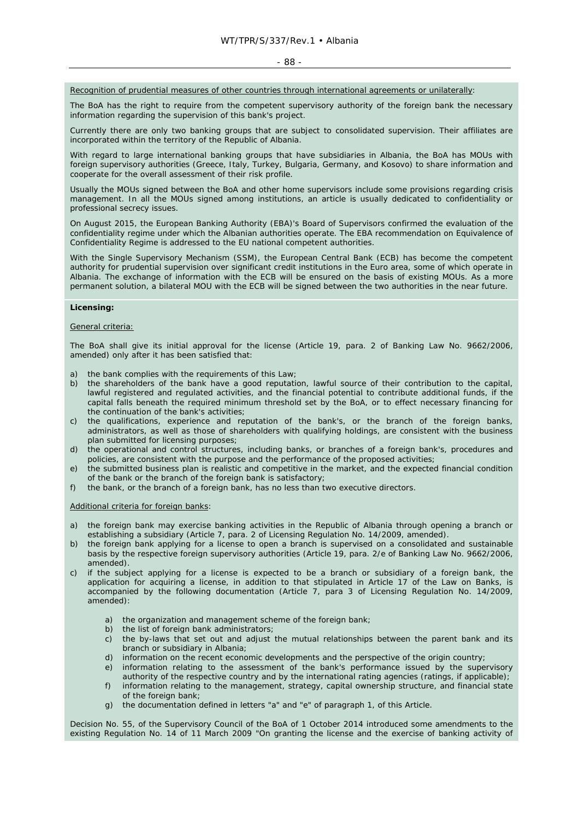#### - 88 -

Recognition of prudential measures of other countries through international agreements or unilaterally:

The BoA has the right to require from the competent supervisory authority of the foreign bank the necessary information regarding the supervision of this bank's project.

Currently there are only two banking groups that are subject to consolidated supervision. Their affiliates are incorporated within the territory of the Republic of Albania.

With regard to large international banking groups that have subsidiaries in Albania, the BoA has MOUs with foreign supervisory authorities (Greece, Italy, Turkey, Bulgaria, Germany, and Kosovo) to share information and cooperate for the overall assessment of their risk profile.

Usually the MOUs signed between the BoA and other home supervisors include some provisions regarding crisis management. In all the MOUs signed among institutions, an article is usually dedicated to confidentiality or professional secrecy issues.

On August 2015, the European Banking Authority (EBA)'s Board of Supervisors confirmed the evaluation of the confidentiality regime under which the Albanian authorities operate. The EBA recommendation on Equivalence of Confidentiality Regime is addressed to the EU national competent authorities.

With the Single Supervisory Mechanism (SSM), the European Central Bank (ECB) has become the competent authority for prudential supervision over significant credit institutions in the Euro area, some of which operate in Albania. The exchange of information with the ECB will be ensured on the basis of existing MOUs. As a more permanent solution, a bilateral MOU with the ECB will be signed between the two authorities in the near future.

#### **Licensing:**

#### General criteria:

The BoA shall give its initial approval for the license (Article 19, para. 2 of Banking Law No. 9662/2006, amended) only after it has been satisfied that:

- a) the bank complies with the requirements of this Law;
- b) the shareholders of the bank have a good reputation, lawful source of their contribution to the capital, lawful registered and regulated activities, and the financial potential to contribute additional funds, if the capital falls beneath the required minimum threshold set by the BoA, or to effect necessary financing for the continuation of the bank's activities;
- c) the qualifications, experience and reputation of the bank's, or the branch of the foreign banks, administrators, as well as those of shareholders with qualifying holdings, are consistent with the business plan submitted for licensing purposes;
- d) the operational and control structures, including banks, or branches of a foreign bank's, procedures and policies, are consistent with the purpose and the performance of the proposed activities;
- e) the submitted business plan is realistic and competitive in the market, and the expected financial condition of the bank or the branch of the foreign bank is satisfactory;
- f) the bank, or the branch of a foreign bank, has no less than two executive directors.

#### Additional criteria for foreign banks:

- a) the foreign bank may exercise banking activities in the Republic of Albania through opening a branch or establishing a subsidiary (Article 7, para. 2 of Licensing Regulation No. 14/2009, amended).
- b) the foreign bank applying for a license to open a branch is supervised on a consolidated and sustainable basis by the respective foreign supervisory authorities (Article 19, para. 2/e of Banking Law No. 9662/2006, amended).
- c) if the subject applying for a license is expected to be a branch or subsidiary of a foreign bank, the application for acquiring a license, in addition to that stipulated in Article 17 of the Law on Banks, is accompanied by the following documentation (Article 7, para 3 of Licensing Regulation No. 14/2009, amended):
	- a) the organization and management scheme of the foreign bank;
	- b) the list of foreign bank administrators;
	- c) the by-laws that set out and adjust the mutual relationships between the parent bank and its branch or subsidiary in Albania;
	- d) information on the recent economic developments and the perspective of the origin country;
	- e) information relating to the assessment of the bank's performance issued by the supervisory authority of the respective country and by the international rating agencies (ratings, if applicable);
	- f) information relating to the management, strategy, capital ownership structure, and financial state of the foreign bank:
	- g) the documentation defined in letters "a" and "e" of paragraph 1, of this Article.

Decision No. 55, of the Supervisory Council of the BoA of 1 October 2014 introduced some amendments to the existing Regulation No. 14 of 11 March 2009 "On granting the license and the exercise of banking activity of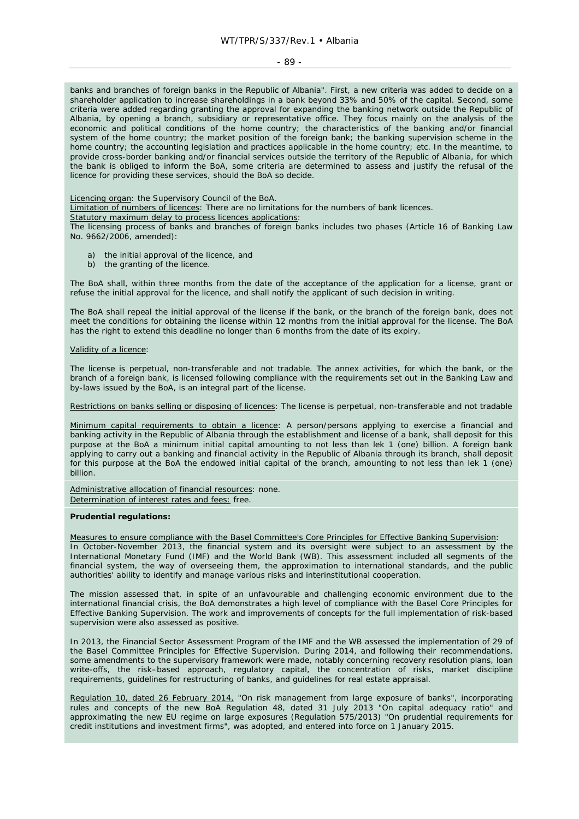#### - 89 -

banks and branches of foreign banks in the Republic of Albania". First, a new criteria was added to decide on a shareholder application to increase shareholdings in a bank beyond 33% and 50% of the capital. Second, some criteria were added regarding granting the approval for expanding the banking network outside the Republic of Albania, by opening a branch, subsidiary or representative office. They focus mainly on the analysis of the economic and political conditions of the home country; the characteristics of the banking and/or financial system of the home country; the market position of the foreign bank; the banking supervision scheme in the home country; the accounting legislation and practices applicable in the home country; etc. In the meantime, to provide cross-border banking and/or financial services outside the territory of the Republic of Albania, for which the bank is obliged to inform the BoA, some criteria are determined to assess and justify the refusal of the licence for providing these services, should the BoA so decide.

Licencing organ: the Supervisory Council of the BoA.

Limitation of numbers of licences: There are no limitations for the numbers of bank licences.

Statutory maximum delay to process licences applications:

The licensing process of banks and branches of foreign banks includes two phases (Article 16 of Banking Law No. 9662/2006, amended):

- a) the initial approval of the licence, and
- b) the granting of the licence.

The BoA shall, within three months from the date of the acceptance of the application for a license, grant or refuse the initial approval for the licence, and shall notify the applicant of such decision in writing.

The BoA shall repeal the initial approval of the license if the bank, or the branch of the foreign bank, does not meet the conditions for obtaining the license within 12 months from the initial approval for the license. The BoA has the right to extend this deadline no longer than 6 months from the date of its expiry.

#### Validity of a licence:

The license is perpetual, non-transferable and not tradable. The annex activities, for which the bank, or the branch of a foreign bank, is licensed following compliance with the requirements set out in the Banking Law and by-laws issued by the BoA, is an integral part of the license.

Restrictions on banks selling or disposing of licences: The license is perpetual, non-transferable and not tradable

Minimum capital requirements to obtain a licence: A person/persons applying to exercise a financial and banking activity in the Republic of Albania through the establishment and license of a bank, shall deposit for this purpose at the BoA a minimum initial capital amounting to not less than lek 1 (one) billion. A foreign bank applying to carry out a banking and financial activity in the Republic of Albania through its branch, shall deposit for this purpose at the BoA the endowed initial capital of the branch, amounting to not less than lek 1 (one) billion.

Administrative allocation of financial resources: none. Determination of interest rates and fees: free.

## **Prudential regulations:**

Measures to ensure compliance with the Basel Committee's Core Principles for Effective Banking Supervision: In October-November 2013, the financial system and its oversight were subject to an assessment by the International Monetary Fund (IMF) and the World Bank (WB). This assessment included all segments of the financial system, the way of overseeing them, the approximation to international standards, and the public authorities' ability to identify and manage various risks and interinstitutional cooperation.

The mission assessed that, in spite of an unfavourable and challenging economic environment due to the international financial crisis, the BoA demonstrates a high level of compliance with the Basel Core Principles for Effective Banking Supervision. The work and improvements of concepts for the full implementation of risk-based supervision were also assessed as positive.

In 2013, the Financial Sector Assessment Program of the IMF and the WB assessed the implementation of 29 of the Basel Committee Principles for Effective Supervision. During 2014, and following their recommendations, some amendments to the supervisory framework were made, notably concerning recovery resolution plans, loan write-offs, the risk–based approach, regulatory capital, the concentration of risks, market discipline requirements, guidelines for restructuring of banks, and guidelines for real estate appraisal.

Regulation 10, dated 26 February 2014, "On risk management from large exposure of banks", incorporating rules and concepts of the new BoA Regulation 48, dated 31 July 2013 "On capital adequacy ratio" and approximating the new EU regime on large exposures (Regulation 575/2013) "On prudential requirements for credit institutions and investment firms", was adopted, and entered into force on 1 January 2015.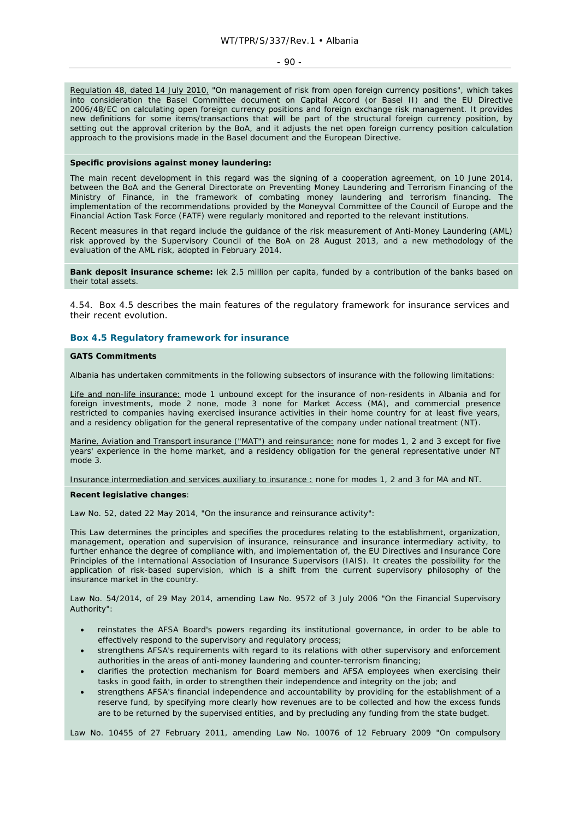#### $-90 -$

Regulation 48, dated 14 July 2010, "On management of risk from open foreign currency positions", which takes into consideration the Basel Committee document on Capital Accord (or Basel II) and the EU Directive 2006/48/EC on calculating open foreign currency positions and foreign exchange risk management. It provides new definitions for some items/transactions that will be part of the structural foreign currency position, by setting out the approval criterion by the BoA, and it adjusts the net open foreign currency position calculation approach to the provisions made in the Basel document and the European Directive.

#### **Specific provisions against money laundering:**

The main recent development in this regard was the signing of a cooperation agreement, on 10 June 2014, between the BoA and the General Directorate on Preventing Money Laundering and Terrorism Financing of the Ministry of Finance, in the framework of combating money laundering and terrorism financing. The implementation of the recommendations provided by the Moneyval Committee of the Council of Europe and the Financial Action Task Force (FATF) were regularly monitored and reported to the relevant institutions.

Recent measures in that regard include the guidance of the risk measurement of Anti-Money Laundering (AML) risk approved by the Supervisory Council of the BoA on 28 August 2013, and a new methodology of the evaluation of the AML risk, adopted in February 2014.

**Bank deposit insurance scheme:** lek 2.5 million per capita, funded by a contribution of the banks based on their total assets.

4.54. Box 4.5 describes the main features of the regulatory framework for insurance services and their recent evolution.

#### **Box 4.5 Regulatory framework for insurance**

## **GATS Commitments**

Albania has undertaken commitments in the following subsectors of insurance with the following limitations:

Life and non-life insurance: mode 1 unbound except for the insurance of non-residents in Albania and for foreign investments, mode 2 none, mode 3 none for Market Access (MA), and commercial presence restricted to companies having exercised insurance activities in their home country for at least five years, and a residency obligation for the general representative of the company under national treatment (NT).

Marine, Aviation and Transport insurance ("MAT") and reinsurance: none for modes 1, 2 and 3 except for five years' experience in the home market, and a residency obligation for the general representative under NT mode 3.

Insurance intermediation and services auxiliary to insurance : none for modes 1, 2 and 3 for MA and NT.

#### **Recent legislative changes**:

Law No. 52, dated 22 May 2014, "On the insurance and reinsurance activity":

This Law determines the principles and specifies the procedures relating to the establishment, organization, management, operation and supervision of insurance, reinsurance and insurance intermediary activity, to further enhance the degree of compliance with, and implementation of, the EU Directives and Insurance Core Principles of the International Association of Insurance Supervisors (IAIS). It creates the possibility for the application of risk-based supervision, which is a shift from the current supervisory philosophy of the insurance market in the country.

Law No. 54/2014, of 29 May 2014, amending Law No. 9572 of 3 July 2006 "On the Financial Supervisory Authority":

- reinstates the AFSA Board's powers regarding its institutional governance, in order to be able to effectively respond to the supervisory and regulatory process;
- strengthens AFSA's requirements with regard to its relations with other supervisory and enforcement authorities in the areas of anti-money laundering and counter-terrorism financing;
- clarifies the protection mechanism for Board members and AFSA employees when exercising their tasks in good faith, in order to strengthen their independence and integrity on the job; and
- strengthens AFSA's financial independence and accountability by providing for the establishment of a reserve fund, by specifying more clearly how revenues are to be collected and how the excess funds are to be returned by the supervised entities, and by precluding any funding from the state budget.

Law No. 10455 of 27 February 2011, amending Law No. 10076 of 12 February 2009 "On compulsory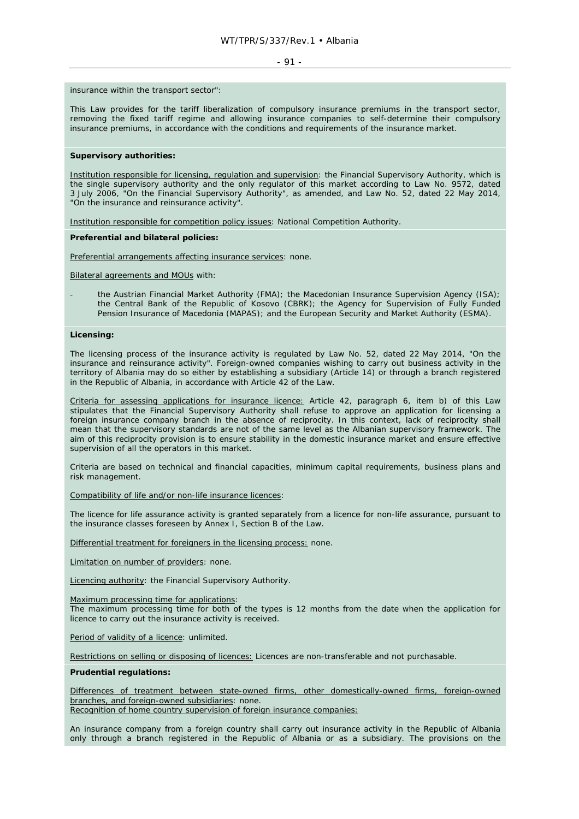#### $-91 -$

insurance within the transport sector":

This Law provides for the tariff liberalization of compulsory insurance premiums in the transport sector, removing the fixed tariff regime and allowing insurance companies to self-determine their compulsory insurance premiums, in accordance with the conditions and requirements of the insurance market.

#### **Supervisory authorities:**

Institution responsible for licensing, regulation and supervision: the Financial Supervisory Authority, which is the single supervisory authority and the only regulator of this market according to Law No. 9572, dated 3 July 2006, "On the Financial Supervisory Authority", as amended, and Law No. 52, dated 22 May 2014, "On the insurance and reinsurance activity".

Institution responsible for competition policy issues: National Competition Authority.

### **Preferential and bilateral policies:**

Preferential arrangements affecting insurance services: none.

Bilateral agreements and MOUs with:

the Austrian Financial Market Authority (FMA); the Macedonian Insurance Supervision Agency (ISA); the Central Bank of the Republic of Kosovo (CBRK); the Agency for Supervision of Fully Funded Pension Insurance of Macedonia (MAPAS); and the European Security and Market Authority (ESMA).

#### **Licensing:**

The licensing process of the insurance activity is regulated by Law No. 52, dated 22 May 2014, "On the insurance and reinsurance activity". Foreign-owned companies wishing to carry out business activity in the territory of Albania may do so either by establishing a subsidiary (Article 14) or through a branch registered in the Republic of Albania, in accordance with Article 42 of the Law.

Criteria for assessing applications for insurance licence: Article 42, paragraph 6, item b) of this Law stipulates that the Financial Supervisory Authority shall refuse to approve an application for licensing a foreign insurance company branch in the absence of reciprocity. In this context, lack of reciprocity shall mean that the supervisory standards are not of the same level as the Albanian supervisory framework. The aim of this reciprocity provision is to ensure stability in the domestic insurance market and ensure effective supervision of all the operators in this market.

Criteria are based on technical and financial capacities, minimum capital requirements, business plans and risk management.

Compatibility of life and/or non-life insurance licences:

The licence for life assurance activity is granted separately from a licence for non-life assurance, pursuant to the insurance classes foreseen by Annex I, Section B of the Law.

Differential treatment for foreigners in the licensing process: none.

Limitation on number of providers: none.

Licencing authority: the Financial Supervisory Authority.

Maximum processing time for applications:

The maximum processing time for both of the types is 12 months from the date when the application for licence to carry out the insurance activity is received.

Period of validity of a licence: unlimited.

Restrictions on selling or disposing of licences: Licences are non-transferable and not purchasable.

#### **Prudential regulations:**

Differences of treatment between state-owned firms, other domestically-owned firms, foreign-owned branches, and foreign-owned subsidiaries: none.

Recognition of home country supervision of foreign insurance companies:

An insurance company from a foreign country shall carry out insurance activity in the Republic of Albania only through a branch registered in the Republic of Albania or as a subsidiary. The provisions on the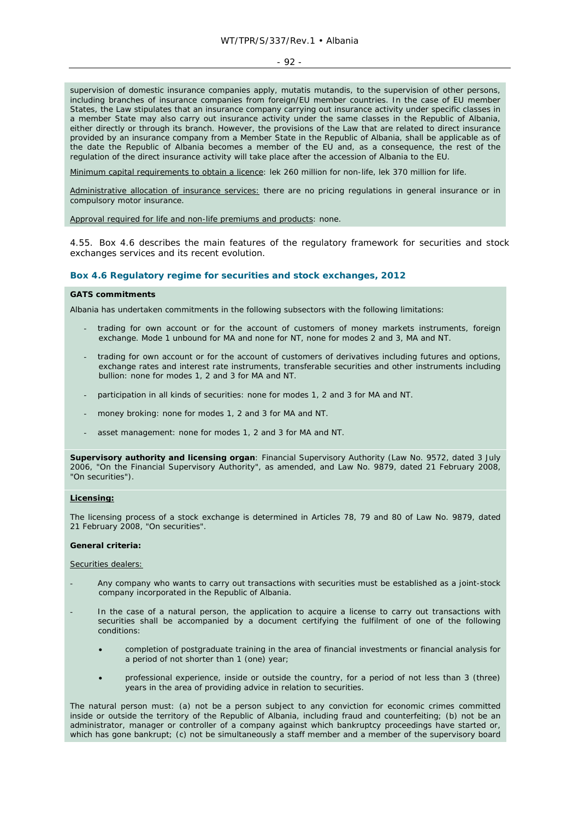#### $-92 -$

supervision of domestic insurance companies apply, *mutatis mutandis*, to the supervision of other persons, including branches of insurance companies from foreign/EU member countries. In the case of EU member States, the Law stipulates that an insurance company carrying out insurance activity under specific classes in a member State may also carry out insurance activity under the same classes in the Republic of Albania, either directly or through its branch. However, the provisions of the Law that are related to direct insurance provided by an insurance company from a Member State in the Republic of Albania, shall be applicable as of the date the Republic of Albania becomes a member of the EU and, as a consequence, the rest of the regulation of the direct insurance activity will take place after the accession of Albania to the EU.

Minimum capital requirements to obtain a licence: lek 260 million for non-life, lek 370 million for life.

Administrative allocation of insurance services: there are no pricing regulations in general insurance or in compulsory motor insurance.

Approval required for life and non-life premiums and products: none.

4.55. Box 4.6 describes the main features of the regulatory framework for securities and stock exchanges services and its recent evolution.

#### **Box 4.6 Regulatory regime for securities and stock exchanges, 2012**

#### **GATS commitments**

Albania has undertaken commitments in the following subsectors with the following limitations:

- trading for own account or for the account of customers of money markets instruments, foreign exchange. Mode 1 unbound for MA and none for NT, none for modes 2 and 3, MA and NT.
- trading for own account or for the account of customers of derivatives including futures and options, exchange rates and interest rate instruments, transferable securities and other instruments including bullion: none for modes 1, 2 and 3 for MA and NT.
- participation in all kinds of securities: none for modes 1, 2 and 3 for MA and NT.
- money broking: none for modes 1, 2 and 3 for MA and NT.
- asset management: none for modes 1, 2 and 3 for MA and NT.

**Supervisory authority and licensing organ**: Financial Supervisory Authority (Law No. 9572, dated 3 July 2006, "On the Financial Supervisory Authority", as amended, and Law No. 9879, dated 21 February 2008, "On securities").

#### **Licensing:**

The licensing process of a stock exchange is determined in Articles 78, 79 and 80 of Law No. 9879, dated 21 February 2008, "On securities".

#### **General criteria:**

#### Securities dealers:

- Any company who wants to carry out transactions with securities must be established as a joint-stock company incorporated in the Republic of Albania.
- In the case of a natural person, the application to acquire a license to carry out transactions with securities shall be accompanied by a document certifying the fulfilment of one of the following conditions:
	- completion of postgraduate training in the area of financial investments or financial analysis for a period of not shorter than 1 (one) year;
	- professional experience, inside or outside the country, for a period of not less than 3 (three) years in the area of providing advice in relation to securities.

The natural person must: (a) not be a person subject to any conviction for economic crimes committed inside or outside the territory of the Republic of Albania, including fraud and counterfeiting; (b) not be an administrator, manager or controller of a company against which bankruptcy proceedings have started or, which has gone bankrupt; (c) not be simultaneously a staff member and a member of the supervisory board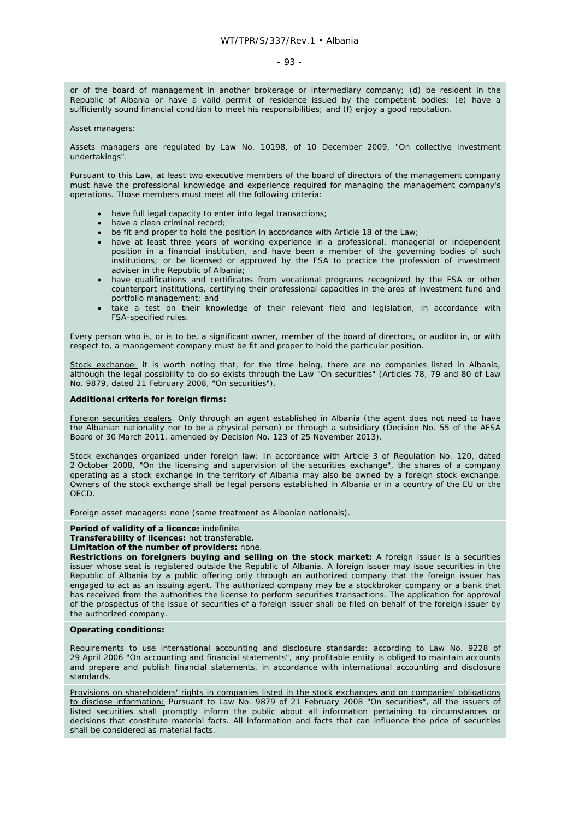#### - 93 -

or of the board of management in another brokerage or intermediary company; (d) be resident in the Republic of Albania or have a valid permit of residence issued by the competent bodies; (e) have a sufficiently sound financial condition to meet his responsibilities; and (f) enjoy a good reputation.

#### Asset managers:

Assets managers are regulated by Law No. 10198, of 10 December 2009, "On collective investment undertakings".

Pursuant to this Law, at least two executive members of the board of directors of the management company must have the professional knowledge and experience required for managing the management company's operations. Those members must meet all the following criteria:

- have full legal capacity to enter into legal transactions;
- have a clean criminal record;
- be fit and proper to hold the position in accordance with Article 18 of the Law;
- have at least three years of working experience in a professional, managerial or independent position in a financial institution, and have been a member of the governing bodies of such institutions; or be licensed or approved by the FSA to practice the profession of investment adviser in the Republic of Albania;
- have qualifications and certificates from vocational programs recognized by the FSA or other counterpart institutions, certifying their professional capacities in the area of investment fund and portfolio management; and
- take a test on their knowledge of their relevant field and legislation, in accordance with FSA-specified rules.

Every person who is, or is to be, a significant owner, member of the board of directors, or auditor in, or with respect to, a management company must be fit and proper to hold the particular position.

Stock exchange: it is worth noting that, for the time being, there are no companies listed in Albania, although the legal possibility to do so exists through the Law "On securities" (Articles 78, 79 and 80 of Law No. 9879, dated 21 February 2008, "On securities").

#### **Additional criteria for foreign firms:**

Foreign securities dealers. Only through an agent established in Albania (the agent does not need to have the Albanian nationality nor to be a physical person) or through a subsidiary (Decision No. 55 of the AFSA Board of 30 March 2011, amended by Decision No. 123 of 25 November 2013).

Stock exchanges organized under foreign law: In accordance with Article 3 of Regulation No. 120, dated 2 October 2008, "On the licensing and supervision of the securities exchange", the shares of a company operating as a stock exchange in the territory of Albania may also be owned by a foreign stock exchange. Owners of the stock exchange shall be legal persons established in Albania or in a country of the EU or the OECD.

Foreign asset managers: none (same treatment as Albanian nationals).

#### **Period of validity of a licence:** indefinite.

**Transferability of licences:** not transferable.

#### **Limitation of the number of providers:** none.

**Restrictions on foreigners buying and selling on the stock market:** A foreign issuer is a securities issuer whose seat is registered outside the Republic of Albania. A foreign issuer may issue securities in the Republic of Albania by a public offering only through an authorized company that the foreign issuer has engaged to act as an issuing agent. The authorized company may be a stockbroker company or a bank that has received from the authorities the license to perform securities transactions. The application for approval of the prospectus of the issue of securities of a foreign issuer shall be filed on behalf of the foreign issuer by the authorized company.

#### **Operating conditions:**

Requirements to use international accounting and disclosure standards: according to Law No. 9228 of 29 April 2006 "On accounting and financial statements", any profitable entity is obliged to maintain accounts and prepare and publish financial statements, in accordance with international accounting and disclosure standards.

Provisions on shareholders' rights in companies listed in the stock exchanges and on companies' obligations to disclose information: Pursuant to Law No. 9879 of 21 February 2008 "On securities", all the issuers of listed securities shall promptly inform the public about all information pertaining to circumstances or decisions that constitute material facts. All information and facts that can influence the price of securities shall be considered as material facts.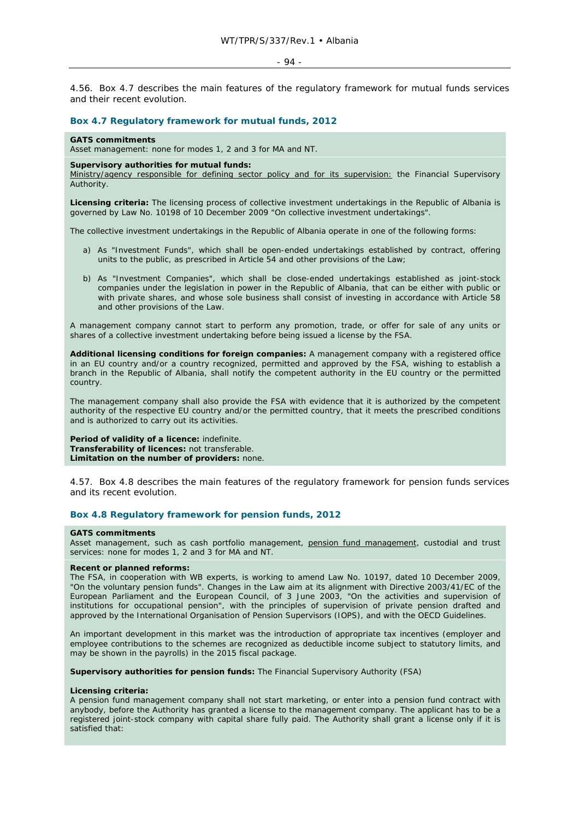4.56. Box 4.7 describes the main features of the regulatory framework for mutual funds services and their recent evolution.

## **Box 4.7 Regulatory framework for mutual funds, 2012**

## **GATS commitments**

Asset management: none for modes 1, 2 and 3 for MA and NT.

#### **Supervisory authorities for mutual funds:**

Ministry/agency responsible for defining sector policy and for its supervision: the Financial Supervisory Authority.

**Licensing criteria:** The licensing process of collective investment undertakings in the Republic of Albania is governed by Law No. 10198 of 10 December 2009 "On collective investment undertakings".

The collective investment undertakings in the Republic of Albania operate in one of the following forms:

- a) As "Investment Funds", which shall be open-ended undertakings established by contract, offering units to the public, as prescribed in Article 54 and other provisions of the Law;
- b) As "Investment Companies", which shall be close-ended undertakings established as joint-stock companies under the legislation in power in the Republic of Albania, that can be either with public or with private shares, and whose sole business shall consist of investing in accordance with Article 58 and other provisions of the Law.

A management company cannot start to perform any promotion, trade, or offer for sale of any units or shares of a collective investment undertaking before being issued a license by the FSA.

**Additional licensing conditions for foreign companies:** A management company with a registered office in an EU country and/or a country recognized, permitted and approved by the FSA, wishing to establish a branch in the Republic of Albania, shall notify the competent authority in the EU country or the permitted country.

The management company shall also provide the FSA with evidence that it is authorized by the competent authority of the respective EU country and/or the permitted country, that it meets the prescribed conditions and is authorized to carry out its activities.

**Period of validity of a licence:** indefinite. **Transferability of licences:** not transferable. **Limitation on the number of providers:** none.

4.57. Box 4.8 describes the main features of the regulatory framework for pension funds services and its recent evolution.

## **Box 4.8 Regulatory framework for pension funds, 2012**

#### **GATS commitments**

Asset management, such as cash portfolio management, pension fund management, custodial and trust services: none for modes 1, 2 and 3 for MA and NT.

## **Recent or planned reforms:**

The FSA, in cooperation with WB experts, is working to amend Law No. 10197, dated 10 December 2009, "On the voluntary pension funds". Changes in the Law aim at its alignment with Directive 2003/41/EC of the European Parliament and the European Council, of 3 June 2003, "On the activities and supervision of institutions for occupational pension", with the principles of supervision of private pension drafted and approved by the International Organisation of Pension Supervisors (IOPS), and with the OECD Guidelines.

An important development in this market was the introduction of appropriate tax incentives (employer and employee contributions to the schemes are recognized as deductible income subject to statutory limits, and may be shown in the payrolls) in the 2015 fiscal package.

**Supervisory authorities for pension funds:** The Financial Supervisory Authority (FSA)

#### **Licensing criteria:**

A pension fund management company shall not start marketing, or enter into a pension fund contract with anybody, before the Authority has granted a license to the management company. The applicant has to be a registered joint-stock company with capital share fully paid. The Authority shall grant a license only if it is satisfied that: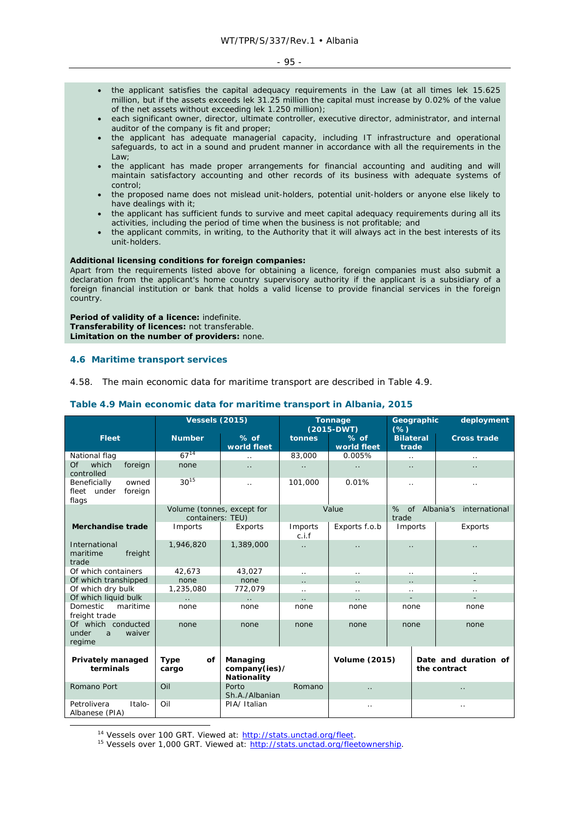- the applicant satisfies the capital adequacy requirements in the Law (at all times lek 15.625 million, but if the assets exceeds lek 31.25 million the capital must increase by 0.02% of the value of the net assets without exceeding lek 1.250 million);
- each significant owner, director, ultimate controller, executive director, administrator, and internal auditor of the company is fit and proper;
- the applicant has adequate managerial capacity, including IT infrastructure and operational safeguards, to act in a sound and prudent manner in accordance with all the requirements in the Law;
- the applicant has made proper arrangements for financial accounting and auditing and will maintain satisfactory accounting and other records of its business with adequate systems of control;
- the proposed name does not mislead unit-holders, potential unit-holders or anyone else likely to have dealings with it;
- the applicant has sufficient funds to survive and meet capital adequacy requirements during all its activities, including the period of time when the business is not profitable; and
- the applicant commits, in writing, to the Authority that it will always act in the best interests of its unit-holders.

## **Additional licensing conditions for foreign companies:**

Apart from the requirements listed above for obtaining a licence, foreign companies must also submit a declaration from the applicant's home country supervisory authority if the applicant is a subsidiary of a foreign financial institution or bank that holds a valid license to provide financial services in the foreign country.

**Period of validity of a licence:** indefinite. **Transferability of licences:** not transferable. **Limitation on the number of providers:** none.

## **4.6 Maritime transport services**

4.58. The main economic data for maritime transport are described in Table 4.9.

|                                                             |                                                | <b>Vessels (2015)</b>                    |                  | Tonnage<br>$(2015-DWT)$ | Geographic<br>(% )                   |              | deployment           |  |      |  |  |
|-------------------------------------------------------------|------------------------------------------------|------------------------------------------|------------------|-------------------------|--------------------------------------|--------------|----------------------|--|------|--|--|
| <b>Fleet</b>                                                | <b>Number</b>                                  | $%$ of<br>world fleet                    | tonnes           | $%$ of<br>world fleet   | <b>Bilateral</b><br>trade            |              | <b>Cross trade</b>   |  |      |  |  |
| National flag                                               | $67^{14}$                                      | $\ddotsc$                                | 83,000           | 0.005%                  | $\ddotsc$                            |              | $\ddots$             |  |      |  |  |
| Of<br>which<br>foreign<br>controlled                        | none                                           | $\ddot{\phantom{0}}$                     |                  | $\ddotsc$               | $\ddot{\phantom{0}}$                 |              |                      |  |      |  |  |
| owned<br>Beneficially<br>fleet<br>under<br>foreign<br>flags | $30^{15}$                                      | $\ddotsc$                                | 101,000          | 0.01%                   | $\ddot{\phantom{0}}$                 |              | $\cdot$ .            |  |      |  |  |
|                                                             | Volume (tonnes, except for<br>containers: TEU) |                                          |                  | Value                   | %<br>trade                           | of Albania's | international        |  |      |  |  |
| <b>Merchandise trade</b>                                    | Imports                                        | Exports                                  | Imports<br>c.i.f | Exports f.o.b           | Imports                              |              | Exports              |  |      |  |  |
| International<br>maritime<br>freight<br>trade               | 1,946,820                                      | 1,389,000                                | $\ddotsc$        | $\ddotsc$               | $\ddot{\phantom{0}}$                 |              |                      |  |      |  |  |
| Of which containers                                         | 42.673                                         | 43,027                                   | $\ddotsc$        | $\ddotsc$               | $\ddot{\phantom{0}}$                 |              | $\cdot$ .            |  |      |  |  |
| Of which transhipped                                        | none                                           | none                                     |                  | $\cdot$ .               |                                      |              |                      |  |      |  |  |
| Of which dry bulk                                           | 1,235,080                                      | 772,079                                  | $\ddotsc$        | $\ddotsc$               | $\ddotsc$                            |              | $\cdot$ .            |  |      |  |  |
| Of which liquid bulk                                        | $\ddotsc$                                      |                                          |                  |                         |                                      |              |                      |  |      |  |  |
| Domestic<br>maritime<br>freight trade                       | none                                           | none                                     | none             | none                    | none                                 |              |                      |  | none |  |  |
| Of which conducted<br>under<br>waiver<br>a<br>regime        | none                                           | none                                     | none             | none<br>none            |                                      |              |                      |  | none |  |  |
| Privately managed<br>terminals                              | <b>Type</b><br>οf<br>cargo                     | Managing<br>company(ies)/<br>Nationality |                  |                         | <b>Volume (2015)</b><br>the contract |              | Date and duration of |  |      |  |  |
| Romano Port                                                 | Oil                                            | Porto<br>Sh.A./Albanian                  | Romano           | $\ddotsc$               |                                      |              | $\ddotsc$            |  |      |  |  |
| Petrolivera<br>Italo-<br>Albanese (PIA)                     | Oil                                            | PIA/Italian                              |                  | $\cdot$ .<br>$\ddotsc$  |                                      |              |                      |  |      |  |  |

## **Table 4.9 Main economic data for maritime transport in Albania, 2015**

<sup>14</sup> Vessels over 100 GRT. Viewed at: http://stats.unctad.org/fleet.

<sup>15</sup> Vessels over 1,000 GRT. Viewed at: http://stats.unctad.org/fleetownership.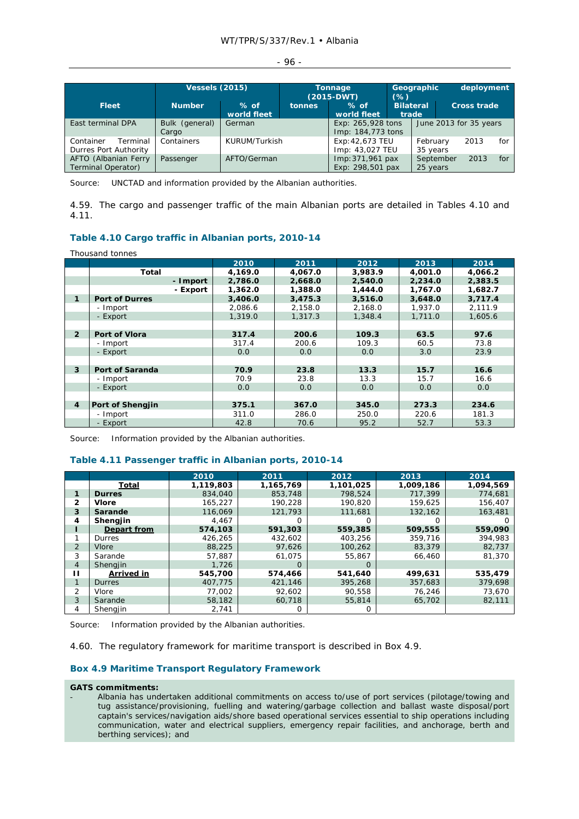|  | ×<br>I<br>т.<br>× |  |  |
|--|-------------------|--|--|
|--|-------------------|--|--|

|                                                |                         | <b>Vessels (2015)</b> |                              | Tonnage<br>$(2015-DWT)$                | Geographic<br>$(\%)$<br>$%$ of       |                      | deployment            |                        |     |
|------------------------------------------------|-------------------------|-----------------------|------------------------------|----------------------------------------|--------------------------------------|----------------------|-----------------------|------------------------|-----|
| <b>Fleet</b>                                   | <b>Number</b>           | $%$ of<br>world fleet | <b>tonnes</b><br>world fleet |                                        | <b>Bilateral</b><br>trade            |                      | <b>Cross trade</b>    |                        |     |
| East terminal DPA                              | Bulk (general)<br>Cargo | German                |                              | Exp: 265,928 tons<br>Imp: 184,773 tons |                                      |                      |                       | June 2013 for 35 years |     |
| Container<br>Terminal<br>Durres Port Authority | Containers              | KURUM/Turkish         |                              | Exp: 42,673 TEU<br>Imp: 43,027 TEU     |                                      | February<br>35 years |                       | 2013                   | for |
| AFTO (Albanian Ferry<br>Terminal Operator)     | Passenger               | AFTO/German           |                              |                                        | Imp: 371,961 pax<br>Exp: 298,501 pax |                      | September<br>25 years | 2013                   | for |

Source: UNCTAD and information provided by the Albanian authorities.

4.59. The cargo and passenger traffic of the main Albanian ports are detailed in Tables 4.10 and 4.11.

## **Table 4.10 Cargo traffic in Albanian ports, 2010-14**

Thousand tonnes

|                |                        | 2010    | 2011    | 2012    | 2013    | 2014    |
|----------------|------------------------|---------|---------|---------|---------|---------|
|                | <b>Total</b>           | 4,169.0 | 4,067.0 | 3,983.9 | 4,001.0 | 4,066.2 |
|                | - Import               | 2,786.0 | 2,668.0 | 2,540.0 | 2,234.0 | 2,383.5 |
|                | - Export               | 1,362.0 | 1,388.0 | 1,444.0 | 1,767.0 | 1,682.7 |
| 1              | <b>Port of Durres</b>  | 3,406.0 | 3,475.3 | 3,516.0 | 3,648.0 | 3,717.4 |
|                | - Import               | 2,086.6 | 2,158.0 | 2,168.0 | 1,937.0 | 2,111.9 |
|                | - Export               | 1,319.0 | 1.317.3 | 1.348.4 | 1,711.0 | 1,605.6 |
|                |                        |         |         |         |         |         |
| $\overline{2}$ | Port of Vlora          | 317.4   | 200.6   | 109.3   | 63.5    | 97.6    |
|                | - Import               | 317.4   | 200.6   | 109.3   | 60.5    | 73.8    |
|                | - Export               | 0.0     | 0.0     | 0.0     | 3.0     | 23.9    |
|                |                        |         |         |         |         |         |
| 3              | <b>Port of Saranda</b> | 70.9    | 23.8    | 13.3    | 15.7    | 16.6    |
|                | - Import               | 70.9    | 23.8    | 13.3    | 15.7    | 16.6    |
|                | - Export               | 0.0     | 0.0     | 0.0     | 0.0     | 0.0     |
|                |                        |         |         |         |         |         |
| $\overline{4}$ | Port of Shengjin       | 375.1   | 367.0   | 345.0   | 273.3   | 234.6   |
|                | - Import               | 311.0   | 286.0   | 250.0   | 220.6   | 181.3   |
|                | - Export               | 42.8    | 70.6    | 95.2    | 52.7    | 53.3    |

Source: Information provided by the Albanian authorities.

## **Table 4.11 Passenger traffic in Albanian ports, 2010-14**

|                |                   | 2010      | 2011      | 2012      | 2013      | 2014      |
|----------------|-------------------|-----------|-----------|-----------|-----------|-----------|
|                | Total             | 1,119,803 | 1,165,769 | 1,101,025 | 1,009,186 | 1,094,569 |
| 1              | <b>Durres</b>     | 834,040   | 853,748   | 798.524   | 717.399   | 774.681   |
| $\mathbf{2}$   | <b>Vlore</b>      | 165,227   | 190.228   | 190.820   | 159,625   | 156,407   |
| 3              | Sarande           | 116.069   | 121,793   | 111.681   | 132,162   | 163,481   |
| 4              | Shengjin          | 4,467     |           |           |           | $\Omega$  |
|                | Depart from       | 574,103   | 591,303   | 559,385   | 509,555   | 559,090   |
|                | Durres            | 426,265   | 432,602   | 403,256   | 359,716   | 394,983   |
| 2              | Vlore             | 88,225    | 97.626    | 100.262   | 83,379    | 82,737    |
| 3              | Sarande           | 57.887    | 61.075    | 55,867    | 66,460    | 81,370    |
| $\overline{4}$ | Shengjin          | 1,726     | O         | O         |           |           |
| п              | <b>Arrived in</b> | 545,700   | 574,466   | 541,640   | 499.631   | 535.479   |
| $\mathbf{1}$   | <b>Durres</b>     | 407.775   | 421.146   | 395,268   | 357,683   | 379.698   |
| 2              | Vlore             | 77,002    | 92,602    | 90,558    | 76,246    | 73,670    |
| 3              | Sarande           | 58,182    | 60,718    | 55,814    | 65,702    | 82,111    |
| 4              | Shengjin          | 2,741     |           |           |           |           |

Source: Information provided by the Albanian authorities.

4.60. The regulatory framework for maritime transport is described in Box 4.9.

## **Box 4.9 Maritime Transport Regulatory Framework**

## **GATS commitments:**

- Albania has undertaken additional commitments on access to/use of port services (pilotage/towing and tug assistance/provisioning, fuelling and watering/garbage collection and ballast waste disposal/port captain's services/navigation aids/shore based operational services essential to ship operations including communication, water and electrical suppliers, emergency repair facilities, and anchorage, berth and berthing services); and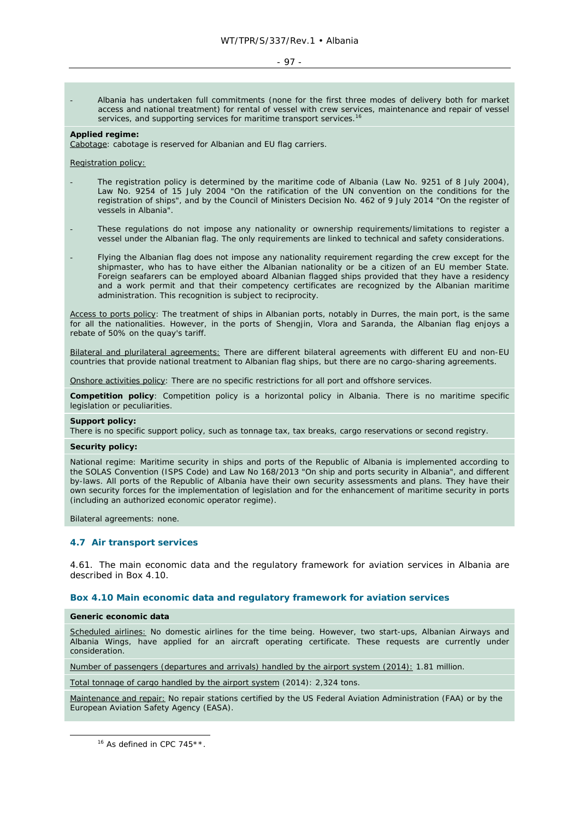#### - 97 -

- Albania has undertaken full commitments (none for the first three modes of delivery both for market access and national treatment) for rental of vessel with crew services, maintenance and repair of vessel services, and supporting services for maritime transport services.<sup>16</sup>

#### **Applied regime:**

Cabotage: cabotage is reserved for Albanian and EU flag carriers.

Registration policy:

- The registration policy is determined by the maritime code of Albania (Law No. 9251 of 8 July 2004), Law No. 9254 of 15 July 2004 "On the ratification of the UN convention on the conditions for the registration of ships", and by the Council of Ministers Decision No. 462 of 9 July 2014 "On the register of vessels in Albania".
- These regulations do not impose any nationality or ownership requirements/limitations to register a vessel under the Albanian flag. The only requirements are linked to technical and safety considerations.
- Flying the Albanian flag does not impose any nationality requirement regarding the crew except for the shipmaster, who has to have either the Albanian nationality or be a citizen of an EU member State. Foreign seafarers can be employed aboard Albanian flagged ships provided that they have a residency and a work permit and that their competency certificates are recognized by the Albanian maritime administration. This recognition is subject to reciprocity.

Access to ports policy: The treatment of ships in Albanian ports, notably in Durres, the main port, is the same for all the nationalities. However, in the ports of Shengjin, Vlora and Saranda, the Albanian flag enjoys a rebate of 50% on the quay's tariff.

Bilateral and plurilateral agreements: There are different bilateral agreements with different EU and non-EU countries that provide national treatment to Albanian flag ships, but there are no cargo-sharing agreements.

Onshore activities policy: There are no specific restrictions for all port and offshore services.

**Competition policy**: Competition policy is a horizontal policy in Albania. There is no maritime specific legislation or peculiarities.

#### **Support policy:**

There is no specific support policy, such as tonnage tax, tax breaks, cargo reservations or second registry.

#### **Security policy:**

National regime: Maritime security in ships and ports of the Republic of Albania is implemented according to the SOLAS Convention (ISPS Code) and Law No 168/2013 "On ship and ports security in Albania", and different by-laws. All ports of the Republic of Albania have their own security assessments and plans. They have their own security forces for the implementation of legislation and for the enhancement of maritime security in ports (including an authorized economic operator regime).

Bilateral agreements: none.

#### **4.7 Air transport services**

4.61. The main economic data and the regulatory framework for aviation services in Albania are described in Box 4.10.

#### **Box 4.10 Main economic data and regulatory framework for aviation services**

## **Generic economic data**

Scheduled airlines: No domestic airlines for the time being. However, two start-ups, Albanian Airways and Albania Wings, have applied for an aircraft operating certificate. These requests are currently under consideration.

Number of passengers (departures and arrivals) handled by the airport system (2014): 1.81 million.

Total tonnage of cargo handled by the airport system (2014): 2,324 tons.

Maintenance and repair: No repair stations certified by the US Federal Aviation Administration (FAA) or by the European Aviation Safety Agency (EASA).

<sup>16</sup> As defined in CPC 745\*\*.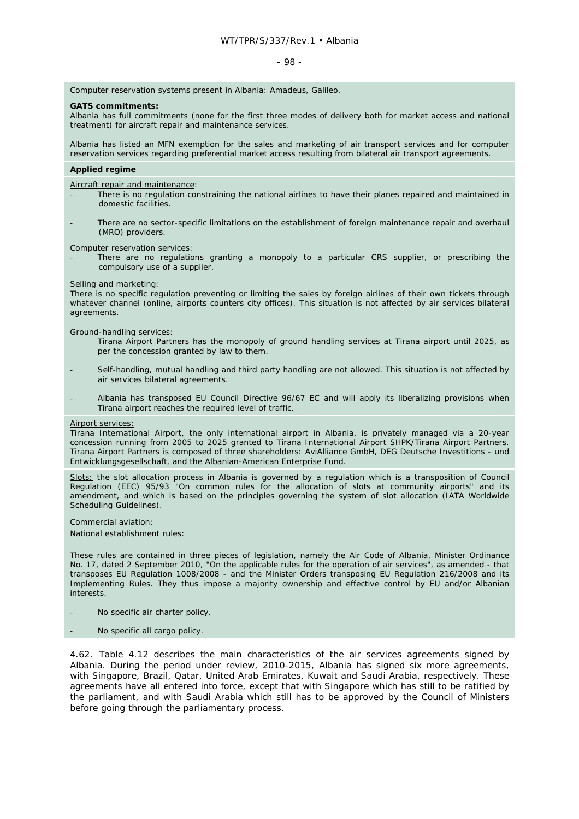#### - 98 -

## Computer reservation systems present in Albania: Amadeus, Galileo.

#### **GATS commitments:**

Albania has full commitments (none for the first three modes of delivery both for market access and national treatment) for aircraft repair and maintenance services.

Albania has listed an MFN exemption for the sales and marketing of air transport services and for computer reservation services regarding preferential market access resulting from bilateral air transport agreements.

#### **Applied regime**

#### Aircraft repair and maintenance:

- There is no regulation constraining the national airlines to have their planes repaired and maintained in domestic facilities.
- There are no sector-specific limitations on the establishment of foreign maintenance repair and overhaul (MRO) providers.

Computer reservation services:

There are no regulations granting a monopoly to a particular CRS supplier, or prescribing the compulsory use of a supplier.

#### Selling and marketing:

There is no specific regulation preventing or limiting the sales by foreign airlines of their own tickets through whatever channel (online, airports counters city offices). This situation is not affected by air services bilateral agreements.

#### Ground-handling services:

- Tirana Airport Partners has the monopoly of ground handling services at Tirana airport until 2025, as per the concession granted by law to them.
- Self-handling, mutual handling and third party handling are not allowed. This situation is not affected by air services bilateral agreements.
- Albania has transposed EU Council Directive 96/67 EC and will apply its liberalizing provisions when Tirana airport reaches the required level of traffic.

## Airport services:

Tirana International Airport, the only international airport in Albania, is privately managed via a 20-year concession running from 2005 to 2025 granted to Tirana International Airport SHPK/Tirana Airport Partners. Tirana Airport Partners is composed of three shareholders: AviAlliance GmbH, DEG Deutsche Investitions - und Entwicklungsgesellschaft, and the Albanian-American Enterprise Fund.

Slots: the slot allocation process in Albania is governed by a regulation which is a transposition of Council Regulation (EEC) 95/93 "On common rules for the allocation of slots at community airports" and its amendment, and which is based on the principles governing the system of slot allocation (IATA Worldwide Scheduling Guidelines).

## Commercial aviation:

National establishment rules:

These rules are contained in three pieces of legislation, namely the Air Code of Albania, Minister Ordinance No. 17, dated 2 September 2010, "On the applicable rules for the operation of air services", as amended - that transposes EU Regulation 1008/2008 - and the Minister Orders transposing EU Regulation 216/2008 and its Implementing Rules. They thus impose a majority ownership and effective control by EU and/or Albanian interests.

- No specific air charter policy.
- No specific all cargo policy.

4.62. Table 4.12 describes the main characteristics of the air services agreements signed by Albania. During the period under review, 2010-2015, Albania has signed six more agreements, with Singapore, Brazil, Qatar, United Arab Emirates, Kuwait and Saudi Arabia, respectively. These agreements have all entered into force, except that with Singapore which has still to be ratified by the parliament, and with Saudi Arabia which still has to be approved by the Council of Ministers before going through the parliamentary process.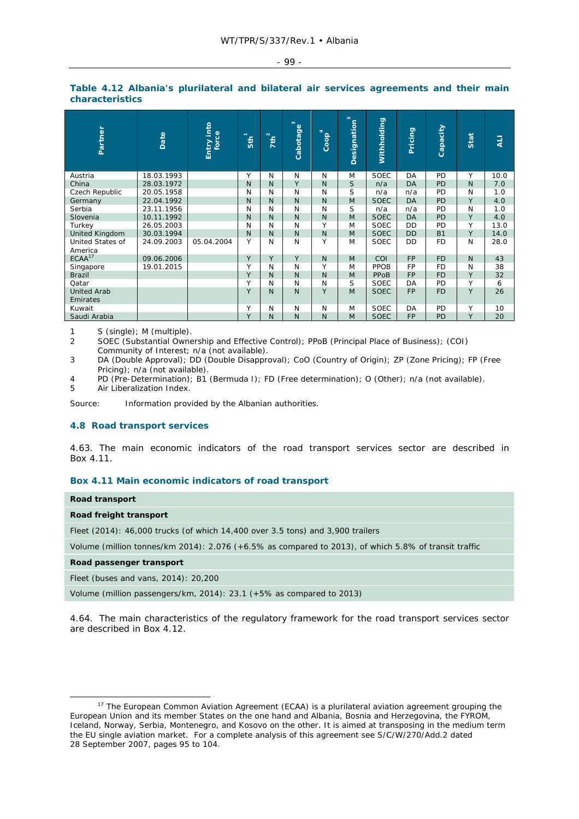| ٠ |  |
|---|--|
|---|--|

| Partner                        | Date       | Entry into<br>force | E            | $\sum_{i=1}^{n}$ | Cabotage <sup>3</sup> | Coop <sup>4</sup> | $\mathfrak{m}$<br>Designation | Withholding | Pricing   | Capacity  | Stat         | <b>LIA</b> |
|--------------------------------|------------|---------------------|--------------|------------------|-----------------------|-------------------|-------------------------------|-------------|-----------|-----------|--------------|------------|
| Austria                        | 18.03.1993 |                     | Υ            | N                | N                     | N                 | M                             | <b>SOEC</b> | DA        | PD        | Y            | 10.0       |
| China                          | 28.03.1972 |                     | $\mathsf{N}$ | N                | Y                     | N                 | S                             | n/a         | DA        | <b>PD</b> | N            | 7.0        |
| Czech Republic                 | 20.05.1958 |                     | N            | N                | N                     | N                 | S                             | n/a         | n/a       | PD        | N            | 1.0        |
| Germany                        | 22.04.1992 |                     | $\mathsf{N}$ | $\mathsf{N}$     | N                     | N                 | M                             | <b>SOEC</b> | <b>DA</b> | PD        | Y            | 4.0        |
| Serbia                         | 23.11.1956 |                     | N            | N                | N                     | N                 | S                             | n/a         | n/a       | PD        | N            | 1.0        |
| Slovenia                       | 10.11.1992 |                     | $\mathsf{N}$ | N                | $\mathsf{N}$          | N                 | M                             | <b>SOEC</b> | <b>DA</b> | <b>PD</b> | Y            | 4.0        |
| Turkey                         | 26.05.2003 |                     | N            | N                | N                     | Υ                 | M                             | <b>SOEC</b> | DD        | PD        | Y            | 13.0       |
| <b>United Kingdom</b>          | 30.03.1994 |                     | $\mathsf{N}$ | ${\sf N}$        | $\mathsf{N}$          | N                 | M                             | <b>SOEC</b> | <b>DD</b> | <b>B1</b> | Y            | 14.0       |
| United States of<br>America    | 24.09.2003 | 05.04.2004          | Υ            | N                | N                     | Υ                 | M                             | <b>SOEC</b> | DD        | <b>FD</b> | N            | 28.0       |
| ECAA <sup>17</sup>             | 09.06.2006 |                     | Y            | Y                | Y                     | N                 | M                             | COI         | <b>FP</b> | <b>FD</b> | $\mathsf{N}$ | 43         |
| Singapore                      | 19.01.2015 |                     | Υ            | N                | N                     | Υ                 | M                             | PPOB        | FP        | <b>FD</b> | N            | 38         |
| <b>Brazil</b>                  |            |                     | Y            | N                | N                     | N                 | M                             | PPoB        | <b>FP</b> | <b>FD</b> | Y            | 32         |
| Qatar                          |            |                     | Y            | N                | N                     | N                 | S                             | <b>SOEC</b> | DA        | <b>PD</b> | Y            | 6          |
| <b>United Arab</b><br>Emirates |            |                     | Y            | N                | $\mathsf{N}$          | Y                 | M                             | <b>SOEC</b> | <b>FP</b> | <b>FD</b> | Y            | 26         |
| Kuwait                         |            |                     | Υ            | N                | N                     | N                 | M                             | <b>SOEC</b> | DA        | PD        | Y            | 10         |
| Saudi Arabia                   |            |                     | Y            | N                | N                     | N                 | M                             | <b>SOEC</b> | <b>FP</b> | PD        | Y            | 20         |

#### **Table 4.12 Albania's plurilateral and bilateral air services agreements and their main characteristics**

1 S (single); M (multiple).

2 SOEC (Substantial Ownership and Effective Control); PPoB (Principal Place of Business); (COI) Community of Interest; n/a (not available).

3 DA (Double Approval); DD (Double Disapproval); CoO (Country of Origin); ZP (Zone Pricing); FP (Free Pricing); n/a (not available).

4 PD (Pre-Determination); B1 (Bermuda I); FD (Free determination); O (Other); n/a (not available). 5 Air Liberalization Index.

Source: Information provided by the Albanian authorities.

## **4.8 Road transport services**

4.63. The main economic indicators of the road transport services sector are described in Box 4.11.

## **Box 4.11 Main economic indicators of road transport**

| Road transport |
|----------------|
|----------------|

## *Road freight transport*

Fleet (2014): 46,000 trucks (of which 14,400 over 3.5 tons) and 3,900 trailers

Volume (million tonnes/km 2014): 2.076 (+6.5% as compared to 2013), of which 5.8% of transit traffic

*Road passenger transport* 

Fleet (buses and vans, 2014): 20,200

Volume (million passengers/km, 2014): 23.1 (+5% as compared to 2013)

4.64. The main characteristics of the regulatory framework for the road transport services sector are described in Box 4.12.

<sup>&</sup>lt;sup>17</sup> The European Common Aviation Agreement (ECAA) is a plurilateral aviation agreement grouping the European Union and its member States on the one hand and Albania, Bosnia and Herzegovina, the FYROM, Iceland, Norway, Serbia, Montenegro, and Kosovo on the other. It is aimed at transposing in the medium term the EU single aviation market. For a complete analysis of this agreement see S/C/W/270/Add.2 dated 28 September 2007, pages 95 to 104.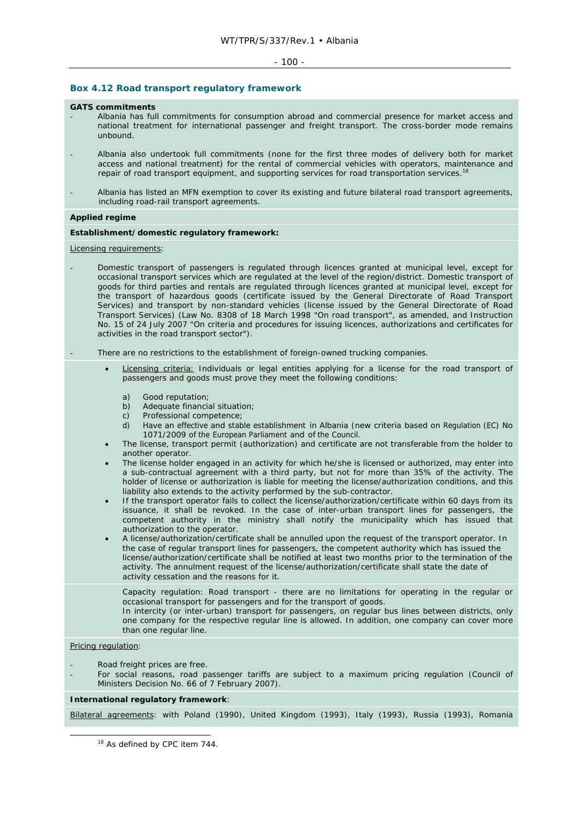#### $-100 -$

## **Box 4.12 Road transport regulatory framework**

#### **GATS commitments**

- Albania has full commitments for consumption abroad and commercial presence for market access and national treatment for international passenger and freight transport. The cross-border mode remains unbound.
- Albania also undertook full commitments (none for the first three modes of delivery both for market access and national treatment) for the rental of commercial vehicles with operators, maintenance and repair of road transport equipment, and supporting services for road transportation services.<sup>18</sup>
- Albania has listed an MFN exemption to cover its existing and future bilateral road transport agreements, including road-rail transport agreements.

## **Applied regime**

## *Establishment/domestic regulatory framework***:**

#### Licensing requirements:

- Domestic transport of passengers is regulated through licences granted at municipal level, except for occasional transport services which are regulated at the level of the region/district. Domestic transport of goods for third parties and rentals are regulated through licences granted at municipal level, except for the transport of hazardous goods (certificate issued by the General Directorate of Road Transport Services) and transport by non-standard vehicles (license issued by the General Directorate of Road Transport Services) (Law No. 8308 of 18 March 1998 "On road transport", as amended, and Instruction No. 15 of 24 July 2007 "On criteria and procedures for issuing licences, authorizations and certificates for activities in the road transport sector").
- There are no restrictions to the establishment of foreign-owned trucking companies.
	- Licensing criteria: Individuals or legal entities applying for a license for the road transport of passengers and goods must prove they meet the following conditions:
		- a) Good reputation;
		- b) Adequate financial situation;
		- c) Professional competence;
		- d) Have an effective and stable establishment in Albania (new criteria based on Regulation (EC) No 1071/2009 of the European Parliament and of the Council.
	- The license, transport permit (authorization) and certificate are not transferable from the holder to another operator.
	- The license holder engaged in an activity for which he/she is licensed or authorized, may enter into a sub-contractual agreement with a third party, but not for more than 35% of the activity. The holder of license or authorization is liable for meeting the license/authorization conditions, and this liability also extends to the activity performed by the sub-contractor.
	- If the transport operator fails to collect the license/authorization/certificate within 60 days from its issuance, it shall be revoked. In the case of inter-urban transport lines for passengers, the competent authority in the ministry shall notify the municipality which has issued that authorization to the operator.
	- A license/authorization/certificate shall be annulled upon the request of the transport operator. In the case of regular transport lines for passengers, the competent authority which has issued the license/authorization/certificate shall be notified at least two months prior to the termination of the activity. The annulment request of the license/authorization/certificate shall state the date of activity cessation and the reasons for it.
		- Capacity regulation: Road transport there are no limitations for operating in the regular or occasional transport for passengers and for the transport of goods.
		- In intercity (or inter-urban) transport for passengers, on regular bus lines between districts, only one company for the respective regular line is allowed. In addition, one company can cover more than one regular line.

## Pricing regulation:

- Road freight prices are free.
- For social reasons, road passenger tariffs are subject to a maximum pricing regulation (Council of Ministers Decision No. 66 of 7 February 2007).

## *International regulatory framework*:

Bilateral agreements: with Poland (1990), United Kingdom (1993), Italy (1993), Russia (1993), Romania

<sup>18</sup> As defined by CPC item 744.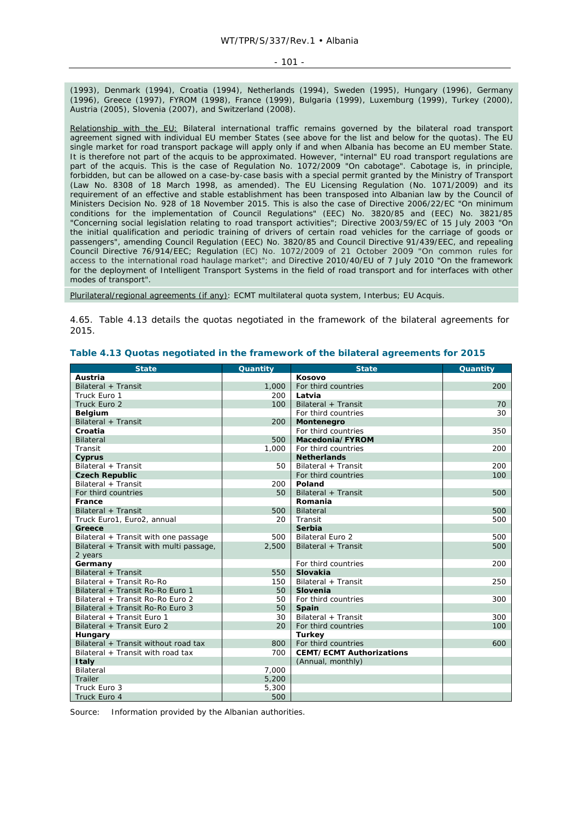#### - 101 -

(1993), Denmark (1994), Croatia (1994), Netherlands (1994), Sweden (1995), Hungary (1996), Germany (1996), Greece (1997), FYROM (1998), France (1999), Bulgaria (1999), Luxemburg (1999), Turkey (2000), Austria (2005), Slovenia (2007), and Switzerland (2008).

Relationship with the EU: Bilateral international traffic remains governed by the bilateral road transport agreement signed with individual EU member States (see above for the list and below for the quotas). The EU single market for road transport package will apply only if and when Albania has become an EU member State. It is therefore not part of the *acquis* to be approximated. However, "internal" EU road transport regulations are part of the *acquis*. This is the case of Regulation No. 1072/2009 "On cabotage". Cabotage is, in principle, forbidden, but can be allowed on a case-by-case basis with a special permit granted by the Ministry of Transport (Law No. 8308 of 18 March 1998, as amended). The EU Licensing Regulation (No. 1071/2009) and its requirement of an effective and stable establishment has been transposed into Albanian law by the Council of Ministers Decision No. 928 of 18 November 2015. This is also the case of Directive 2006/22/EC "On minimum conditions for the implementation of Council Regulations" (EEC) No. 3820/85 and (EEC) No. 3821/85 "Concerning social legislation relating to road transport activities"; Directive 2003/59/EC of 15 July 2003 "On the initial qualification and periodic training of drivers of certain road vehicles for the carriage of goods or passengers", amending Council Regulation (EEC) No. 3820/85 and Council Directive 91/439/EEC, and repealing Council Directive 76/914/EEC; Regulation (EC) No. 1072/2009 of 21 October 2009 "On common rules for access to the international road haulage market"; and Directive 2010/40/EU of 7 July 2010 "On the framework for the deployment of Intelligent Transport Systems in the field of road transport and for interfaces with other modes of transport".

Plurilateral/regional agreements (if any): ECMT multilateral quota system, Interbus; EU *Acquis*.

4.65. Table 4.13 details the quotas negotiated in the framework of the bilateral agreements for 2015.

| <b>State</b>                            | Quantity | <b>State</b>                    | Quantity |
|-----------------------------------------|----------|---------------------------------|----------|
| Austria                                 |          | Kosovo                          |          |
| Bilateral + Transit                     | 1,000    | For third countries             | 200      |
| Truck Euro 1                            | 200      | Latvia                          |          |
| Truck Euro 2                            | 100      | Bilateral + Transit             | 70       |
| <b>Belgium</b>                          |          | For third countries             | 30       |
| Bilateral + Transit                     | 200      | Montenegro                      |          |
| Croatia                                 |          | For third countries             | 350      |
| Bilateral                               | 500      | Macedonia/FYROM                 |          |
| Transit                                 | 1,000    | For third countries             | 200      |
| Cyprus                                  |          | <b>Netherlands</b>              |          |
| Bilateral + Transit                     | 50       | Bilateral + Transit             | 200      |
| <b>Czech Republic</b>                   |          | For third countries             | 100      |
| Bilateral + Transit                     | 200      | Poland                          |          |
| For third countries                     | 50       | Bilateral + Transit             | 500      |
| France                                  |          | Romania                         |          |
| Bilateral + Transit                     | 500      | <b>Bilateral</b>                | 500      |
| Truck Euro1, Euro2, annual              | 20       | Transit                         | 500      |
| Greece                                  |          | Serbia                          |          |
| Bilateral + Transit with one passage    | 500      | <b>Bilateral Euro 2</b>         | 500      |
| Bilateral + Transit with multi passage, | 2,500    | Bilateral + Transit             | 500      |
| 2 years                                 |          |                                 |          |
| Germany                                 |          | For third countries             | 200      |
| Bilateral + Transit                     | 550      | <b>Slovakia</b>                 |          |
| Bilateral + Transit Ro-Ro               | 150      | Bilateral + Transit             | 250      |
| Bilateral + Transit Ro-Ro Euro 1        | 50       | Slovenia                        |          |
| Bilateral + Transit Ro-Ro Euro 2        | 50       | For third countries             | 300      |
| Bilateral + Transit Ro-Ro Euro 3        | 50       | Spain                           |          |
| Bilateral + Transit Euro 1              | 30       | Bilateral + Transit             | 300      |
| Bilateral + Transit Euro 2              | 20       | For third countries             | 100      |
| Hungary                                 |          | <b>Turkey</b>                   |          |
| Bilateral + Transit without road tax    | 800      | For third countries             | 600      |
| Bilateral + Transit with road tax       | 700      | <b>CEMT/ECMT Authorizations</b> |          |
| <b>Italy</b>                            |          | (Annual, monthly)               |          |
| <b>Bilateral</b>                        | 7,000    |                                 |          |
| Trailer                                 | 5,200    |                                 |          |
| Truck Euro 3                            | 5,300    |                                 |          |
| Truck Euro 4                            | 500      |                                 |          |

## **Table 4.13 Quotas negotiated in the framework of the bilateral agreements for 2015**

Source: Information provided by the Albanian authorities.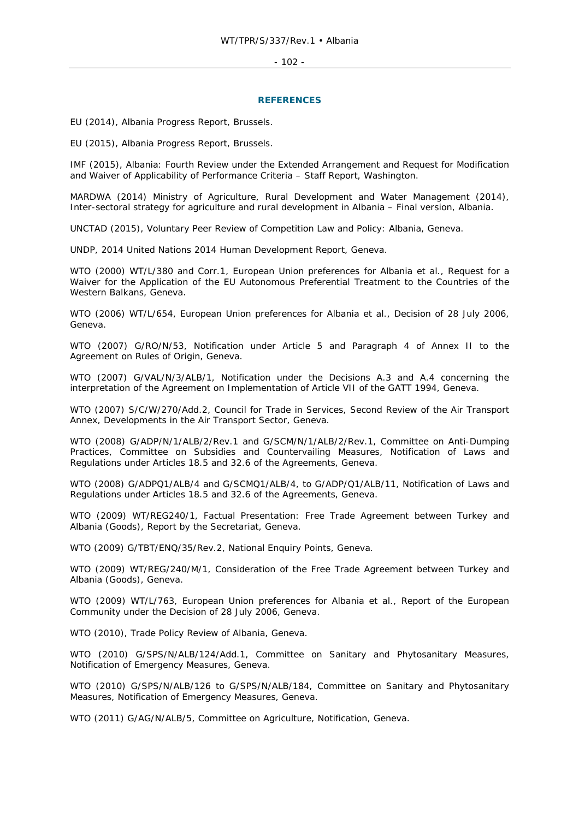#### - 102 -

#### **REFERENCES**

EU (2014), *Albania Progress Report*, Brussels.

EU (2015), *Albania Progress Report, Brussels.*

IMF (2015), *Albania: Fourth Review under the Extended Arrangement and Request for Modification and Waiver of Applicability of Performance Criteria – Staff Report*, Washington.

MARDWA (2014) *Ministry of Agriculture, Rural Development and Water Management (2014), Inter-sectoral strategy for agriculture and rural development in Albania – Final version*, Albania.

UNCTAD (2015), *Voluntary Peer Review of Competition Law and Policy: Albania*, Geneva.

UNDP, 2014 *United Nations 2014 Human Development Report*, Geneva.

WTO (2000) WT/L/380 and Corr.1, *European Union preferences for Albania et al., Request for a Waiver for the Application of the EU Autonomous Preferential Treatment to the Countries of the Western Balkans*, Geneva.

WTO (2006) WT/L/654, *European Union preferences for Albania et al., Decision of 28 July 2006*, Geneva.

WTO (2007) G/RO/N/53, *Notification under Article 5 and Paragraph 4 of Annex II to the Agreement on Rules of Origin*, Geneva.

WTO (2007) G/VAL/N/3/ALB/1, *Notification under the Decisions A.3 and A.4 concerning the interpretation of the Agreement on Implementation of Article VII of the GATT 1994*, Geneva.

WTO (2007) S/C/W/270/Add.2, *Council for Trade in Services, Second Review of the Air Transport Annex, Developments in the Air Transport Sector*, Geneva.

WTO (2008) G/ADP/N/1/ALB/2/Rev.1 and G/SCM/N/1/ALB/2/Rev.1, *Committee on Anti-Dumping Practices, Committee on Subsidies and Countervailing Measures, Notification of Laws and Regulations under Articles 18.5 and 32.6 of the Agreements*, Geneva.

WTO (2008) G/ADPQ1/ALB/4 and G/SCMQ1/ALB/4, to G/ADP/Q1/ALB/11, *Notification of Laws and Regulations under Articles 18.5 and 32.6 of the Agreements*, Geneva.

WTO (2009) WT/REG240/1, *Factual Presentation: Free Trade Agreement between Turkey and Albania (Goods), Report by the Secretariat*, Geneva.

WTO (2009) G/TBT/ENQ/35/Rev.2, *National Enquiry Points*, Geneva.

WTO (2009) WT/REG/240/M/1, *Consideration of the Free Trade Agreement between Turkey and Albania (Goods)*, Geneva.

WTO (2009) WT/L/763*, European Union preferences for Albania et al., Report of the European Community under the Decision of 28 July 2006*, Geneva.

WTO (2010), *Trade Policy Review of Albania*, Geneva.

WTO (2010) G/SPS/N/ALB/124/Add.1, *Committee on Sanitary and Phytosanitary Measures, Notification of Emergency Measures*, Geneva.

WTO (2010) G/SPS/N/ALB/126 to G/SPS/N/ALB/184, *Committee on Sanitary and Phytosanitary Measures, Notification of Emergency Measures*, Geneva.

WTO (2011) G/AG/N/ALB/5, *Committee on Agriculture, Notification*, Geneva.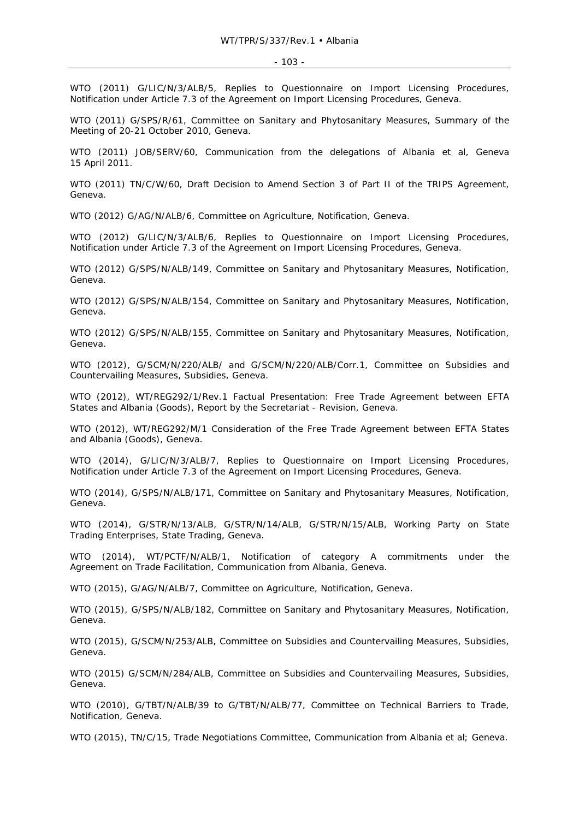#### - 103 -

WTO (2011) G/LIC/N/3/ALB/5, *Replies to Questionnaire on Import Licensing Procedures, Notification under Article 7.3 of the Agreement on Import Licensing Procedures*, Geneva.

WTO (2011) G/SPS/R/61, *Committee on Sanitary and Phytosanitary Measures, Summary of the Meeting of 20-21 October 2010*, Geneva.

WTO (2011) JOB/SERV/60, *Communication from the delegations of Albania et al*, Geneva 15 April 2011.

WTO (2011) TN/C/W/60, *Draft Decision to Amend Section 3 of Part II of the TRIPS Agreement*, Geneva.

WTO (2012) G/AG/N/ALB/6, *Committee on Agriculture, Notification*, Geneva.

WTO (2012) G/LIC/N/3/ALB/6, *Replies to Questionnaire on Import Licensing Procedures, Notification under Article 7.3 of the Agreement on Import Licensing Procedures*, Geneva.

WTO (2012) G/SPS/N/ALB/149, *Committee on Sanitary and Phytosanitary Measures, Notification*, Geneva.

WTO (2012) G/SPS/N/ALB/154, *Committee on Sanitary and Phytosanitary Measures, Notification*, Geneva.

WTO (2012) G/SPS/N/ALB/155, *Committee on Sanitary and Phytosanitary Measures, Notification*, Geneva.

WTO (2012), G/SCM/N/220/ALB/ and G/SCM/N/220/ALB/Corr.1, *Committee on Subsidies and Countervailing Measures, Subsidies*, Geneva.

WTO (2012), WT/REG292/1/Rev.1 *Factual Presentation: Free Trade Agreement between EFTA States and Albania (Goods), Report by the Secretariat - Revision*, Geneva.

WTO (2012), WT/REG292/M/1 *Consideration of the Free Trade Agreement between EFTA States and Albania (Goods)*, Geneva.

WTO (2014), G/LIC/N/3/ALB/7, *Replies to Questionnaire on Import Licensing Procedures, Notification under Article 7.3 of the Agreement on Import Licensing Procedures*, Geneva.

WTO (2014), G/SPS/N/ALB/171, *Committee on Sanitary and Phytosanitary Measures, Notification*, Geneva.

WTO (2014), G/STR/N/13/ALB, G/STR/N/14/ALB, G/STR/N/15/ALB, *Working Party on State Trading Enterprises, State Trading*, Geneva.

WTO (2014), WT/PCTF/N/ALB/1, *Notification of category A commitments under the Agreement on Trade Facilitation, Communication from Albania*, Geneva.

WTO (2015), G/AG/N/ALB/7, *Committee on Agriculture, Notification*, Geneva.

WTO (2015), G/SPS/N/ALB/182, *Committee on Sanitary and Phytosanitary Measures, Notification*, Geneva.

WTO (2015), G/SCM/N/253/ALB, *Committee on Subsidies and Countervailing Measures, Subsidies*, Geneva.

WTO (2015) G/SCM/N/284/ALB, *Committee on Subsidies and Countervailing Measures, Subsidies*, Geneva.

WTO (2010), G/TBT/N/ALB/39 to G/TBT/N/ALB/77, *Committee on Technical Barriers to Trade, Notification*, Geneva.

WTO (2015), TN/C/15, *Trade Negotiations Committee, Communication from Albania et al*; Geneva.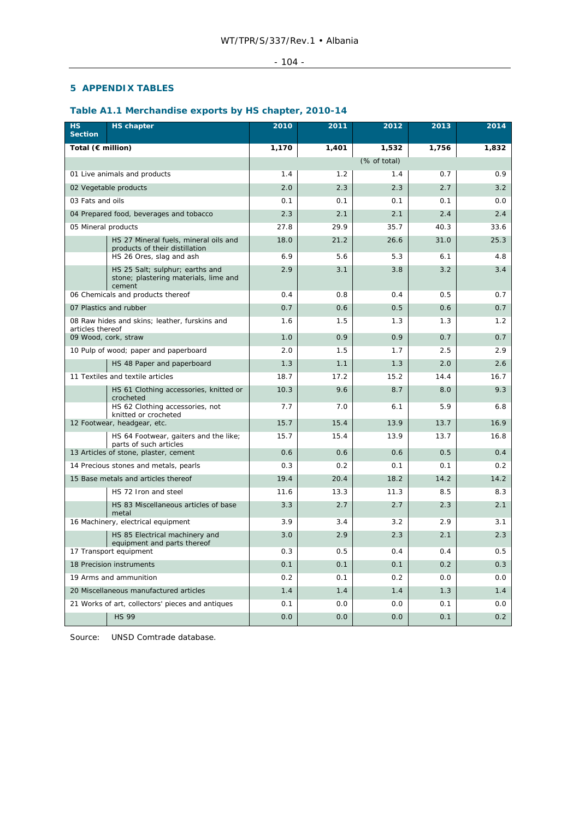## - 104 -

## **5 APPENDIX TABLES**

## **Table A1.1 Merchandise exports by HS chapter, 2010-14**

| <b>HS</b><br><b>Section</b> | <b>HS chapter</b>                                                                  | 2010  | 2011  | 2012         | 2013  | 2014  |
|-----------------------------|------------------------------------------------------------------------------------|-------|-------|--------------|-------|-------|
| Total (€ million)           |                                                                                    | 1,170 | 1,401 | 1,532        | 1,756 | 1,832 |
|                             |                                                                                    |       |       | (% of total) |       |       |
|                             | 01 Live animals and products                                                       | 1.4   | 1.2   | 1.4          | 0.7   | 0.9   |
|                             | 02 Vegetable products                                                              | 2.0   | 2.3   | 2.3          | 2.7   | 3.2   |
| 03 Fats and oils            |                                                                                    | 0.1   | 0.1   | 0.1          | 0.1   | 0.0   |
|                             | 04 Prepared food, beverages and tobacco                                            | 2.3   | 2.1   | 2.1          | 2.4   | 2.4   |
| 05 Mineral products         |                                                                                    | 27.8  | 29.9  | 35.7         | 40.3  | 33.6  |
|                             | HS 27 Mineral fuels, mineral oils and<br>products of their distillation            | 18.0  | 21.2  | 26.6         | 31.0  | 25.3  |
|                             | HS 26 Ores, slag and ash                                                           | 6.9   | 5.6   | 5.3          | 6.1   | 4.8   |
|                             | HS 25 Salt; sulphur; earths and<br>stone; plastering materials, lime and<br>cement | 2.9   | 3.1   | 3.8          | 3.2   | 3.4   |
|                             | 06 Chemicals and products thereof                                                  | 0.4   | 0.8   | 0.4          | 0.5   | 0.7   |
|                             | 07 Plastics and rubber                                                             | 0.7   | 0.6   | 0.5          | 0.6   | 0.7   |
| articles thereof            | 08 Raw hides and skins; leather, furskins and                                      | 1.6   | 1.5   | 1.3          | 1.3   | 1.2   |
| 09 Wood, cork, straw        |                                                                                    | 1.0   | 0.9   | 0.9          | 0.7   | 0.7   |
|                             | 10 Pulp of wood; paper and paperboard                                              | 2.0   | 1.5   | 1.7          | 2.5   | 2.9   |
|                             | HS 48 Paper and paperboard                                                         | 1.3   | 1.1   | 1.3          | 2.0   | 2.6   |
|                             | 11 Textiles and textile articles                                                   | 18.7  | 17.2  | 15.2         | 14.4  | 16.7  |
|                             | HS 61 Clothing accessories, knitted or<br>crocheted                                | 10.3  | 9.6   | 8.7          | 8.0   | 9.3   |
|                             | HS 62 Clothing accessories, not<br>knitted or crocheted                            | 7.7   | 7.0   | 6.1          | 5.9   | 6.8   |
|                             | 12 Footwear, headgear, etc.                                                        | 15.7  | 15.4  | 13.9         | 13.7  | 16.9  |
|                             | HS 64 Footwear, gaiters and the like;<br>parts of such articles                    | 15.7  | 15.4  | 13.9         | 13.7  | 16.8  |
|                             | 13 Articles of stone, plaster, cement                                              | 0.6   | 0.6   | 0.6          | 0.5   | 0.4   |
|                             | 14 Precious stones and metals, pearls                                              | 0.3   | 0.2   | 0.1          | 0.1   | 0.2   |
|                             | 15 Base metals and articles thereof                                                | 19.4  | 20.4  | 18.2         | 14.2  | 14.2  |
|                             | HS 72 Iron and steel                                                               | 11.6  | 13.3  | 11.3         | 8.5   | 8.3   |
|                             | HS 83 Miscellaneous articles of base<br>metal                                      | 3.3   | 2.7   | 2.7          | 2.3   | 2.1   |
|                             | 16 Machinery, electrical equipment                                                 | 3.9   | 3.4   | 3.2          | 2.9   | 3.1   |
|                             | HS 85 Electrical machinery and<br>equipment and parts thereof                      | 3.0   | 2.9   | 2.3          | 2.1   | 2.3   |
|                             | 17 Transport equipment                                                             | 0.3   | 0.5   | 0.4          | 0.4   | 0.5   |
|                             | 18 Precision instruments                                                           | 0.1   | 0.1   | 0.1          | 0.2   | 0.3   |
|                             | 19 Arms and ammunition                                                             | 0.2   | 0.1   | 0.2          | 0.0   | 0.0   |
|                             | 20 Miscellaneous manufactured articles                                             | 1.4   | 1.4   | 1.4          | 1.3   | 1.4   |
|                             | 21 Works of art, collectors' pieces and antiques                                   | 0.1   | 0.0   | 0.0          | 0.1   | 0.0   |
|                             | <b>HS 99</b>                                                                       | 0.0   | 0.0   | 0.0          | 0.1   | 0.2   |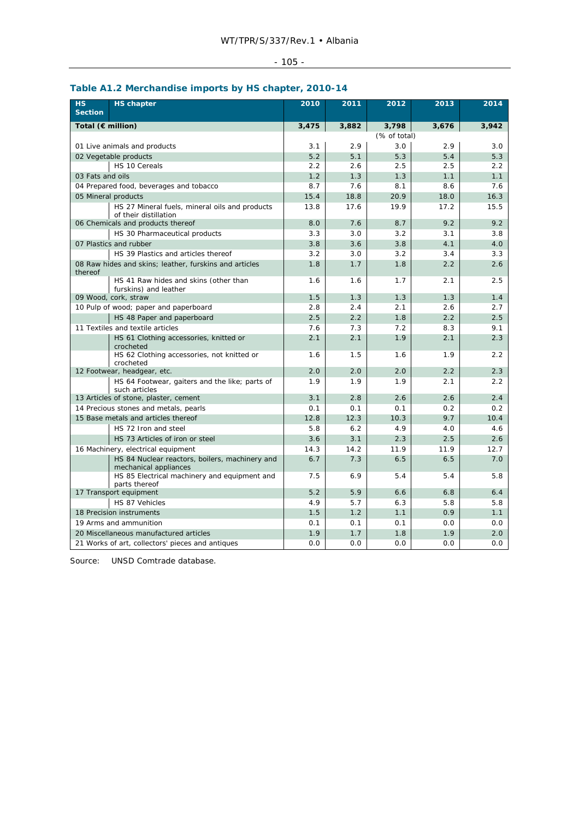# - 105 -

|                             | $\ldots$ meterminate imports by the enapted $\ell$                      |       |       |              |       |       |
|-----------------------------|-------------------------------------------------------------------------|-------|-------|--------------|-------|-------|
| <b>HS</b><br><b>Section</b> | <b>HS</b> chapter                                                       | 2010  | 2011  | 2012         | 2013  | 2014  |
| Total (€ million)           |                                                                         | 3,475 | 3,882 | 3,798        | 3,676 | 3,942 |
|                             |                                                                         |       |       | (% of total) |       |       |
|                             | 01 Live animals and products                                            | 3.1   | 2.9   | 3.0          | 2.9   | 3.0   |
|                             | 02 Vegetable products                                                   | 5.2   | 5.1   | 5.3          | 5.4   | 5.3   |
|                             | HS 10 Cereals                                                           | 2.2   | 2.6   | 2.5          | 2.5   | 2.2   |
| 03 Fats and oils            |                                                                         | 1.2   | 1.3   | 1.3          | 1.1   | 1.1   |
|                             | 04 Prepared food, beverages and tobacco                                 | 8.7   | 7.6   | 8.1          | 8.6   | 7.6   |
|                             | 05 Mineral products                                                     | 15.4  | 18.8  | 20.9         | 18.0  | 16.3  |
|                             | HS 27 Mineral fuels, mineral oils and products<br>of their distillation | 13.8  | 17.6  | 19.9         | 17.2  | 15.5  |
|                             | 06 Chemicals and products thereof                                       | 8.0   | 7.6   | 8.7          | 9.2   | 9.2   |
|                             | HS 30 Pharmaceutical products                                           | 3.3   | 3.0   | 3.2          | 3.1   | 3.8   |
|                             | 07 Plastics and rubber                                                  | 3.8   | 3.6   | 3.8          | 4.1   | 4.0   |
|                             | HS 39 Plastics and articles thereof                                     | 3.2   | 3.0   | 3.2          | 3.4   | 3.3   |
| thereof                     | 08 Raw hides and skins; leather, furskins and articles                  | 1.8   | 1.7   | 1.8          | 2.2   | 2.6   |
|                             | HS 41 Raw hides and skins (other than<br>furskins) and leather          | 1.6   | 1.6   | 1.7          | 2.1   | 2.5   |
|                             | 09 Wood, cork, straw                                                    | 1.5   | 1.3   | 1.3          | 1.3   | 1.4   |
|                             | 10 Pulp of wood; paper and paperboard                                   | 2.8   | 2.4   | 2.1          | 2.6   | 2.7   |
|                             | HS 48 Paper and paperboard                                              | 2.5   | 2.2   | 1.8          | 2.2   | 2.5   |
|                             | 11 Textiles and textile articles                                        | 7.6   | 7.3   | 7.2          | 8.3   | 9.1   |
|                             | HS 61 Clothing accessories, knitted or<br>crocheted                     | 2.1   | 2.1   | 1.9          | 2.1   | 2.3   |
|                             | HS 62 Clothing accessories, not knitted or<br>crocheted                 | 1.6   | 1.5   | 1.6          | 1.9   | 2.2   |
|                             | 12 Footwear, headgear, etc.                                             | 2.0   | 2.0   | 2.0          | 2.2   | 2.3   |
|                             | HS 64 Footwear, gaiters and the like; parts of<br>such articles         | 1.9   | 1.9   | 1.9          | 2.1   | 2.2   |
|                             | 13 Articles of stone, plaster, cement                                   | 3.1   | 2.8   | 2.6          | 2.6   | 2.4   |
|                             | 14 Precious stones and metals, pearls                                   | 0.1   | 0.1   | 0.1          | 0.2   | 0.2   |
|                             | 15 Base metals and articles thereof                                     | 12.8  | 12.3  | 10.3         | 9.7   | 10.4  |
|                             | HS 72 Iron and steel                                                    | 5.8   | 6.2   | 4.9          | 4.0   | 4.6   |
|                             | HS 73 Articles of iron or steel                                         | 3.6   | 3.1   | 2.3          | 2.5   | 2.6   |
|                             | 16 Machinery, electrical equipment                                      | 14.3  | 14.2  | 11.9         | 11.9  | 12.7  |
|                             | HS 84 Nuclear reactors, boilers, machinery and<br>mechanical appliances | 6.7   | 7.3   | 6.5          | 6.5   | 7.0   |
|                             | HS 85 Electrical machinery and equipment and<br>parts thereof           | 7.5   | 6.9   | 5.4          | 5.4   | 5.8   |
|                             | 17 Transport equipment                                                  | 5.2   | 5.9   | 6.6          | 6.8   | 6.4   |
|                             | HS 87 Vehicles                                                          | 4.9   | 5.7   | 6.3          | 5.8   | 5.8   |
|                             | 18 Precision instruments                                                | 1.5   | 1.2   | 1.1          | 0.9   | 1.1   |
|                             | 19 Arms and ammunition                                                  | 0.1   | 0.1   | 0.1          | 0.0   | 0.0   |
|                             | 20 Miscellaneous manufactured articles                                  | 1.9   | 1.7   | 1.8          | 1.9   | 2.0   |
|                             | 21 Works of art, collectors' pieces and antiques                        | 0.0   | 0.0   | 0.0          | 0.0   | 0.0   |

## **Table A1.2 Merchandise imports by HS chapter, 2010-14**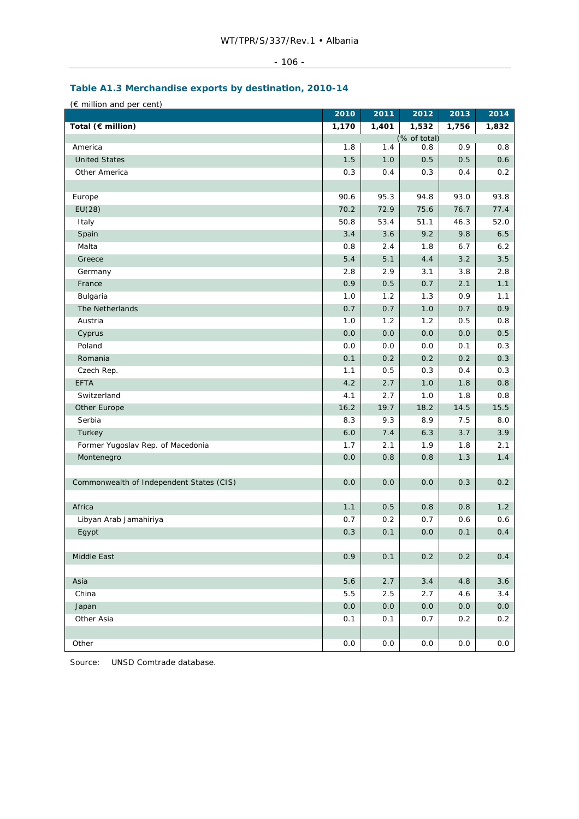| $\overline{\phantom{0}}$<br>-<br>1 U U |  |
|----------------------------------------|--|
|                                        |  |

## **Table A1.3 Merchandise exports by destination, 2010-14**

| (€ million and per cent)                 |            |       |              |         |       |
|------------------------------------------|------------|-------|--------------|---------|-------|
|                                          | 2010       | 2011  | 2012         | 2013    | 2014  |
| Total (€ million)                        | 1,170      | 1,401 | 1,532        | 1,756   | 1,832 |
| America                                  |            |       | (% of total) |         |       |
|                                          | 1.8        | 1.4   | 0.8          | 0.9     | 0.8   |
| <b>United States</b>                     | 1.5        | 1.0   | 0.5          | 0.5     | 0.6   |
| Other America                            | 0.3        | 0.4   | 0.3          | 0.4     | 0.2   |
| Europe                                   | 90.6       | 95.3  | 94.8         | 93.0    | 93.8  |
| EU(28)                                   | 70.2       | 72.9  | 75.6         | 76.7    | 77.4  |
| Italy                                    | 50.8       | 53.4  | 51.1         | 46.3    | 52.0  |
| Spain                                    | 3.4        | 3.6   | 9.2          | 9.8     | 6.5   |
| Malta                                    | 0.8        | 2.4   | 1.8          | 6.7     | 6.2   |
| Greece                                   | 5.4        | 5.1   | 4.4          | 3.2     | 3.5   |
| Germany                                  | 2.8        | 2.9   | 3.1          | 3.8     | 2.8   |
| France                                   | 0.9        | 0.5   | 0.7          | 2.1     | 1.1   |
| Bulgaria                                 | 1.0        | 1.2   | 1.3          | 0.9     | 1.1   |
| The Netherlands                          | 0.7        | 0.7   | 1.0          | 0.7     | 0.9   |
| Austria                                  | 1.0        | 1.2   | 1.2          | 0.5     | 0.8   |
|                                          | 0.0        | 0.0   | 0.0          | 0.0     | 0.5   |
| Cyprus<br>Poland                         | 0.0        | 0.0   | 0.0          |         | 0.3   |
|                                          |            |       |              | 0.1     |       |
| Romania                                  | 0.1        | 0.2   | 0.2          | 0.2     | 0.3   |
| Czech Rep.<br><b>EFTA</b>                | 1.1<br>4.2 | 0.5   | 0.3          | 0.4     | 0.3   |
|                                          |            | 2.7   | 1.0          | 1.8     | 0.8   |
| Switzerland                              | 4.1        | 2.7   | 1.0          | 1.8     | 0.8   |
| Other Europe                             | 16.2       | 19.7  | 18.2         | 14.5    | 15.5  |
| Serbia                                   | 8.3        | 9.3   | 8.9          | 7.5     | 8.0   |
| Turkey                                   | 6.0        | 7.4   | 6.3          | 3.7     | 3.9   |
| Former Yugoslav Rep. of Macedonia        | 1.7        | 2.1   | 1.9          | 1.8     | 2.1   |
| Montenegro                               | 0.0        | 0.8   | 0.8          | 1.3     | 1.4   |
|                                          |            |       |              |         |       |
| Commonwealth of Independent States (CIS) | 0.0        | 0.0   | 0.0          | 0.3     | 0.2   |
| Africa                                   | 1.1        | 0.5   | 0.8          | 0.8     | 1.2   |
| Libyan Arab Jamahiriya                   | 0.7        | 0.2   | 0.7          | 0.6     | 0.6   |
|                                          |            | 0.1   | 0.0          | 0.1     | 0.4   |
| Egypt                                    | 0.3        |       |              |         |       |
| Middle East                              | 0.9        | 0.1   | 0.2          | 0.2     | 0.4   |
|                                          |            |       |              |         |       |
| Asia                                     | 5.6        | 2.7   | 3.4          | 4.8     | 3.6   |
| China                                    | 5.5        | 2.5   | 2.7          | 4.6     | 3.4   |
| Japan                                    | 0.0        | 0.0   | $0.0\,$      | $0.0\,$ | 0.0   |
| Other Asia                               | 0.1        | 0.1   | 0.7          | 0.2     | 0.2   |
|                                          |            |       |              |         |       |
| Other                                    | 0.0        | 0.0   | 0.0          | 0.0     | 0.0   |
|                                          |            |       |              |         |       |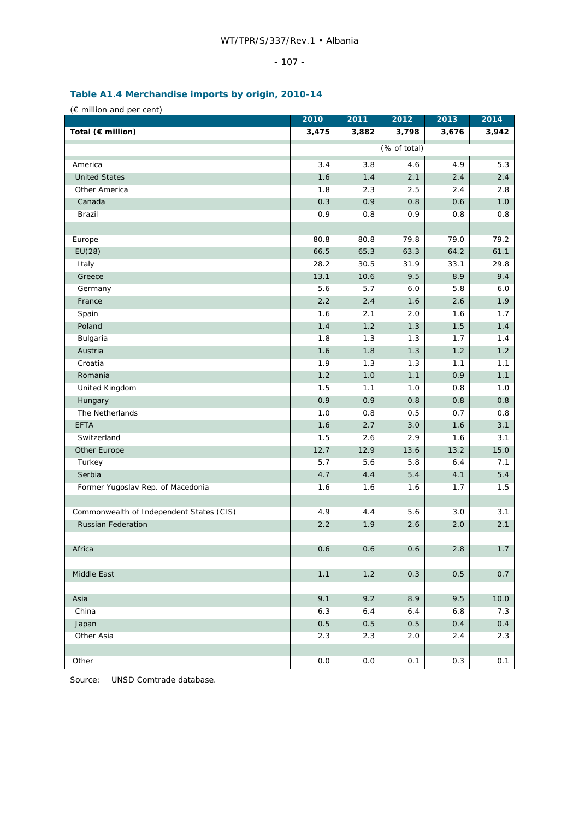## - 107 -

# **Table A1.4 Merchandise imports by origin, 2010-14**

(€ million and per cent)

|                                          | 2010    | 2011  | 2012         | 2013  | 2014  |
|------------------------------------------|---------|-------|--------------|-------|-------|
| Total (€ million)                        | 3,475   | 3,882 | 3,798        | 3,676 | 3,942 |
|                                          |         |       | (% of total) |       |       |
| America                                  | 3.4     | 3.8   | 4.6          | 4.9   | 5.3   |
| <b>United States</b>                     | 1.6     | 1.4   | 2.1          | 2.4   | 2.4   |
| Other America                            | 1.8     | 2.3   | 2.5          | 2.4   | 2.8   |
| Canada                                   | 0.3     | 0.9   | 0.8          | 0.6   | 1.0   |
| Brazil                                   | 0.9     | 0.8   | 0.9          | 0.8   | 0.8   |
|                                          |         |       |              |       |       |
| Europe                                   | 80.8    | 80.8  | 79.8         | 79.0  | 79.2  |
| EU(28)                                   | 66.5    | 65.3  | 63.3         | 64.2  | 61.1  |
| Italy                                    | 28.2    | 30.5  | 31.9         | 33.1  | 29.8  |
| Greece                                   | 13.1    | 10.6  | 9.5          | 8.9   | 9.4   |
| Germany                                  | 5.6     | 5.7   | 6.0          | 5.8   | 6.0   |
| France                                   | 2.2     | 2.4   | 1.6          | 2.6   | 1.9   |
| Spain                                    | 1.6     | 2.1   | 2.0          | 1.6   | 1.7   |
| Poland                                   | 1.4     | 1.2   | 1.3          | 1.5   | 1.4   |
| Bulgaria                                 | 1.8     | 1.3   | 1.3          | 1.7   | 1.4   |
| Austria                                  | 1.6     | 1.8   | 1.3          | 1.2   | 1.2   |
| Croatia                                  | 1.9     | 1.3   | 1.3          | 1.1   | 1.1   |
| Romania                                  | 1.2     | 1.0   | 1.1          | 0.9   | 1.1   |
| United Kingdom                           | 1.5     | 1.1   | 1.0          | 0.8   | 1.0   |
| Hungary                                  | 0.9     | 0.9   | 0.8          | 0.8   | 0.8   |
| The Netherlands                          | 1.0     | 0.8   | 0.5          | 0.7   | 0.8   |
| <b>EFTA</b>                              | 1.6     | 2.7   | 3.0          | 1.6   | 3.1   |
| Switzerland                              | 1.5     | 2.6   | 2.9          | 1.6   | 3.1   |
| Other Europe                             | 12.7    | 12.9  | 13.6         | 13.2  | 15.0  |
| Turkey                                   | 5.7     | 5.6   | 5.8          | 6.4   | 7.1   |
| Serbia                                   | 4.7     | 4.4   | 5.4          | 4.1   | 5.4   |
| Former Yugoslav Rep. of Macedonia        | 1.6     | 1.6   | 1.6          | 1.7   | 1.5   |
|                                          |         |       |              |       |       |
| Commonwealth of Independent States (CIS) | 4.9     | 4.4   | 5.6          | 3.0   | 3.1   |
| <b>Russian Federation</b>                | 2.2     | 1.9   | 2.6          | 2.0   | 2.1   |
|                                          |         |       |              |       |       |
| Africa                                   | 0.6     | 0.6   | 0.6          | 2.8   | 1.7   |
|                                          |         |       |              |       |       |
| Middle East                              | 1.1     | 1.2   | 0.3          | 0.5   | 0.7   |
|                                          |         |       |              |       |       |
| Asia                                     | 9.1     | 9.2   | 8.9          | 9.5   | 10.0  |
| China                                    | 6.3     | 6.4   | 6.4          | 6.8   | 7.3   |
| Japan                                    | $0.5\,$ | 0.5   | 0.5          | 0.4   | 0.4   |
| Other Asia                               | 2.3     | 2.3   | 2.0          | 2.4   | 2.3   |
|                                          |         |       |              |       |       |
| Other                                    | 0.0     | 0.0   | 0.1          | 0.3   | 0.1   |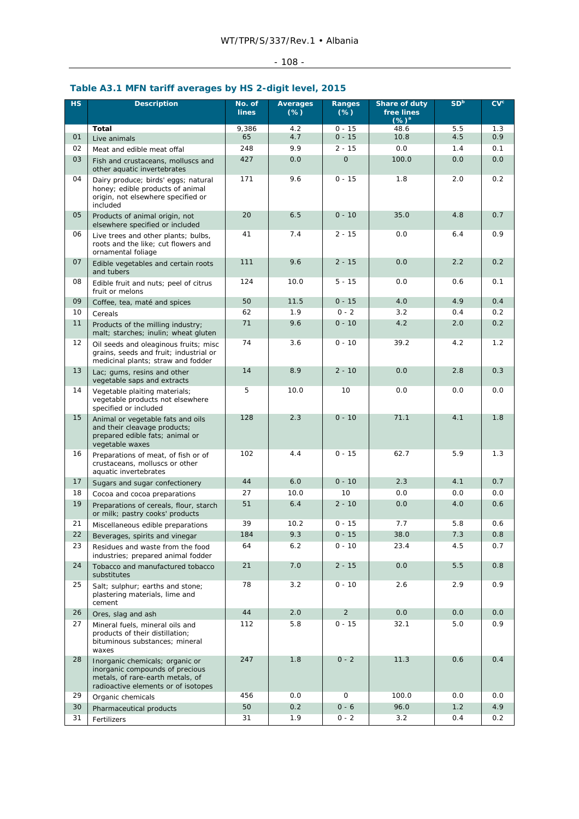# - 108 -

## **Table A3.1 MFN tariff averages by HS 2-digit level, 2015**

| HS | <b>Description</b>                                                                                                                            | No. of<br><b>lines</b> | <b>Averages</b><br>$(\%)$ | Ranges<br>$(\%)$ | Share of duty<br>free lines<br>$(\%)^a$ | SD <sup>b</sup> | CV <sup>c</sup> |
|----|-----------------------------------------------------------------------------------------------------------------------------------------------|------------------------|---------------------------|------------------|-----------------------------------------|-----------------|-----------------|
|    | <b>Total</b>                                                                                                                                  | 9,386                  | 4.2                       | $0 - 15$         | 48.6                                    | 5.5             | 1.3             |
| 01 | Live animals                                                                                                                                  | 65                     | 4.7                       | $0 - 15$         | 10.8                                    | 4.5             | 0.9             |
| 02 | Meat and edible meat offal                                                                                                                    | 248                    | 9.9                       | $2 - 15$         | 0.0                                     | 1.4             | 0.1             |
| 03 | Fish and crustaceans, molluscs and<br>other aquatic invertebrates                                                                             | 427                    | 0.0                       | $\overline{O}$   | 100.0                                   | 0.0             | 0.0             |
| 04 | Dairy produce; birds' eggs; natural<br>honey; edible products of animal<br>origin, not elsewhere specified or<br>included                     | 171                    | 9.6                       | $0 - 15$         | 1.8                                     | 2.0             | 0.2             |
| 05 | Products of animal origin, not<br>elsewhere specified or included                                                                             | 20                     | 6.5                       | $0 - 10$         | 35.0                                    | 4.8             | 0.7             |
| 06 | Live trees and other plants; bulbs,<br>roots and the like; cut flowers and<br>ornamental foliage                                              | 41                     | 7.4                       | $2 - 15$         | 0.0                                     | 6.4             | 0.9             |
| 07 | Edible vegetables and certain roots<br>and tubers                                                                                             | 111                    | 9.6                       | $2 - 15$         | 0.0                                     | 2.2             | 0.2             |
| 08 | Edible fruit and nuts; peel of citrus<br>fruit or melons                                                                                      | 124                    | 10.0                      | $5 - 15$         | 0.0                                     | 0.6             | 0.1             |
| 09 | Coffee, tea, maté and spices                                                                                                                  | 50                     | 11.5                      | $0 - 15$         | 4.0                                     | 4.9             | 0.4             |
| 10 | Cereals                                                                                                                                       | 62                     | 1.9                       | $0 - 2$          | 3.2                                     | 0.4             | 0.2             |
| 11 | Products of the milling industry;<br>malt; starches; inulin; wheat gluten                                                                     | 71                     | 9.6                       | $0 - 10$         | 4.2                                     | 2.0             | 0.2             |
| 12 | Oil seeds and oleaginous fruits; misc<br>grains, seeds and fruit; industrial or<br>medicinal plants; straw and fodder                         | 74                     | 3.6                       | $0 - 10$         | 39.2                                    | 4.2             | 1.2             |
| 13 | Lac; gums, resins and other<br>vegetable saps and extracts                                                                                    | 14                     | 8.9                       | $2 - 10$         | 0.0                                     | 2.8             | 0.3             |
| 14 | Vegetable plaiting materials;<br>vegetable products not elsewhere<br>specified or included                                                    | 5                      | 10.0                      | 10               | 0.0                                     | 0.0             | 0.0             |
| 15 | Animal or vegetable fats and oils<br>and their cleavage products;<br>prepared edible fats; animal or<br>vegetable waxes                       | 128                    | 2.3                       | $0 - 10$         | 71.1                                    | 4.1             | 1.8             |
| 16 | Preparations of meat, of fish or of<br>crustaceans, molluscs or other<br>aquatic invertebrates                                                | 102                    | 4.4                       | $0 - 15$         | 62.7                                    | 5.9             | 1.3             |
| 17 | Sugars and sugar confectionery                                                                                                                | 44                     | 6.0                       | $0 - 10$         | 2.3                                     | 4.1             | 0.7             |
| 18 | Cocoa and cocoa preparations                                                                                                                  | 27                     | 10.0                      | 10               | 0.0                                     | 0.0             | 0.0             |
| 19 | Preparations of cereals, flour, starch<br>or milk; pastry cooks' products                                                                     | 51                     | 6.4                       | $2 - 10$         | 0.0                                     | 4.0             | 0.6             |
| 21 | Miscellaneous edible preparations                                                                                                             | 39                     | 10.2                      | $0 - 15$         | 7.7                                     | 5.8             | 0.6             |
| 22 | Beverages, spirits and vinegar                                                                                                                | 184                    | 9.3                       | $0 - 15$         | 38.0                                    | 7.3             | $0.8\,$         |
| 23 | Residues and waste from the food<br>industries; prepared animal fodder                                                                        | 64                     | 6.2                       | $0 - 10$         | 23.4                                    | 4.5             | 0.7             |
| 24 | Tobacco and manufactured tobacco<br>substitutes                                                                                               | 21                     | 7.0                       | $2 - 15$         | 0.0                                     | 5.5             | 0.8             |
| 25 | Salt; sulphur; earths and stone;<br>plastering materials, lime and<br>cement                                                                  | 78                     | 3.2                       | $0 - 10$         | 2.6                                     | 2.9             | 0.9             |
| 26 | Ores, slag and ash                                                                                                                            | 44                     | 2.0                       | $\overline{2}$   | 0.0                                     | 0.0             | 0.0             |
| 27 | Mineral fuels, mineral oils and<br>products of their distillation;<br>bituminous substances; mineral<br>waxes                                 | 112                    | 5.8                       | $0 - 15$         | 32.1                                    | 5.0             | 0.9             |
| 28 | Inorganic chemicals; organic or<br>inorganic compounds of precious<br>metals, of rare-earth metals, of<br>radioactive elements or of isotopes | 247                    | 1.8                       | $0 - 2$          | 11.3                                    | 0.6             | 0.4             |
| 29 | Organic chemicals                                                                                                                             | 456                    | 0.0                       | 0                | 100.0                                   | 0.0             | 0.0             |
| 30 | Pharmaceutical products                                                                                                                       | 50                     | 0.2                       | $0 - 6$          | 96.0                                    | 1.2             | 4.9             |
| 31 | Fertilizers                                                                                                                                   | 31                     | 1.9                       | $0 - 2$          | 3.2                                     | 0.4             | 0.2             |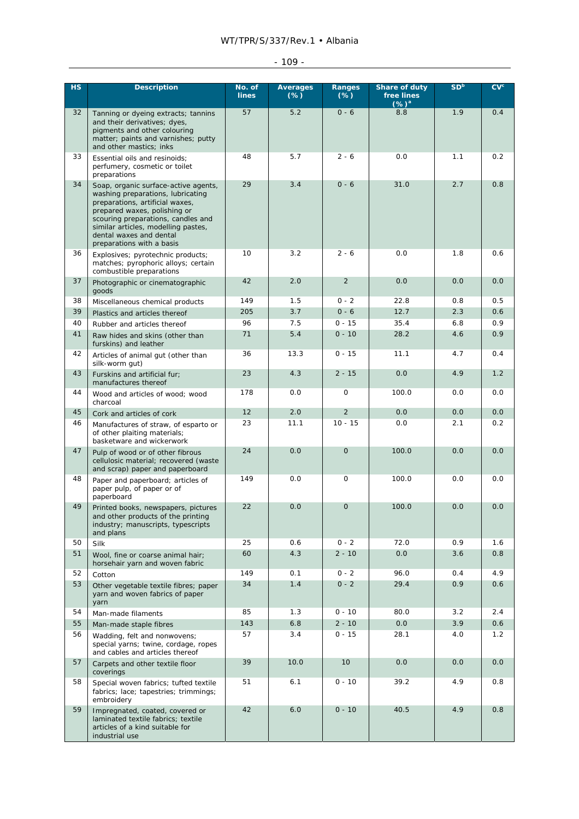# WT/TPR/S/337/Rev.1 • Albania

# - 109 -

| <b>HS</b> | <b>Description</b>                                                                                                                                                                                                                                                                | No. of<br><b>lines</b> | <b>Averages</b><br>$(\%)$ | Ranges<br>$(\%)$     | Share of duty<br>free lines<br>$(\%)^a$ | SD <sup>b</sup> | CV <sup>c</sup> |
|-----------|-----------------------------------------------------------------------------------------------------------------------------------------------------------------------------------------------------------------------------------------------------------------------------------|------------------------|---------------------------|----------------------|-----------------------------------------|-----------------|-----------------|
| 32        | Tanning or dyeing extracts; tannins<br>and their derivatives; dyes,<br>pigments and other colouring<br>matter; paints and varnishes; putty<br>and other mastics; inks                                                                                                             | 57                     | 5.2                       | $0 - 6$              | 8.8                                     | 1.9             | 0.4             |
| 33        | Essential oils and resinoids;<br>perfumery, cosmetic or toilet<br>preparations                                                                                                                                                                                                    | 48                     | 5.7                       | $2 - 6$              | 0.0                                     | 1.1             | 0.2             |
| 34        | Soap, organic surface-active agents,<br>washing preparations, lubricating<br>preparations, artificial waxes,<br>prepared waxes, polishing or<br>scouring preparations, candles and<br>similar articles, modelling pastes,<br>dental waxes and dental<br>preparations with a basis | 29                     | 3.4                       | $0 - 6$              | 31.0                                    | 2.7             | 0.8             |
| 36        | Explosives; pyrotechnic products;<br>matches; pyrophoric alloys; certain<br>combustible preparations                                                                                                                                                                              | 10                     | 3.2                       | $2 - 6$              | 0.0                                     | 1.8             | 0.6             |
| 37        | Photographic or cinematographic<br>goods                                                                                                                                                                                                                                          | 42                     | 2.0                       | $\overline{2}$       | 0.0                                     | 0.0             | 0.0             |
| 38        | Miscellaneous chemical products                                                                                                                                                                                                                                                   | 149                    | 1.5                       | $0 - 2$              | 22.8                                    | 0.8             | 0.5             |
| 39        | Plastics and articles thereof                                                                                                                                                                                                                                                     | 205                    | 3.7                       | $0 - 6$              | 12.7                                    | 2.3             | 0.6             |
| 40        | Rubber and articles thereof                                                                                                                                                                                                                                                       | 96                     | 7.5                       | $0 - 15$             | 35.4                                    | 6.8             | 0.9             |
| 41        | Raw hides and skins (other than<br>furskins) and leather                                                                                                                                                                                                                          | 71                     | 5.4                       | $0 - 10$             | 28.2                                    | 4.6             | 0.9             |
| 42        | Articles of animal gut (other than<br>silk-worm gut)                                                                                                                                                                                                                              | 36                     | 13.3                      | $0 - 15$             | 11.1                                    | 4.7             | 0.4             |
| 43        | Furskins and artificial fur;<br>manufactures thereof                                                                                                                                                                                                                              | 23<br>178              | 4.3                       | $2 - 15$<br>0        | 0.0                                     | 4.9             | 1.2<br>0.0      |
| 44<br>45  | Wood and articles of wood; wood<br>charcoal                                                                                                                                                                                                                                       | 12                     | 0.0<br>2.0                | $\overline{2}$       | 100.0<br>0.0                            | 0.0<br>0.0      | 0.0             |
| 46        | Cork and articles of cork                                                                                                                                                                                                                                                         | 23                     | 11.1                      | $10 - 15$            | 0.0                                     | 2.1             | 0.2             |
|           | Manufactures of straw, of esparto or<br>of other plaiting materials;<br>basketware and wickerwork                                                                                                                                                                                 |                        |                           |                      |                                         |                 |                 |
| 47        | Pulp of wood or of other fibrous<br>cellulosic material; recovered (waste<br>and scrap) paper and paperboard                                                                                                                                                                      | 24                     | 0.0                       | $\overline{O}$       | 100.0                                   | 0.0             | 0.0             |
| 48        | Paper and paperboard; articles of<br>paper pulp, of paper or of<br>paperboard                                                                                                                                                                                                     | 149                    | 0.0                       | 0                    | 100.0                                   | 0.0             | 0.0             |
| 49        | Printed books, newspapers, pictures<br>and other products of the printing<br>industry; manuscripts, typescripts<br>and plans                                                                                                                                                      | 22                     | 0.0                       | $\mathbf{O}$         | 100.0                                   | 0.0             | 0.0             |
| 50        | Silk                                                                                                                                                                                                                                                                              | 25                     | 0.6                       | $0 - 2$              | 72.0                                    | 0.9             | 1.6             |
| 51        | Wool, fine or coarse animal hair;<br>horsehair yarn and woven fabric                                                                                                                                                                                                              | 60                     | 4.3                       | $2 - 10$             | 0.0                                     | 3.6             | 0.8             |
| 52        | Cotton                                                                                                                                                                                                                                                                            | 149                    | 0.1                       | $0 - 2$              | 96.0                                    | 0.4             | 4.9             |
| 53        | Other vegetable textile fibres; paper<br>yarn and woven fabrics of paper<br>yarn                                                                                                                                                                                                  | 34                     | 1.4                       | $0 - 2$              | 29.4                                    | 0.9             | 0.6             |
| 54<br>55  | Man-made filaments                                                                                                                                                                                                                                                                | 85<br>143              | 1.3<br>6.8                | $0 - 10$<br>$2 - 10$ | 80.0<br>0.0                             | 3.2<br>3.9      | 2.4<br>0.6      |
| 56        | Man-made staple fibres<br>Wadding, felt and nonwovens;                                                                                                                                                                                                                            | 57                     | 3.4                       | $0 - 15$             | 28.1                                    | 4.0             | 1.2             |
|           | special yarns; twine, cordage, ropes<br>and cables and articles thereof                                                                                                                                                                                                           |                        |                           |                      |                                         |                 |                 |
| 57        | Carpets and other textile floor<br>coverings                                                                                                                                                                                                                                      | 39                     | 10.0                      | 10                   | 0.0                                     | 0.0             | 0.0             |
| 58        | Special woven fabrics; tufted textile<br>fabrics; lace; tapestries; trimmings;<br>embroidery                                                                                                                                                                                      | 51                     | 6.1                       | $0 - 10$             | 39.2                                    | 4.9             | 0.8             |
| 59        | Impregnated, coated, covered or<br>laminated textile fabrics; textile<br>articles of a kind suitable for<br>industrial use                                                                                                                                                        | 42                     | 6.0                       | $0 - 10$             | 40.5                                    | 4.9             | 0.8             |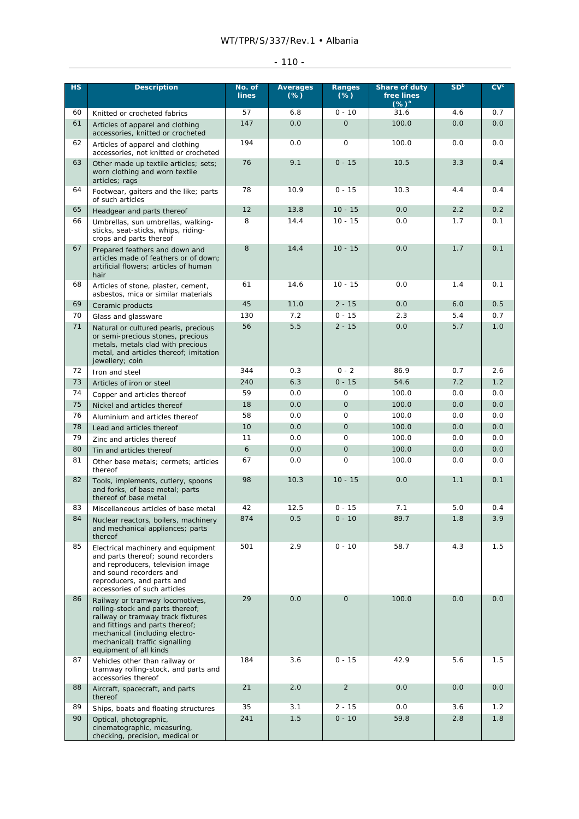# WT/TPR/S/337/Rev.1 • Albania

| - |
|---|
|   |

| <b>HS</b> | <b>Description</b>                                                                                                                                                                                                                        | No. of<br><b>lines</b> | <b>Averages</b><br>$(\%)$ | Ranges<br>$(\%)$ | <b>Share of duty</b><br>free lines<br>$(%)^{a}$ | SD <sup>b</sup> | CV <sub>c</sub> |
|-----------|-------------------------------------------------------------------------------------------------------------------------------------------------------------------------------------------------------------------------------------------|------------------------|---------------------------|------------------|-------------------------------------------------|-----------------|-----------------|
| 60        | Knitted or crocheted fabrics                                                                                                                                                                                                              | 57                     | 6.8                       | $0 - 10$         | 31.6                                            | 4.6             | 0.7             |
| 61        | Articles of apparel and clothing<br>accessories, knitted or crocheted                                                                                                                                                                     | 147                    | 0.0                       | $\mathbf{0}$     | 100.0                                           | 0.0             | 0.0             |
| 62        | Articles of apparel and clothing<br>accessories, not knitted or crocheted                                                                                                                                                                 | 194                    | 0.0                       | $\mathsf{O}$     | 100.0                                           | 0.0             | 0.0             |
| 63        | Other made up textile articles; sets;<br>worn clothing and worn textile<br>articles; rags                                                                                                                                                 | 76                     | 9.1                       | $0 - 15$         | 10.5                                            | 3.3             | 0.4             |
| 64        | Footwear, gaiters and the like; parts<br>of such articles                                                                                                                                                                                 | 78                     | 10.9                      | $0 - 15$         | 10.3                                            | 4.4             | 0.4             |
| 65        | Headgear and parts thereof                                                                                                                                                                                                                | 12                     | 13.8                      | $10 - 15$        | 0.0                                             | 2.2             | 0.2             |
| 66        | Umbrellas, sun umbrellas, walking-<br>sticks, seat-sticks, whips, riding-<br>crops and parts thereof                                                                                                                                      | 8                      | 14.4                      | $10 - 15$        | 0.0                                             | 1.7             | 0.1             |
| 67        | Prepared feathers and down and<br>articles made of feathers or of down;<br>artificial flowers; articles of human<br>hair                                                                                                                  | 8                      | 14.4                      | $10 - 15$        | 0.0                                             | 1.7             | 0.1             |
| 68        | Articles of stone, plaster, cement,<br>asbestos, mica or similar materials                                                                                                                                                                | 61                     | 14.6                      | $10 - 15$        | 0.0                                             | 1.4             | 0.1             |
| 69        | Ceramic products                                                                                                                                                                                                                          | 45                     | 11.0                      | $2 - 15$         | 0.0                                             | 6.0             | 0.5             |
| 70        | Glass and glassware                                                                                                                                                                                                                       | 130                    | 7.2                       | $0 - 15$         | 2.3                                             | 5.4             | 0.7             |
| 71        | Natural or cultured pearls, precious<br>or semi-precious stones, precious<br>metals, metals clad with precious<br>metal, and articles thereof; imitation<br>jewellery; coin                                                               | 56                     | 5.5                       | $2 - 15$         | 0.0                                             | 5.7             | 1.0             |
| 72        | Iron and steel                                                                                                                                                                                                                            | 344                    | 0.3                       | $0 - 2$          | 86.9                                            | 0.7             | 2.6             |
| 73        | Articles of iron or steel                                                                                                                                                                                                                 | 240                    | 6.3                       | $0 - 15$         | 54.6                                            | 7.2             | 1.2             |
| 74        | Copper and articles thereof                                                                                                                                                                                                               | 59                     | 0.0                       | $\mathsf{O}$     | 100.0                                           | 0.0             | 0.0             |
| 75        | Nickel and articles thereof                                                                                                                                                                                                               | 18                     | 0.0                       | $\mathbf{O}$     | 100.0                                           | 0.0             | 0.0             |
| 76        | Aluminium and articles thereof                                                                                                                                                                                                            | 58                     | 0.0                       | 0                | 100.0                                           | 0.0             | 0.0             |
| 78        | Lead and articles thereof                                                                                                                                                                                                                 | 10                     | 0.0                       | $\mathbf{0}$     | 100.0                                           | 0.0             | 0.0             |
| 79        | Zinc and articles thereof                                                                                                                                                                                                                 | 11                     | 0.0                       | $\mathbf 0$      | 100.0                                           | 0.0             | 0.0             |
| 80        | Tin and articles thereof                                                                                                                                                                                                                  | 6                      | 0.0                       | $\mathbf{O}$     | 100.0                                           | 0.0             | 0.0             |
| 81        | Other base metals; cermets; articles<br>thereof                                                                                                                                                                                           | 67                     | 0.0                       | $\mathbf 0$      | 100.0                                           | 0.0             | 0.0             |
| 82        | Tools, implements, cutlery, spoons<br>and forks, of base metal; parts<br>thereof of base metal                                                                                                                                            | 98                     | 10.3                      | $10 - 15$        | 0.0                                             | 1.1             | 0.1             |
| 83        | Miscellaneous articles of base metal                                                                                                                                                                                                      | 42                     | 12.5                      | $0 - 15$         | 7.1                                             | 5.0             | 0.4             |
| 84        | Nuclear reactors, boilers, machinery<br>and mechanical appliances; parts<br>thereof                                                                                                                                                       | 874                    | 0.5                       | $0 - 10$         | 89.7                                            | 1.8             | 3.9             |
| 85        | Electrical machinery and equipment<br>and parts thereof; sound recorders<br>and reproducers, television image<br>and sound recorders and<br>reproducers, and parts and<br>accessories of such articles                                    | 501                    | 2.9                       | $0 - 10$         | 58.7                                            | 4.3             | 1.5             |
| 86        | Railway or tramway locomotives,<br>rolling-stock and parts thereof;<br>railway or tramway track fixtures<br>and fittings and parts thereof;<br>mechanical (including electro-<br>mechanical) traffic signalling<br>equipment of all kinds | 29                     | 0.0                       | $\mathbf{O}$     | 100.0                                           | 0.0             | 0.0             |
| 87        | Vehicles other than railway or<br>tramway rolling-stock, and parts and<br>accessories thereof                                                                                                                                             | 184                    | 3.6                       | $0 - 15$         | 42.9                                            | 5.6             | 1.5             |
| 88        | Aircraft, spacecraft, and parts<br>thereof                                                                                                                                                                                                | 21                     | 2.0                       | $\overline{2}$   | 0.0                                             | 0.0             | 0.0             |
| 89        | Ships, boats and floating structures                                                                                                                                                                                                      | 35                     | 3.1                       | $2 - 15$         | 0.0                                             | 3.6             | 1.2             |
| 90        | Optical, photographic,<br>cinematographic, measuring,<br>checking, precision, medical or                                                                                                                                                  | 241                    | 1.5                       | $0 - 10$         | 59.8                                            | 2.8             | 1.8             |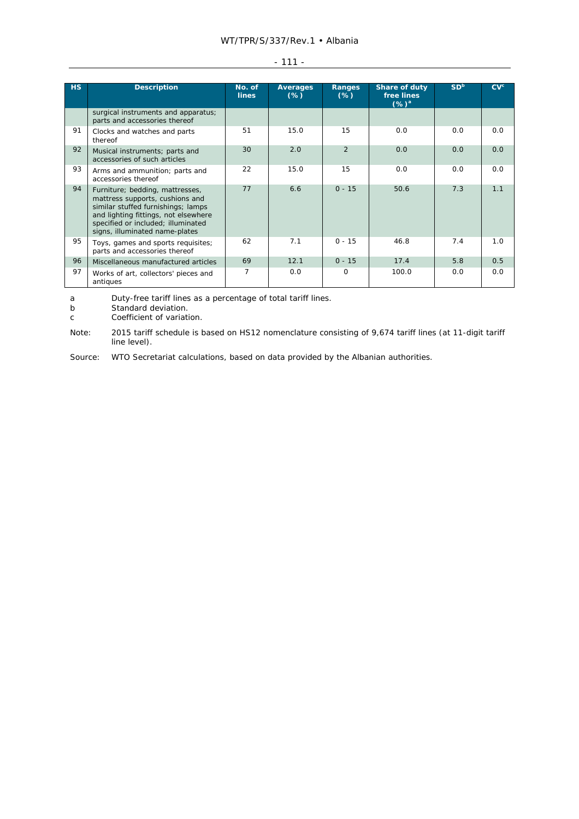#### WT/TPR/S/337/Rev.1 • Albania

| <b>HS</b> | <b>Description</b>                                                                                                                                                                                                       | No. of<br><b>lines</b> | <b>Averages</b><br>$(\%)$ | Ranges<br>$(\%)$ | <b>Share of duty</b><br>free lines<br>$(\%)^a$ | SD <sup>b</sup> | CV <sup>c</sup> |
|-----------|--------------------------------------------------------------------------------------------------------------------------------------------------------------------------------------------------------------------------|------------------------|---------------------------|------------------|------------------------------------------------|-----------------|-----------------|
|           | surgical instruments and apparatus;<br>parts and accessories thereof                                                                                                                                                     |                        |                           |                  |                                                |                 |                 |
| 91        | Clocks and watches and parts<br>thereof                                                                                                                                                                                  | 51                     | 15.0                      | 15               | 0.0                                            | 0.0             | 0.0             |
| 92        | Musical instruments; parts and<br>accessories of such articles                                                                                                                                                           | 30                     | 2.0                       | $\overline{2}$   | 0.0                                            | 0.0             | 0.0             |
| 93        | Arms and ammunition; parts and<br>accessories thereof                                                                                                                                                                    | 22                     | 15.0                      | 15               | 0.0                                            | 0.0             | 0.0             |
| 94        | Furniture; bedding, mattresses,<br>mattress supports, cushions and<br>similar stuffed furnishings; lamps<br>and lighting fittings, not elsewhere<br>specified or included; illuminated<br>signs, illuminated name-plates | 77                     | 6.6                       | $0 - 15$         | 50.6                                           | 7.3             | 1.1             |
| 95        | Toys, games and sports requisites;<br>parts and accessories thereof                                                                                                                                                      | 62                     | 7.1                       | $0 - 15$         | 46.8                                           | 7.4             | 1.0             |
| 96        | Miscellaneous manufactured articles                                                                                                                                                                                      | 69                     | 12.1                      | $0 - 15$         | 17.4                                           | 5.8             | 0.5             |
| 97        | Works of art, collectors' pieces and<br>antiques                                                                                                                                                                         | 7                      | 0.0                       | 0                | 100.0                                          | 0.0             | 0.0             |

#### - 111 -

a Duty-free tariff lines as a percentage of total tariff lines.

b Standard deviation.

c Coefficient of variation.

Note: 2015 tariff schedule is based on HS12 nomenclature consisting of 9,674 tariff lines (at 11-digit tariff line level).

Source: WTO Secretariat calculations, based on data provided by the Albanian authorities.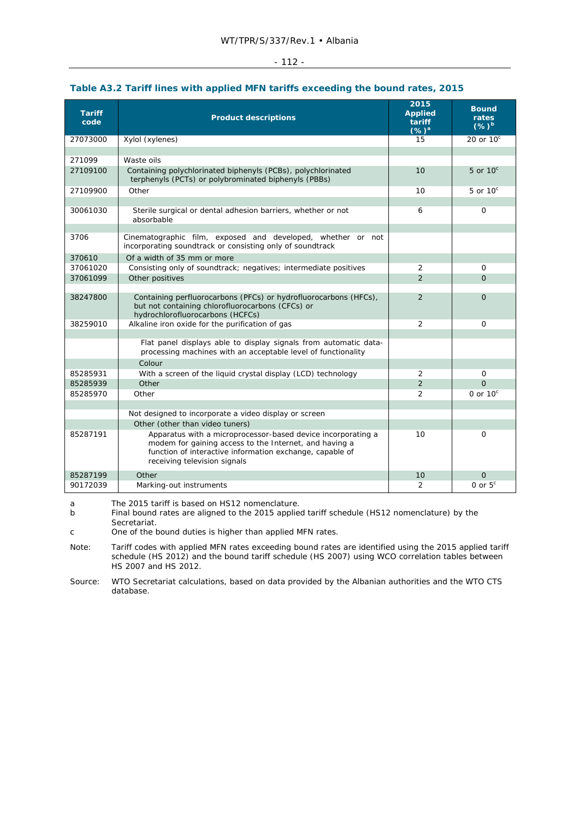|                       |                                                                                                                                                                                                                    | 2015                                 | <b>Bound</b>       |
|-----------------------|--------------------------------------------------------------------------------------------------------------------------------------------------------------------------------------------------------------------|--------------------------------------|--------------------|
| <b>Tariff</b><br>code | <b>Product descriptions</b>                                                                                                                                                                                        | <b>Applied</b><br>tariff<br>$(\%)^a$ | rates<br>$(%)^b$   |
| 27073000              | Xylol (xylenes)                                                                                                                                                                                                    | 15                                   | 20 or $10^{\circ}$ |
|                       |                                                                                                                                                                                                                    |                                      |                    |
| 271099                | Waste oils                                                                                                                                                                                                         |                                      |                    |
| 27109100              | Containing polychlorinated biphenyls (PCBs), polychlorinated<br>terphenyls (PCTs) or polybrominated biphenyls (PBBs)                                                                                               | 10                                   | 5 or $10^{\circ}$  |
| 27109900              | Other                                                                                                                                                                                                              | 10                                   | 5 or $10^{\circ}$  |
|                       |                                                                                                                                                                                                                    |                                      |                    |
| 30061030              | Sterile surgical or dental adhesion barriers, whether or not<br>absorbable                                                                                                                                         | 6                                    | 0                  |
| 3706                  | Cinematographic film, exposed and developed, whether or not<br>incorporating soundtrack or consisting only of soundtrack                                                                                           |                                      |                    |
| 370610                | Of a width of 35 mm or more                                                                                                                                                                                        |                                      |                    |
| 37061020              | Consisting only of soundtrack; negatives; intermediate positives                                                                                                                                                   | 2                                    | 0                  |
| 37061099              | Other positives                                                                                                                                                                                                    | $\overline{2}$                       | $\Omega$           |
|                       |                                                                                                                                                                                                                    |                                      |                    |
| 38247800              | Containing perfluorocarbons (PFCs) or hydrofluorocarbons (HFCs),<br>but not containing chlorofluorocarbons (CFCs) or<br>hydrochlorofluorocarbons (HCFCs)                                                           | $\overline{2}$                       | $\Omega$           |
| 38259010              | Alkaline iron oxide for the purification of gas                                                                                                                                                                    | $\overline{2}$                       | $\Omega$           |
|                       |                                                                                                                                                                                                                    |                                      |                    |
|                       | Flat panel displays able to display signals from automatic data-<br>processing machines with an acceptable level of functionality                                                                                  |                                      |                    |
|                       | Colour                                                                                                                                                                                                             |                                      |                    |
| 85285931              | With a screen of the liquid crystal display (LCD) technology                                                                                                                                                       | 2                                    | 0                  |
| 85285939              | Other                                                                                                                                                                                                              | $\overline{2}$                       | $\Omega$           |
| 85285970              | Other                                                                                                                                                                                                              | $\overline{2}$                       | 0 or $10^{\circ}$  |
|                       |                                                                                                                                                                                                                    |                                      |                    |
|                       | Not designed to incorporate a video display or screen                                                                                                                                                              |                                      |                    |
|                       | Other (other than video tuners)                                                                                                                                                                                    |                                      |                    |
| 85287191              | Apparatus with a microprocessor-based device incorporating a<br>modem for gaining access to the Internet, and having a<br>function of interactive information exchange, capable of<br>receiving television signals | 10                                   | 0                  |
| 85287199              | Other                                                                                                                                                                                                              | 10                                   | $\Omega$           |
| 90172039              | Marking-out instruments                                                                                                                                                                                            | 2                                    | 0 or $5c$          |
| a.                    | The 2015 tariff is based on HS12 nomenclature                                                                                                                                                                      |                                      |                    |

#### **Table A3.2 Tariff lines with applied MFN tariffs exceeding the bound rates, 2015**

a The 2015 tariff is based on HS12 nomenclature.

b Final bound rates are aligned to the 2015 applied tariff schedule (HS12 nomenclature) by the Secretariat.

Note: Tariff codes with applied MFN rates exceeding bound rates are identified using the 2015 applied tariff schedule (HS 2012) and the bound tariff schedule (HS 2007) using WCO correlation tables between HS 2007 and HS 2012.

Source: WTO Secretariat calculations, based on data provided by the Albanian authorities and the WTO CTS database.

c One of the bound duties is higher than applied MFN rates.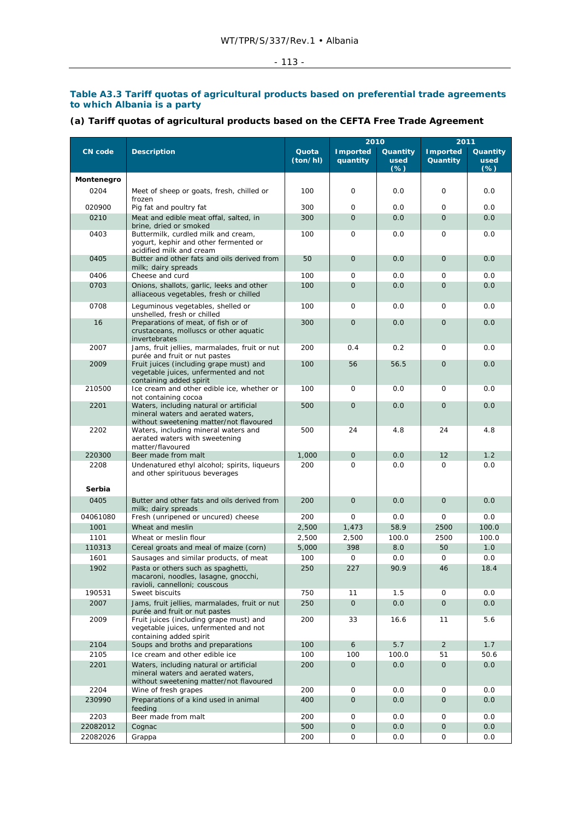#### $- 113 -$

#### **Table A3.3 Tariff quotas of agricultural products based on preferential trade agreements to which Albania is a party**

# **(a) Tariff quotas of agricultural products based on the CEFTA Free Trade Agreement**

|                  |                                                                                                                          |                   | 2010                        |                           | 2011                        |                            |  |  |
|------------------|--------------------------------------------------------------------------------------------------------------------------|-------------------|-----------------------------|---------------------------|-----------------------------|----------------------------|--|--|
| <b>CN</b> code   | <b>Description</b>                                                                                                       | Quota<br>(ton/hl) | <b>Imported</b><br>quantity | Quantity<br>used<br>$(*)$ | <b>Imported</b><br>Quantity | Quantity<br>used<br>$(\%)$ |  |  |
| Montenegro       |                                                                                                                          |                   |                             |                           |                             |                            |  |  |
| 0204             | Meet of sheep or goats, fresh, chilled or<br>frozen                                                                      | 100               | 0                           | 0.0                       | 0                           | 0.0                        |  |  |
| 020900           | Pig fat and poultry fat                                                                                                  | 300               | 0                           | 0.0                       | $\mathbf 0$                 | 0.0                        |  |  |
| 0210             | Meat and edible meat offal, salted, in<br>brine, dried or smoked                                                         | 300               | $\mathbf{O}$                | 0.0                       | $\Omega$                    | 0.0                        |  |  |
| 0403             | Buttermilk, curdled milk and cream,<br>yogurt, kephir and other fermented or<br>acidified milk and cream                 | 100               | 0                           | 0.0                       | $\mathbf 0$                 | 0.0                        |  |  |
| 0405             | Butter and other fats and oils derived from<br>milk; dairy spreads                                                       | 50                | $\mathbf{O}$                | 0.0                       | $\mathbf{O}$                | 0.0                        |  |  |
| 0406             | Cheese and curd                                                                                                          | 100               | 0                           | 0.0                       | 0                           | 0.0                        |  |  |
| 0703             | Onions, shallots, garlic, leeks and other<br>alliaceous vegetables, fresh or chilled                                     | 100               | $\overline{O}$              | 0.0                       | $\overline{O}$              | 0.0                        |  |  |
| 0708             | Leguminous vegetables, shelled or<br>unshelled, fresh or chilled                                                         | 100               | 0                           | 0.0                       | 0                           | 0.0                        |  |  |
| 16               | Preparations of meat, of fish or of<br>crustaceans, molluscs or other aquatic<br>invertebrates                           | 300               | $\overline{O}$              | 0.0                       | $\mathbf{O}$                | 0.0                        |  |  |
| 2007             | Jams, fruit jellies, marmalades, fruit or nut<br>purée and fruit or nut pastes                                           | 200               | 0.4                         | 0.2                       | $\Omega$                    | 0.0                        |  |  |
| 2009             | Fruit juices (including grape must) and<br>vegetable juices, unfermented and not<br>containing added spirit              | 100               | 56                          | 56.5                      | $\mathbf{O}$                | 0.0                        |  |  |
| 210500           | Ice cream and other edible ice, whether or<br>not containing cocoa                                                       | 100               | 0                           | 0.0                       | 0                           | 0.0                        |  |  |
| 2201             | Waters, including natural or artificial<br>mineral waters and aerated waters,<br>without sweetening matter/not flavoured | 500               | $\overline{O}$              | 0.0                       | $\mathbf{O}$                | 0.0                        |  |  |
| 2202             | Waters, including mineral waters and<br>aerated waters with sweetening<br>matter/flavoured                               | 500               | 24                          | 4.8                       | 24                          | 4.8                        |  |  |
| 220300           | Beer made from malt                                                                                                      | 1,000             | $\mathbf{O}$                | 0.0                       | 12                          | 1.2                        |  |  |
| 2208<br>Serbia   | Undenatured ethyl alcohol; spirits, liqueurs<br>and other spirituous beverages                                           | 200               | $\Omega$                    | 0.0                       | $\Omega$                    | 0.0                        |  |  |
|                  |                                                                                                                          |                   |                             |                           |                             |                            |  |  |
| 0405<br>04061080 | Butter and other fats and oils derived from<br>milk; dairy spreads<br>Fresh (unripened or uncured) cheese                | 200<br>200        | $\mathbf 0$<br>0            | 0.0<br>0.0                | $\mathbf{O}$<br>$\mathbf 0$ | 0.0<br>0.0                 |  |  |
| 1001             | Wheat and meslin                                                                                                         | 2,500             | 1,473                       | 58.9                      | 2500                        | 100.0                      |  |  |
| 1101             | Wheat or meslin flour                                                                                                    | 2,500             | 2,500                       | 100.0                     | 2500                        | 100.0                      |  |  |
| 110313           | Cereal groats and meal of maize (corn)                                                                                   | 5,000             | 398                         | 8.0                       | 50                          | 1.0                        |  |  |
| 1601             | Sausages and similar products, of meat                                                                                   | 100               | 0                           | 0.0                       | $\mathbf 0$                 | 0.0                        |  |  |
| 1902             | Pasta or others such as spaghetti,<br>macaroni, noodles, lasagne, gnocchi,<br>ravioli, cannelloni; couscous              | 250               | 227                         | 90.9                      | 46                          | 18.4                       |  |  |
| 190531           | Sweet biscuits                                                                                                           | 750               | 11                          | 1.5                       | 0                           | 0.0                        |  |  |
| 2007             | Jams, fruit jellies, marmalades, fruit or nut<br>purée and fruit or nut pastes                                           | 250               | $\overline{O}$              | 0.0                       | $\mathbf{O}$                | 0.0                        |  |  |
| 2009             | Fruit juices (including grape must) and<br>vegetable juices, unfermented and not<br>containing added spirit              | 200               | 33                          | 16.6                      | 11                          | 5.6                        |  |  |
| 2104             | Soups and broths and preparations                                                                                        | 100               | 6                           | 5.7                       | $\overline{2}$              | 1.7                        |  |  |
| 2105             | Ice cream and other edible ice                                                                                           | 100               | 100                         | 100.0                     | 51                          | 50.6                       |  |  |
| 2201             | Waters, including natural or artificial<br>mineral waters and aerated waters,<br>without sweetening matter/not flavoured | 200               | $\overline{O}$              | 0.0                       | $\mathbf{O}$                | 0.0                        |  |  |
| 2204             | Wine of fresh grapes                                                                                                     | 200               | 0                           | 0.0                       | 0                           | 0.0                        |  |  |
| 230990           | Preparations of a kind used in animal<br>feeding                                                                         | 400               | $\overline{O}$              | 0.0                       | $\mathbf{O}$                | 0.0                        |  |  |
| 2203             | Beer made from malt                                                                                                      | 200               | 0                           | 0.0                       | 0                           | 0.0                        |  |  |
| 22082012         | Cognac                                                                                                                   | 500               | $\mathsf{O}$                | 0.0                       | $\mathbf 0$                 | 0.0                        |  |  |
| 22082026         | Grappa                                                                                                                   | 200               | 0                           | 0.0                       | 0                           | 0.0                        |  |  |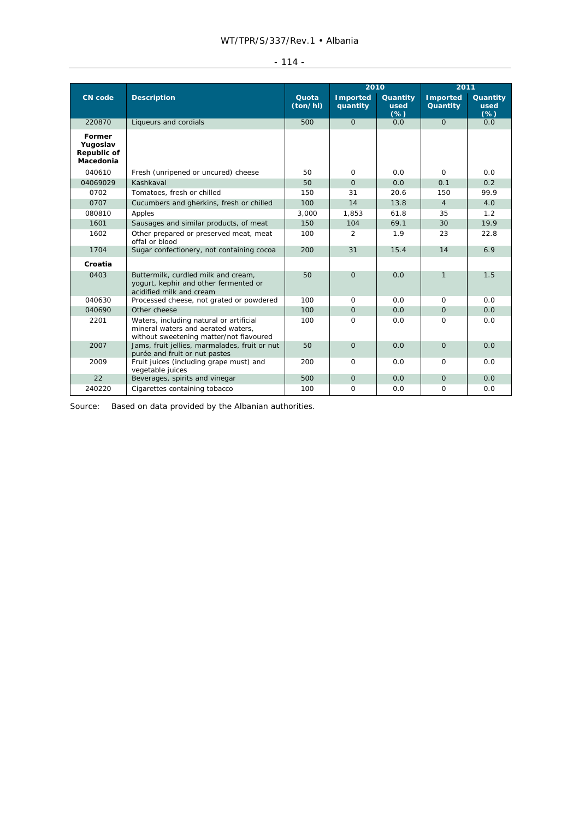| -<br> |  |
|-------|--|
|       |  |

|                                                |                                                                                                                          |                   | 2010                        |                         | 2011                         |                           |
|------------------------------------------------|--------------------------------------------------------------------------------------------------------------------------|-------------------|-----------------------------|-------------------------|------------------------------|---------------------------|
| <b>CN</b> code                                 | <b>Description</b>                                                                                                       | Quota<br>(ton/hl) | <b>Imported</b><br>quantity | Quantity<br>used<br>(%) | <b>I</b> mported<br>Quantity | Quantity<br>used<br>$(*)$ |
| 220870                                         | Liqueurs and cordials                                                                                                    | 500               | $\Omega$                    | 0.0                     | $\Omega$                     | 0.0                       |
| Former<br>Yugoslav<br>Republic of<br>Macedonia |                                                                                                                          |                   |                             |                         |                              |                           |
| 040610                                         | Fresh (unripened or uncured) cheese                                                                                      | 50                | $\Omega$                    | 0.0                     | $\Omega$                     | 0.0                       |
| 04069029                                       | Kashkaval                                                                                                                | 50                | $\Omega$                    | 0.0                     | 0.1                          | 0.2                       |
| 0702                                           | Tomatoes, fresh or chilled                                                                                               | 150               | 31                          | 20.6                    | 150                          | 99.9                      |
| 0707                                           | Cucumbers and gherkins, fresh or chilled                                                                                 | 100               | 14                          | 13.8                    | $\overline{4}$               | 4.0                       |
| 080810                                         | Apples                                                                                                                   | 3.000             | 1.853                       | 61.8                    | 35                           | 1.2                       |
| 1601                                           | Sausages and similar products, of meat                                                                                   | 150               | 104                         | 69.1                    | 30                           | 19.9                      |
| 1602                                           | Other prepared or preserved meat, meat<br>offal or blood                                                                 | 100               | $\overline{2}$              | 1.9                     | 23                           | 22.8                      |
| 1704                                           | Sugar confectionery, not containing cocoa                                                                                | 200               | 31                          | 15.4                    | 14                           | 6.9                       |
| Croatia                                        |                                                                                                                          |                   |                             |                         |                              |                           |
| 0403                                           | Buttermilk, curdled milk and cream,<br>yogurt, kephir and other fermented or<br>acidified milk and cream                 | 50                | $\Omega$                    | 0.0                     | $\mathbf{1}$                 | 1.5                       |
| 040630                                         | Processed cheese, not grated or powdered                                                                                 | 100               | $\Omega$                    | 0.0                     | $\Omega$                     | 0.0                       |
| 040690                                         | Other cheese                                                                                                             | 100               | $\overline{O}$              | 0.0                     | $\Omega$                     | 0.0                       |
| 2201                                           | Waters, including natural or artificial<br>mineral waters and aerated waters,<br>without sweetening matter/not flavoured | 100               | $\Omega$                    | 0.0                     | $\Omega$                     | 0.0                       |
| 2007                                           | Jams, fruit jellies, marmalades, fruit or nut<br>purée and fruit or nut pastes                                           | 50                | $\mathbf{O}$                | 0.0                     | $\Omega$                     | 0.0                       |
| 2009                                           | Fruit juices (including grape must) and<br>vegetable juices                                                              | 200               | $\Omega$                    | 0.0                     | $\Omega$                     | 0.0                       |
| 22                                             | Beverages, spirits and vinegar                                                                                           | 500               | $\mathbf{O}$                | 0.0                     | $\Omega$                     | 0.0                       |
| 240220                                         | Cigarettes containing tobacco                                                                                            | 100               | $\mathbf 0$                 | 0.0                     | $\Omega$                     | 0.0                       |

Source: Based on data provided by the Albanian authorities.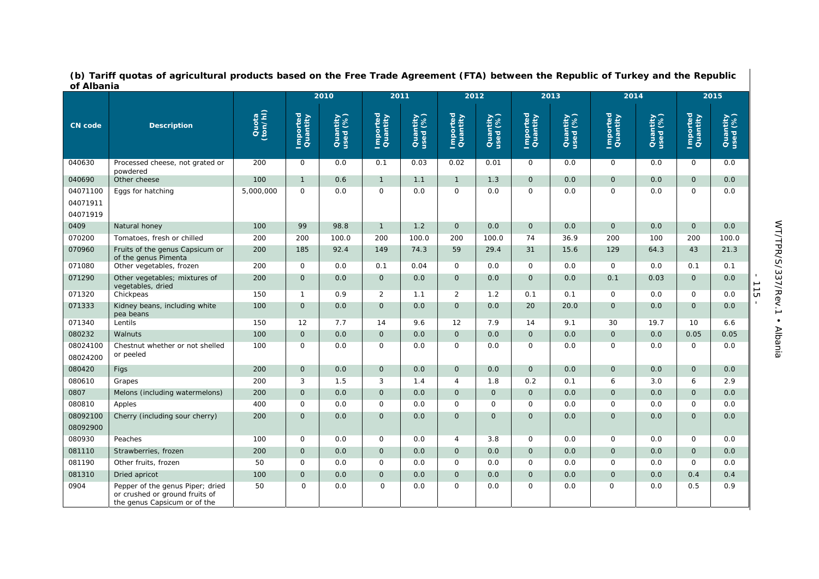|                      |                                                                                                    |                   | 2010                 |                      | 2011                 |                      | 2012                 |                      |                      | 2013                 | 2014                 |                      | 2015                 |                      |                               |
|----------------------|----------------------------------------------------------------------------------------------------|-------------------|----------------------|----------------------|----------------------|----------------------|----------------------|----------------------|----------------------|----------------------|----------------------|----------------------|----------------------|----------------------|-------------------------------|
| <b>CN</b> code       | <b>Description</b>                                                                                 | Quota<br>(ton/hl) | Imported<br>Quantity | Quantity<br>used (%) | Imported<br>Quantity | Quantity<br>used (%) | Imported<br>Quantity | Quantity<br>used (%) | Imported<br>Quantity | Quantity<br>used (%) | Imported<br>Quantity | Quantity<br>used (%) | Imported<br>Quantity | Quantity<br>used (%) |                               |
| 040630               | Processed cheese, not grated or<br>powdered                                                        | 200               | $\Omega$             | 0.0                  | 0.1                  | 0.03                 | 0.02                 | 0.01                 | $\Omega$             | 0.0                  | $\Omega$             | 0.0                  | $\Omega$             | 0.0                  |                               |
| 040690               | Other cheese                                                                                       | 100               | $\mathbf{1}$         | 0.6                  | $\mathbf{1}$         | 1.1                  | $\mathbf{1}$         | 1.3                  | $\overline{O}$       | 0.0                  | $\mathbf{O}$         | 0.0                  | $\Omega$             | 0.0                  |                               |
| 04071100             | Eggs for hatching                                                                                  | 5,000,000         | $\Omega$             | 0.0                  | $\mathsf{O}$         | 0.0                  | 0                    | 0.0                  | $\mathsf{O}$         | 0.0                  | $\mathsf{O}$         | 0.0                  | $\Omega$             | 0.0                  |                               |
| 04071911             |                                                                                                    |                   |                      |                      |                      |                      |                      |                      |                      |                      |                      |                      |                      |                      |                               |
| 04071919             |                                                                                                    |                   |                      |                      |                      |                      |                      |                      |                      |                      |                      |                      |                      |                      |                               |
| 0409                 | Natural honey                                                                                      | 100               | 99                   | 98.8                 | $\mathbf{1}$         | 1.2                  | $\mathbf 0$          | 0.0                  | $\mathbf{0}$         | 0.0                  | $\mathbf{O}$         | 0.0                  | $\mathbf{O}$         | 0.0                  |                               |
| 070200               | Tomatoes, fresh or chilled                                                                         | 200               | 200                  | 100.0                | 200                  | 100.0                | 200                  | 100.0                | 74                   | 36.9                 | 200                  | 100                  | 200                  | 100.0                |                               |
| 070960               | Fruits of the genus Capsicum or<br>of the genus Pimenta                                            | 200               | 185                  | 92.4                 | 149                  | 74.3                 | 59                   | 29.4                 | 31                   | 15.6                 | 129                  | 64.3                 | 43                   | 21.3                 |                               |
| 071080               | Other vegetables, frozen                                                                           | 200               | $\mathbf 0$          | 0.0                  | 0.1                  | 0.04                 | 0                    | 0.0                  | $\mathbf 0$          | 0.0                  | $\mathbf 0$          | 0.0                  | 0.1                  | 0.1                  |                               |
| 071290               | Other vegetables; mixtures of<br>vegetables, dried                                                 | 200               | $\mathbf{O}$         | 0.0                  | $\overline{O}$       | 0.0                  | $\overline{O}$       | 0.0                  | $\overline{O}$       | 0.0                  | 0.1                  | 0.03                 | $\mathbf{O}$         | 0.0                  | $\mathbf{I}$<br>$\frac{1}{1}$ |
| 071320               | Chickpeas                                                                                          | 150               | $\mathbf{1}$         | 0.9                  | $\overline{2}$       | 1.1                  | $\overline{2}$       | 1.2                  | 0.1                  | 0.1                  | $\mathbf 0$          | 0.0                  | $\mathbf 0$          | 0.0                  |                               |
| 071333               | Kidney beans, including white<br>pea beans                                                         | 100               | $\Omega$             | 0.0                  | $\overline{O}$       | 0.0                  | $\mathbf{O}$         | 0.0                  | 20                   | 20.0                 | $\Omega$             | 0.0                  | $\Omega$             | 0.0                  | $\mathbf{L}$                  |
| 071340               | Lentils                                                                                            | 150               | 12                   | 7.7                  | 14                   | 9.6                  | 12                   | 7.9                  | 14                   | 9.1                  | 30                   | 19.7                 | 10                   | 6.6                  |                               |
| 080232               | Walnuts                                                                                            | 100               | $\mathbf{O}$         | 0.0                  | $\mathsf{O}$         | 0.0                  | $\mathbf{O}$         | 0.0                  | $\mathbf{O}$         | 0.0                  | $\mathbf{O}$         | 0.0                  | 0.05                 | 0.05                 |                               |
| 08024100<br>08024200 | Chestnut whether or not shelled<br>or peeled                                                       | 100               | $\mathbf 0$          | 0.0                  | 0                    | 0.0                  | 0                    | 0.0                  | 0                    | 0.0                  | 0                    | 0.0                  | $\mathsf{O}$         | 0.0                  |                               |
| 080420               | Figs                                                                                               | 200               | $\mathbf{0}$         | 0.0                  | $\mathsf{O}$         | 0.0                  | $\mathbf{O}$         | 0.0                  | $\mathsf{O}$         | 0.0                  | $\mathbf{O}$         | 0.0                  | $\mathbf{O}$         | 0.0                  |                               |
| 080610               | Grapes                                                                                             | 200               | 3                    | 1.5                  | 3                    | 1.4                  | 4                    | 1.8                  | 0.2                  | 0.1                  | 6                    | 3.0                  | 6                    | 2.9                  |                               |
| 0807                 | Melons (including watermelons)                                                                     | 200               | $\mathbf{O}$         | 0.0                  | $\overline{O}$       | 0.0                  | $\mathbf{O}$         | $\overline{O}$       | $\overline{O}$       | 0.0                  | $\mathbf{O}$         | 0.0                  | $\mathbf{0}$         | 0.0                  |                               |
| 080810               | Apples                                                                                             | 400               | $\mathbf 0$          | 0.0                  | $\mathsf{O}$         | 0.0                  | $\mathsf{O}$         | 0                    | $\mathsf{O}$         | 0.0                  | $\mathbf 0$          | 0.0                  | $\mathbf 0$          | 0.0                  |                               |
| 08092100             | Cherry (including sour cherry)                                                                     | 200               | $\Omega$             | 0.0                  | $\overline{O}$       | 0.0                  | $\mathbf{O}$         | $\Omega$             | $\overline{O}$       | 0.0                  | $\Omega$             | 0.0                  | $\Omega$             | 0.0                  |                               |
| 08092900             |                                                                                                    |                   |                      |                      |                      |                      |                      |                      |                      |                      |                      |                      |                      |                      |                               |
| 080930               | Peaches                                                                                            | 100               | $\mathbf 0$          | 0.0                  | $\mathsf{O}$         | 0.0                  | 4                    | 3.8                  | $\mathbf 0$          | 0.0                  | $\mathbf 0$          | 0.0                  | $\mathbf 0$          | 0.0                  |                               |
| 081110               | Strawberries, frozen                                                                               | 200               | $\overline{O}$       | 0.0                  | $\overline{O}$       | 0.0                  | $\mathbf{O}$         | 0.0                  | $\overline{O}$       | 0.0                  | $\mathbf{0}$         | 0.0                  | $\Omega$             | 0.0                  |                               |
| 081190               | Other fruits, frozen                                                                               | 50                | $\mathsf{O}$         | 0.0                  | $\mathsf{O}$         | 0.0                  | 0                    | 0.0                  | $\mathsf{O}$         | 0.0                  | $\mathbf 0$          | 0.0                  | $\mathbf 0$          | 0.0                  |                               |
| 081310               | Dried apricot                                                                                      | 100               | $\mathbf{O}$         | 0.0                  | $\mathsf{O}$         | 0.0                  | $\mathbf{O}$         | 0.0                  | $\mathbf{0}$         | 0.0                  | $\mathbf{O}$         | 0.0                  | 0.4                  | 0.4                  |                               |
| 0904                 | Pepper of the genus Piper; dried<br>or crushed or ground fruits of<br>the genus Capsicum or of the | 50                | $\Omega$             | 0.0                  | $\mathsf{O}$         | 0.0                  | 0                    | 0.0                  | 0                    | 0.0                  | 0                    | 0.0                  | 0.5                  | 0.9                  |                               |

**(b) Tariff quotas of agricultural products based on the Free Trade Agreement (FTA) between the Republic of Turkey and the Republic of Albania**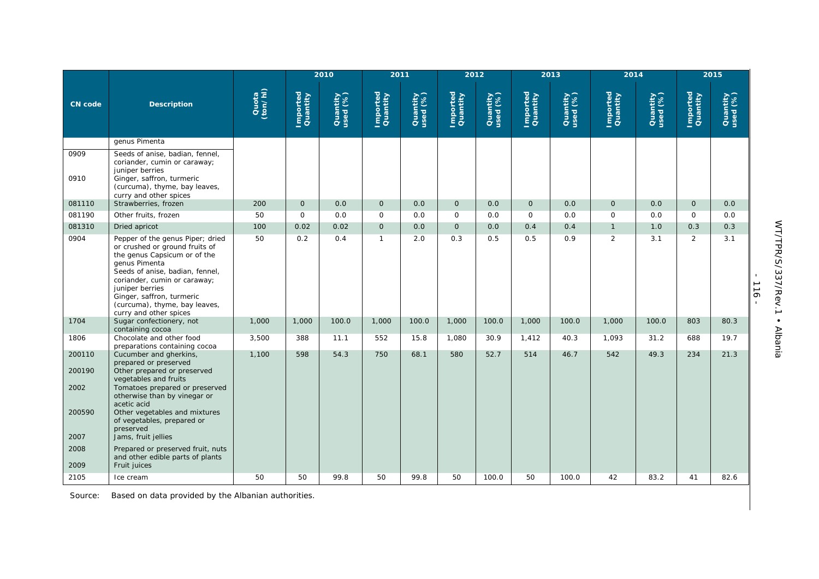|                |                                                                                                                                                                                                                                                                                                   |                   |                      | 2010                 | 2011                 |                      |                      | 2012                 |                      | 2013                 |                      | 2014                 |                      | 2015                 |
|----------------|---------------------------------------------------------------------------------------------------------------------------------------------------------------------------------------------------------------------------------------------------------------------------------------------------|-------------------|----------------------|----------------------|----------------------|----------------------|----------------------|----------------------|----------------------|----------------------|----------------------|----------------------|----------------------|----------------------|
| <b>CN</b> code | <b>Description</b>                                                                                                                                                                                                                                                                                | Quota<br>(ton/hl) | Imported<br>Quantity | Quantity<br>used (%) | Imported<br>Quantity | Quantity<br>used (%) | Imported<br>Quantity | Quantity<br>used (%) | Imported<br>Quantity | Quantity<br>used (%) | Imported<br>Quantity | Quantity<br>used (%) | Imported<br>Quantity | Quantity<br>used (%) |
|                | genus Pimenta                                                                                                                                                                                                                                                                                     |                   |                      |                      |                      |                      |                      |                      |                      |                      |                      |                      |                      |                      |
| 0909<br>0910   | Seeds of anise, badian, fennel,<br>coriander, cumin or caraway;<br>juniper berries<br>Ginger, saffron, turmeric<br>(curcuma), thyme, bay leaves,<br>curry and other spices                                                                                                                        |                   |                      |                      |                      |                      |                      |                      |                      |                      |                      |                      |                      |                      |
| 081110         | Strawberries, frozen                                                                                                                                                                                                                                                                              | 200               | 0                    | 0.0                  | $\mathsf{O}$         | 0.0                  | $\mathbf 0$          | 0.0                  | $\mathbf 0$          | 0.0                  | $\mathbf 0$          | 0.0                  | $\mathsf{O}$         | 0.0                  |
| 081190         | Other fruits, frozen                                                                                                                                                                                                                                                                              | 50                | $\mathsf{O}$         | 0.0                  | $\mathbf 0$          | 0.0                  | $\mathbf 0$          | 0.0                  | $\mathsf{O}$         | 0.0                  | $\Omega$             | 0.0                  | $\Omega$             | 0.0                  |
| 081310         | Dried apricot                                                                                                                                                                                                                                                                                     | 100               | 0.02                 | 0.02                 | $\mathsf{O}$         | 0.0                  | $\mathbf 0$          | 0.0                  | 0.4                  | 0.4                  | $\mathbf{1}$         | 1.0                  | 0.3                  | 0.3                  |
| 0904           | Pepper of the genus Piper; dried<br>or crushed or ground fruits of<br>the genus Capsicum or of the<br>genus Pimenta<br>Seeds of anise, badian, fennel,<br>coriander, cumin or caraway;<br>juniper berries<br>Ginger, saffron, turmeric<br>(curcuma), thyme, bay leaves,<br>curry and other spices | 50                | 0.2                  | 0.4                  | $\mathbf{1}$         | 2.0                  | 0.3                  | 0.5                  | 0.5                  | 0.9                  | 2                    | 3.1                  | $\overline{2}$       | 3.1                  |
| 1704           | Sugar confectionery, not<br>containing cocoa                                                                                                                                                                                                                                                      | 1,000             | 1,000                | 100.0                | 1,000                | 100.0                | 1,000                | 100.0                | 1,000                | 100.0                | 1,000                | 100.0                | 803                  | 80.3                 |
| 1806           | Chocolate and other food<br>preparations containing cocoa                                                                                                                                                                                                                                         | 3,500             | 388                  | 11.1                 | 552                  | 15.8                 | 1,080                | 30.9                 | 1,412                | 40.3                 | 1,093                | 31.2                 | 688                  | 19.7                 |
| 200110         | Cucumber and gherkins,<br>prepared or preserved                                                                                                                                                                                                                                                   | 1,100             | 598                  | 54.3                 | 750                  | 68.1                 | 580                  | 52.7                 | 514                  | 46.7                 | 542                  | 49.3                 | 234                  | 21.3                 |
| 200190<br>2002 | Other prepared or preserved<br>vegetables and fruits<br>Tomatoes prepared or preserved<br>otherwise than by vinegar or<br>acetic acid                                                                                                                                                             |                   |                      |                      |                      |                      |                      |                      |                      |                      |                      |                      |                      |                      |
| 200590<br>2007 | Other vegetables and mixtures<br>of vegetables, prepared or<br>preserved<br>Jams, fruit jellies                                                                                                                                                                                                   |                   |                      |                      |                      |                      |                      |                      |                      |                      |                      |                      |                      |                      |
| 2008<br>2009   | Prepared or preserved fruit, nuts<br>and other edible parts of plants<br>Fruit juices                                                                                                                                                                                                             |                   |                      |                      |                      |                      |                      |                      |                      |                      |                      |                      |                      |                      |
| 2105           | Ice cream                                                                                                                                                                                                                                                                                         | 50                | 50                   | 99.8                 | 50                   | 99.8                 | 50                   | 100.0                | 50                   | 100.0                | 42                   | 83.2                 | 41                   | 82.6                 |

Source: Based on data provided by the Albanian authorities.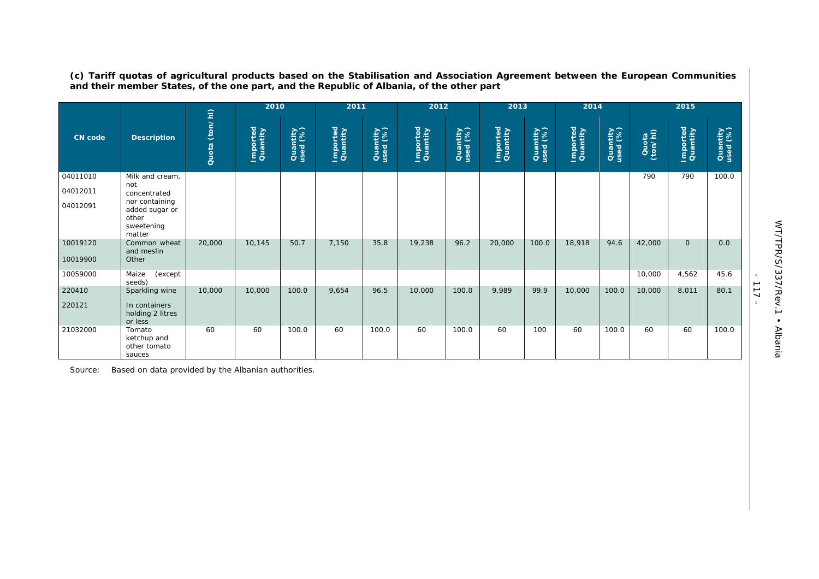|                      |                                                                   |                   | 2010                 |                      | 2011                 |                      | 2012                 |                      | 2013                 |                      | 2014                 |                      |                   | 2015                 |                      |
|----------------------|-------------------------------------------------------------------|-------------------|----------------------|----------------------|----------------------|----------------------|----------------------|----------------------|----------------------|----------------------|----------------------|----------------------|-------------------|----------------------|----------------------|
| <b>CN</b> code       | <b>Description</b>                                                | (ton/hl)<br>Quota | Imported<br>Quantity | Quantity<br>used (%) | Imported<br>Quantity | Quantity<br>used (%) | Imported<br>Quantity | Quantity<br>used (%) | Imported<br>Quantity | Quantity<br>used (%) | Imported<br>Quantity | Quantity<br>used (%) | Quota<br>(ton/hl) | Imported<br>Quantity | Quantity<br>used (%) |
| 04011010             | Milk and cream,                                                   |                   |                      |                      |                      |                      |                      |                      |                      |                      |                      |                      | 790               | 790                  | 100.0                |
| 04012011             | not<br>concentrated                                               |                   |                      |                      |                      |                      |                      |                      |                      |                      |                      |                      |                   |                      |                      |
| 04012091             | nor containing<br>added sugar or<br>other<br>sweetening<br>matter |                   |                      |                      |                      |                      |                      |                      |                      |                      |                      |                      |                   |                      |                      |
| 10019120<br>10019900 | Common wheat<br>and meslin<br>Other                               | 20,000            | 10,145               | 50.7                 | 7,150                | 35.8                 | 19,238               | 96.2                 | 20,000               | 100.0                | 18,918               | 94.6                 | 42,000            | $\overline{O}$       | 0.0                  |
| 10059000             | Maize<br>(except<br>seeds)                                        |                   |                      |                      |                      |                      |                      |                      |                      |                      |                      |                      | 10,000            | 4,562                | 45.6                 |
| 220410               | Sparkling wine                                                    | 10,000            | 10,000               | 100.0                | 9,654                | 96.5                 | 10,000               | 100.0                | 9,989                | 99.9                 | 10,000               | 100.0                | 10,000            | 8,011                | 80.1                 |
| 220121               | In containers<br>holding 2 litres<br>or less                      |                   |                      |                      |                      |                      |                      |                      |                      |                      |                      |                      |                   |                      |                      |
| 21032000             | Tomato<br>ketchup and<br>other tomato<br>sauces                   | 60                | 60                   | 100.0                | 60                   | 100.0                | 60                   | 100.0                | 60                   | 100                  | 60                   | 100.0                | 60                | 60                   | 100.0                |

**(c) Tariff quotas of agricultural products based on the Stabilisation and Association Agreement between the European Communities and their member States, of the one part, and the Republic of Albania, of the other part** 

Source: Based on data provided by the Albanian authorities.

- 117 -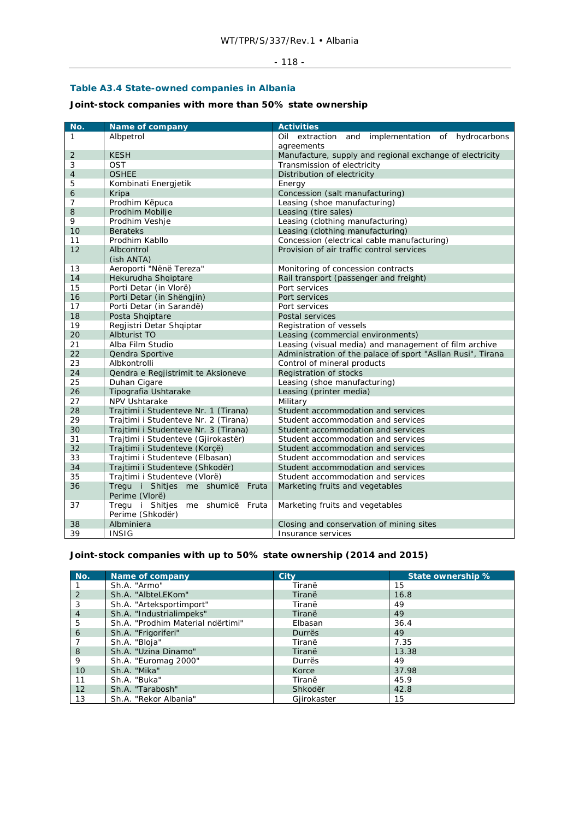#### - 118 -

### **Table A3.4 State-owned companies in Albania**

**Joint-stock companies with more than 50% state ownership** 

| No.            | Name of company                                      | <b>Activities</b>                                           |  |
|----------------|------------------------------------------------------|-------------------------------------------------------------|--|
| 1              | Albpetrol                                            | Oil extraction<br>and implementation of hydrocarbons        |  |
|                |                                                      | agreements                                                  |  |
| $\overline{2}$ | <b>KESH</b>                                          | Manufacture, supply and regional exchange of electricity    |  |
| 3              | <b>OST</b>                                           | Transmission of electricity                                 |  |
| 4              | <b>OSHEE</b>                                         | Distribution of electricity                                 |  |
| 5              | Kombinati Energjetik                                 | Energy                                                      |  |
| 6              | Kripa                                                | Concession (salt manufacturing)                             |  |
| 7              | Prodhim Këpuca                                       | Leasing (shoe manufacturing)                                |  |
| 8              | Prodhim Mobilje                                      | Leasing (tire sales)                                        |  |
| 9              | Prodhim Veshje                                       | Leasing (clothing manufacturing)                            |  |
| 10             | <b>Berateks</b>                                      | Leasing (clothing manufacturing)                            |  |
| 11             | Prodhim Kabllo                                       | Concession (electrical cable manufacturing)                 |  |
| 12             | Albcontrol                                           | Provision of air traffic control services                   |  |
|                | (ish ANTA)                                           |                                                             |  |
| 13             | Aeroporti "Nënë Tereza"                              | Monitoring of concession contracts                          |  |
| 14             | Hekurudha Shqiptare                                  | Rail transport (passenger and freight)                      |  |
| 15             | Porti Detar (in Vlorë)                               | Port services                                               |  |
| 16             | Porti Detar (in Shëngjin)                            | Port services                                               |  |
| 17             | Porti Detar (in Sarandë)                             | Port services                                               |  |
| 18             | Posta Shqiptare                                      | Postal services                                             |  |
| 19             | Regjistri Detar Shqiptar                             | Registration of vessels                                     |  |
| 20             | Albturist TO                                         | Leasing (commercial environments)                           |  |
| 21             | Alba Film Studio                                     | Leasing (visual media) and management of film archive       |  |
| 22             | Qendra Sportive                                      | Administration of the palace of sport "Asllan Rusi", Tirana |  |
| 23             | Albkontrolli                                         | Control of mineral products                                 |  |
| 24             | Qendra e Regjistrimit te Aksioneve                   | Registration of stocks                                      |  |
| 25             | Duhan Cigare                                         | Leasing (shoe manufacturing)                                |  |
| 26             | Tipografia Ushtarake                                 | Leasing (printer media)                                     |  |
| 27             | <b>NPV Ushtarake</b>                                 | Military                                                    |  |
| 28             | Trajtimi i Studenteve Nr. 1 (Tirana)                 | Student accommodation and services                          |  |
| 29             | Trajtimi i Studenteve Nr. 2 (Tirana)                 | Student accommodation and services                          |  |
| 30             | Trajtimi i Studenteve Nr. 3 (Tirana)                 | Student accommodation and services                          |  |
| 31             | Trajtimi i Studenteve (Gjirokastër)                  | Student accommodation and services                          |  |
| 32             | Trajtimi i Studenteve (Korçë)                        | Student accommodation and services                          |  |
| 33             | Trajtimi i Studenteve (Elbasan)                      | Student accommodation and services                          |  |
| 34             | Trajtimi i Studenteve (Shkodër)                      | Student accommodation and services                          |  |
| 35             | Trajtimi i Studenteve (Vlorë)                        | Student accommodation and services                          |  |
| 36             | Tregu i Shitjes me shumicë Fruta<br>Perime (Vlorë)   | Marketing fruits and vegetables                             |  |
| 37             | Tregu i Shitjes me shumicë Fruta<br>Perime (Shkodër) | Marketing fruits and vegetables                             |  |
| 38             | Albminiera                                           | Closing and conservation of mining sites                    |  |
| 39             | <b>INSIG</b>                                         | Insurance services                                          |  |

# **Joint-stock companies with up to 50% state ownership (2014 and 2015)**

| No.            | Name of company                   | City        | State ownership % |
|----------------|-----------------------------------|-------------|-------------------|
|                | Sh.A. "Armo"                      | Tiranë      | 15                |
| 2              | Sh.A. "AlbteLEKom"                | Tiranë      | 16.8              |
| 3              | Sh.A. "Arteksportimport"          | Tiranë      | 49                |
| $\overline{4}$ | Sh.A. "Industrialimpeks"          | Tiranë      | 49                |
| 5              | Sh.A. "Prodhim Material ndërtimi" | Elbasan     | 36.4              |
| 6              | Sh.A. "Frigoriferi"               | Durrës      | 49                |
|                | Sh.A. "Bloja"                     | Tiranë      | 7.35              |
| 8              | Sh.A. "Uzina Dinamo"              | Tiranë      | 13.38             |
| 9              | Sh.A. "Euromag 2000"              | Durrës      | 49                |
| 10             | Sh.A. "Mika"                      | Korce       | 37.98             |
| 11             | Sh.A. "Buka"                      | Tiranë      | 45.9              |
| 12             | Sh.A. "Tarabosh"                  | Shkodër     | 42.8              |
| 13             | Sh.A. "Rekor Albania"             | Gjirokaster | 15                |